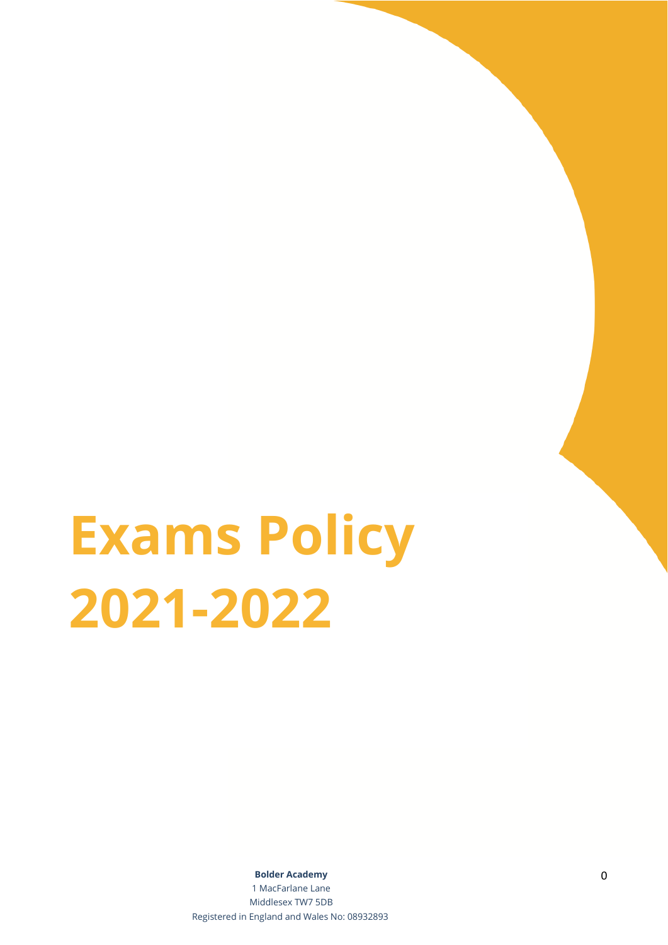# **Exams Policy 2021-2022**

**Bolder Academy** 0

1 MacFarlane Lane Middlesex TW7 5DB Registered in England and Wales No: 08932893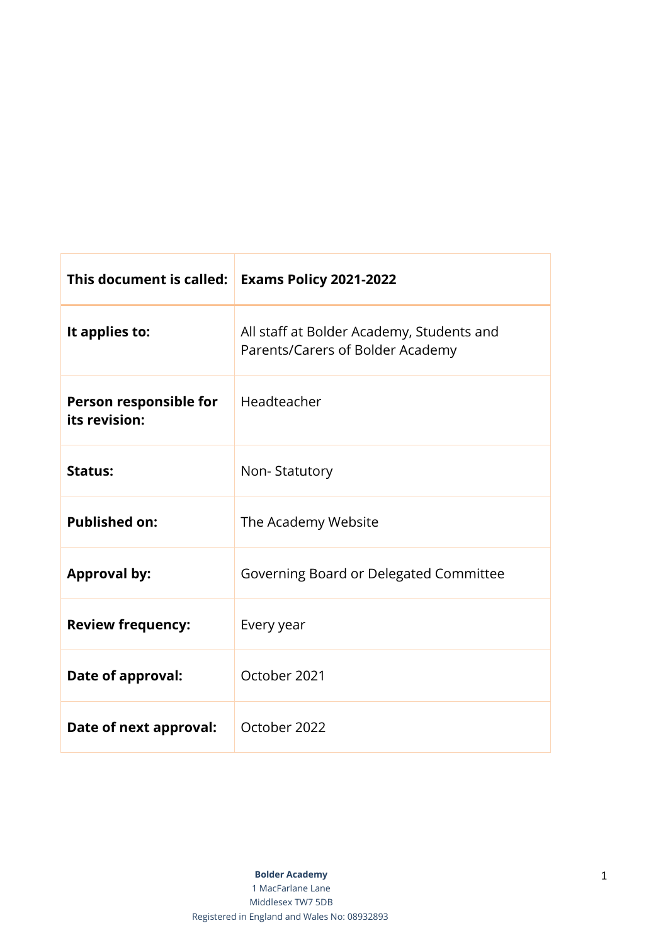| This document is called:                | <b>Exams Policy 2021-2022</b>                                                 |
|-----------------------------------------|-------------------------------------------------------------------------------|
| It applies to:                          | All staff at Bolder Academy, Students and<br>Parents/Carers of Bolder Academy |
| Person responsible for<br>its revision: | Headteacher                                                                   |
| <b>Status:</b>                          | Non-Statutory                                                                 |
| <b>Published on:</b>                    | The Academy Website                                                           |
| <b>Approval by:</b>                     | Governing Board or Delegated Committee                                        |
| <b>Review frequency:</b>                | Every year                                                                    |
| Date of approval:                       | October 2021                                                                  |
| Date of next approval:                  | October 2022                                                                  |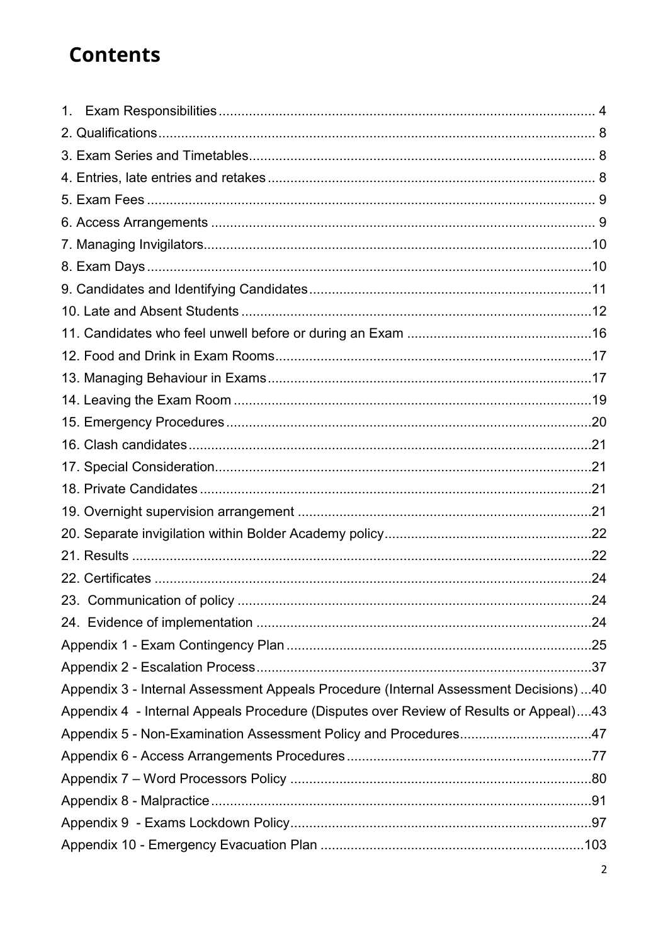# **Contents**

| 1.                                                                                     |  |
|----------------------------------------------------------------------------------------|--|
|                                                                                        |  |
|                                                                                        |  |
|                                                                                        |  |
|                                                                                        |  |
|                                                                                        |  |
|                                                                                        |  |
|                                                                                        |  |
|                                                                                        |  |
|                                                                                        |  |
|                                                                                        |  |
|                                                                                        |  |
|                                                                                        |  |
|                                                                                        |  |
|                                                                                        |  |
|                                                                                        |  |
|                                                                                        |  |
|                                                                                        |  |
|                                                                                        |  |
|                                                                                        |  |
|                                                                                        |  |
|                                                                                        |  |
|                                                                                        |  |
|                                                                                        |  |
|                                                                                        |  |
|                                                                                        |  |
| Appendix 3 - Internal Assessment Appeals Procedure (Internal Assessment Decisions)  40 |  |
| Appendix 4 - Internal Appeals Procedure (Disputes over Review of Results or Appeal)43  |  |
| Appendix 5 - Non-Examination Assessment Policy and Procedures47                        |  |
|                                                                                        |  |
|                                                                                        |  |
|                                                                                        |  |
|                                                                                        |  |
|                                                                                        |  |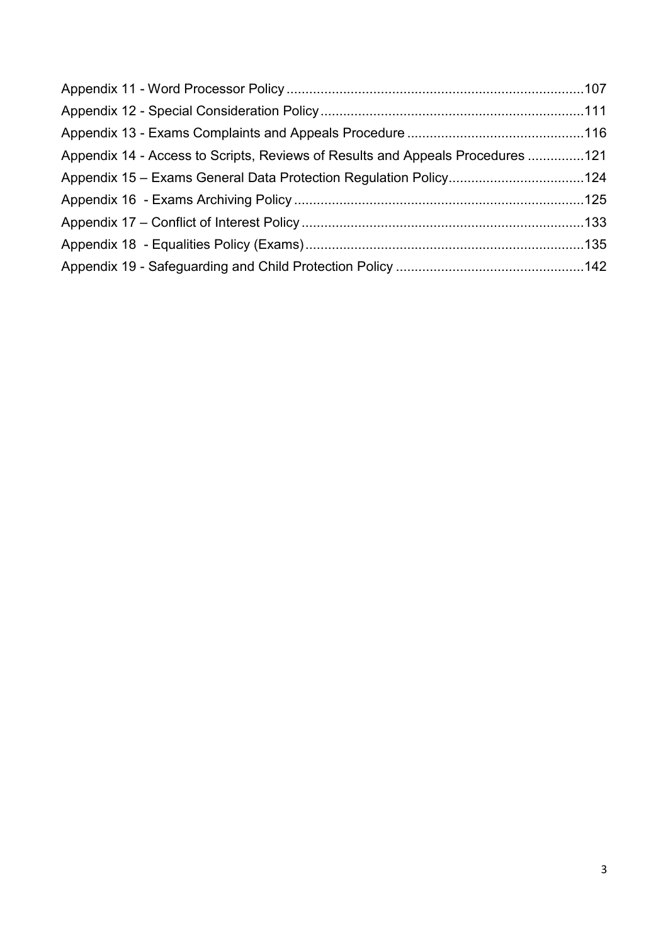| Appendix 14 - Access to Scripts, Reviews of Results and Appeals Procedures 121 |  |
|--------------------------------------------------------------------------------|--|
| Appendix 15 - Exams General Data Protection Regulation Policy124               |  |
|                                                                                |  |
|                                                                                |  |
|                                                                                |  |
|                                                                                |  |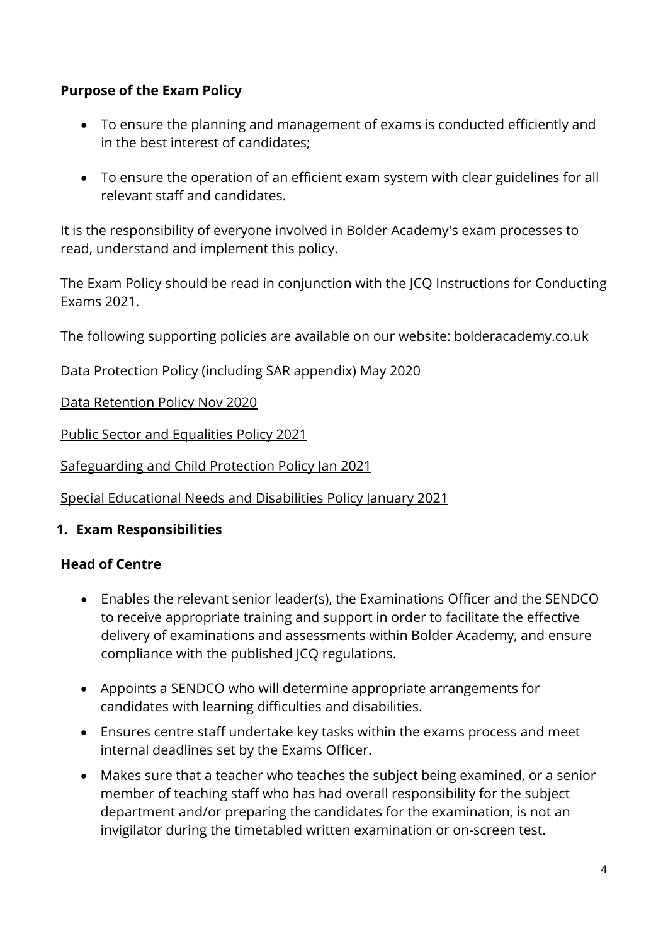# **Purpose of the Exam Policy**

- To ensure the planning and management of exams is conducted efficiently and in the best interest of candidates;
- To ensure the operation of an efficient exam system with clear guidelines for all relevant staff and candidates.

It is the responsibility of everyone involved in Bolder Academy's exam processes to read, understand and implement this policy.

The Exam Policy should be read in conjunction with the JCQ Instructions for Conducting Exams 2021.

The following supporting policies are available on our website: bolderacademy.co.uk

Data Protection Policy (including SAR appendix) May 2020

Data Retention Policy Nov 2020

Public Sector and Equalities Policy 2021

Safeguarding and Child Protection Policy Jan 2021

Special Educational Needs and Disabilities Policy January 2021

# <span id="page-4-0"></span>**1. Exam Responsibilities**

#### **Head of Centre**

- Enables the relevant senior leader(s), the Examinations Officer and the SENDCO to receive appropriate training and support in order to facilitate the effective delivery of examinations and assessments within Bolder Academy, and ensure compliance with the published JCQ regulations.
- Appoints a SENDCO who will determine appropriate arrangements for candidates with learning difficulties and disabilities.
- Ensures centre staff undertake key tasks within the exams process and meet internal deadlines set by the Exams Officer.
- Makes sure that a teacher who teaches the subject being examined, or a senior member of teaching staff who has had overall responsibility for the subject department and/or preparing the candidates for the examination, is not an invigilator during the timetabled written examination or on-screen test.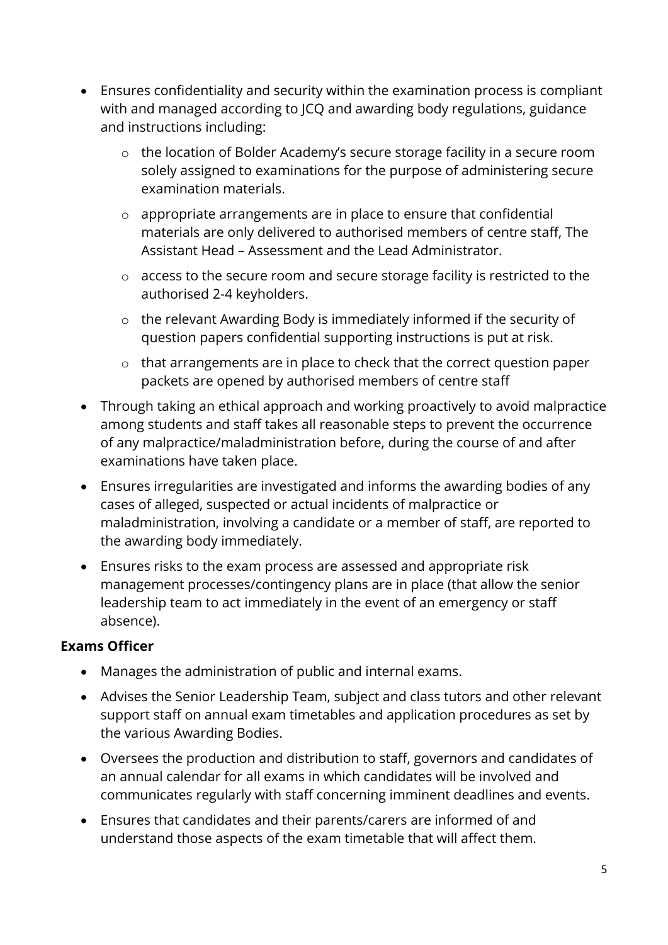- Ensures confidentiality and security within the examination process is compliant with and managed according to JCQ and awarding body regulations, guidance and instructions including:
	- o the location of Bolder Academy's secure storage facility in a secure room solely assigned to examinations for the purpose of administering secure examination materials.
	- o appropriate arrangements are in place to ensure that confidential materials are only delivered to authorised members of centre staff, The Assistant Head – Assessment and the Lead Administrator.
	- o access to the secure room and secure storage facility is restricted to the authorised 2-4 keyholders.
	- o the relevant Awarding Body is immediately informed if the security of question papers confidential supporting instructions is put at risk.
	- o that arrangements are in place to check that the correct question paper packets are opened by authorised members of centre staff
- Through taking an ethical approach and working proactively to avoid malpractice among students and staff takes all reasonable steps to prevent the occurrence of any malpractice/maladministration before, during the course of and after examinations have taken place.
- Ensures irregularities are investigated and informs the awarding bodies of any cases of alleged, suspected or actual incidents of malpractice or maladministration, involving a candidate or a member of staff, are reported to the awarding body immediately.
- Ensures risks to the exam process are assessed and appropriate risk management processes/contingency plans are in place (that allow the senior leadership team to act immediately in the event of an emergency or staff absence).

# **Exams Officer**

- Manages the administration of public and internal exams.
- Advises the Senior Leadership Team, subject and class tutors and other relevant support staff on annual exam timetables and application procedures as set by the various Awarding Bodies.
- Oversees the production and distribution to staff, governors and candidates of an annual calendar for all exams in which candidates will be involved and communicates regularly with staff concerning imminent deadlines and events.
- Ensures that candidates and their parents/carers are informed of and understand those aspects of the exam timetable that will affect them.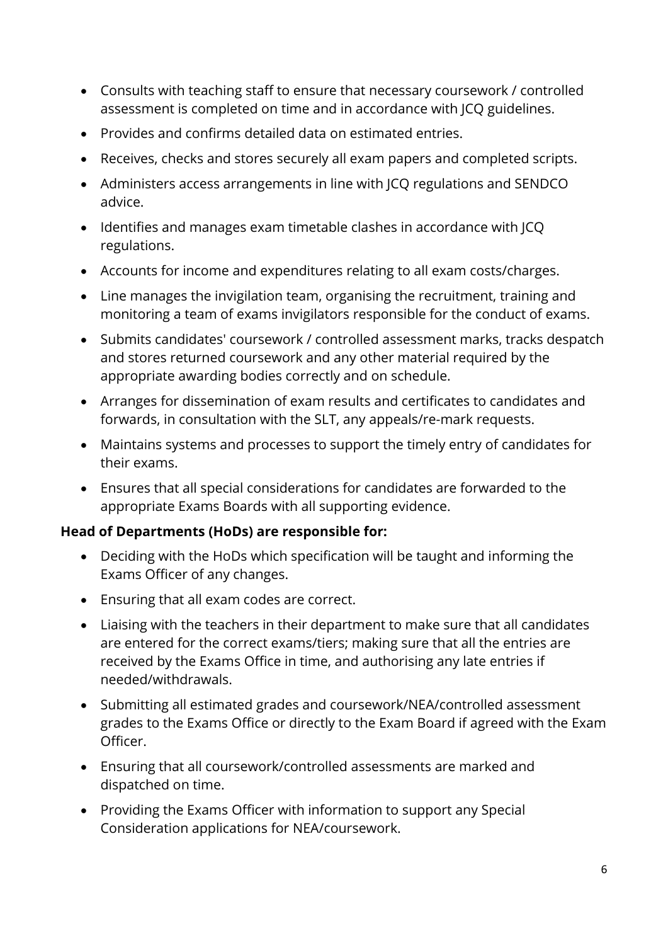- Consults with teaching staff to ensure that necessary coursework / controlled assessment is completed on time and in accordance with JCQ guidelines.
- Provides and confirms detailed data on estimated entries.
- Receives, checks and stores securely all exam papers and completed scripts.
- Administers access arrangements in line with JCQ regulations and SENDCO advice.
- Identifies and manages exam timetable clashes in accordance with JCQ regulations.
- Accounts for income and expenditures relating to all exam costs/charges.
- Line manages the invigilation team, organising the recruitment, training and monitoring a team of exams invigilators responsible for the conduct of exams.
- Submits candidates' coursework / controlled assessment marks, tracks despatch and stores returned coursework and any other material required by the appropriate awarding bodies correctly and on schedule.
- Arranges for dissemination of exam results and certificates to candidates and forwards, in consultation with the SLT, any appeals/re-mark requests.
- Maintains systems and processes to support the timely entry of candidates for their exams.
- Ensures that all special considerations for candidates are forwarded to the appropriate Exams Boards with all supporting evidence.

#### **Head of Departments (HoDs) are responsible for:**

- Deciding with the HoDs which specification will be taught and informing the Exams Officer of any changes.
- Ensuring that all exam codes are correct.
- Liaising with the teachers in their department to make sure that all candidates are entered for the correct exams/tiers; making sure that all the entries are received by the Exams Office in time, and authorising any late entries if needed/withdrawals.
- Submitting all estimated grades and coursework/NEA/controlled assessment grades to the Exams Office or directly to the Exam Board if agreed with the Exam Officer.
- Ensuring that all coursework/controlled assessments are marked and dispatched on time.
- Providing the Exams Officer with information to support any Special Consideration applications for NEA/coursework.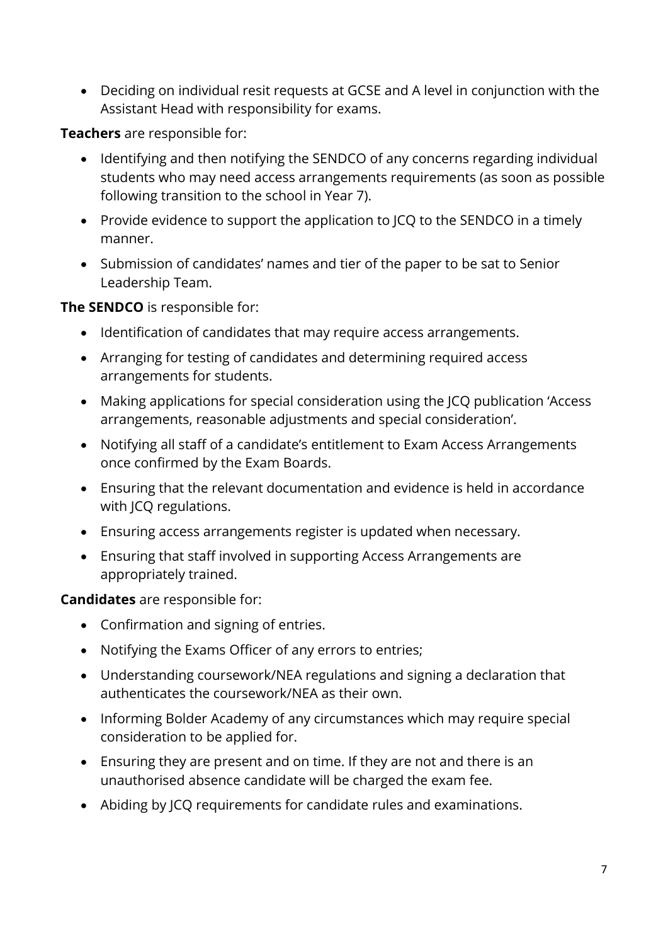• Deciding on individual resit requests at GCSE and A level in conjunction with the Assistant Head with responsibility for exams.

**Teachers** are responsible for:

- Identifying and then notifying the SENDCO of any concerns regarding individual students who may need access arrangements requirements (as soon as possible following transition to the school in Year 7).
- Provide evidence to support the application to JCQ to the SENDCO in a timely manner.
- Submission of candidates' names and tier of the paper to be sat to Senior Leadership Team.

#### **The SENDCO** is responsible for:

- Identification of candidates that may require access arrangements.
- Arranging for testing of candidates and determining required access arrangements for students.
- Making applications for special consideration using the JCQ publication 'Access arrangements, reasonable adjustments and special consideration'.
- Notifying all staff of a candidate's entitlement to Exam Access Arrangements once confirmed by the Exam Boards.
- Ensuring that the relevant documentation and evidence is held in accordance with JCQ regulations.
- Ensuring access arrangements register is updated when necessary.
- Ensuring that staff involved in supporting Access Arrangements are appropriately trained.

#### **Candidates** are responsible for:

- Confirmation and signing of entries.
- Notifying the Exams Officer of any errors to entries;
- Understanding coursework/NEA regulations and signing a declaration that authenticates the coursework/NEA as their own.
- Informing Bolder Academy of any circumstances which may require special consideration to be applied for.
- Ensuring they are present and on time. If they are not and there is an unauthorised absence candidate will be charged the exam fee.
- Abiding by JCQ requirements for candidate rules and examinations.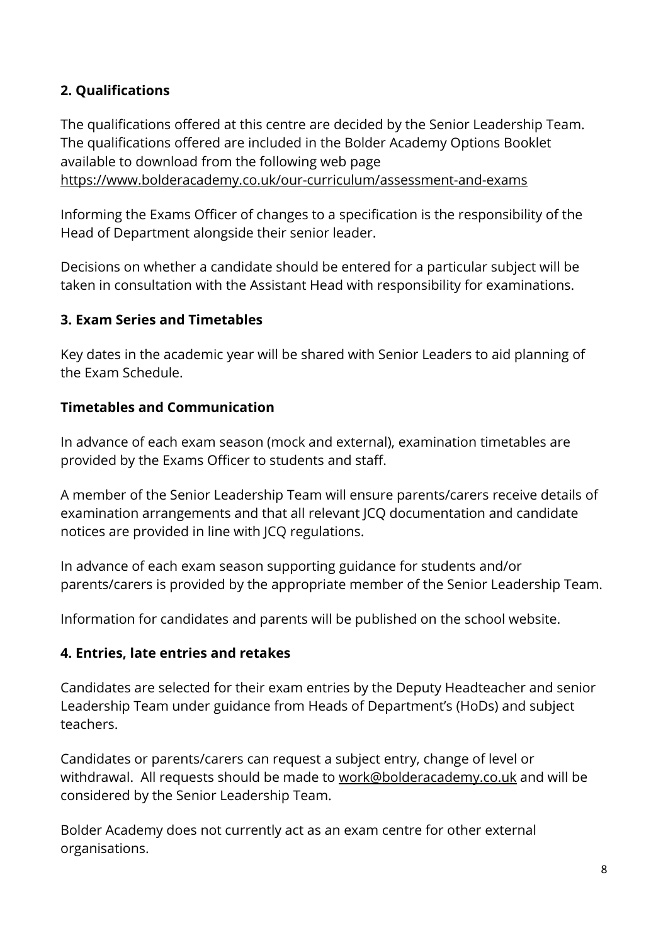# <span id="page-8-0"></span>**2. Qualifications**

The qualifications offered at this centre are decided by the Senior Leadership Team. The qualifications offered are included in the Bolder Academy Options Booklet available to download from the following web page <https://www.bolderacademy.co.uk/our-curriculum/assessment-and-exams>

Informing the Exams Officer of changes to a specification is the responsibility of the Head of Department alongside their senior leader.

Decisions on whether a candidate should be entered for a particular subject will be taken in consultation with the Assistant Head with responsibility for examinations.

#### <span id="page-8-1"></span>**3. Exam Series and Timetables**

Key dates in the academic year will be shared with Senior Leaders to aid planning of the Exam Schedule.

#### **Timetables and Communication**

In advance of each exam season (mock and external), examination timetables are provided by the Exams Officer to students and staff.

A member of the Senior Leadership Team will ensure parents/carers receive details of examination arrangements and that all relevant JCQ documentation and candidate notices are provided in line with JCQ regulations.

In advance of each exam season supporting guidance for students and/or parents/carers is provided by the appropriate member of the Senior Leadership Team.

Information for candidates and parents will be published on the school website.

# <span id="page-8-2"></span>**4. Entries, late entries and retakes**

Candidates are selected for their exam entries by the Deputy Headteacher and senior Leadership Team under guidance from Heads of Department's (HoDs) and subject teachers.

Candidates or parents/carers can request a subject entry, change of level or withdrawal. All requests should be made to [work@bolderacademy.co.uk](mailto:work@bolderacademy.co.uk) and will be considered by the Senior Leadership Team.

Bolder Academy does not currently act as an exam centre for other external organisations.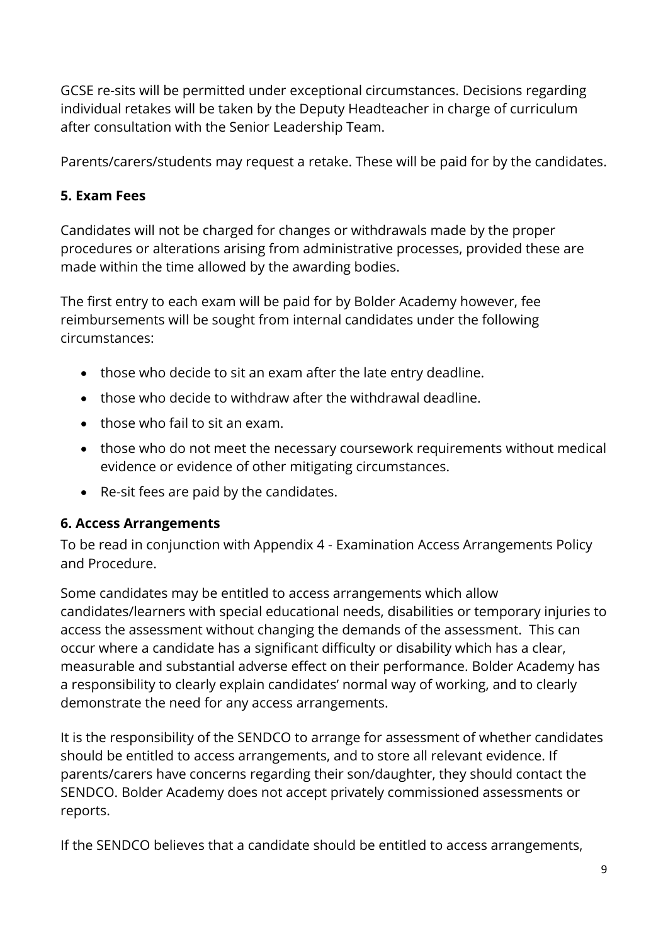GCSE re-sits will be permitted under exceptional circumstances. Decisions regarding individual retakes will be taken by the Deputy Headteacher in charge of curriculum after consultation with the Senior Leadership Team.

Parents/carers/students may request a retake. These will be paid for by the candidates.

# <span id="page-9-0"></span>**5. Exam Fees**

Candidates will not be charged for changes or withdrawals made by the proper procedures or alterations arising from administrative processes, provided these are made within the time allowed by the awarding bodies.

The first entry to each exam will be paid for by Bolder Academy however, fee reimbursements will be sought from internal candidates under the following circumstances:

- those who decide to sit an exam after the late entry deadline.
- those who decide to withdraw after the withdrawal deadline.
- those who fail to sit an exam.
- those who do not meet the necessary coursework requirements without medical evidence or evidence of other mitigating circumstances.
- Re-sit fees are paid by the candidates.

# <span id="page-9-1"></span>**6. Access Arrangements**

To be read in conjunction with Appendix 4 - Examination Access Arrangements Policy and Procedure.

Some candidates may be entitled to access arrangements which allow candidates/learners with special educational needs, disabilities or temporary injuries to access the assessment without changing the demands of the assessment. This can occur where a candidate has a significant difficulty or disability which has a clear, measurable and substantial adverse effect on their performance. Bolder Academy has a responsibility to clearly explain candidates' normal way of working, and to clearly demonstrate the need for any access arrangements.

It is the responsibility of the SENDCO to arrange for assessment of whether candidates should be entitled to access arrangements, and to store all relevant evidence. If parents/carers have concerns regarding their son/daughter, they should contact the SENDCO. Bolder Academy does not accept privately commissioned assessments or reports.

If the SENDCO believes that a candidate should be entitled to access arrangements,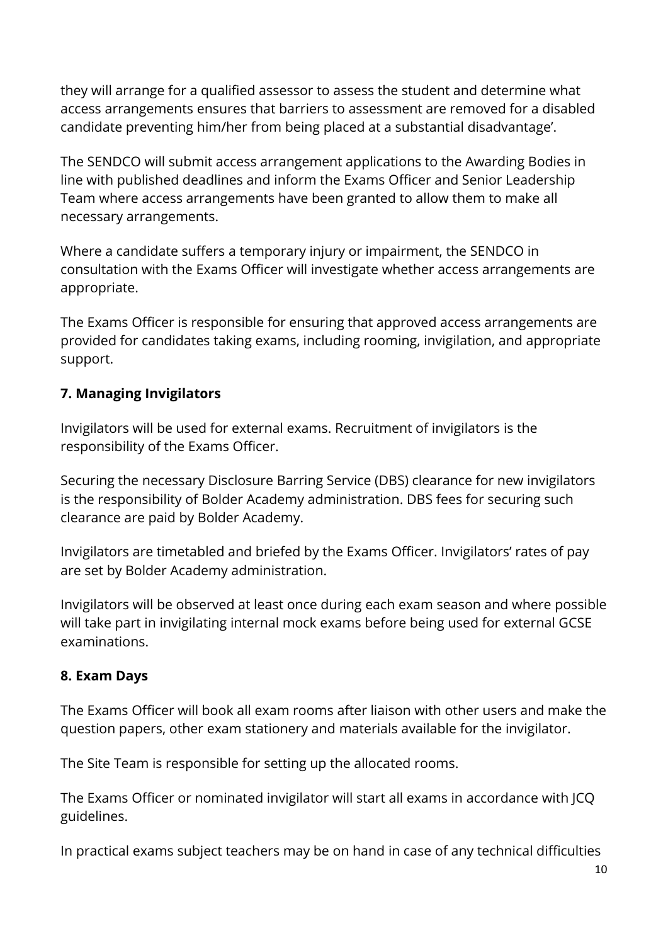they will arrange for a qualified assessor to assess the student and determine what access arrangements ensures that barriers to assessment are removed for a disabled candidate preventing him/her from being placed at a substantial disadvantage'.

The SENDCO will submit access arrangement applications to the Awarding Bodies in line with published deadlines and inform the Exams Officer and Senior Leadership Team where access arrangements have been granted to allow them to make all necessary arrangements.

Where a candidate suffers a temporary injury or impairment, the SENDCO in consultation with the Exams Officer will investigate whether access arrangements are appropriate.

The Exams Officer is responsible for ensuring that approved access arrangements are provided for candidates taking exams, including rooming, invigilation, and appropriate support.

# <span id="page-10-0"></span>**7. Managing Invigilators**

Invigilators will be used for external exams. Recruitment of invigilators is the responsibility of the Exams Officer.

Securing the necessary Disclosure Barring Service (DBS) clearance for new invigilators is the responsibility of Bolder Academy administration. DBS fees for securing such clearance are paid by Bolder Academy.

Invigilators are timetabled and briefed by the Exams Officer. Invigilators' rates of pay are set by Bolder Academy administration.

Invigilators will be observed at least once during each exam season and where possible will take part in invigilating internal mock exams before being used for external GCSE examinations.

#### <span id="page-10-1"></span>**8. Exam Days**

The Exams Officer will book all exam rooms after liaison with other users and make the question papers, other exam stationery and materials available for the invigilator.

The Site Team is responsible for setting up the allocated rooms.

The Exams Officer or nominated invigilator will start all exams in accordance with JCQ guidelines.

In practical exams subject teachers may be on hand in case of any technical difficulties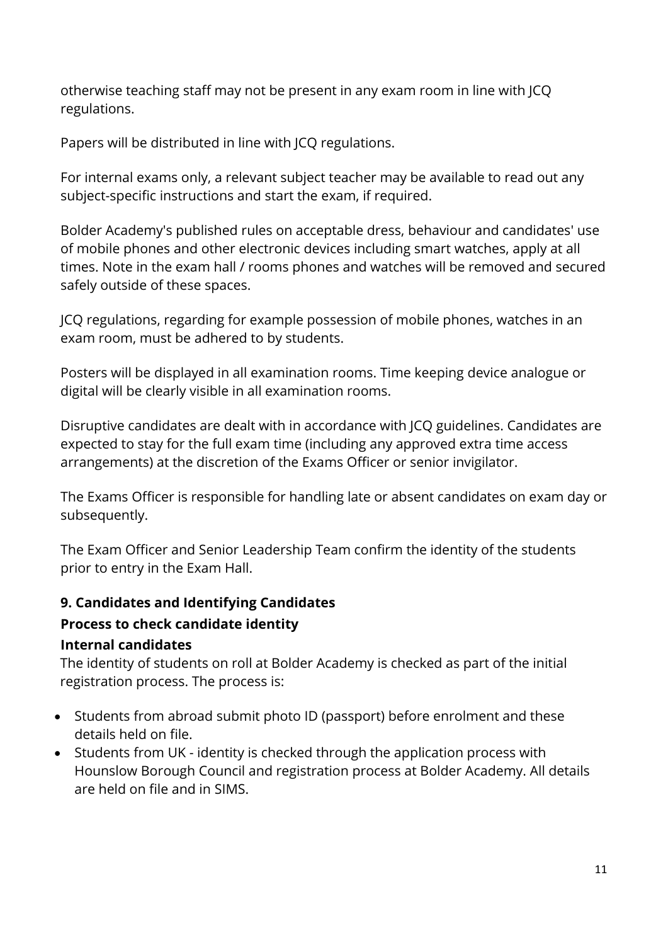otherwise teaching staff may not be present in any exam room in line with JCQ regulations.

Papers will be distributed in line with JCQ regulations.

For internal exams only, a relevant subject teacher may be available to read out any subject-specific instructions and start the exam, if required.

Bolder Academy's published rules on acceptable dress, behaviour and candidates' use of mobile phones and other electronic devices including smart watches, apply at all times. Note in the exam hall / rooms phones and watches will be removed and secured safely outside of these spaces.

JCQ regulations, regarding for example possession of mobile phones, watches in an exam room, must be adhered to by students.

Posters will be displayed in all examination rooms. Time keeping device analogue or digital will be clearly visible in all examination rooms.

Disruptive candidates are dealt with in accordance with JCQ guidelines. Candidates are expected to stay for the full exam time (including any approved extra time access arrangements) at the discretion of the Exams Officer or senior invigilator.

The Exams Officer is responsible for handling late or absent candidates on exam day or subsequently.

The Exam Officer and Senior Leadership Team confirm the identity of the students prior to entry in the Exam Hall.

# <span id="page-11-0"></span>**9. Candidates and Identifying Candidates**

# **Process to check candidate identity**

# **Internal candidates**

The identity of students on roll at Bolder Academy is checked as part of the initial registration process. The process is:

- Students from abroad submit photo ID (passport) before enrolment and these details held on file.
- Students from UK identity is checked through the application process with Hounslow Borough Council and registration process at Bolder Academy. All details are held on file and in SIMS.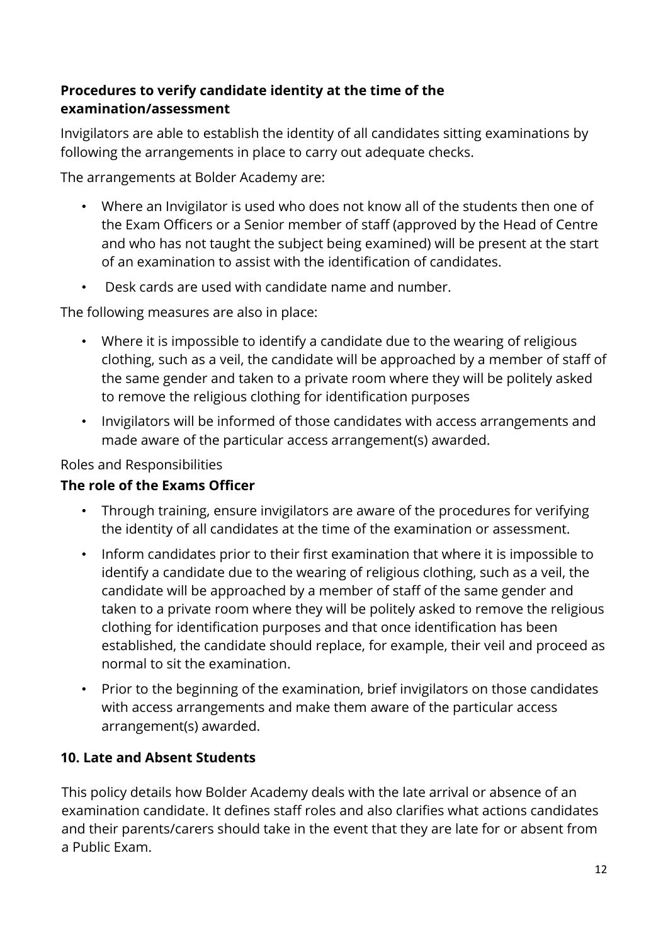# **Procedures to verify candidate identity at the time of the examination/assessment**

Invigilators are able to establish the identity of all candidates sitting examinations by following the arrangements in place to carry out adequate checks.

The arrangements at Bolder Academy are:

- Where an Invigilator is used who does not know all of the students then one of the Exam Officers or a Senior member of staff (approved by the Head of Centre and who has not taught the subject being examined) will be present at the start of an examination to assist with the identification of candidates.
- Desk cards are used with candidate name and number.

The following measures are also in place:

- Where it is impossible to identify a candidate due to the wearing of religious clothing, such as a veil, the candidate will be approached by a member of staff of the same gender and taken to a private room where they will be politely asked to remove the religious clothing for identification purposes
- Invigilators will be informed of those candidates with access arrangements and made aware of the particular access arrangement(s) awarded.

#### Roles and Responsibilities

# **The role of the Exams Officer**

- Through training, ensure invigilators are aware of the procedures for verifying the identity of all candidates at the time of the examination or assessment.
- Inform candidates prior to their first examination that where it is impossible to identify a candidate due to the wearing of religious clothing, such as a veil, the candidate will be approached by a member of staff of the same gender and taken to a private room where they will be politely asked to remove the religious clothing for identification purposes and that once identification has been established, the candidate should replace, for example, their veil and proceed as normal to sit the examination.
- Prior to the beginning of the examination, brief invigilators on those candidates with access arrangements and make them aware of the particular access arrangement(s) awarded.

# <span id="page-12-0"></span>**10. Late and Absent Students**

This policy details how Bolder Academy deals with the late arrival or absence of an examination candidate. It defines staff roles and also clarifies what actions candidates and their parents/carers should take in the event that they are late for or absent from a Public Exam.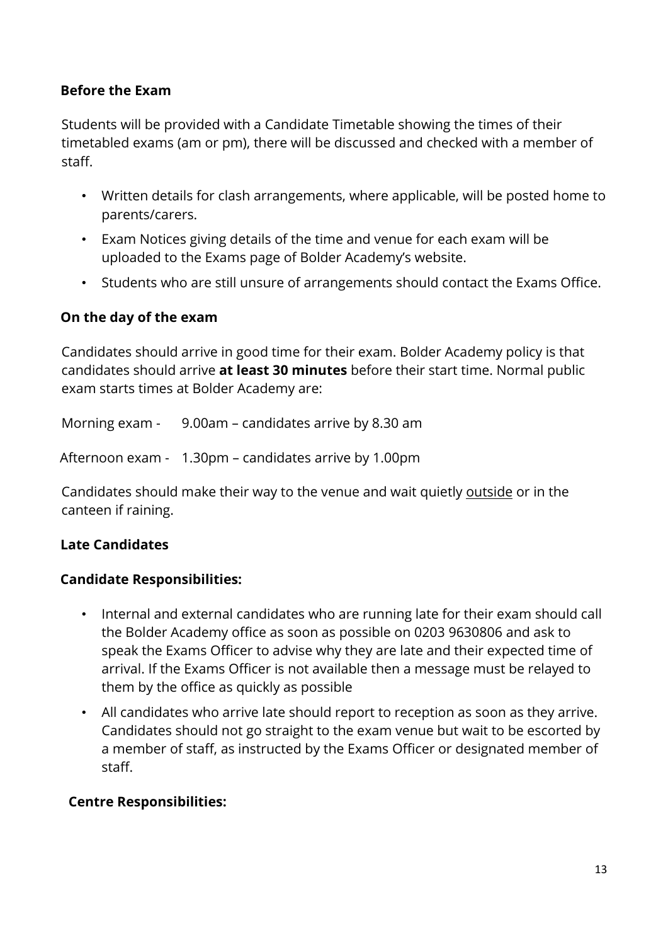#### **Before the Exam**

Students will be provided with a Candidate Timetable showing the times of their timetabled exams (am or pm), there will be discussed and checked with a member of staff.

- Written details for clash arrangements, where applicable, will be posted home to parents/carers.
- Exam Notices giving details of the time and venue for each exam will be uploaded to the Exams page of Bolder Academy's website.
- Students who are still unsure of arrangements should contact the Exams Office.

#### **On the day of the exam**

Candidates should arrive in good time for their exam. Bolder Academy policy is that candidates should arrive **at least 30 minutes** before their start time. Normal public exam starts times at Bolder Academy are:

Morning exam - 9.00am – candidates arrive by 8.30 am

Afternoon exam - 1.30pm – candidates arrive by 1.00pm

Candidates should make their way to the venue and wait quietly outside or in the canteen if raining.

# **Late Candidates**

#### **Candidate Responsibilities:**

- Internal and external candidates who are running late for their exam should call the Bolder Academy office as soon as possible on 0203 9630806 and ask to speak the Exams Officer to advise why they are late and their expected time of arrival. If the Exams Officer is not available then a message must be relayed to them by the office as quickly as possible
- All candidates who arrive late should report to reception as soon as they arrive. Candidates should not go straight to the exam venue but wait to be escorted by a member of staff, as instructed by the Exams Officer or designated member of staff.

#### **Centre Responsibilities:**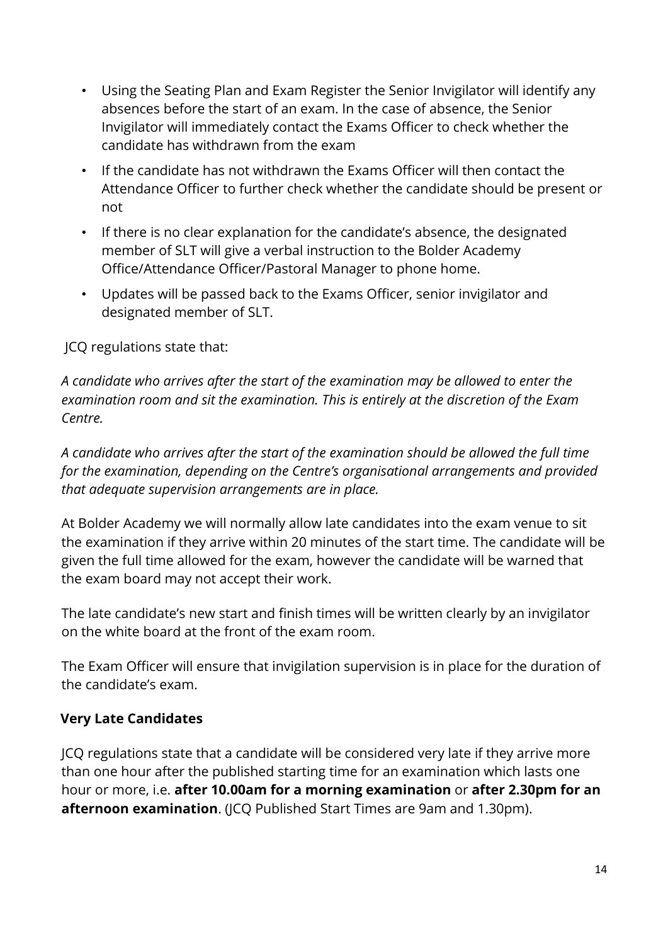- Using the Seating Plan and Exam Register the Senior Invigilator will identify any absences before the start of an exam. In the case of absence, the Senior Invigilator will immediately contact the Exams Officer to check whether the candidate has withdrawn from the exam
- If the candidate has not withdrawn the Exams Officer will then contact the Attendance Officer to further check whether the candidate should be present or not
- If there is no clear explanation for the candidate's absence, the designated member of SLT will give a verbal instruction to the Bolder Academy Office/Attendance Officer/Pastoral Manager to phone home.
- Updates will be passed back to the Exams Officer, senior invigilator and designated member of SLT.

JCQ regulations state that:

*A candidate who arrives after the start of the examination may be allowed to enter the examination room and sit the examination. This is entirely at the discretion of the Exam Centre.* 

*A candidate who arrives after the start of the examination should be allowed the full time for the examination, depending on the Centre's organisational arrangements and provided that adequate supervision arrangements are in place.*

At Bolder Academy we will normally allow late candidates into the exam venue to sit the examination if they arrive within 20 minutes of the start time. The candidate will be given the full time allowed for the exam, however the candidate will be warned that the exam board may not accept their work.

The late candidate's new start and finish times will be written clearly by an invigilator on the white board at the front of the exam room.

The Exam Officer will ensure that invigilation supervision is in place for the duration of the candidate's exam.

#### **Very Late Candidates**

JCQ regulations state that a candidate will be considered very late if they arrive more than one hour after the published starting time for an examination which lasts one hour or more, i.e. **after 10.00am for a morning examination** or **after 2.30pm for an afternoon examination**. (JCQ Published Start Times are 9am and 1.30pm).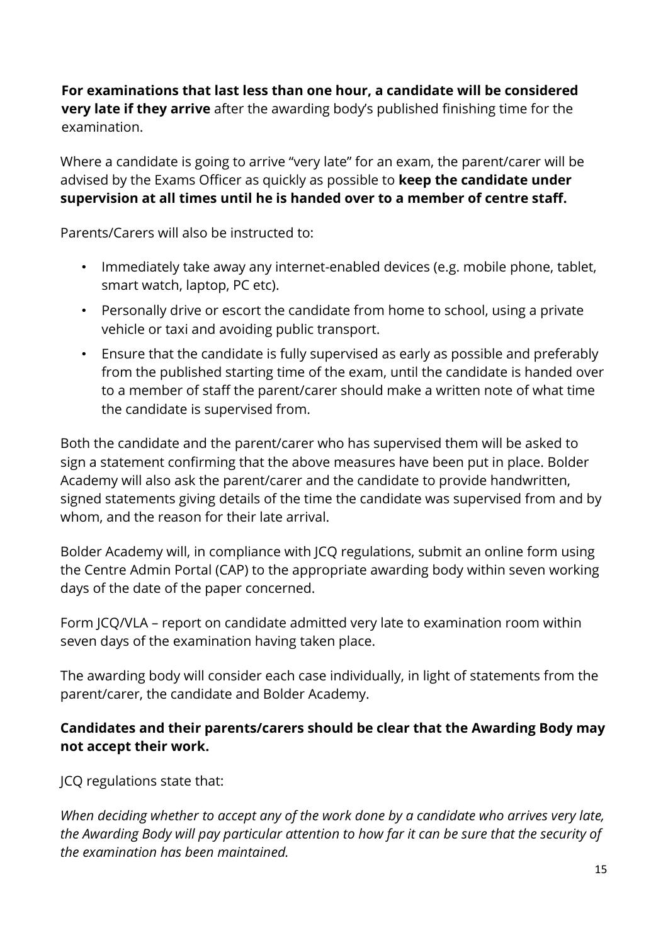**For examinations that last less than one hour, a candidate will be considered very late if they arrive** after the awarding body's published finishing time for the examination.

Where a candidate is going to arrive "very late" for an exam, the parent/carer will be advised by the Exams Officer as quickly as possible to **keep the candidate under supervision at all times until he is handed over to a member of centre staff.**

Parents/Carers will also be instructed to:

- Immediately take away any internet-enabled devices (e.g. mobile phone, tablet, smart watch, laptop, PC etc).
- Personally drive or escort the candidate from home to school, using a private vehicle or taxi and avoiding public transport.
- Ensure that the candidate is fully supervised as early as possible and preferably from the published starting time of the exam, until the candidate is handed over to a member of staff the parent/carer should make a written note of what time the candidate is supervised from.

Both the candidate and the parent/carer who has supervised them will be asked to sign a statement confirming that the above measures have been put in place. Bolder Academy will also ask the parent/carer and the candidate to provide handwritten, signed statements giving details of the time the candidate was supervised from and by whom, and the reason for their late arrival.

Bolder Academy will, in compliance with JCQ regulations, submit an online form using the Centre Admin Portal (CAP) to the appropriate awarding body within seven working days of the date of the paper concerned.

Form JCQ/VLA – report on candidate admitted very late to examination room within seven days of the examination having taken place.

The awarding body will consider each case individually, in light of statements from the parent/carer, the candidate and Bolder Academy.

# **Candidates and their parents/carers should be clear that the Awarding Body may not accept their work.**

JCQ regulations state that:

*When deciding whether to accept any of the work done by a candidate who arrives very late, the Awarding Body will pay particular attention to how far it can be sure that the security of the examination has been maintained.*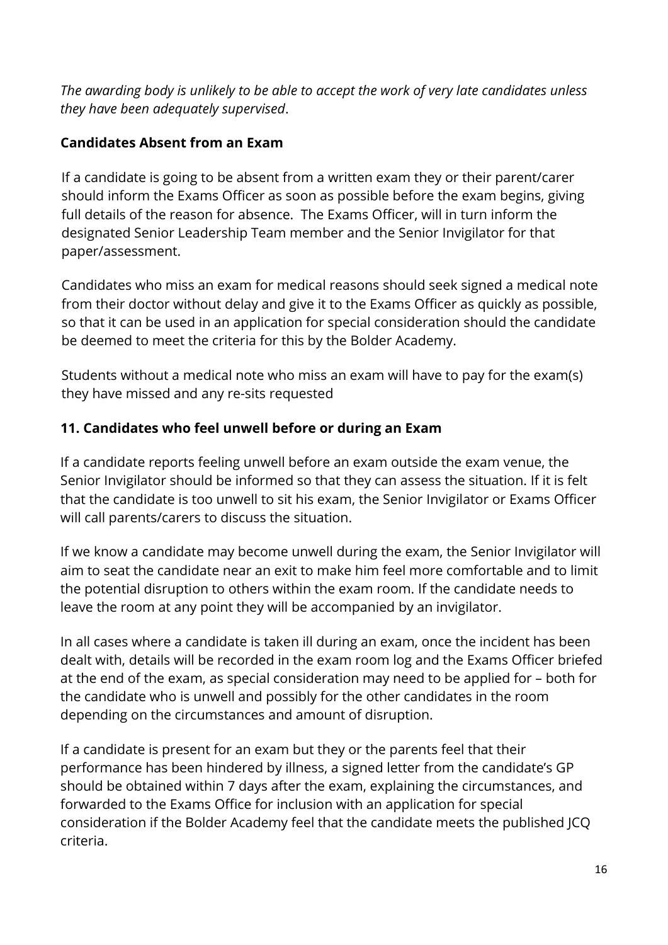*The awarding body is unlikely to be able to accept the work of very late candidates unless they have been adequately supervised*.

#### **Candidates Absent from an Exam**

If a candidate is going to be absent from a written exam they or their parent/carer should inform the Exams Officer as soon as possible before the exam begins, giving full details of the reason for absence. The Exams Officer, will in turn inform the designated Senior Leadership Team member and the Senior Invigilator for that paper/assessment.

Candidates who miss an exam for medical reasons should seek signed a medical note from their doctor without delay and give it to the Exams Officer as quickly as possible, so that it can be used in an application for special consideration should the candidate be deemed to meet the criteria for this by the Bolder Academy.

Students without a medical note who miss an exam will have to pay for the exam(s) they have missed and any re-sits requested

#### <span id="page-16-0"></span>**11. Candidates who feel unwell before or during an Exam**

If a candidate reports feeling unwell before an exam outside the exam venue, the Senior Invigilator should be informed so that they can assess the situation. If it is felt that the candidate is too unwell to sit his exam, the Senior Invigilator or Exams Officer will call parents/carers to discuss the situation.

If we know a candidate may become unwell during the exam, the Senior Invigilator will aim to seat the candidate near an exit to make him feel more comfortable and to limit the potential disruption to others within the exam room. If the candidate needs to leave the room at any point they will be accompanied by an invigilator.

In all cases where a candidate is taken ill during an exam, once the incident has been dealt with, details will be recorded in the exam room log and the Exams Officer briefed at the end of the exam, as special consideration may need to be applied for – both for the candidate who is unwell and possibly for the other candidates in the room depending on the circumstances and amount of disruption.

If a candidate is present for an exam but they or the parents feel that their performance has been hindered by illness, a signed letter from the candidate's GP should be obtained within 7 days after the exam, explaining the circumstances, and forwarded to the Exams Office for inclusion with an application for special consideration if the Bolder Academy feel that the candidate meets the published JCQ criteria.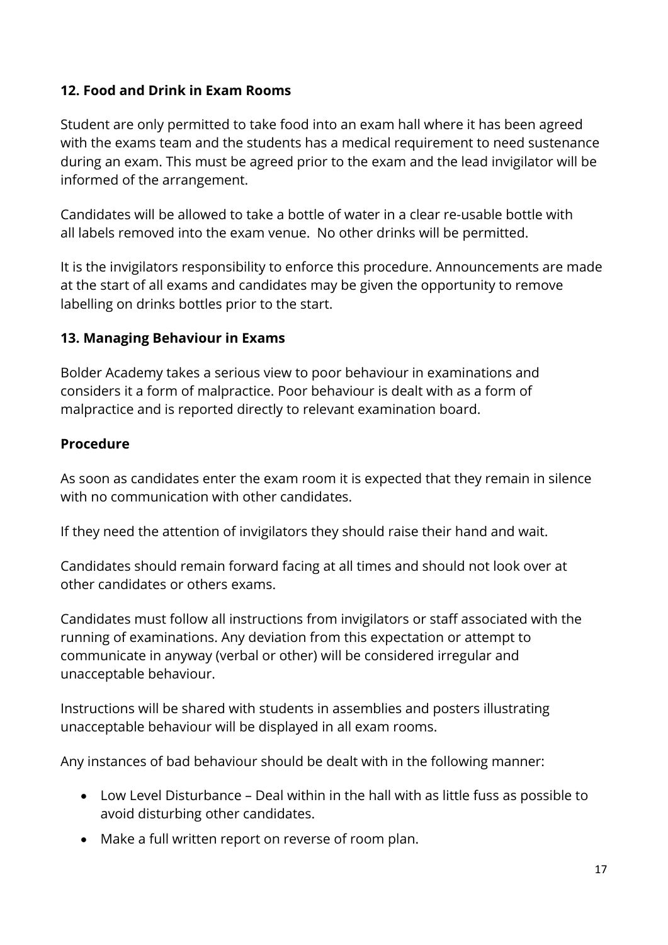# <span id="page-17-0"></span>**12. Food and Drink in Exam Rooms**

Student are only permitted to take food into an exam hall where it has been agreed with the exams team and the students has a medical requirement to need sustenance during an exam. This must be agreed prior to the exam and the lead invigilator will be informed of the arrangement.

Candidates will be allowed to take a bottle of water in a clear re-usable bottle with all labels removed into the exam venue. No other drinks will be permitted.

It is the invigilators responsibility to enforce this procedure. Announcements are made at the start of all exams and candidates may be given the opportunity to remove labelling on drinks bottles prior to the start.

#### <span id="page-17-1"></span>**13. Managing Behaviour in Exams**

Bolder Academy takes a serious view to poor behaviour in examinations and considers it a form of malpractice. Poor behaviour is dealt with as a form of malpractice and is reported directly to relevant examination board.

#### **Procedure**

As soon as candidates enter the exam room it is expected that they remain in silence with no communication with other candidates.

If they need the attention of invigilators they should raise their hand and wait.

Candidates should remain forward facing at all times and should not look over at other candidates or others exams.

Candidates must follow all instructions from invigilators or staff associated with the running of examinations. Any deviation from this expectation or attempt to communicate in anyway (verbal or other) will be considered irregular and unacceptable behaviour.

Instructions will be shared with students in assemblies and posters illustrating unacceptable behaviour will be displayed in all exam rooms.

Any instances of bad behaviour should be dealt with in the following manner:

- Low Level Disturbance Deal within in the hall with as little fuss as possible to avoid disturbing other candidates.
- Make a full written report on reverse of room plan.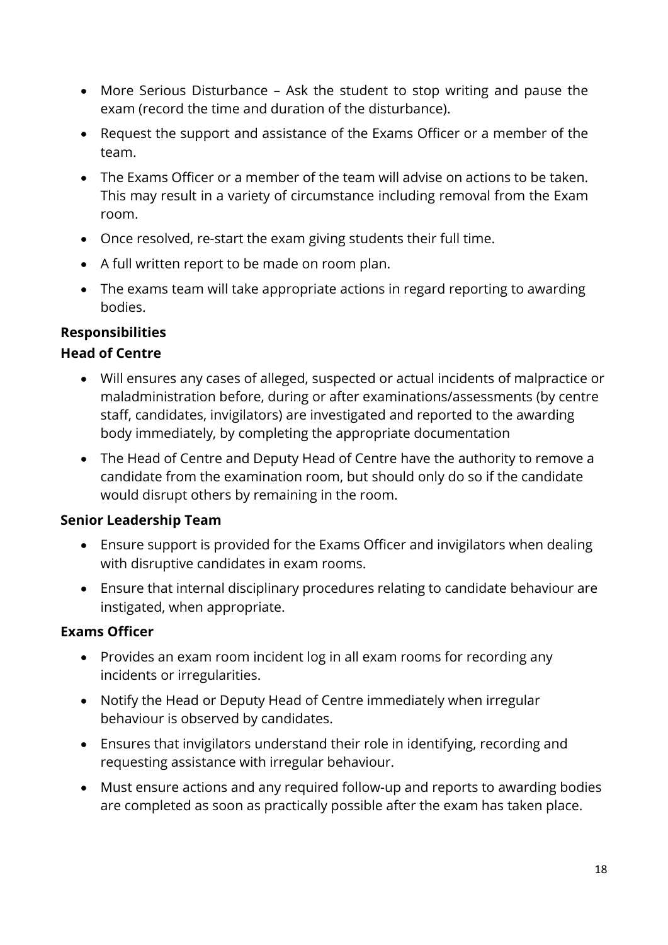- More Serious Disturbance Ask the student to stop writing and pause the exam (record the time and duration of the disturbance).
- Request the support and assistance of the Exams Officer or a member of the team.
- The Exams Officer or a member of the team will advise on actions to be taken. This may result in a variety of circumstance including removal from the Exam room.
- Once resolved, re-start the exam giving students their full time.
- A full written report to be made on room plan.
- The exams team will take appropriate actions in regard reporting to awarding bodies.

# **Responsibilities**

#### **Head of Centre**

- Will ensures any cases of alleged, suspected or actual incidents of malpractice or maladministration before, during or after examinations/assessments (by centre staff, candidates, invigilators) are investigated and reported to the awarding body immediately, by completing the appropriate documentation
- The Head of Centre and Deputy Head of Centre have the authority to remove a candidate from the examination room, but should only do so if the candidate would disrupt others by remaining in the room.

# **Senior Leadership Team**

- Ensure support is provided for the Exams Officer and invigilators when dealing with disruptive candidates in exam rooms.
- Ensure that internal disciplinary procedures relating to candidate behaviour are instigated, when appropriate.

# **Exams Officer**

- Provides an exam room incident log in all exam rooms for recording any incidents or irregularities.
- Notify the Head or Deputy Head of Centre immediately when irregular behaviour is observed by candidates.
- Ensures that invigilators understand their role in identifying, recording and requesting assistance with irregular behaviour.
- Must ensure actions and any required follow-up and reports to awarding bodies are completed as soon as practically possible after the exam has taken place.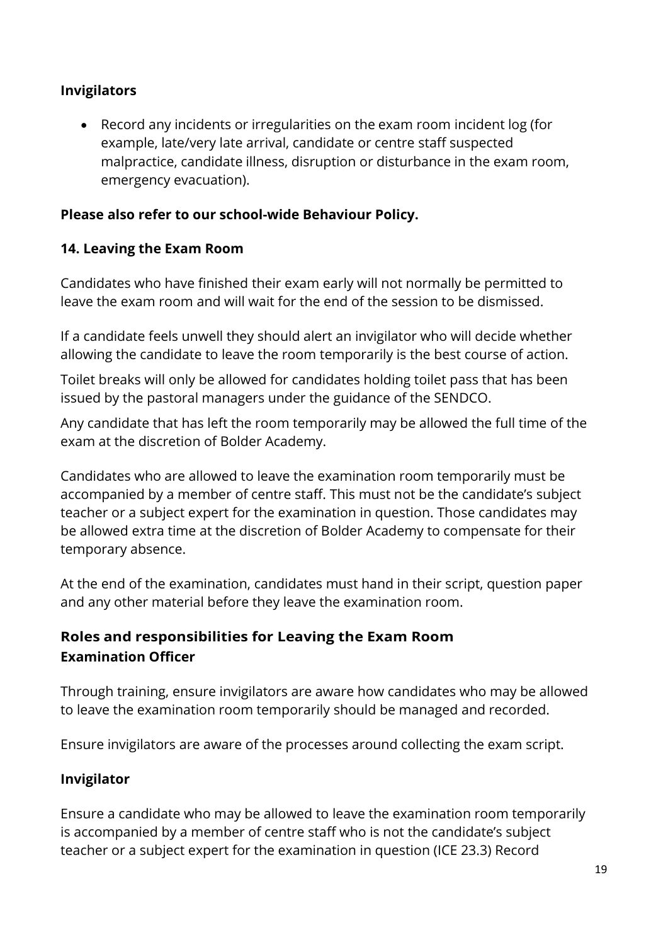# **Invigilators**

• Record any incidents or irregularities on the exam room incident log (for example, late/very late arrival, candidate or centre staff suspected malpractice, candidate illness, disruption or disturbance in the exam room, emergency evacuation).

#### **Please also refer to our school-wide Behaviour Policy.**

#### <span id="page-19-0"></span>**14. Leaving the Exam Room**

Candidates who have finished their exam early will not normally be permitted to leave the exam room and will wait for the end of the session to be dismissed.

If a candidate feels unwell they should alert an invigilator who will decide whether allowing the candidate to leave the room temporarily is the best course of action.

Toilet breaks will only be allowed for candidates holding toilet pass that has been issued by the pastoral managers under the guidance of the SENDCO.

Any candidate that has left the room temporarily may be allowed the full time of the exam at the discretion of Bolder Academy.

Candidates who are allowed to leave the examination room temporarily must be accompanied by a member of centre staff. This must not be the candidate's subject teacher or a subject expert for the examination in question. Those candidates may be allowed extra time at the discretion of Bolder Academy to compensate for their temporary absence.

At the end of the examination, candidates must hand in their script, question paper and any other material before they leave the examination room.

# **Roles and responsibilities for Leaving the Exam Room Examination Officer**

Through training, ensure invigilators are aware how candidates who may be allowed to leave the examination room temporarily should be managed and recorded.

Ensure invigilators are aware of the processes around collecting the exam script.

#### **Invigilator**

Ensure a candidate who may be allowed to leave the examination room temporarily is accompanied by a member of centre staff who is not the candidate's subject teacher or a subject expert for the examination in question (ICE 23.3) Record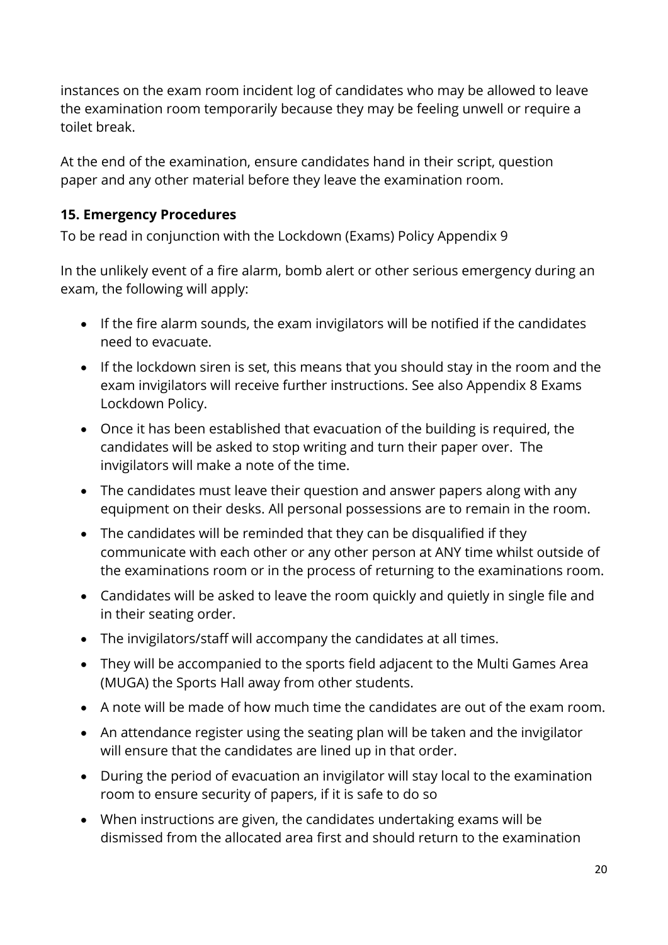instances on the exam room incident log of candidates who may be allowed to leave the examination room temporarily because they may be feeling unwell or require a toilet break.

At the end of the examination, ensure candidates hand in their script, question paper and any other material before they leave the examination room.

# <span id="page-20-0"></span>**15. Emergency Procedures**

To be read in conjunction with the Lockdown (Exams) Policy Appendix 9

In the unlikely event of a fire alarm, bomb alert or other serious emergency during an exam, the following will apply:

- If the fire alarm sounds, the exam invigilators will be notified if the candidates need to evacuate.
- If the lockdown siren is set, this means that you should stay in the room and the exam invigilators will receive further instructions. See also Appendix 8 Exams Lockdown Policy.
- Once it has been established that evacuation of the building is required, the candidates will be asked to stop writing and turn their paper over. The invigilators will make a note of the time.
- The candidates must leave their question and answer papers along with any equipment on their desks. All personal possessions are to remain in the room.
- The candidates will be reminded that they can be disqualified if they communicate with each other or any other person at ANY time whilst outside of the examinations room or in the process of returning to the examinations room.
- Candidates will be asked to leave the room quickly and quietly in single file and in their seating order.
- The invigilators/staff will accompany the candidates at all times.
- They will be accompanied to the sports field adjacent to the Multi Games Area (MUGA) the Sports Hall away from other students.
- A note will be made of how much time the candidates are out of the exam room.
- An attendance register using the seating plan will be taken and the invigilator will ensure that the candidates are lined up in that order.
- During the period of evacuation an invigilator will stay local to the examination room to ensure security of papers, if it is safe to do so
- When instructions are given, the candidates undertaking exams will be dismissed from the allocated area first and should return to the examination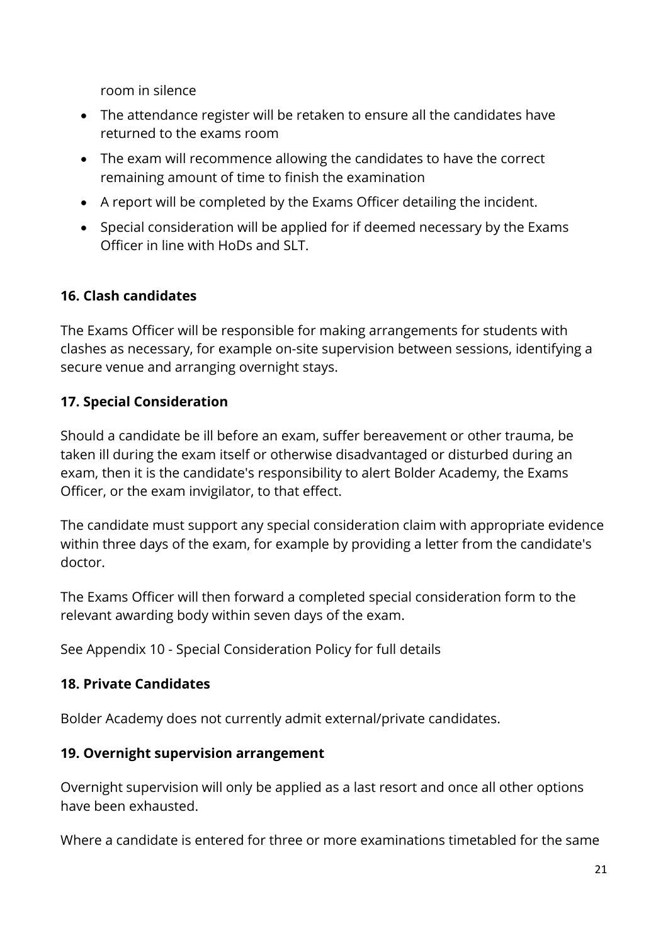room in silence

- The attendance register will be retaken to ensure all the candidates have returned to the exams room
- The exam will recommence allowing the candidates to have the correct remaining amount of time to finish the examination
- A report will be completed by the Exams Officer detailing the incident.
- Special consideration will be applied for if deemed necessary by the Exams Officer in line with HoDs and SLT.

#### <span id="page-21-0"></span>**16. Clash candidates**

The Exams Officer will be responsible for making arrangements for students with clashes as necessary, for example on-site supervision between sessions, identifying a secure venue and arranging overnight stays.

#### <span id="page-21-1"></span>**17. Special Consideration**

Should a candidate be ill before an exam, suffer bereavement or other trauma, be taken ill during the exam itself or otherwise disadvantaged or disturbed during an exam, then it is the candidate's responsibility to alert Bolder Academy, the Exams Officer, or the exam invigilator, to that effect.

The candidate must support any special consideration claim with appropriate evidence within three days of the exam, for example by providing a letter from the candidate's doctor.

The Exams Officer will then forward a completed special consideration form to the relevant awarding body within seven days of the exam.

See Appendix 10 - Special Consideration Policy for full details

#### <span id="page-21-2"></span>**18. Private Candidates**

Bolder Academy does not currently admit external/private candidates.

#### <span id="page-21-3"></span>**19. Overnight supervision arrangement**

Overnight supervision will only be applied as a last resort and once all other options have been exhausted.

Where a candidate is entered for three or more examinations timetabled for the same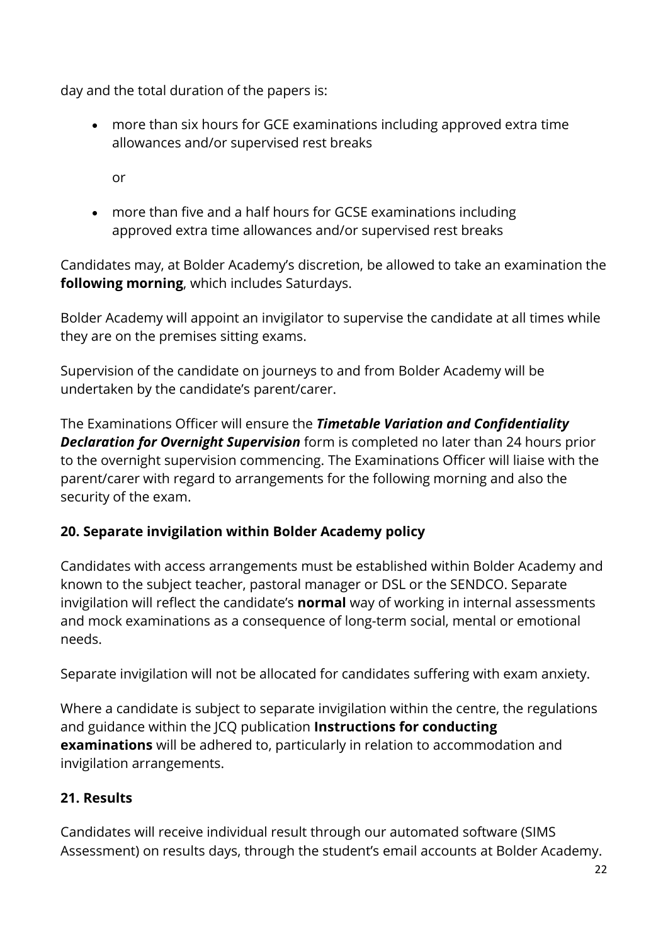day and the total duration of the papers is:

• more than six hours for GCE examinations including approved extra time allowances and/or supervised rest breaks

or

• more than five and a half hours for GCSE examinations including approved extra time allowances and/or supervised rest breaks

Candidates may, at Bolder Academy's discretion, be allowed to take an examination the **following morning**, which includes Saturdays.

Bolder Academy will appoint an invigilator to supervise the candidate at all times while they are on the premises sitting exams.

Supervision of the candidate on journeys to and from Bolder Academy will be undertaken by the candidate's parent/carer.

The Examinations Officer will ensure the *Timetable Variation and Confidentiality Declaration for Overnight Supervision* form is completed no later than 24 hours prior to the overnight supervision commencing. The Examinations Officer will liaise with the parent/carer with regard to arrangements for the following morning and also the security of the exam.

# <span id="page-22-0"></span>**20. Separate invigilation within Bolder Academy policy**

Candidates with access arrangements must be established within Bolder Academy and known to the subject teacher, pastoral manager or DSL or the SENDCO. Separate invigilation will reflect the candidate's **normal** way of working in internal assessments and mock examinations as a consequence of long-term social, mental or emotional needs.

Separate invigilation will not be allocated for candidates suffering with exam anxiety.

Where a candidate is subject to separate invigilation within the centre, the regulations and guidance within the JCQ publication **Instructions for conducting examinations** will be adhered to, particularly in relation to accommodation and invigilation arrangements.

# <span id="page-22-1"></span>**21. Results**

Candidates will receive individual result through our automated software (SIMS Assessment) on results days, through the student's email accounts at Bolder Academy.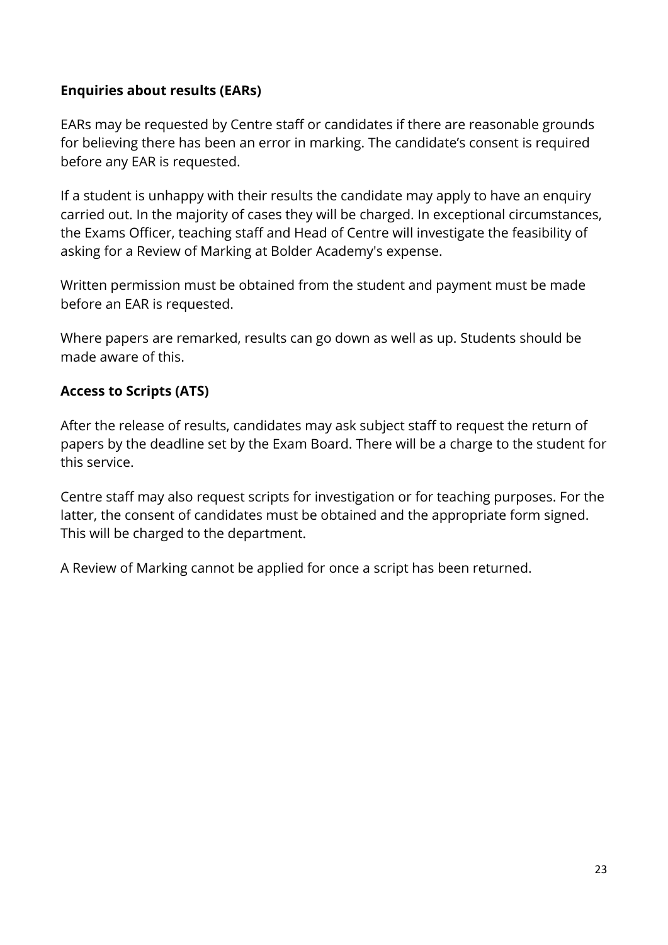#### **Enquiries about results (EARs)**

EARs may be requested by Centre staff or candidates if there are reasonable grounds for believing there has been an error in marking. The candidate's consent is required before any EAR is requested.

If a student is unhappy with their results the candidate may apply to have an enquiry carried out. In the majority of cases they will be charged. In exceptional circumstances, the Exams Officer, teaching staff and Head of Centre will investigate the feasibility of asking for a Review of Marking at Bolder Academy's expense.

Written permission must be obtained from the student and payment must be made before an EAR is requested.

Where papers are remarked, results can go down as well as up. Students should be made aware of this.

#### **Access to Scripts (ATS)**

After the release of results, candidates may ask subject staff to request the return of papers by the deadline set by the Exam Board. There will be a charge to the student for this service.

Centre staff may also request scripts for investigation or for teaching purposes. For the latter, the consent of candidates must be obtained and the appropriate form signed. This will be charged to the department.

A Review of Marking cannot be applied for once a script has been returned.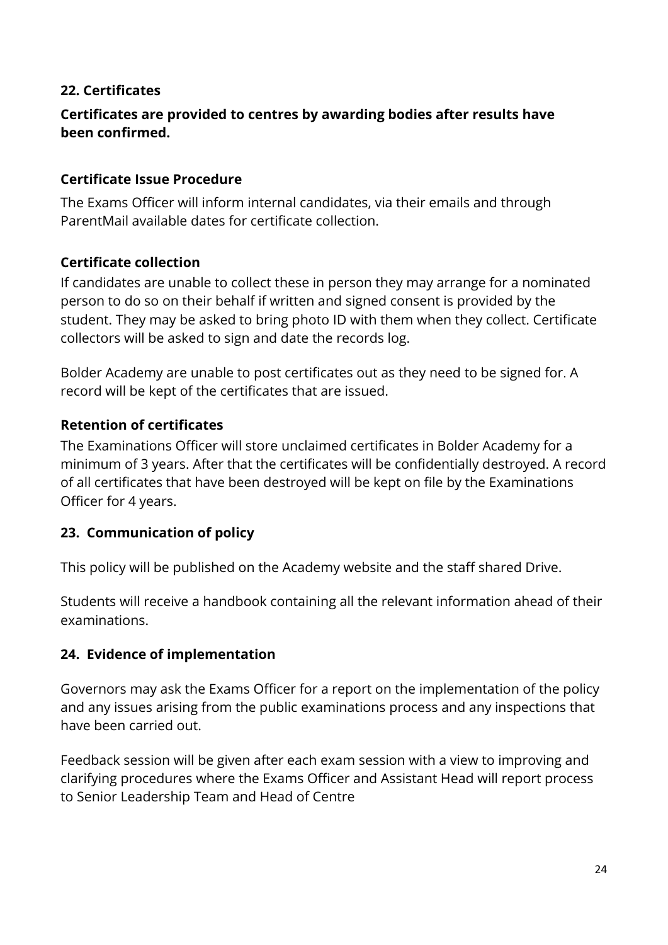#### <span id="page-24-0"></span>**22. Certificates**

#### **Certificates are provided to centres by awarding bodies after results have been confirmed.**

#### **Certificate Issue Procedure**

The Exams Officer will inform internal candidates, via their emails and through ParentMail available dates for certificate collection.

#### **Certificate collection**

If candidates are unable to collect these in person they may arrange for a nominated person to do so on their behalf if written and signed consent is provided by the student. They may be asked to bring photo ID with them when they collect. Certificate collectors will be asked to sign and date the records log.

Bolder Academy are unable to post certificates out as they need to be signed for. A record will be kept of the certificates that are issued.

#### **Retention of certificates**

The Examinations Officer will store unclaimed certificates in Bolder Academy for a minimum of 3 years. After that the certificates will be confidentially destroyed. A record of all certificates that have been destroyed will be kept on file by the Examinations Officer for 4 years.

#### <span id="page-24-1"></span>**23. Communication of policy**

This policy will be published on the Academy website and the staff shared Drive.

Students will receive a handbook containing all the relevant information ahead of their examinations.

#### <span id="page-24-2"></span>**24. Evidence of implementation**

Governors may ask the Exams Officer for a report on the implementation of the policy and any issues arising from the public examinations process and any inspections that have been carried out.

Feedback session will be given after each exam session with a view to improving and clarifying procedures where the Exams Officer and Assistant Head will report process to Senior Leadership Team and Head of Centre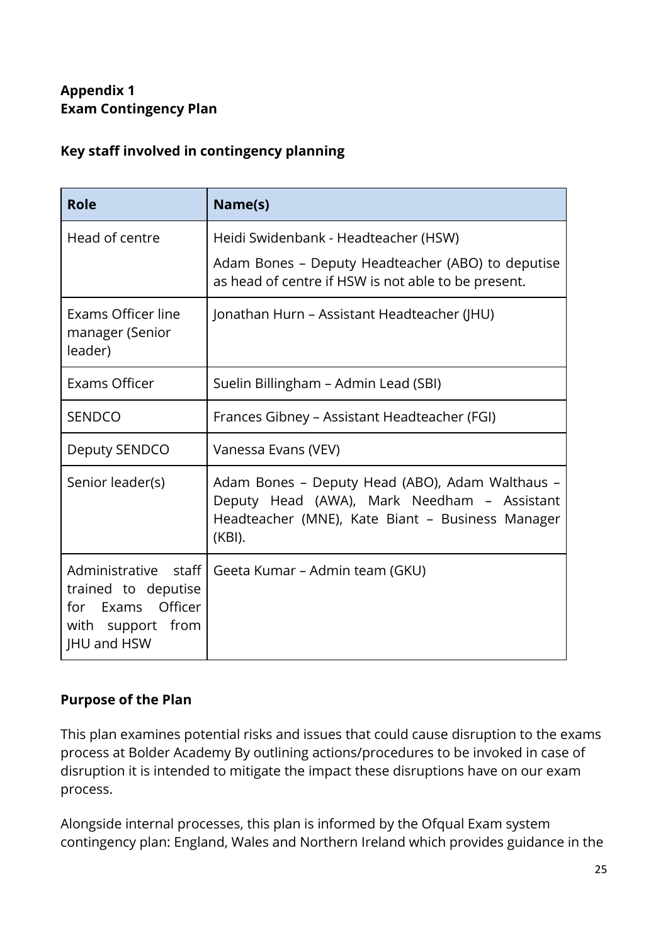# <span id="page-25-0"></span>**Appendix 1 Exam Contingency Plan**

#### **Key staff involved in contingency planning**

| <b>Role</b>                                                                                                | Name(s)                                                                                                                                                      |
|------------------------------------------------------------------------------------------------------------|--------------------------------------------------------------------------------------------------------------------------------------------------------------|
| Head of centre                                                                                             | Heidi Swidenbank - Headteacher (HSW)<br>Adam Bones - Deputy Headteacher (ABO) to deputise<br>as head of centre if HSW is not able to be present.             |
| Exams Officer line<br>manager (Senior<br>leader)                                                           | Jonathan Hurn – Assistant Headteacher (JHU)                                                                                                                  |
| <b>Exams Officer</b>                                                                                       | Suelin Billingham - Admin Lead (SBI)                                                                                                                         |
| <b>SENDCO</b>                                                                                              | Frances Gibney - Assistant Headteacher (FGI)                                                                                                                 |
| Deputy SENDCO                                                                                              | Vanessa Evans (VEV)                                                                                                                                          |
| Senior leader(s)                                                                                           | Adam Bones - Deputy Head (ABO), Adam Walthaus -<br>Deputy Head (AWA), Mark Needham - Assistant<br>Headteacher (MNE), Kate Biant - Business Manager<br>(KBI). |
| Administrative<br>staff<br>trained to deputise<br>Exams Officer<br>for<br>with support from<br>JHU and HSW | Geeta Kumar – Admin team (GKU)                                                                                                                               |

# **Purpose of the Plan**

This plan examines potential risks and issues that could cause disruption to the exams process at Bolder Academy By outlining actions/procedures to be invoked in case of disruption it is intended to mitigate the impact these disruptions have on our exam process.

Alongside internal processes, this plan is informed by the Ofqual Exam system contingency plan: England, Wales and Northern Ireland which provides guidance in the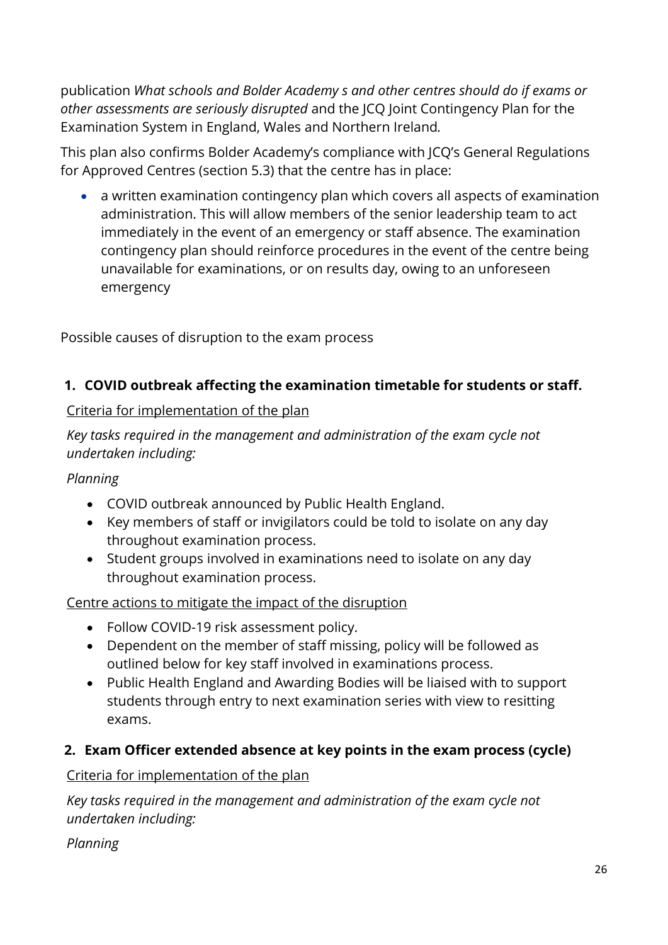publication *What schools and Bolder Academy s and other centres should do if exams or other assessments are seriously disrupted* and the JCQ Joint Contingency Plan for the Examination System in England, Wales and Northern Ireland*.*

This plan also confirms Bolder Academy's compliance with JCQ's General Regulations for Approved Centres (section 5.3) that the centre has in place:

• a written examination contingency plan which covers all aspects of examination administration. This will allow members of the senior leadership team to act immediately in the event of an emergency or staff absence. The examination contingency plan should reinforce procedures in the event of the centre being unavailable for examinations, or on results day, owing to an unforeseen emergency

Possible causes of disruption to the exam process

# **1. COVID outbreak affecting the examination timetable for students or staff.**

#### Criteria for implementation of the plan

*Key tasks required in the management and administration of the exam cycle not undertaken including:*

# *Planning*

- COVID outbreak announced by Public Health England.
- Key members of staff or invigilators could be told to isolate on any day throughout examination process.
- Student groups involved in examinations need to isolate on any day throughout examination process.

# Centre actions to mitigate the impact of the disruption

- Follow COVID-19 risk assessment policy.
- Dependent on the member of staff missing, policy will be followed as outlined below for key staff involved in examinations process.
- Public Health England and Awarding Bodies will be liaised with to support students through entry to next examination series with view to resitting exams.

# **2. Exam Officer extended absence at key points in the exam process (cycle)**

Criteria for implementation of the plan

*Key tasks required in the management and administration of the exam cycle not undertaken including:*

*Planning*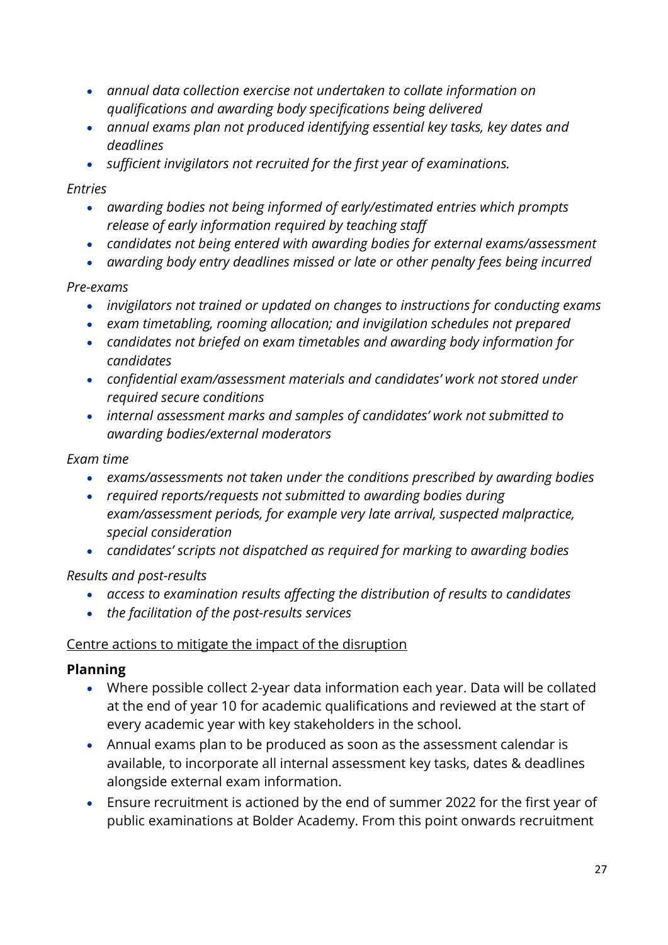- *annual data collection exercise not undertaken to collate information on qualifications and awarding body specifications being delivered*
- *annual exams plan not produced identifying essential key tasks, key dates and deadlines*
- *sufficient invigilators not recruited for the first year of examinations.*

#### *Entries*

- *awarding bodies not being informed of early/estimated entries which prompts release of early information required by teaching staff*
- *candidates not being entered with awarding bodies for external exams/assessment*
- *awarding body entry deadlines missed or late or other penalty fees being incurred*

# *Pre-exams*

- *invigilators not trained or updated on changes to instructions for conducting exams*
- *exam timetabling, rooming allocation; and invigilation schedules not prepared*
- *candidates not briefed on exam timetables and awarding body information for candidates*
- *confidential exam/assessment materials and candidates' work not stored under required secure conditions*
- *internal assessment marks and samples of candidates' work not submitted to awarding bodies/external moderators*

#### *Exam time*

- *exams/assessments not taken under the conditions prescribed by awarding bodies*
- *required reports/requests not submitted to awarding bodies during exam/assessment periods, for example very late arrival, suspected malpractice, special consideration*
- *candidates' scripts not dispatched as required for marking to awarding bodies*

# *Results and post-results*

- *access to examination results affecting the distribution of results to candidates*
- *the facilitation of the post-results services*

#### Centre actions to mitigate the impact of the disruption

#### **Planning**

- Where possible collect 2-year data information each year. Data will be collated at the end of year 10 for academic qualifications and reviewed at the start of every academic year with key stakeholders in the school.
- Annual exams plan to be produced as soon as the assessment calendar is available, to incorporate all internal assessment key tasks, dates & deadlines alongside external exam information.
- Ensure recruitment is actioned by the end of summer 2022 for the first year of public examinations at Bolder Academy. From this point onwards recruitment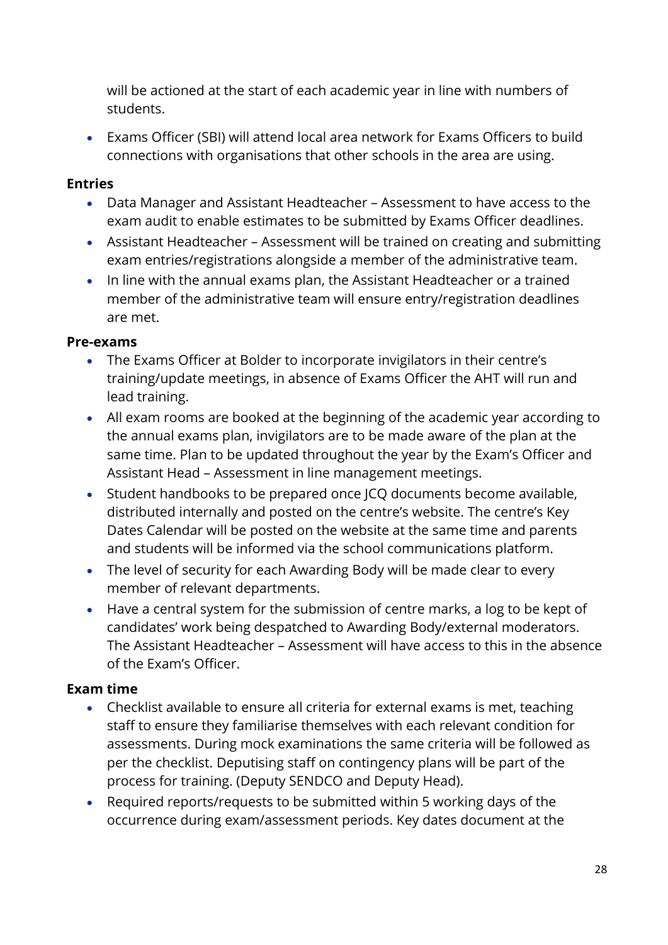will be actioned at the start of each academic year in line with numbers of students.

• Exams Officer (SBI) will attend local area network for Exams Officers to build connections with organisations that other schools in the area are using.

#### **Entries**

- Data Manager and Assistant Headteacher Assessment to have access to the exam audit to enable estimates to be submitted by Exams Officer deadlines.
- Assistant Headteacher Assessment will be trained on creating and submitting exam entries/registrations alongside a member of the administrative team.
- In line with the annual exams plan, the Assistant Headteacher or a trained member of the administrative team will ensure entry/registration deadlines are met.

#### **Pre-exams**

- The Exams Officer at Bolder to incorporate invigilators in their centre's training/update meetings, in absence of Exams Officer the AHT will run and lead training.
- All exam rooms are booked at the beginning of the academic year according to the annual exams plan, invigilators are to be made aware of the plan at the same time. Plan to be updated throughout the year by the Exam's Officer and Assistant Head – Assessment in line management meetings.
- Student handbooks to be prepared once JCQ documents become available, distributed internally and posted on the centre's website. The centre's Key Dates Calendar will be posted on the website at the same time and parents and students will be informed via the school communications platform.
- The level of security for each Awarding Body will be made clear to every member of relevant departments.
- Have a central system for the submission of centre marks, a log to be kept of candidates' work being despatched to Awarding Body/external moderators. The Assistant Headteacher – Assessment will have access to this in the absence of the Exam's Officer.

#### **Exam time**

- Checklist available to ensure all criteria for external exams is met, teaching staff to ensure they familiarise themselves with each relevant condition for assessments. During mock examinations the same criteria will be followed as per the checklist. Deputising staff on contingency plans will be part of the process for training. (Deputy SENDCO and Deputy Head).
- Required reports/requests to be submitted within 5 working days of the occurrence during exam/assessment periods. Key dates document at the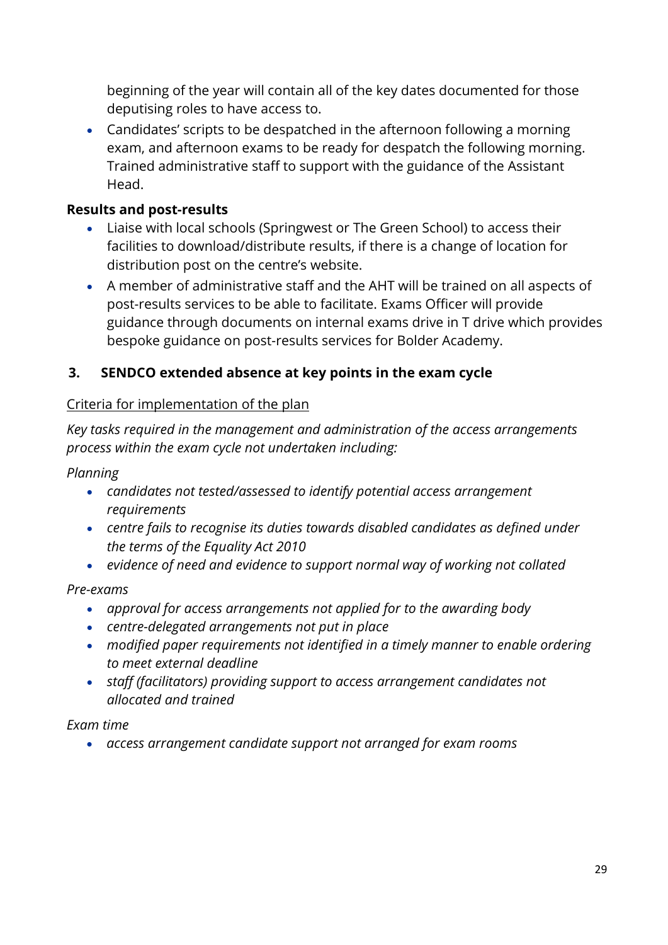beginning of the year will contain all of the key dates documented for those deputising roles to have access to.

• Candidates' scripts to be despatched in the afternoon following a morning exam, and afternoon exams to be ready for despatch the following morning. Trained administrative staff to support with the guidance of the Assistant Head.

#### **Results and post-results**

- Liaise with local schools (Springwest or The Green School) to access their facilities to download/distribute results, if there is a change of location for distribution post on the centre's website.
- A member of administrative staff and the AHT will be trained on all aspects of post-results services to be able to facilitate. Exams Officer will provide guidance through documents on internal exams drive in T drive which provides bespoke guidance on post-results services for Bolder Academy.

# **3. SENDCO extended absence at key points in the exam cycle**

#### Criteria for implementation of the plan

*Key tasks required in the management and administration of the access arrangements process within the exam cycle not undertaken including:*

*Planning*

- *candidates not tested/assessed to identify potential access arrangement requirements*
- *centre fails to recognise its duties towards disabled candidates as defined under the terms of the Equality Act 2010*
- *evidence of need and evidence to support normal way of working not collated*

*Pre-exams*

- *approval for access arrangements not applied for to the awarding body*
- *centre-delegated arrangements not put in place*
- *modified paper requirements not identified in a timely manner to enable ordering to meet external deadline*
- *staff (facilitators) providing support to access arrangement candidates not allocated and trained*

#### *Exam time*

• *access arrangement candidate support not arranged for exam rooms*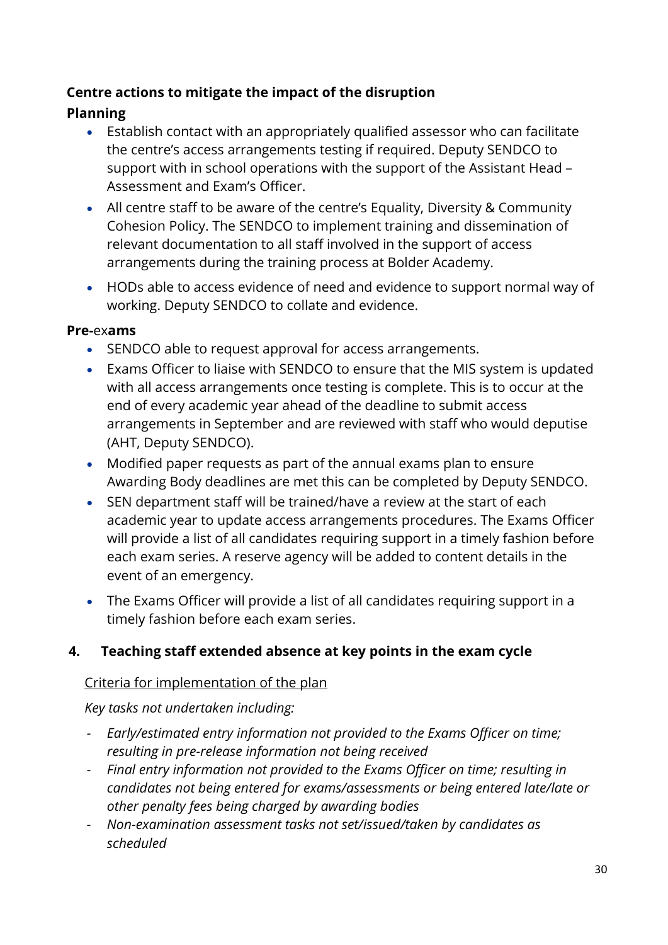- Establish contact with an appropriately qualified assessor who can facilitate the centre's access arrangements testing if required. Deputy SENDCO to support with in school operations with the support of the Assistant Head – Assessment and Exam's Officer.
- All centre staff to be aware of the centre's Equality, Diversity & Community Cohesion Policy. The SENDCO to implement training and dissemination of relevant documentation to all staff involved in the support of access arrangements during the training process at Bolder Academy.
- HODs able to access evidence of need and evidence to support normal way of working. Deputy SENDCO to collate and evidence.

#### **Pre-**ex**ams**

- SENDCO able to request approval for access arrangements.
- Exams Officer to liaise with SENDCO to ensure that the MIS system is updated with all access arrangements once testing is complete. This is to occur at the end of every academic year ahead of the deadline to submit access arrangements in September and are reviewed with staff who would deputise (AHT, Deputy SENDCO).
- Modified paper requests as part of the annual exams plan to ensure Awarding Body deadlines are met this can be completed by Deputy SENDCO.
- SEN department staff will be trained/have a review at the start of each academic year to update access arrangements procedures. The Exams Officer will provide a list of all candidates requiring support in a timely fashion before each exam series. A reserve agency will be added to content details in the event of an emergency.
- The Exams Officer will provide a list of all candidates requiring support in a timely fashion before each exam series.

# **4. Teaching staff extended absence at key points in the exam cycle**

#### Criteria for implementation of the plan

*Key tasks not undertaken including:*

- *- Early/estimated entry information not provided to the Exams Officer on time; resulting in pre-release information not being received*
- *- Final entry information not provided to the Exams Officer on time; resulting in candidates not being entered for exams/assessments or being entered late/late or other penalty fees being charged by awarding bodies*
- *- Non-examination assessment tasks not set/issued/taken by candidates as scheduled*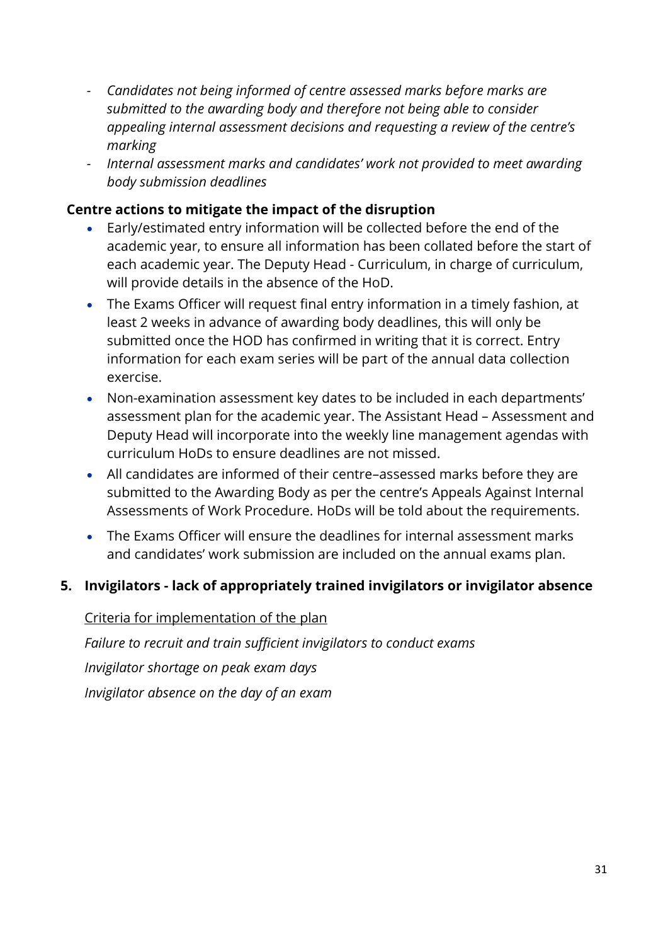- *- Candidates not being informed of centre assessed marks before marks are submitted to the awarding body and therefore not being able to consider appealing internal assessment decisions and requesting a review of the centre's marking*
- *- Internal assessment marks and candidates' work not provided to meet awarding body submission deadlines*

- Early/estimated entry information will be collected before the end of the academic year, to ensure all information has been collated before the start of each academic year. The Deputy Head - Curriculum, in charge of curriculum, will provide details in the absence of the HoD.
- The Exams Officer will request final entry information in a timely fashion, at least 2 weeks in advance of awarding body deadlines, this will only be submitted once the HOD has confirmed in writing that it is correct. Entry information for each exam series will be part of the annual data collection exercise.
- Non-examination assessment key dates to be included in each departments' assessment plan for the academic year. The Assistant Head – Assessment and Deputy Head will incorporate into the weekly line management agendas with curriculum HoDs to ensure deadlines are not missed.
- All candidates are informed of their centre–assessed marks before they are submitted to the Awarding Body as per the centre's Appeals Against Internal Assessments of Work Procedure. HoDs will be told about the requirements.
- The Exams Officer will ensure the deadlines for internal assessment marks and candidates' work submission are included on the annual exams plan.

#### **5. Invigilators - lack of appropriately trained invigilators or invigilator absence**

Criteria for implementation of the plan *Failure to recruit and train sufficient invigilators to conduct exams Invigilator shortage on peak exam days Invigilator absence on the day of an exam*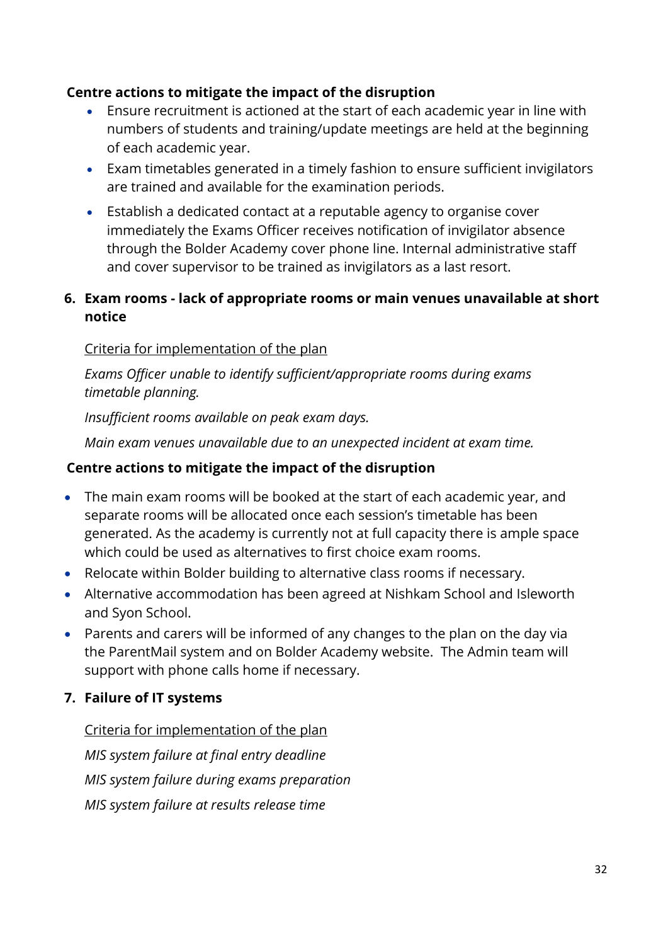- Ensure recruitment is actioned at the start of each academic year in line with numbers of students and training/update meetings are held at the beginning of each academic year.
- Exam timetables generated in a timely fashion to ensure sufficient invigilators are trained and available for the examination periods.
- Establish a dedicated contact at a reputable agency to organise cover immediately the Exams Officer receives notification of invigilator absence through the Bolder Academy cover phone line. Internal administrative staff and cover supervisor to be trained as invigilators as a last resort.

#### **6. Exam rooms - lack of appropriate rooms or main venues unavailable at short notice**

#### Criteria for implementation of the plan

*Exams Officer unable to identify sufficient/appropriate rooms during exams timetable planning.*

*Insufficient rooms available on peak exam days.*

*Main exam venues unavailable due to an unexpected incident at exam time.*

#### **Centre actions to mitigate the impact of the disruption**

- The main exam rooms will be booked at the start of each academic year, and separate rooms will be allocated once each session's timetable has been generated. As the academy is currently not at full capacity there is ample space which could be used as alternatives to first choice exam rooms.
- Relocate within Bolder building to alternative class rooms if necessary.
- Alternative accommodation has been agreed at Nishkam School and Isleworth and Syon School.
- Parents and carers will be informed of any changes to the plan on the day via the ParentMail system and on Bolder Academy website. The Admin team will support with phone calls home if necessary.

#### **7. Failure of IT systems**

# Criteria for implementation of the plan *MIS system failure at final entry deadline*

*MIS system failure during exams preparation MIS system failure at results release time*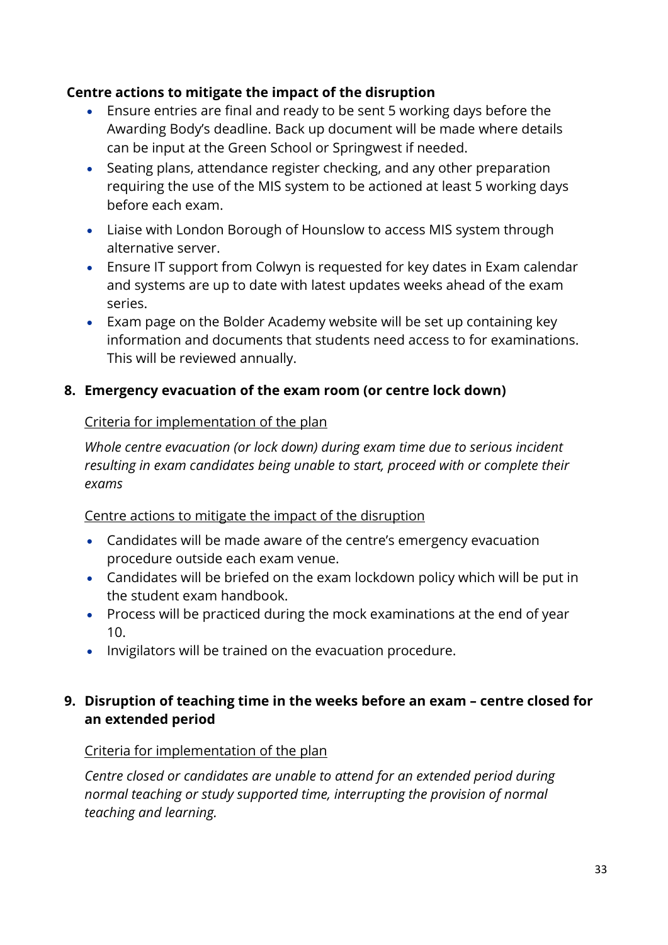- Ensure entries are final and ready to be sent 5 working days before the Awarding Body's deadline. Back up document will be made where details can be input at the Green School or Springwest if needed.
- Seating plans, attendance register checking, and any other preparation requiring the use of the MIS system to be actioned at least 5 working days before each exam.
- Liaise with London Borough of Hounslow to access MIS system through alternative server.
- Ensure IT support from Colwyn is requested for key dates in Exam calendar and systems are up to date with latest updates weeks ahead of the exam series.
- Exam page on the Bolder Academy website will be set up containing key information and documents that students need access to for examinations. This will be reviewed annually.

# **8. Emergency evacuation of the exam room (or centre lock down)**

#### Criteria for implementation of the plan

*Whole centre evacuation (or lock down) during exam time due to serious incident resulting in exam candidates being unable to start, proceed with or complete their exams*

#### Centre actions to mitigate the impact of the disruption

- Candidates will be made aware of the centre's emergency evacuation procedure outside each exam venue.
- Candidates will be briefed on the exam lockdown policy which will be put in the student exam handbook.
- Process will be practiced during the mock examinations at the end of year 10.
- Invigilators will be trained on the evacuation procedure.

#### **9. Disruption of teaching time in the weeks before an exam – centre closed for an extended period**

#### Criteria for implementation of the plan

*Centre closed or candidates are unable to attend for an extended period during normal teaching or study supported time, interrupting the provision of normal teaching and learning.*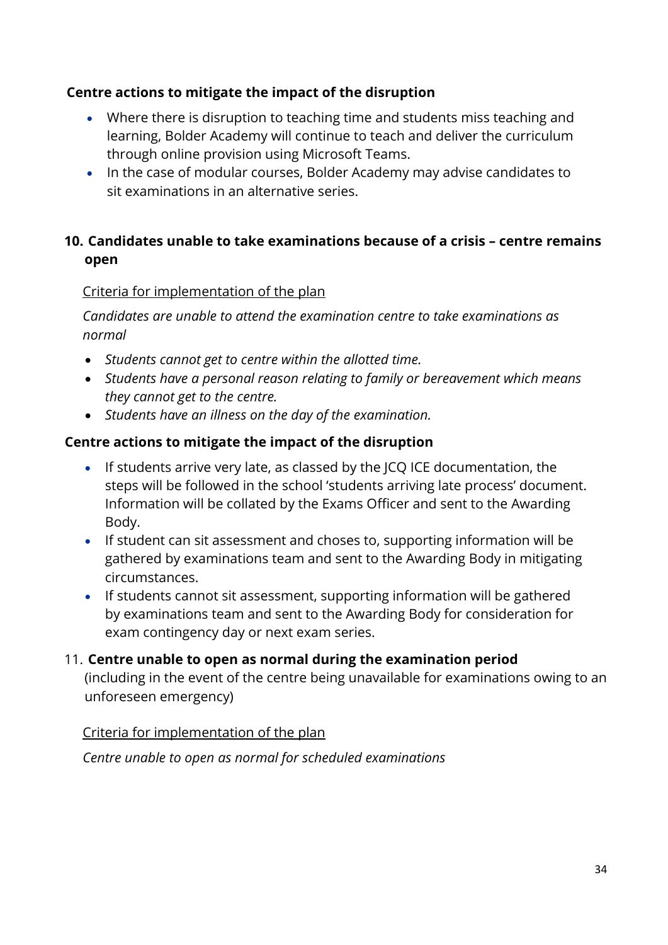- Where there is disruption to teaching time and students miss teaching and learning, Bolder Academy will continue to teach and deliver the curriculum through online provision using Microsoft Teams.
- In the case of modular courses, Bolder Academy may advise candidates to sit examinations in an alternative series.

# **10. Candidates unable to take examinations because of a crisis – centre remains open**

#### Criteria for implementation of the plan

*Candidates are unable to attend the examination centre to take examinations as normal*

- *Students cannot get to centre within the allotted time.*
- *Students have a personal reason relating to family or bereavement which means they cannot get to the centre.*
- *Students have an illness on the day of the examination.*

#### **Centre actions to mitigate the impact of the disruption**

- If students arrive very late, as classed by the JCQ ICE documentation, the steps will be followed in the school 'students arriving late process' document. Information will be collated by the Exams Officer and sent to the Awarding Body.
- If student can sit assessment and choses to, supporting information will be gathered by examinations team and sent to the Awarding Body in mitigating circumstances.
- If students cannot sit assessment, supporting information will be gathered by examinations team and sent to the Awarding Body for consideration for exam contingency day or next exam series.

# 11. **Centre unable to open as normal during the examination period**

(including in the event of the centre being unavailable for examinations owing to an unforeseen emergency)

#### Criteria for implementation of the plan

*Centre unable to open as normal for scheduled examinations*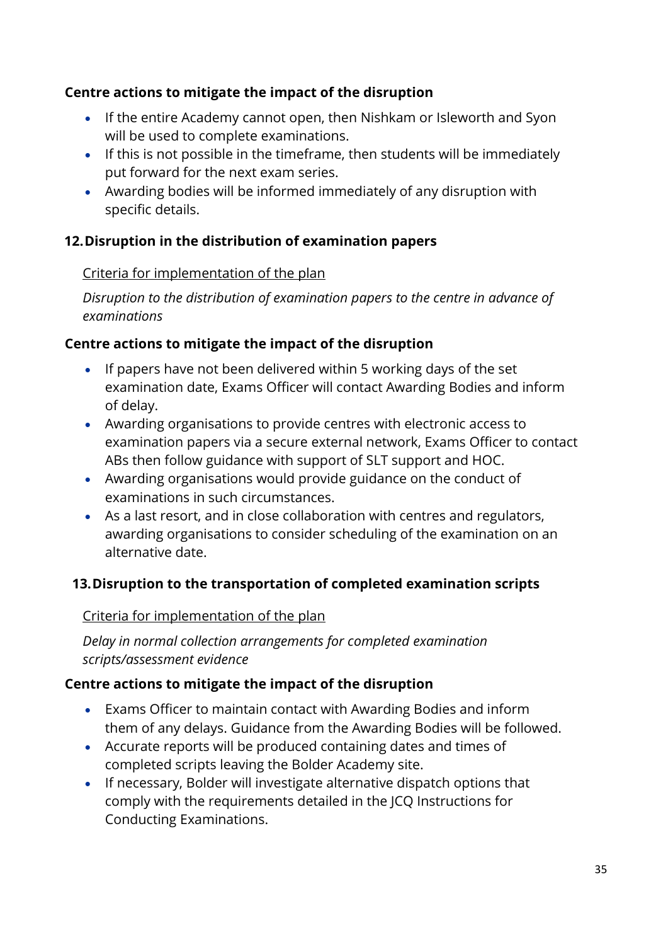- If the entire Academy cannot open, then Nishkam or Isleworth and Syon will be used to complete examinations.
- If this is not possible in the timeframe, then students will be immediately put forward for the next exam series.
- Awarding bodies will be informed immediately of any disruption with specific details.

#### **12.Disruption in the distribution of examination papers**

#### Criteria for implementation of the plan

*Disruption to the distribution of examination papers to the centre in advance of examinations*

#### **Centre actions to mitigate the impact of the disruption**

- If papers have not been delivered within 5 working days of the set examination date, Exams Officer will contact Awarding Bodies and inform of delay.
- Awarding organisations to provide centres with electronic access to examination papers via a secure external network, Exams Officer to contact ABs then follow guidance with support of SLT support and HOC.
- Awarding organisations would provide guidance on the conduct of examinations in such circumstances.
- As a last resort, and in close collaboration with centres and regulators, awarding organisations to consider scheduling of the examination on an alternative date.

# **13.Disruption to the transportation of completed examination scripts**

#### Criteria for implementation of the plan

*Delay in normal collection arrangements for completed examination scripts/assessment evidence*

#### **Centre actions to mitigate the impact of the disruption**

- Exams Officer to maintain contact with Awarding Bodies and inform them of any delays. Guidance from the Awarding Bodies will be followed.
- Accurate reports will be produced containing dates and times of completed scripts leaving the Bolder Academy site.
- If necessary, Bolder will investigate alternative dispatch options that comply with the requirements detailed in the JCQ Instructions for Conducting Examinations.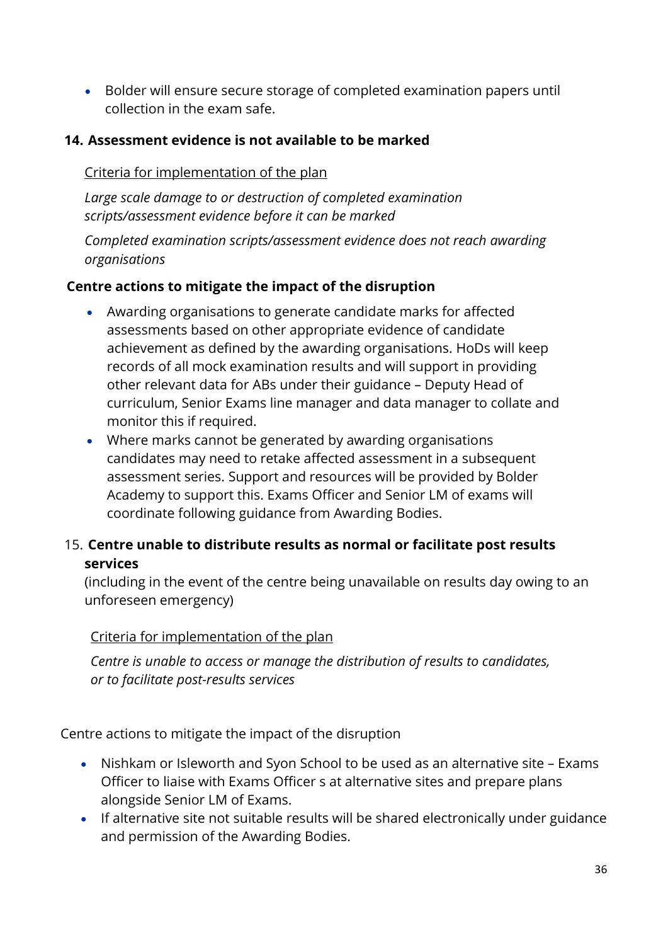• Bolder will ensure secure storage of completed examination papers until collection in the exam safe.

#### **14. Assessment evidence is not available to be marked**

#### Criteria for implementation of the plan

*Large scale damage to or destruction of completed examination scripts/assessment evidence before it can be marked*

*Completed examination scripts/assessment evidence does not reach awarding organisations* 

#### **Centre actions to mitigate the impact of the disruption**

- Awarding organisations to generate candidate marks for affected assessments based on other appropriate evidence of candidate achievement as defined by the awarding organisations. HoDs will keep records of all mock examination results and will support in providing other relevant data for ABs under their guidance – Deputy Head of curriculum, Senior Exams line manager and data manager to collate and monitor this if required.
- Where marks cannot be generated by awarding organisations candidates may need to retake affected assessment in a subsequent assessment series. Support and resources will be provided by Bolder Academy to support this. Exams Officer and Senior LM of exams will coordinate following guidance from Awarding Bodies.

### 15. **Centre unable to distribute results as normal or facilitate post results services**

(including in the event of the centre being unavailable on results day owing to an unforeseen emergency)

#### Criteria for implementation of the plan

*Centre is unable to access or manage the distribution of results to candidates, or to facilitate post-results services*

Centre actions to mitigate the impact of the disruption

- Nishkam or Isleworth and Syon School to be used as an alternative site Exams Officer to liaise with Exams Officer s at alternative sites and prepare plans alongside Senior LM of Exams.
- If alternative site not suitable results will be shared electronically under guidance and permission of the Awarding Bodies.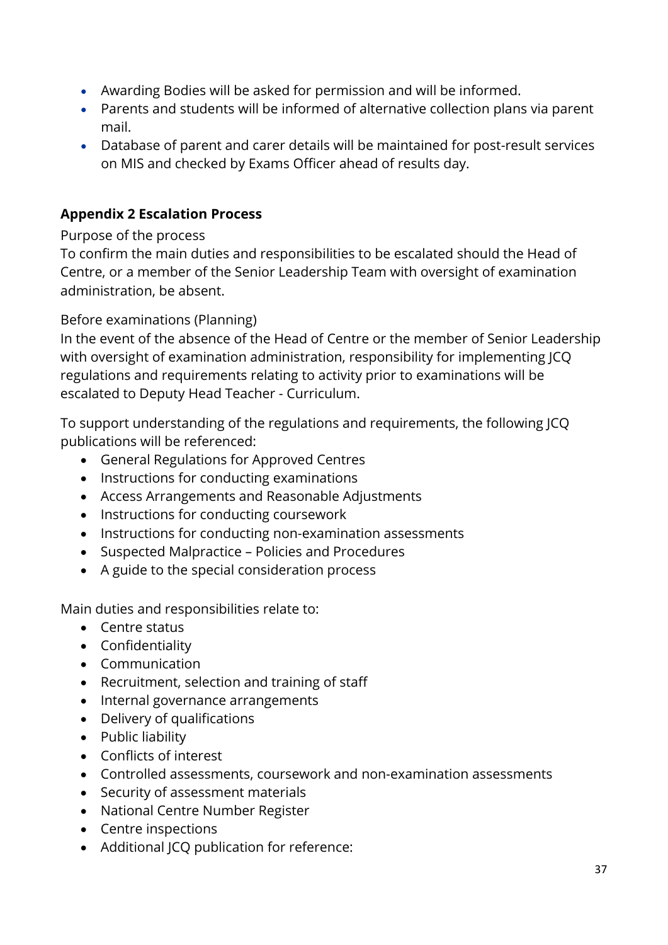- Awarding Bodies will be asked for permission and will be informed.
- Parents and students will be informed of alternative collection plans via parent mail.
- Database of parent and carer details will be maintained for post-result services on MIS and checked by Exams Officer ahead of results day.

### **Appendix 2 Escalation Process**

Purpose of the process

To confirm the main duties and responsibilities to be escalated should the Head of Centre, or a member of the Senior Leadership Team with oversight of examination administration, be absent.

Before examinations (Planning)

In the event of the absence of the Head of Centre or the member of Senior Leadership with oversight of examination administration, responsibility for implementing JCQ regulations and requirements relating to activity prior to examinations will be escalated to Deputy Head Teacher - Curriculum.

To support understanding of the regulations and requirements, the following JCQ publications will be referenced:

- General Regulations for Approved Centres
- Instructions for conducting examinations
- Access Arrangements and Reasonable Adjustments
- Instructions for conducting coursework
- Instructions for conducting non-examination assessments
- Suspected Malpractice Policies and Procedures
- A guide to the special consideration process

Main duties and responsibilities relate to:

- Centre status
- Confidentiality
- Communication
- Recruitment, selection and training of staff
- Internal governance arrangements
- Delivery of qualifications
- Public liability
- Conflicts of interest
- Controlled assessments, coursework and non-examination assessments
- Security of assessment materials
- National Centre Number Register
- Centre inspections
- Additional JCQ publication for reference: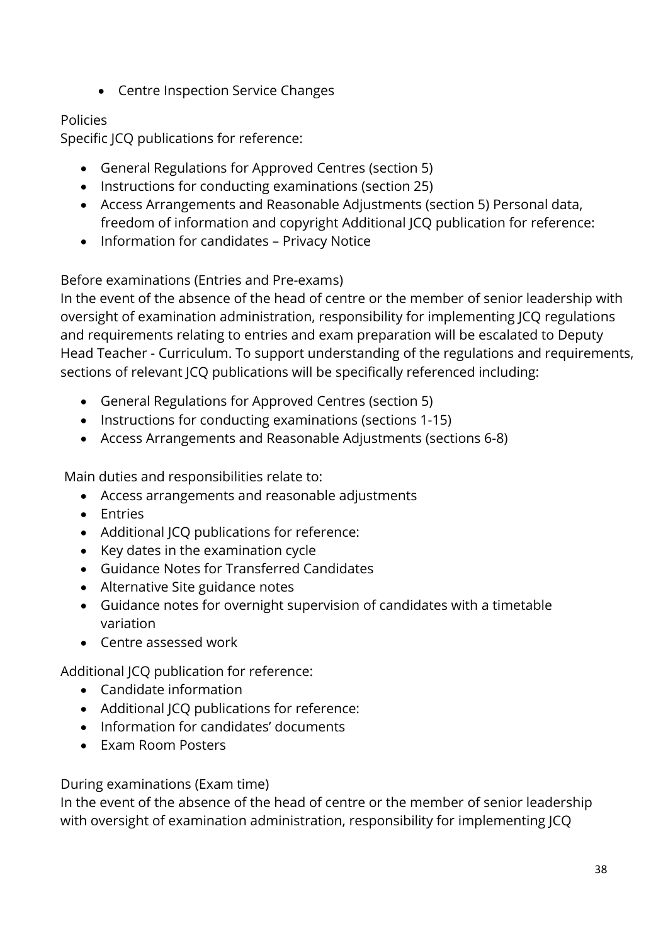• Centre Inspection Service Changes

### Policies

Specific JCQ publications for reference:

- General Regulations for Approved Centres (section 5)
- Instructions for conducting examinations (section 25)
- Access Arrangements and Reasonable Adjustments (section 5) Personal data, freedom of information and copyright Additional JCQ publication for reference:
- Information for candidates Privacy Notice

# Before examinations (Entries and Pre-exams)

In the event of the absence of the head of centre or the member of senior leadership with oversight of examination administration, responsibility for implementing JCQ regulations and requirements relating to entries and exam preparation will be escalated to Deputy Head Teacher - Curriculum. To support understanding of the regulations and requirements, sections of relevant JCQ publications will be specifically referenced including:

- General Regulations for Approved Centres (section 5)
- Instructions for conducting examinations (sections 1-15)
- Access Arrangements and Reasonable Adjustments (sections 6-8)

Main duties and responsibilities relate to:

- Access arrangements and reasonable adjustments
- Entries
- Additional JCQ publications for reference:
- Key dates in the examination cycle
- Guidance Notes for Transferred Candidates
- Alternative Site guidance notes
- Guidance notes for overnight supervision of candidates with a timetable variation
- Centre assessed work

Additional JCQ publication for reference:

- Candidate information
- Additional JCQ publications for reference:
- Information for candidates' documents
- Exam Room Posters

During examinations (Exam time)

In the event of the absence of the head of centre or the member of senior leadership with oversight of examination administration, responsibility for implementing JCQ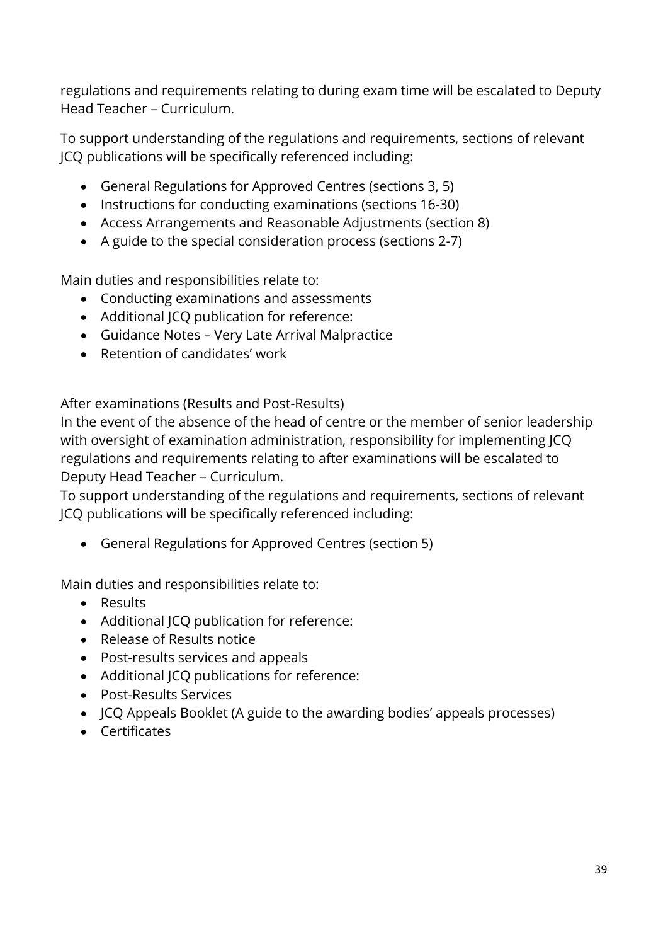regulations and requirements relating to during exam time will be escalated to Deputy Head Teacher – Curriculum.

To support understanding of the regulations and requirements, sections of relevant JCQ publications will be specifically referenced including:

- General Regulations for Approved Centres (sections 3, 5)
- Instructions for conducting examinations (sections 16-30)
- Access Arrangements and Reasonable Adjustments (section 8)
- A guide to the special consideration process (sections 2-7)

Main duties and responsibilities relate to:

- Conducting examinations and assessments
- Additional ICO publication for reference:
- Guidance Notes Very Late Arrival Malpractice
- Retention of candidates' work

After examinations (Results and Post-Results)

In the event of the absence of the head of centre or the member of senior leadership with oversight of examination administration, responsibility for implementing JCQ regulations and requirements relating to after examinations will be escalated to Deputy Head Teacher – Curriculum.

To support understanding of the regulations and requirements, sections of relevant JCQ publications will be specifically referenced including:

• General Regulations for Approved Centres (section 5)

Main duties and responsibilities relate to:

- Results
- Additional ICO publication for reference:
- Release of Results notice
- Post-results services and appeals
- Additional JCQ publications for reference:
- Post-Results Services
- JCQ Appeals Booklet (A guide to the awarding bodies' appeals processes)
- Certificates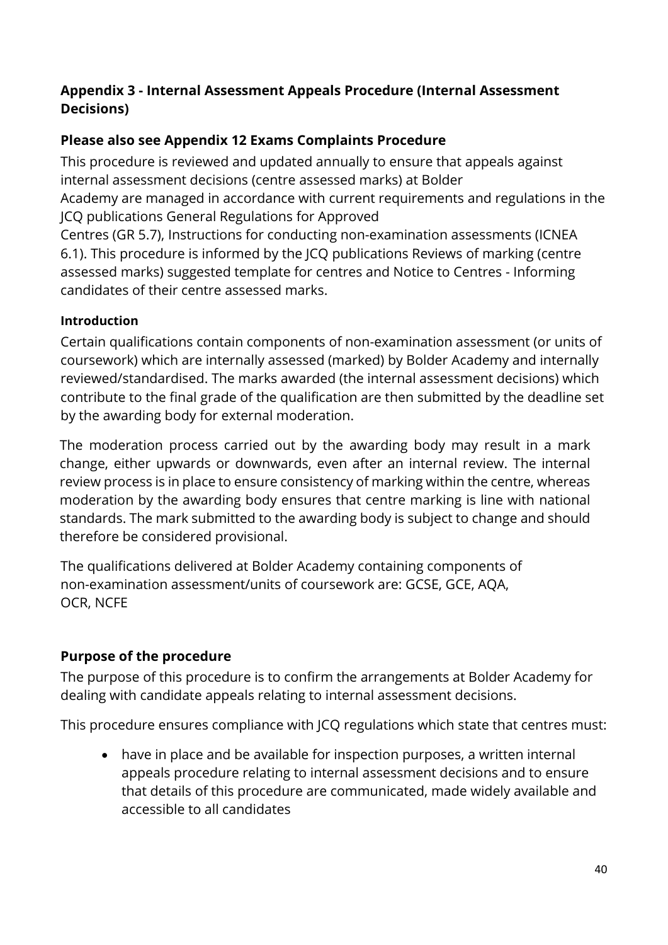### **Appendix 3 - Internal Assessment Appeals Procedure (Internal Assessment Decisions)**

# **Please also see Appendix 12 Exams Complaints Procedure**

This procedure is reviewed and updated annually to ensure that appeals against internal assessment decisions (centre assessed marks) at Bolder

Academy are managed in accordance with current requirements and regulations in the JCQ publications General Regulations for Approved

Centres (GR 5.7), Instructions for conducting non-examination assessments (ICNEA 6.1). This procedure is informed by the JCQ publications Reviews of marking (centre assessed marks) suggested template for centres and Notice to Centres - Informing candidates of their centre assessed marks.

### **Introduction**

Certain qualifications contain components of non-examination assessment (or units of coursework) which are internally assessed (marked) by Bolder Academy and internally reviewed/standardised. The marks awarded (the internal assessment decisions) which contribute to the final grade of the qualification are then submitted by the deadline set by the awarding body for external moderation.

The moderation process carried out by the awarding body may result in a mark change, either upwards or downwards, even after an internal review. The internal review process is in place to ensure consistency of marking within the centre, whereas moderation by the awarding body ensures that centre marking is line with national standards. The mark submitted to the awarding body is subject to change and should therefore be considered provisional.

The qualifications delivered at Bolder Academy containing components of non-examination assessment/units of coursework are: GCSE, GCE, AQA, OCR, NCFE

# **Purpose of the procedure**

The purpose of this procedure is to confirm the arrangements at Bolder Academy for dealing with candidate appeals relating to internal assessment decisions.

This procedure ensures compliance with JCQ regulations which state that centres must:

• have in place and be available for inspection purposes, a written internal appeals procedure relating to internal assessment decisions and to ensure that details of this procedure are communicated, made widely available and accessible to all candidates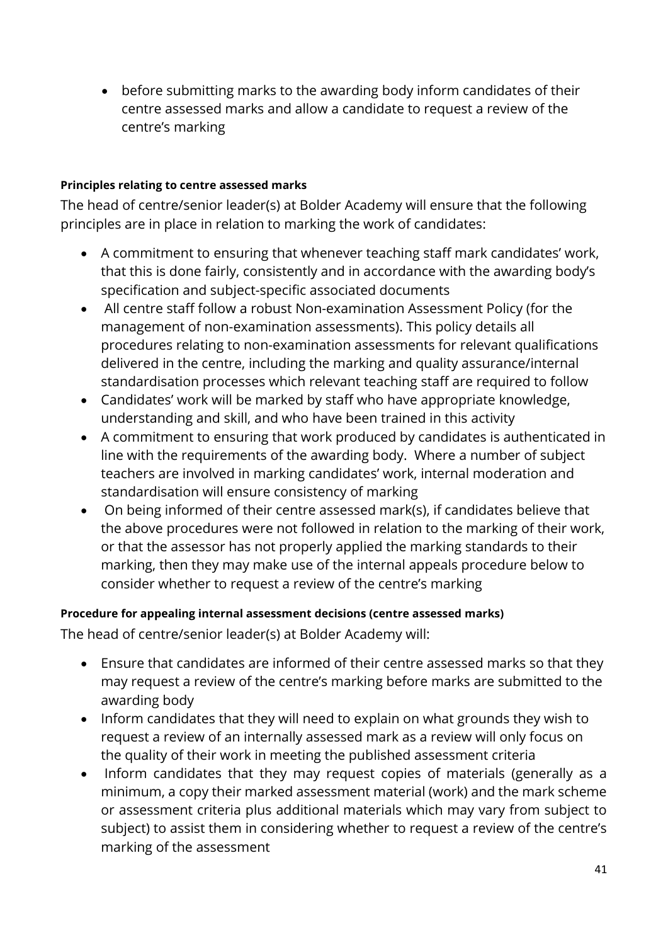• before submitting marks to the awarding body inform candidates of their centre assessed marks and allow a candidate to request a review of the centre's marking

#### **Principles relating to centre assessed marks**

The head of centre/senior leader(s) at Bolder Academy will ensure that the following principles are in place in relation to marking the work of candidates:

- A commitment to ensuring that whenever teaching staff mark candidates' work, that this is done fairly, consistently and in accordance with the awarding body's specification and subject-specific associated documents
- All centre staff follow a robust Non-examination Assessment Policy (for the management of non-examination assessments). This policy details all procedures relating to non-examination assessments for relevant qualifications delivered in the centre, including the marking and quality assurance/internal standardisation processes which relevant teaching staff are required to follow
- Candidates' work will be marked by staff who have appropriate knowledge, understanding and skill, and who have been trained in this activity
- A commitment to ensuring that work produced by candidates is authenticated in line with the requirements of the awarding body. Where a number of subject teachers are involved in marking candidates' work, internal moderation and standardisation will ensure consistency of marking
- On being informed of their centre assessed mark(s), if candidates believe that the above procedures were not followed in relation to the marking of their work, or that the assessor has not properly applied the marking standards to their marking, then they may make use of the internal appeals procedure below to consider whether to request a review of the centre's marking

#### **Procedure for appealing internal assessment decisions (centre assessed marks)**

The head of centre/senior leader(s) at Bolder Academy will:

- Ensure that candidates are informed of their centre assessed marks so that they may request a review of the centre's marking before marks are submitted to the awarding body
- Inform candidates that they will need to explain on what grounds they wish to request a review of an internally assessed mark as a review will only focus on the quality of their work in meeting the published assessment criteria
- Inform candidates that they may request copies of materials (generally as a minimum, a copy their marked assessment material (work) and the mark scheme or assessment criteria plus additional materials which may vary from subject to subject) to assist them in considering whether to request a review of the centre's marking of the assessment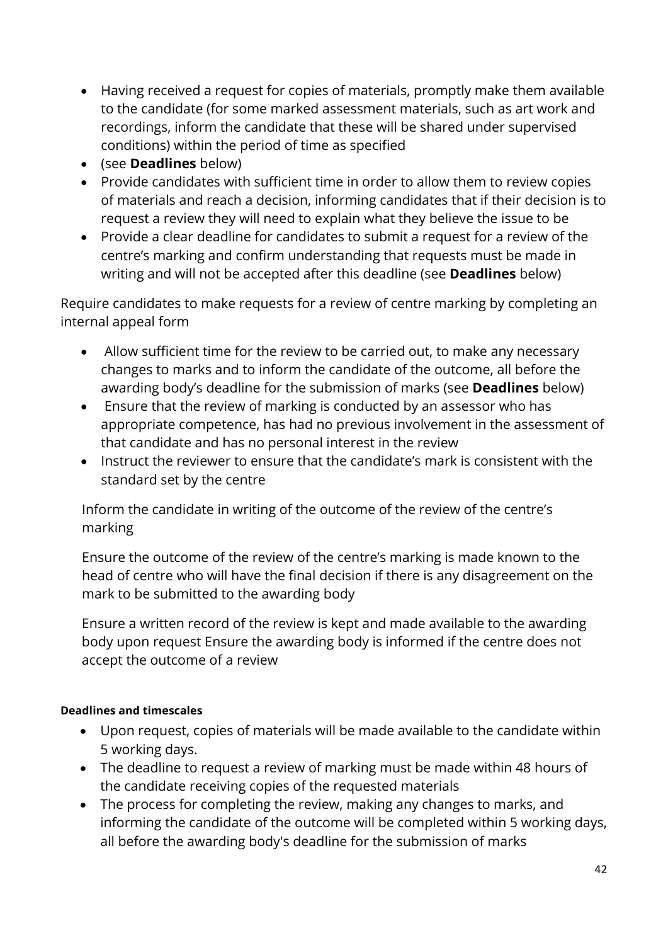- Having received a request for copies of materials, promptly make them available to the candidate (for some marked assessment materials, such as art work and recordings, inform the candidate that these will be shared under supervised conditions) within the period of time as specified
- (see **Deadlines** below)
- Provide candidates with sufficient time in order to allow them to review copies of materials and reach a decision, informing candidates that if their decision is to request a review they will need to explain what they believe the issue to be
- Provide a clear deadline for candidates to submit a request for a review of the centre's marking and confirm understanding that requests must be made in writing and will not be accepted after this deadline (see **Deadlines** below)

Require candidates to make requests for a review of centre marking by completing an internal appeal form

- Allow sufficient time for the review to be carried out, to make any necessary changes to marks and to inform the candidate of the outcome, all before the awarding body's deadline for the submission of marks (see **Deadlines** below)
- Ensure that the review of marking is conducted by an assessor who has appropriate competence, has had no previous involvement in the assessment of that candidate and has no personal interest in the review
- Instruct the reviewer to ensure that the candidate's mark is consistent with the standard set by the centre

Inform the candidate in writing of the outcome of the review of the centre's marking

Ensure the outcome of the review of the centre's marking is made known to the head of centre who will have the final decision if there is any disagreement on the mark to be submitted to the awarding body

Ensure a written record of the review is kept and made available to the awarding body upon request Ensure the awarding body is informed if the centre does not accept the outcome of a review

#### **Deadlines and timescales**

- Upon request, copies of materials will be made available to the candidate within 5 working days.
- The deadline to request a review of marking must be made within 48 hours of the candidate receiving copies of the requested materials
- The process for completing the review, making any changes to marks, and informing the candidate of the outcome will be completed within 5 working days, all before the awarding body's deadline for the submission of marks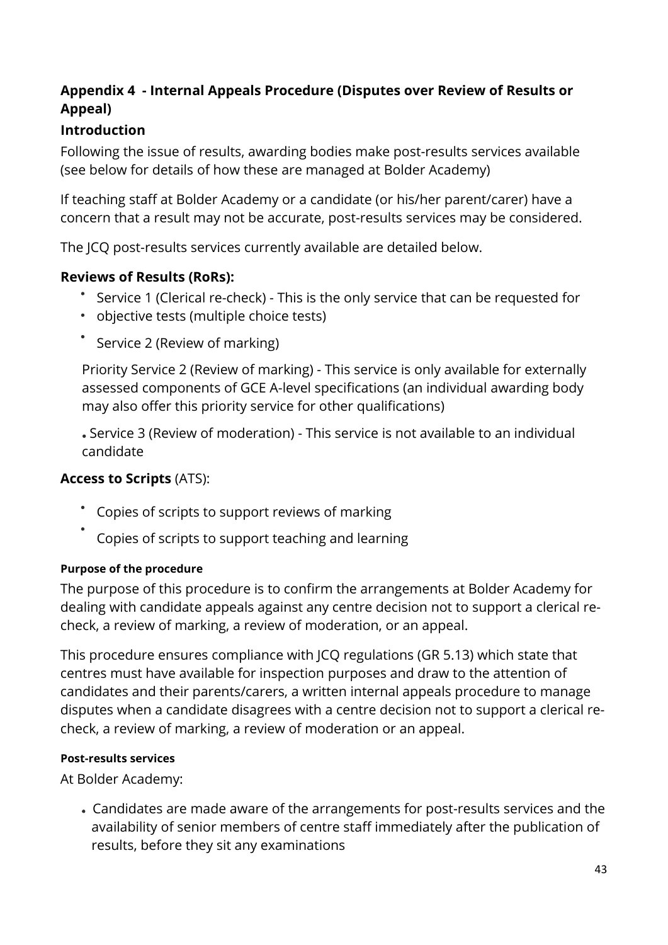# **Appendix 4 - Internal Appeals Procedure (Disputes over Review of Results or Appeal)**

# **Introduction**

Following the issue of results, awarding bodies make post-results services available (see below for details of how these are managed at Bolder Academy)

If teaching staff at Bolder Academy or a candidate (or his/her parent/carer) have a concern that a result may not be accurate, post-results services may be considered.

The JCQ post-results services currently available are detailed below.

### **Reviews of Results (RoRs):**

- Service 1 (Clerical re-check) This is the only service that can be requested for
- objective tests (multiple choice tests)
- \* Service 2 (Review of marking)

Priority Service 2 (Review of marking) - This service is only available for externally assessed components of GCE A-level specifications (an individual awarding body may also offer this priority service for other qualifications)

Service 3 (Review of moderation) - This service is not available to an individual candidate

# **Access to Scripts** (ATS):

- Copies of scripts to support reviews of marking
- Copies of scripts to support teaching and learning

#### **Purpose of the procedure**

The purpose of this procedure is to confirm the arrangements at Bolder Academy for dealing with candidate appeals against any centre decision not to support a clerical recheck, a review of marking, a review of moderation, or an appeal.

This procedure ensures compliance with JCQ regulations (GR 5.13) which state that centres must have available for inspection purposes and draw to the attention of candidates and their parents/carers, a written internal appeals procedure to manage disputes when a candidate disagrees with a centre decision not to support a clerical recheck, a review of marking, a review of moderation or an appeal.

#### **Post-results services**

At Bolder Academy:

 Candidates are made aware of the arrangements for post-results services and the availability of senior members of centre staff immediately after the publication of results, before they sit any examinations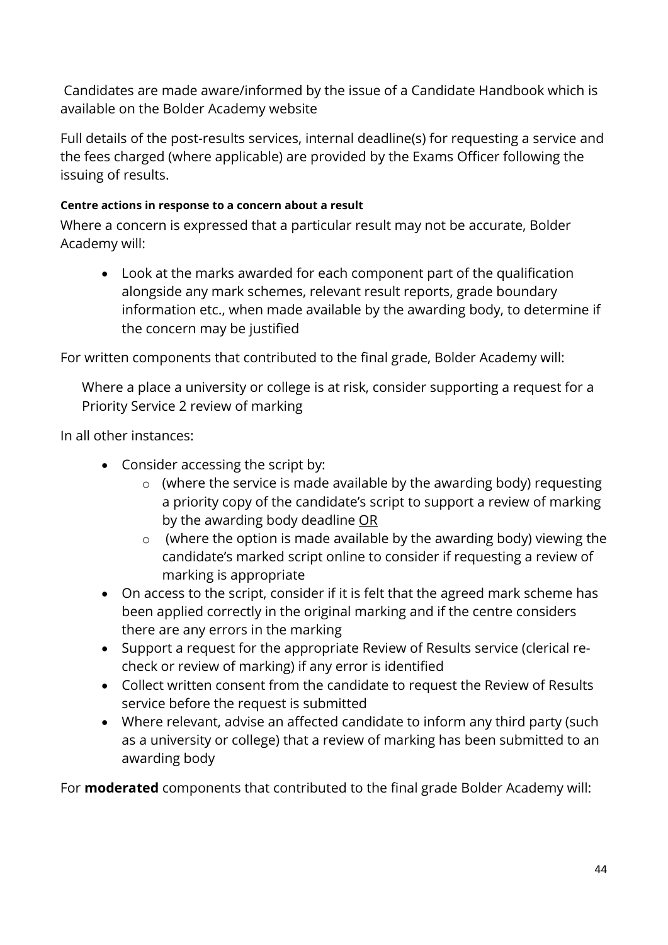Candidates are made aware/informed by the issue of a Candidate Handbook which is available on the Bolder Academy website

Full details of the post-results services, internal deadline(s) for requesting a service and the fees charged (where applicable) are provided by the Exams Officer following the issuing of results.

#### **Centre actions in response to a concern about a result**

Where a concern is expressed that a particular result may not be accurate, Bolder Academy will:

• Look at the marks awarded for each component part of the qualification alongside any mark schemes, relevant result reports, grade boundary information etc., when made available by the awarding body, to determine if the concern may be justified

For written components that contributed to the final grade, Bolder Academy will:

Where a place a university or college is at risk, consider supporting a request for a Priority Service 2 review of marking

In all other instances:

- Consider accessing the script by:
	- o (where the service is made available by the awarding body) requesting a priority copy of the candidate's script to support a review of marking by the awarding body deadline OR
	- o (where the option is made available by the awarding body) viewing the candidate's marked script online to consider if requesting a review of marking is appropriate
- On access to the script, consider if it is felt that the agreed mark scheme has been applied correctly in the original marking and if the centre considers there are any errors in the marking
- Support a request for the appropriate Review of Results service (clerical recheck or review of marking) if any error is identified
- Collect written consent from the candidate to request the Review of Results service before the request is submitted
- Where relevant, advise an affected candidate to inform any third party (such as a university or college) that a review of marking has been submitted to an awarding body

For **moderated** components that contributed to the final grade Bolder Academy will: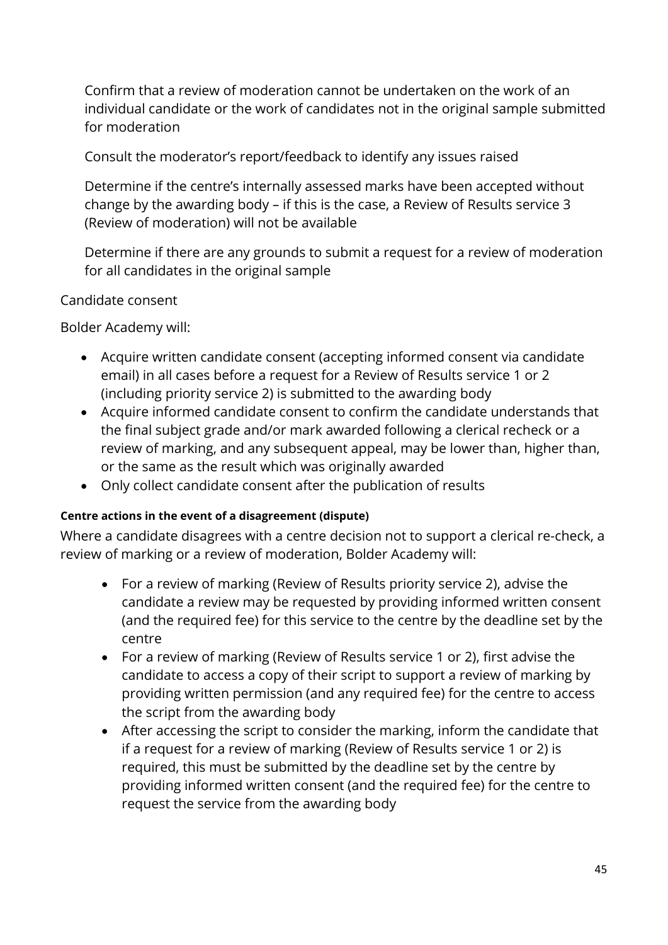Confirm that a review of moderation cannot be undertaken on the work of an individual candidate or the work of candidates not in the original sample submitted for moderation

Consult the moderator's report/feedback to identify any issues raised

Determine if the centre's internally assessed marks have been accepted without change by the awarding body – if this is the case, a Review of Results service 3 (Review of moderation) will not be available

Determine if there are any grounds to submit a request for a review of moderation for all candidates in the original sample

#### Candidate consent

Bolder Academy will:

- Acquire written candidate consent (accepting informed consent via candidate email) in all cases before a request for a Review of Results service 1 or 2 (including priority service 2) is submitted to the awarding body
- Acquire informed candidate consent to confirm the candidate understands that the final subject grade and/or mark awarded following a clerical recheck or a review of marking, and any subsequent appeal, may be lower than, higher than, or the same as the result which was originally awarded
- Only collect candidate consent after the publication of results

#### **Centre actions in the event of a disagreement (dispute)**

Where a candidate disagrees with a centre decision not to support a clerical re-check, a review of marking or a review of moderation, Bolder Academy will:

- For a review of marking (Review of Results priority service 2), advise the candidate a review may be requested by providing informed written consent (and the required fee) for this service to the centre by the deadline set by the centre
- For a review of marking (Review of Results service 1 or 2), first advise the candidate to access a copy of their script to support a review of marking by providing written permission (and any required fee) for the centre to access the script from the awarding body
- After accessing the script to consider the marking, inform the candidate that if a request for a review of marking (Review of Results service 1 or 2) is required, this must be submitted by the deadline set by the centre by providing informed written consent (and the required fee) for the centre to request the service from the awarding body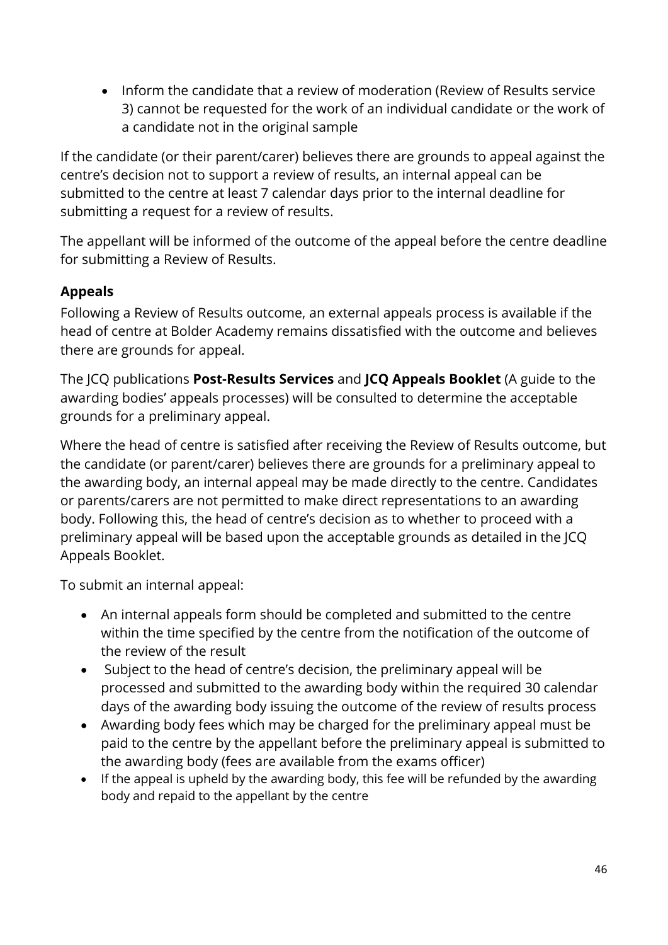• Inform the candidate that a review of moderation (Review of Results service 3) cannot be requested for the work of an individual candidate or the work of a candidate not in the original sample

If the candidate (or their parent/carer) believes there are grounds to appeal against the centre's decision not to support a review of results, an internal appeal can be submitted to the centre at least 7 calendar days prior to the internal deadline for submitting a request for a review of results.

The appellant will be informed of the outcome of the appeal before the centre deadline for submitting a Review of Results.

# **Appeals**

Following a Review of Results outcome, an external appeals process is available if the head of centre at Bolder Academy remains dissatisfied with the outcome and believes there are grounds for appeal.

The JCQ publications **Post-Results Services** and **JCQ Appeals Booklet** (A guide to the awarding bodies' appeals processes) will be consulted to determine the acceptable grounds for a preliminary appeal.

Where the head of centre is satisfied after receiving the Review of Results outcome, but the candidate (or parent/carer) believes there are grounds for a preliminary appeal to the awarding body, an internal appeal may be made directly to the centre. Candidates or parents/carers are not permitted to make direct representations to an awarding body. Following this, the head of centre's decision as to whether to proceed with a preliminary appeal will be based upon the acceptable grounds as detailed in the JCQ Appeals Booklet.

To submit an internal appeal:

- An internal appeals form should be completed and submitted to the centre within the time specified by the centre from the notification of the outcome of the review of the result
- Subject to the head of centre's decision, the preliminary appeal will be processed and submitted to the awarding body within the required 30 calendar days of the awarding body issuing the outcome of the review of results process
- Awarding body fees which may be charged for the preliminary appeal must be paid to the centre by the appellant before the preliminary appeal is submitted to the awarding body (fees are available from the exams officer)
- If the appeal is upheld by the awarding body, this fee will be refunded by the awarding body and repaid to the appellant by the centre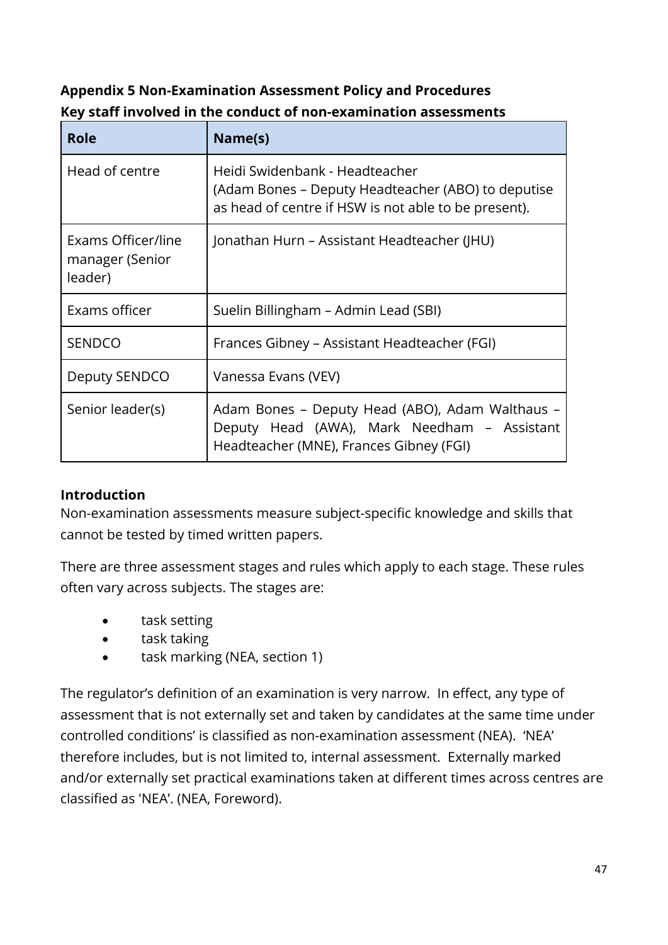| <b>Appendix 5 Non-Examination Assessment Policy and Procedures</b> |
|--------------------------------------------------------------------|
| Key staff involved in the conduct of non-examination assessments   |

| Role                                             | Name(s)                                                                                                                                      |
|--------------------------------------------------|----------------------------------------------------------------------------------------------------------------------------------------------|
| Head of centre                                   | Heidi Swidenbank - Headteacher<br>(Adam Bones – Deputy Headteacher (ABO) to deputise<br>as head of centre if HSW is not able to be present). |
| Exams Officer/line<br>manager (Senior<br>leader) | Jonathan Hurn – Assistant Headteacher (JHU)                                                                                                  |
| Exams officer                                    | Suelin Billingham - Admin Lead (SBI)                                                                                                         |
| <b>SENDCO</b>                                    | Frances Gibney – Assistant Headteacher (FGI)                                                                                                 |
| Deputy SENDCO                                    | Vanessa Evans (VEV)                                                                                                                          |
| Senior leader(s)                                 | Adam Bones - Deputy Head (ABO), Adam Walthaus -<br>Deputy Head (AWA), Mark Needham - Assistant<br>Headteacher (MNE), Frances Gibney (FGI)    |

# **Introduction**

Non-examination assessments measure subject-specific knowledge and skills that cannot be tested by timed written papers.

There are three assessment stages and rules which apply to each stage. These rules often vary across subjects. The stages are:

- task setting
- task taking
- task marking (NEA, section 1)

The regulator's definition of an examination is very narrow. In effect, any type of assessment that is not externally set and taken by candidates at the same time under controlled conditions' is classified as non-examination assessment (NEA). 'NEA' therefore includes, but is not limited to, internal assessment. Externally marked and/or externally set practical examinations taken at different times across centres are classified as 'NEA'. (NEA, Foreword).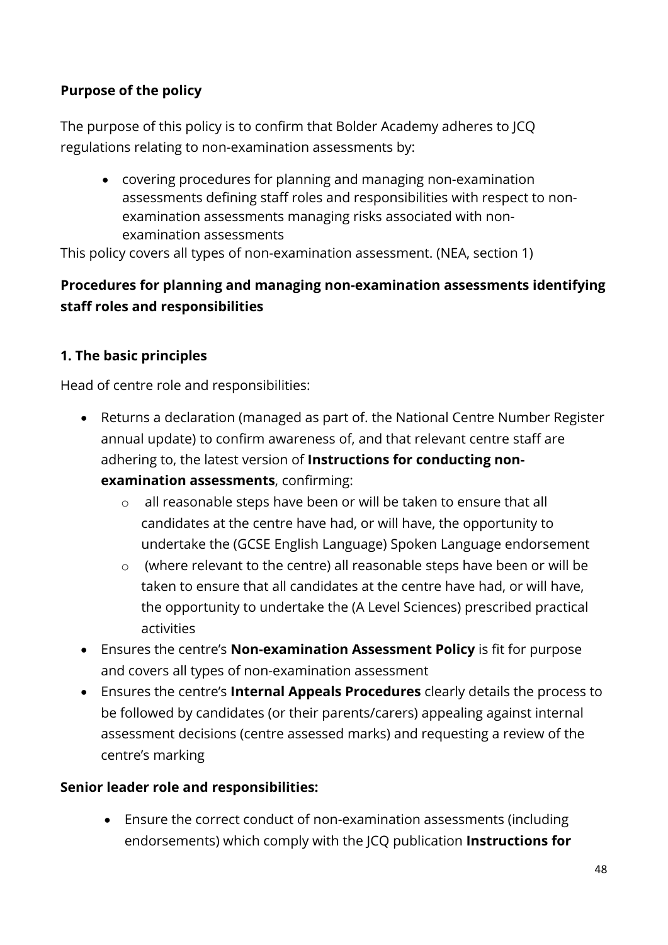# **Purpose of the policy**

The purpose of this policy is to confirm that Bolder Academy adheres to JCQ regulations relating to non-examination assessments by:

• covering procedures for planning and managing non-examination assessments defining staff roles and responsibilities with respect to nonexamination assessments managing risks associated with nonexamination assessments

This policy covers all types of non-examination assessment. (NEA, section 1)

# **Procedures for planning and managing non-examination assessments identifying staff roles and responsibilities**

### **1. The basic principles**

Head of centre role and responsibilities:

- Returns a declaration (managed as part of. the National Centre Number Register annual update) to confirm awareness of, and that relevant centre staff are adhering to, the latest version of **Instructions for conducting nonexamination assessments**, confirming:
	- o all reasonable steps have been or will be taken to ensure that all candidates at the centre have had, or will have, the opportunity to undertake the (GCSE English Language) Spoken Language endorsement
	- o (where relevant to the centre) all reasonable steps have been or will be taken to ensure that all candidates at the centre have had, or will have, the opportunity to undertake the (A Level Sciences) prescribed practical activities
- Ensures the centre's **Non-examination Assessment Policy** is fit for purpose and covers all types of non-examination assessment
- Ensures the centre's **Internal Appeals Procedures** clearly details the process to be followed by candidates (or their parents/carers) appealing against internal assessment decisions (centre assessed marks) and requesting a review of the centre's marking

#### **Senior leader role and responsibilities:**

• Ensure the correct conduct of non-examination assessments (including endorsements) which comply with the JCQ publication **Instructions for**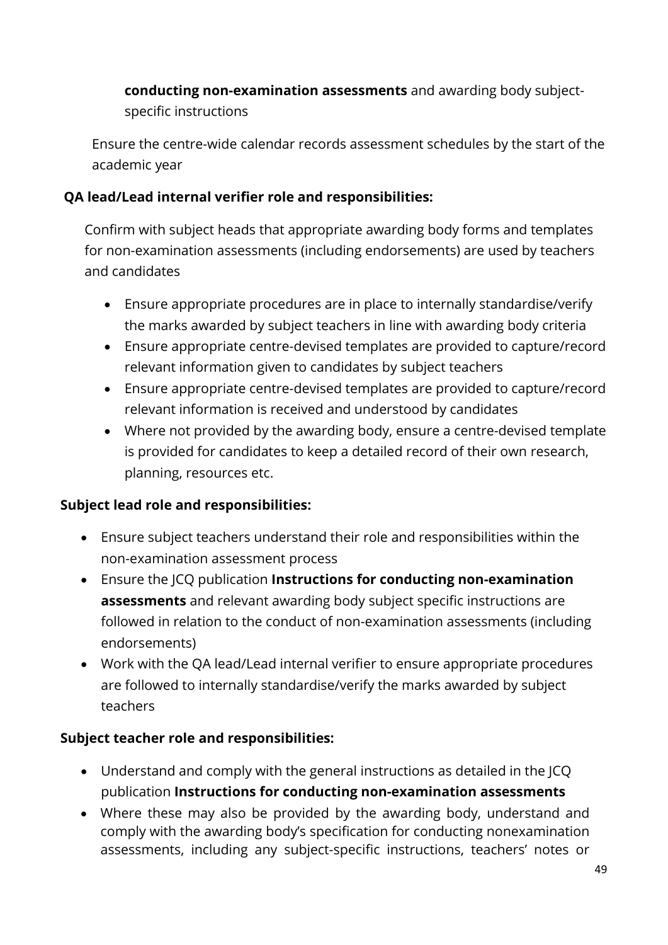**conducting non-examination assessments** and awarding body subjectspecific instructions

Ensure the centre-wide calendar records assessment schedules by the start of the academic year

# **QA lead/Lead internal verifier role and responsibilities:**

Confirm with subject heads that appropriate awarding body forms and templates for non-examination assessments (including endorsements) are used by teachers and candidates

- Ensure appropriate procedures are in place to internally standardise/verify the marks awarded by subject teachers in line with awarding body criteria
- Ensure appropriate centre-devised templates are provided to capture/record relevant information given to candidates by subject teachers
- Ensure appropriate centre-devised templates are provided to capture/record relevant information is received and understood by candidates
- Where not provided by the awarding body, ensure a centre-devised template is provided for candidates to keep a detailed record of their own research, planning, resources etc.

# **Subject lead role and responsibilities:**

- Ensure subject teachers understand their role and responsibilities within the non-examination assessment process
- Ensure the JCQ publication **Instructions for conducting non-examination assessments** and relevant awarding body subject specific instructions are followed in relation to the conduct of non-examination assessments (including endorsements)
- Work with the QA lead/Lead internal verifier to ensure appropriate procedures are followed to internally standardise/verify the marks awarded by subject teachers

- Understand and comply with the general instructions as detailed in the JCQ publication **Instructions for conducting non-examination assessments**
- Where these may also be provided by the awarding body, understand and comply with the awarding body's specification for conducting nonexamination assessments, including any subject-specific instructions, teachers' notes or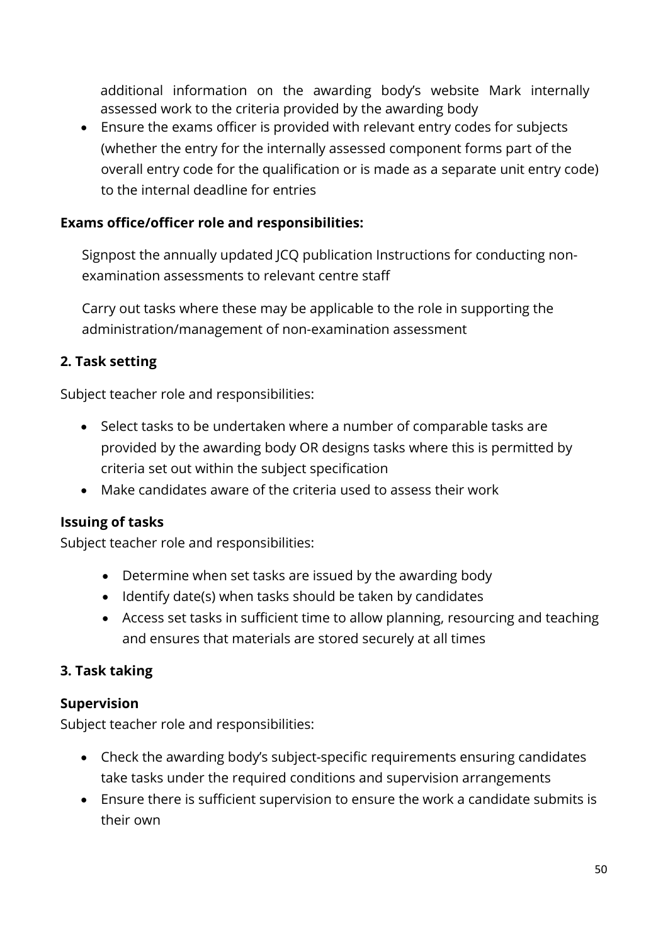additional information on the awarding body's website Mark internally assessed work to the criteria provided by the awarding body

• Ensure the exams officer is provided with relevant entry codes for subjects (whether the entry for the internally assessed component forms part of the overall entry code for the qualification or is made as a separate unit entry code) to the internal deadline for entries

# **Exams office/officer role and responsibilities:**

Signpost the annually updated JCQ publication Instructions for conducting nonexamination assessments to relevant centre staff

Carry out tasks where these may be applicable to the role in supporting the administration/management of non-examination assessment

### **2. Task setting**

Subject teacher role and responsibilities:

- Select tasks to be undertaken where a number of comparable tasks are provided by the awarding body OR designs tasks where this is permitted by criteria set out within the subject specification
- Make candidates aware of the criteria used to assess their work

#### **Issuing of tasks**

Subject teacher role and responsibilities:

- Determine when set tasks are issued by the awarding body
- Identify date(s) when tasks should be taken by candidates
- Access set tasks in sufficient time to allow planning, resourcing and teaching and ensures that materials are stored securely at all times

#### **3. Task taking**

#### **Supervision**

- Check the awarding body's subject-specific requirements ensuring candidates take tasks under the required conditions and supervision arrangements
- Ensure there is sufficient supervision to ensure the work a candidate submits is their own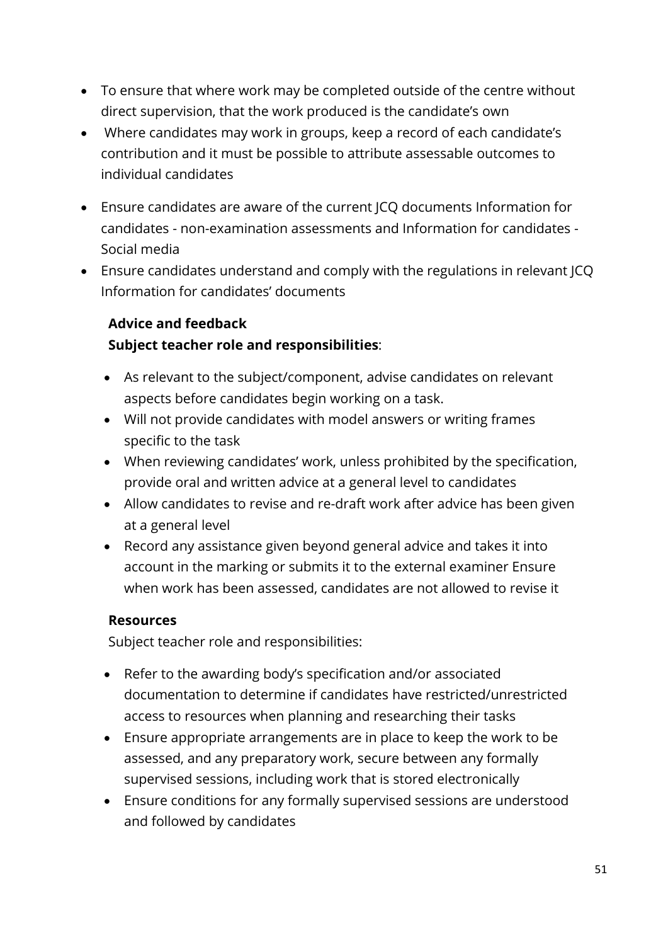- To ensure that where work may be completed outside of the centre without direct supervision, that the work produced is the candidate's own
- Where candidates may work in groups, keep a record of each candidate's contribution and it must be possible to attribute assessable outcomes to individual candidates
- Ensure candidates are aware of the current JCQ documents Information for candidates - non-examination assessments and Information for candidates - Social media
- Ensure candidates understand and comply with the regulations in relevant JCQ Information for candidates' documents

# **Advice and feedback Subject teacher role and responsibilities**:

- As relevant to the subject/component, advise candidates on relevant aspects before candidates begin working on a task.
- Will not provide candidates with model answers or writing frames specific to the task
- When reviewing candidates' work, unless prohibited by the specification, provide oral and written advice at a general level to candidates
- Allow candidates to revise and re-draft work after advice has been given at a general level
- Record any assistance given beyond general advice and takes it into account in the marking or submits it to the external examiner Ensure when work has been assessed, candidates are not allowed to revise it

# **Resources**

- Refer to the awarding body's specification and/or associated documentation to determine if candidates have restricted/unrestricted access to resources when planning and researching their tasks
- Ensure appropriate arrangements are in place to keep the work to be assessed, and any preparatory work, secure between any formally supervised sessions, including work that is stored electronically
- Ensure conditions for any formally supervised sessions are understood and followed by candidates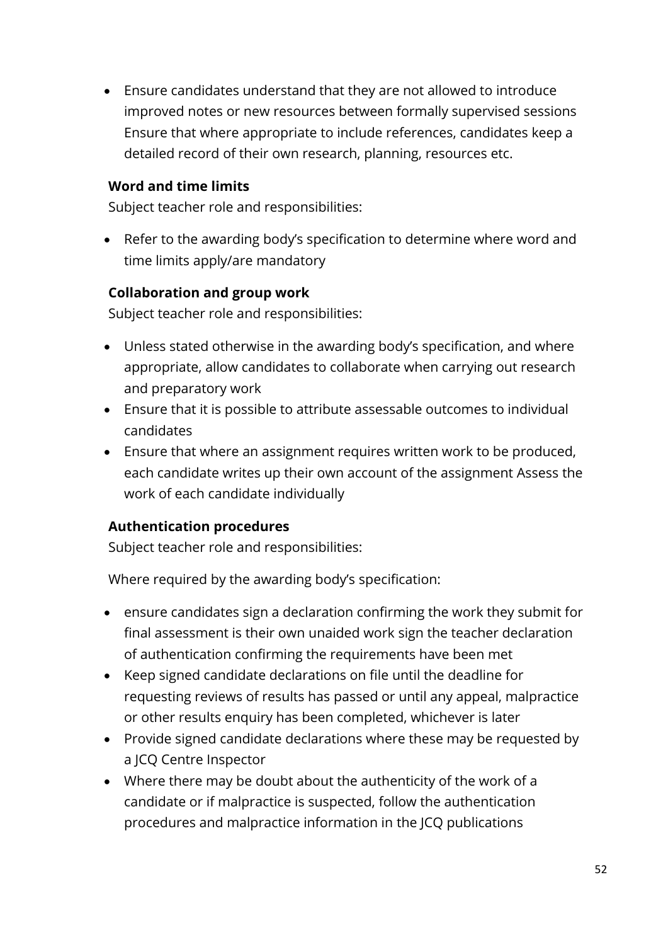• Ensure candidates understand that they are not allowed to introduce improved notes or new resources between formally supervised sessions Ensure that where appropriate to include references, candidates keep a detailed record of their own research, planning, resources etc.

#### **Word and time limits**

Subject teacher role and responsibilities:

• Refer to the awarding body's specification to determine where word and time limits apply/are mandatory

#### **Collaboration and group work**

Subject teacher role and responsibilities:

- Unless stated otherwise in the awarding body's specification, and where appropriate, allow candidates to collaborate when carrying out research and preparatory work
- Ensure that it is possible to attribute assessable outcomes to individual candidates
- Ensure that where an assignment requires written work to be produced, each candidate writes up their own account of the assignment Assess the work of each candidate individually

#### **Authentication procedures**

Subject teacher role and responsibilities:

Where required by the awarding body's specification:

- ensure candidates sign a declaration confirming the work they submit for final assessment is their own unaided work sign the teacher declaration of authentication confirming the requirements have been met
- Keep signed candidate declarations on file until the deadline for requesting reviews of results has passed or until any appeal, malpractice or other results enquiry has been completed, whichever is later
- Provide signed candidate declarations where these may be requested by a JCQ Centre Inspector
- Where there may be doubt about the authenticity of the work of a candidate or if malpractice is suspected, follow the authentication procedures and malpractice information in the JCQ publications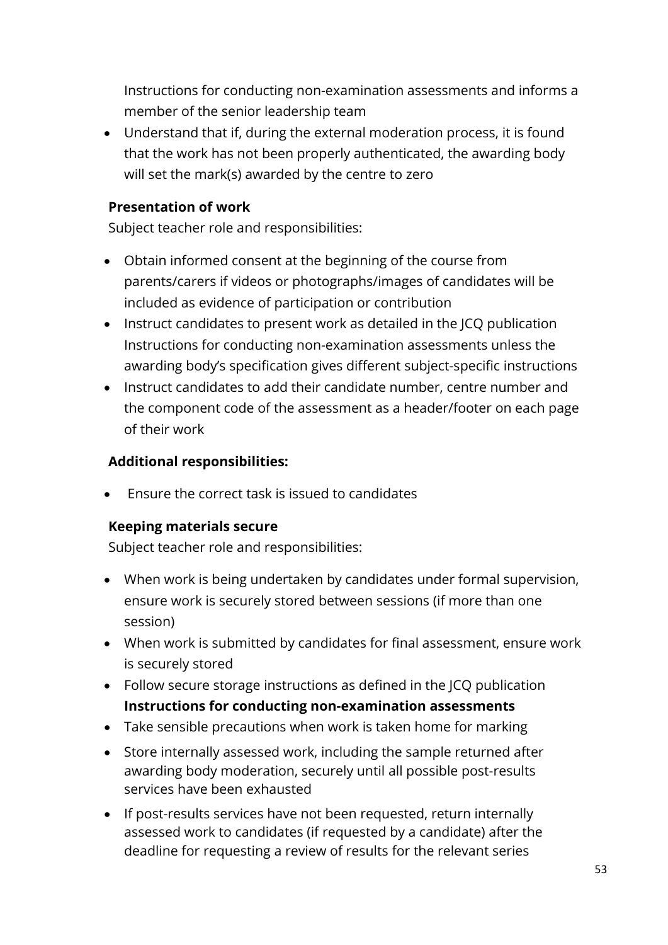Instructions for conducting non-examination assessments and informs a member of the senior leadership team

• Understand that if, during the external moderation process, it is found that the work has not been properly authenticated, the awarding body will set the mark(s) awarded by the centre to zero

### **Presentation of work**

Subject teacher role and responsibilities:

- Obtain informed consent at the beginning of the course from parents/carers if videos or photographs/images of candidates will be included as evidence of participation or contribution
- Instruct candidates to present work as detailed in the JCQ publication Instructions for conducting non-examination assessments unless the awarding body's specification gives different subject-specific instructions
- Instruct candidates to add their candidate number, centre number and the component code of the assessment as a header/footer on each page of their work

### **Additional responsibilities:**

• Ensure the correct task is issued to candidates

# **Keeping materials secure**

- When work is being undertaken by candidates under formal supervision, ensure work is securely stored between sessions (if more than one session)
- When work is submitted by candidates for final assessment, ensure work is securely stored
- Follow secure storage instructions as defined in the JCQ publication **Instructions for conducting non-examination assessments**
- Take sensible precautions when work is taken home for marking
- Store internally assessed work, including the sample returned after awarding body moderation, securely until all possible post-results services have been exhausted
- If post-results services have not been requested, return internally assessed work to candidates (if requested by a candidate) after the deadline for requesting a review of results for the relevant series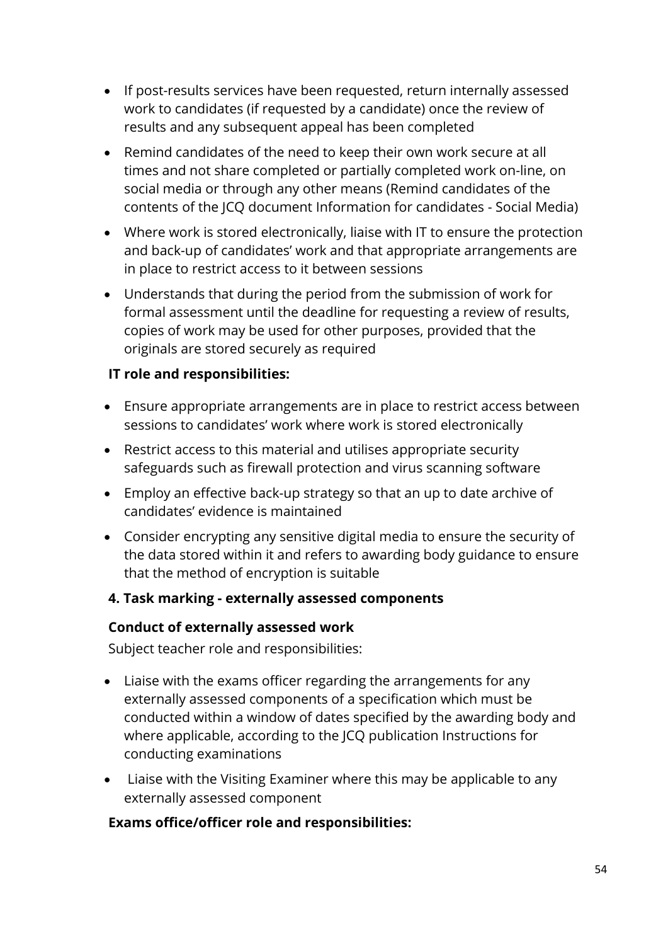- If post-results services have been requested, return internally assessed work to candidates (if requested by a candidate) once the review of results and any subsequent appeal has been completed
- Remind candidates of the need to keep their own work secure at all times and not share completed or partially completed work on-line, on social media or through any other means (Remind candidates of the contents of the JCQ document Information for candidates - Social Media)
- Where work is stored electronically, liaise with IT to ensure the protection and back-up of candidates' work and that appropriate arrangements are in place to restrict access to it between sessions
- Understands that during the period from the submission of work for formal assessment until the deadline for requesting a review of results, copies of work may be used for other purposes, provided that the originals are stored securely as required

# **IT role and responsibilities:**

- Ensure appropriate arrangements are in place to restrict access between sessions to candidates' work where work is stored electronically
- Restrict access to this material and utilises appropriate security safeguards such as firewall protection and virus scanning software
- Employ an effective back-up strategy so that an up to date archive of candidates' evidence is maintained
- Consider encrypting any sensitive digital media to ensure the security of the data stored within it and refers to awarding body guidance to ensure that the method of encryption is suitable

# **4. Task marking - externally assessed components**

#### **Conduct of externally assessed work**

Subject teacher role and responsibilities:

- Liaise with the exams officer regarding the arrangements for any externally assessed components of a specification which must be conducted within a window of dates specified by the awarding body and where applicable, according to the JCQ publication Instructions for conducting examinations
- Liaise with the Visiting Examiner where this may be applicable to any externally assessed component

#### **Exams office/officer role and responsibilities:**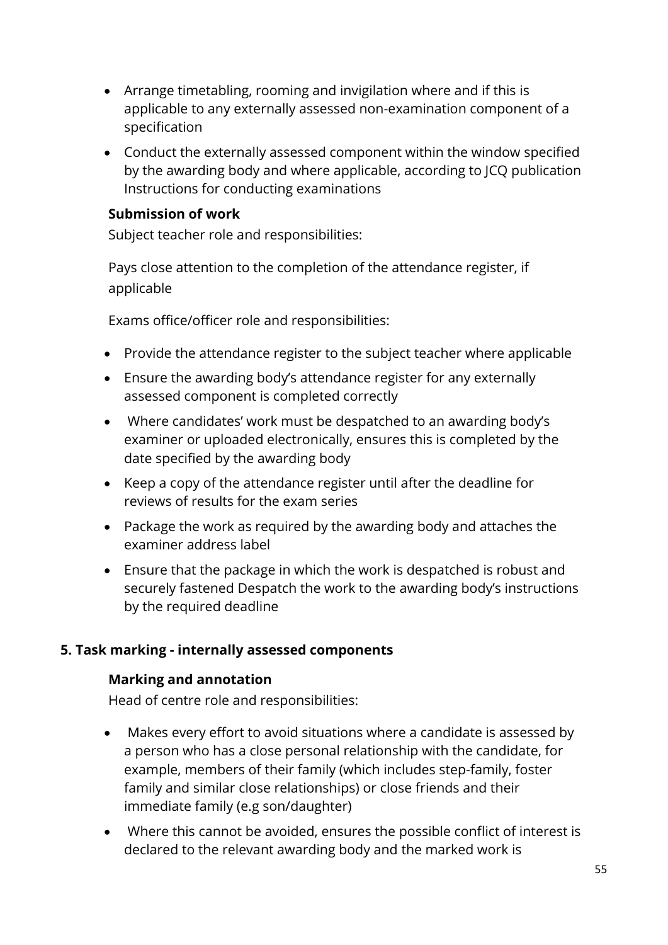- Arrange timetabling, rooming and invigilation where and if this is applicable to any externally assessed non-examination component of a specification
- Conduct the externally assessed component within the window specified by the awarding body and where applicable, according to JCQ publication Instructions for conducting examinations

### **Submission of work**

Subject teacher role and responsibilities:

Pays close attention to the completion of the attendance register, if applicable

Exams office/officer role and responsibilities:

- Provide the attendance register to the subject teacher where applicable
- Ensure the awarding body's attendance register for any externally assessed component is completed correctly
- Where candidates' work must be despatched to an awarding body's examiner or uploaded electronically, ensures this is completed by the date specified by the awarding body
- Keep a copy of the attendance register until after the deadline for reviews of results for the exam series
- Package the work as required by the awarding body and attaches the examiner address label
- Ensure that the package in which the work is despatched is robust and securely fastened Despatch the work to the awarding body's instructions by the required deadline

# **5. Task marking - internally assessed components**

# **Marking and annotation**

Head of centre role and responsibilities:

- Makes every effort to avoid situations where a candidate is assessed by a person who has a close personal relationship with the candidate, for example, members of their family (which includes step-family, foster family and similar close relationships) or close friends and their immediate family (e.g son/daughter)
- Where this cannot be avoided, ensures the possible conflict of interest is declared to the relevant awarding body and the marked work is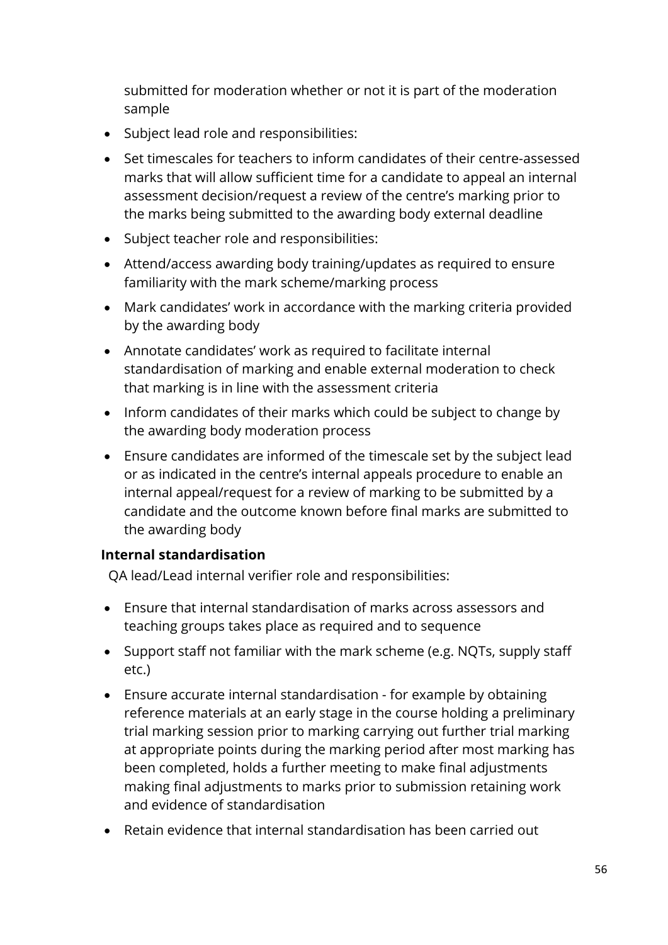submitted for moderation whether or not it is part of the moderation sample

- Subject lead role and responsibilities:
- Set timescales for teachers to inform candidates of their centre-assessed marks that will allow sufficient time for a candidate to appeal an internal assessment decision/request a review of the centre's marking prior to the marks being submitted to the awarding body external deadline
- Subject teacher role and responsibilities:
- Attend/access awarding body training/updates as required to ensure familiarity with the mark scheme/marking process
- Mark candidates' work in accordance with the marking criteria provided by the awarding body
- Annotate candidates' work as required to facilitate internal standardisation of marking and enable external moderation to check that marking is in line with the assessment criteria
- Inform candidates of their marks which could be subject to change by the awarding body moderation process
- Ensure candidates are informed of the timescale set by the subject lead or as indicated in the centre's internal appeals procedure to enable an internal appeal/request for a review of marking to be submitted by a candidate and the outcome known before final marks are submitted to the awarding body

#### **Internal standardisation**

QA lead/Lead internal verifier role and responsibilities:

- Ensure that internal standardisation of marks across assessors and teaching groups takes place as required and to sequence
- Support staff not familiar with the mark scheme (e.g. NQTs, supply staff etc.)
- Ensure accurate internal standardisation for example by obtaining reference materials at an early stage in the course holding a preliminary trial marking session prior to marking carrying out further trial marking at appropriate points during the marking period after most marking has been completed, holds a further meeting to make final adjustments making final adjustments to marks prior to submission retaining work and evidence of standardisation
- Retain evidence that internal standardisation has been carried out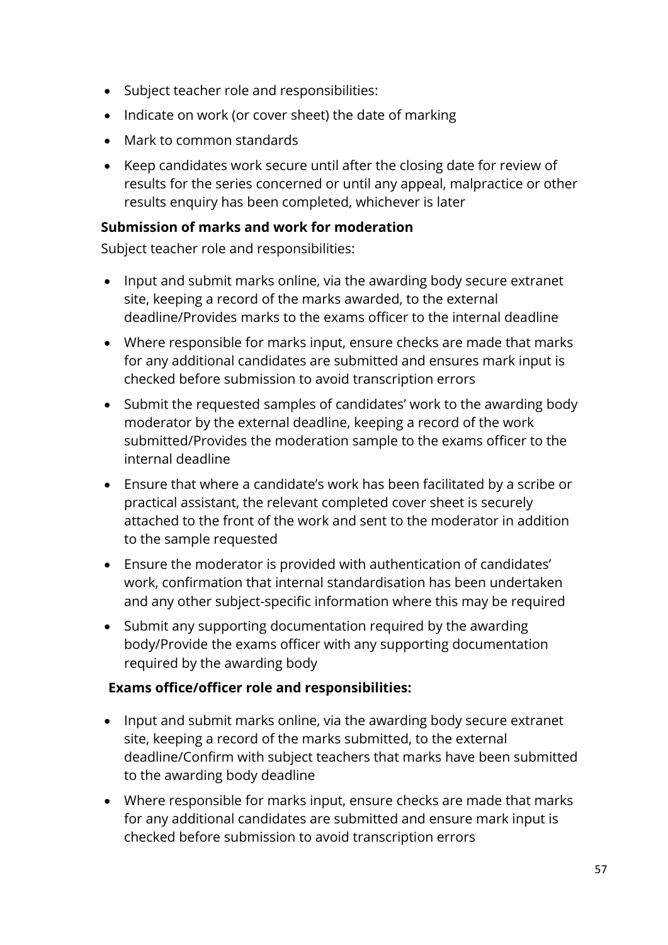- Subject teacher role and responsibilities:
- Indicate on work (or cover sheet) the date of marking
- Mark to common standards
- Keep candidates work secure until after the closing date for review of results for the series concerned or until any appeal, malpractice or other results enquiry has been completed, whichever is later

### **Submission of marks and work for moderation**

Subject teacher role and responsibilities:

- Input and submit marks online, via the awarding body secure extranet site, keeping a record of the marks awarded, to the external deadline/Provides marks to the exams officer to the internal deadline
- Where responsible for marks input, ensure checks are made that marks for any additional candidates are submitted and ensures mark input is checked before submission to avoid transcription errors
- Submit the requested samples of candidates' work to the awarding body moderator by the external deadline, keeping a record of the work submitted/Provides the moderation sample to the exams officer to the internal deadline
- Ensure that where a candidate's work has been facilitated by a scribe or practical assistant, the relevant completed cover sheet is securely attached to the front of the work and sent to the moderator in addition to the sample requested
- Ensure the moderator is provided with authentication of candidates' work, confirmation that internal standardisation has been undertaken and any other subject-specific information where this may be required
- Submit any supporting documentation required by the awarding body/Provide the exams officer with any supporting documentation required by the awarding body

# **Exams office/officer role and responsibilities:**

- Input and submit marks online, via the awarding body secure extranet site, keeping a record of the marks submitted, to the external deadline/Confirm with subject teachers that marks have been submitted to the awarding body deadline
- Where responsible for marks input, ensure checks are made that marks for any additional candidates are submitted and ensure mark input is checked before submission to avoid transcription errors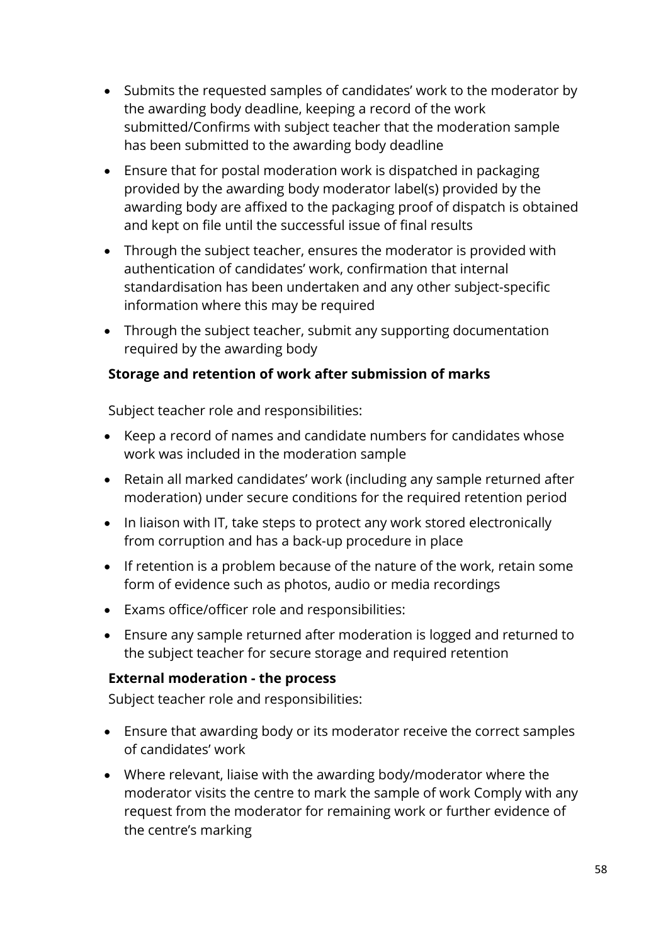- Submits the requested samples of candidates' work to the moderator by the awarding body deadline, keeping a record of the work submitted/Confirms with subject teacher that the moderation sample has been submitted to the awarding body deadline
- Ensure that for postal moderation work is dispatched in packaging provided by the awarding body moderator label(s) provided by the awarding body are affixed to the packaging proof of dispatch is obtained and kept on file until the successful issue of final results
- Through the subject teacher, ensures the moderator is provided with authentication of candidates' work, confirmation that internal standardisation has been undertaken and any other subject-specific information where this may be required
- Through the subject teacher, submit any supporting documentation required by the awarding body

### **Storage and retention of work after submission of marks**

Subject teacher role and responsibilities:

- Keep a record of names and candidate numbers for candidates whose work was included in the moderation sample
- Retain all marked candidates' work (including any sample returned after moderation) under secure conditions for the required retention period
- In liaison with IT, take steps to protect any work stored electronically from corruption and has a back-up procedure in place
- If retention is a problem because of the nature of the work, retain some form of evidence such as photos, audio or media recordings
- Exams office/officer role and responsibilities:
- Ensure any sample returned after moderation is logged and returned to the subject teacher for secure storage and required retention

#### **External moderation - the process**

- Ensure that awarding body or its moderator receive the correct samples of candidates' work
- Where relevant, liaise with the awarding body/moderator where the moderator visits the centre to mark the sample of work Comply with any request from the moderator for remaining work or further evidence of the centre's marking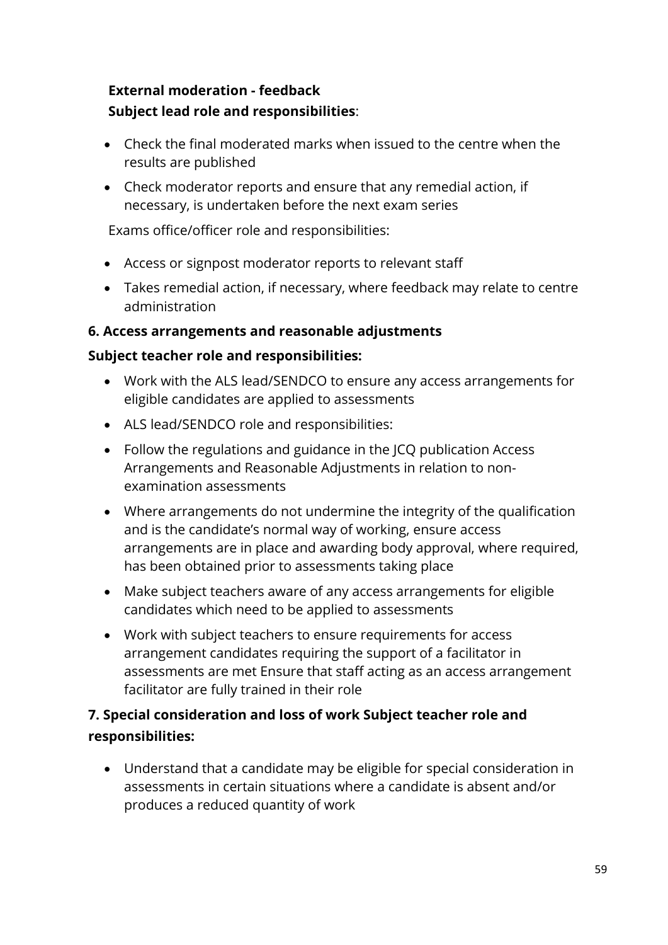# **External moderation - feedback Subject lead role and responsibilities**:

- Check the final moderated marks when issued to the centre when the results are published
- Check moderator reports and ensure that any remedial action, if necessary, is undertaken before the next exam series

Exams office/officer role and responsibilities:

- Access or signpost moderator reports to relevant staff
- Takes remedial action, if necessary, where feedback may relate to centre administration

# **6. Access arrangements and reasonable adjustments**

# **Subject teacher role and responsibilities:**

- Work with the ALS lead/SENDCO to ensure any access arrangements for eligible candidates are applied to assessments
- ALS lead/SENDCO role and responsibilities:
- Follow the regulations and guidance in the JCQ publication Access Arrangements and Reasonable Adjustments in relation to nonexamination assessments
- Where arrangements do not undermine the integrity of the qualification and is the candidate's normal way of working, ensure access arrangements are in place and awarding body approval, where required, has been obtained prior to assessments taking place
- Make subject teachers aware of any access arrangements for eligible candidates which need to be applied to assessments
- Work with subject teachers to ensure requirements for access arrangement candidates requiring the support of a facilitator in assessments are met Ensure that staff acting as an access arrangement facilitator are fully trained in their role

# **7. Special consideration and loss of work Subject teacher role and responsibilities:**

• Understand that a candidate may be eligible for special consideration in assessments in certain situations where a candidate is absent and/or produces a reduced quantity of work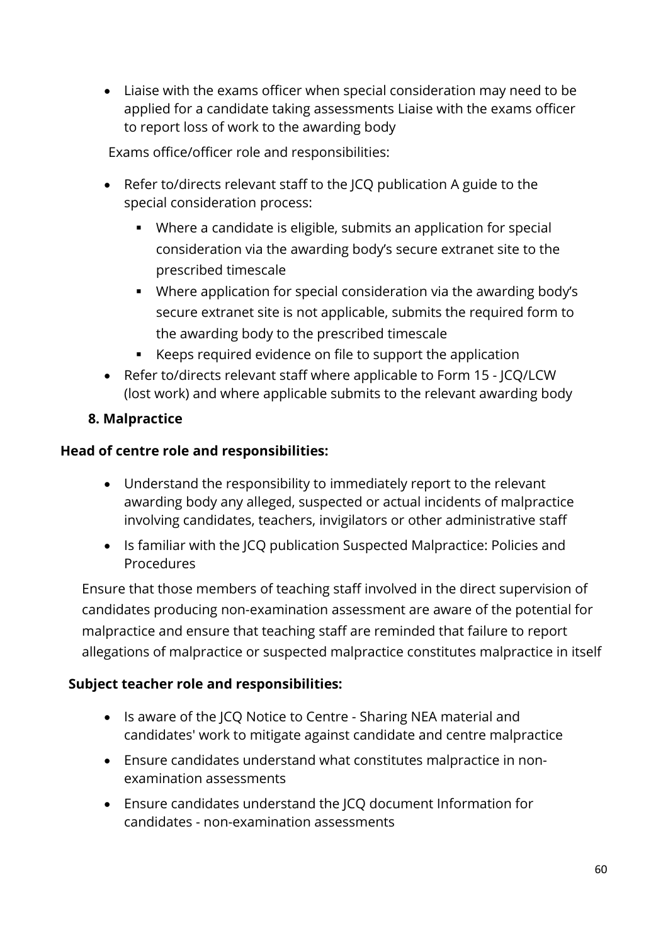• Liaise with the exams officer when special consideration may need to be applied for a candidate taking assessments Liaise with the exams officer to report loss of work to the awarding body

Exams office/officer role and responsibilities:

- Refer to/directs relevant staff to the JCQ publication A guide to the special consideration process:
	- Where a candidate is eligible, submits an application for special consideration via the awarding body's secure extranet site to the prescribed timescale
	- Where application for special consideration via the awarding body's secure extranet site is not applicable, submits the required form to the awarding body to the prescribed timescale
	- Keeps required evidence on file to support the application
- Refer to/directs relevant staff where applicable to Form 15 JCQ/LCW (lost work) and where applicable submits to the relevant awarding body

# **8. Malpractice**

# **Head of centre role and responsibilities:**

- Understand the responsibility to immediately report to the relevant awarding body any alleged, suspected or actual incidents of malpractice involving candidates, teachers, invigilators or other administrative staff
- Is familiar with the JCQ publication Suspected Malpractice: Policies and Procedures

Ensure that those members of teaching staff involved in the direct supervision of candidates producing non-examination assessment are aware of the potential for malpractice and ensure that teaching staff are reminded that failure to report allegations of malpractice or suspected malpractice constitutes malpractice in itself

- Is aware of the JCQ Notice to Centre Sharing NEA material and candidates' work to mitigate against candidate and centre malpractice
- Ensure candidates understand what constitutes malpractice in nonexamination assessments
- Ensure candidates understand the JCQ document Information for candidates - non-examination assessments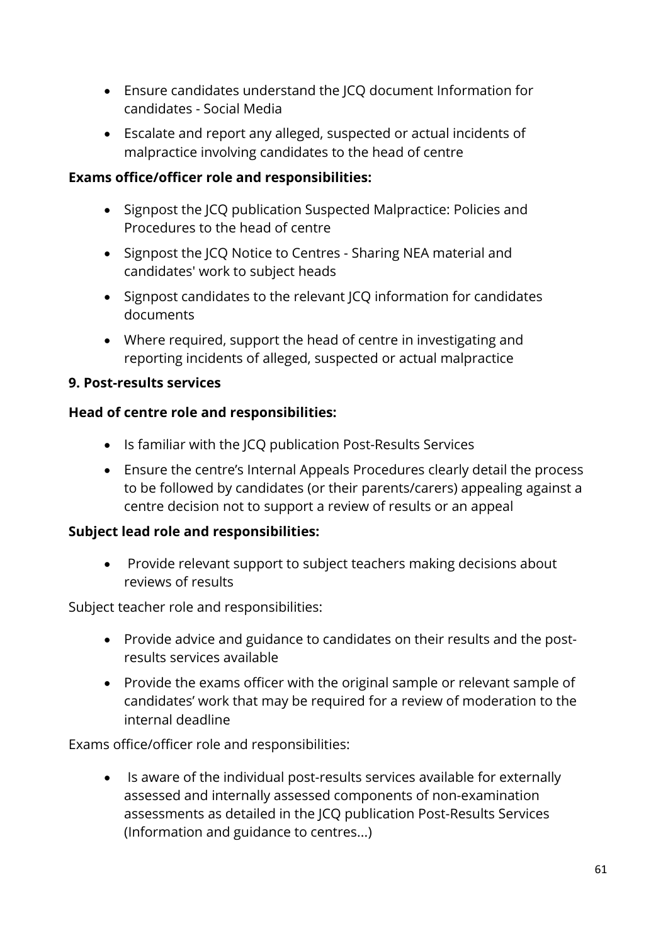- Ensure candidates understand the JCQ document Information for candidates - Social Media
- Escalate and report any alleged, suspected or actual incidents of malpractice involving candidates to the head of centre

### **Exams office/officer role and responsibilities:**

- Signpost the JCQ publication Suspected Malpractice: Policies and Procedures to the head of centre
- Signpost the JCQ Notice to Centres Sharing NEA material and candidates' work to subject heads
- Signpost candidates to the relevant JCQ information for candidates documents
- Where required, support the head of centre in investigating and reporting incidents of alleged, suspected or actual malpractice

### **9. Post-results services**

### **Head of centre role and responsibilities:**

- Is familiar with the JCQ publication Post-Results Services
- Ensure the centre's Internal Appeals Procedures clearly detail the process to be followed by candidates (or their parents/carers) appealing against a centre decision not to support a review of results or an appeal

# **Subject lead role and responsibilities:**

• Provide relevant support to subject teachers making decisions about reviews of results

#### Subject teacher role and responsibilities:

- Provide advice and guidance to candidates on their results and the postresults services available
- Provide the exams officer with the original sample or relevant sample of candidates' work that may be required for a review of moderation to the internal deadline

Exams office/officer role and responsibilities:

• Is aware of the individual post-results services available for externally assessed and internally assessed components of non-examination assessments as detailed in the JCQ publication Post-Results Services (Information and guidance to centres...)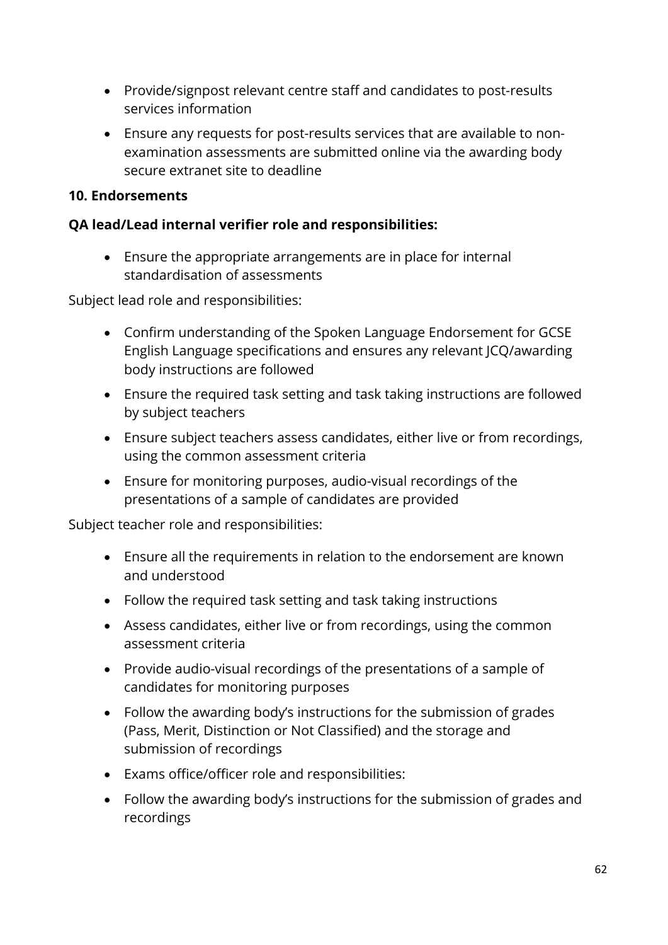- Provide/signpost relevant centre staff and candidates to post-results services information
- Ensure any requests for post-results services that are available to nonexamination assessments are submitted online via the awarding body secure extranet site to deadline

#### **10. Endorsements**

#### **QA lead/Lead internal verifier role and responsibilities:**

• Ensure the appropriate arrangements are in place for internal standardisation of assessments

Subject lead role and responsibilities:

- Confirm understanding of the Spoken Language Endorsement for GCSE English Language specifications and ensures any relevant JCQ/awarding body instructions are followed
- Ensure the required task setting and task taking instructions are followed by subject teachers
- Ensure subject teachers assess candidates, either live or from recordings, using the common assessment criteria
- Ensure for monitoring purposes, audio-visual recordings of the presentations of a sample of candidates are provided

- Ensure all the requirements in relation to the endorsement are known and understood
- Follow the required task setting and task taking instructions
- Assess candidates, either live or from recordings, using the common assessment criteria
- Provide audio-visual recordings of the presentations of a sample of candidates for monitoring purposes
- Follow the awarding body's instructions for the submission of grades (Pass, Merit, Distinction or Not Classified) and the storage and submission of recordings
- Exams office/officer role and responsibilities:
- Follow the awarding body's instructions for the submission of grades and recordings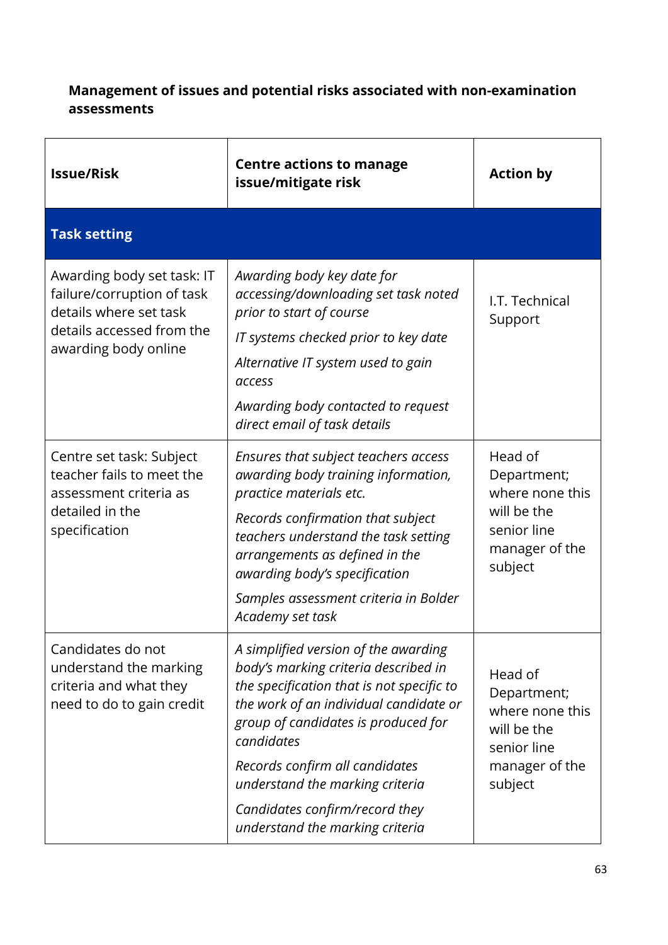# **Management of issues and potential risks associated with non-examination assessments**

| <b>Issue/Risk</b>                                                                                                                       | <b>Centre actions to manage</b><br>issue/mitigate risk                                                                                                                                                                                                                                                                                                             | <b>Action by</b>                                                                                     |
|-----------------------------------------------------------------------------------------------------------------------------------------|--------------------------------------------------------------------------------------------------------------------------------------------------------------------------------------------------------------------------------------------------------------------------------------------------------------------------------------------------------------------|------------------------------------------------------------------------------------------------------|
| <b>Task setting</b>                                                                                                                     |                                                                                                                                                                                                                                                                                                                                                                    |                                                                                                      |
| Awarding body set task: IT<br>failure/corruption of task<br>details where set task<br>details accessed from the<br>awarding body online | Awarding body key date for<br>accessing/downloading set task noted<br>prior to start of course<br>IT systems checked prior to key date<br>Alternative IT system used to gain<br>access<br>Awarding body contacted to request<br>direct email of task details                                                                                                       | I.T. Technical<br>Support                                                                            |
| Centre set task: Subject<br>teacher fails to meet the<br>assessment criteria as<br>detailed in the<br>specification                     | Ensures that subject teachers access<br>awarding body training information,<br>practice materials etc.<br>Records confirmation that subject<br>teachers understand the task setting<br>arrangements as defined in the<br>awarding body's specification<br>Samples assessment criteria in Bolder<br>Academy set task                                                | Head of<br>Department;<br>where none this<br>will be the<br>senior line<br>manager of the<br>subject |
| Candidates do not<br>understand the marking<br>criteria and what they<br>need to do to gain credit                                      | A simplified version of the awarding<br>body's marking criteria described in<br>the specification that is not specific to<br>the work of an individual candidate or<br>group of candidates is produced for<br>candidates<br>Records confirm all candidates<br>understand the marking criteria<br>Candidates confirm/record they<br>understand the marking criteria | Head of<br>Department;<br>where none this<br>will be the<br>senior line<br>manager of the<br>subject |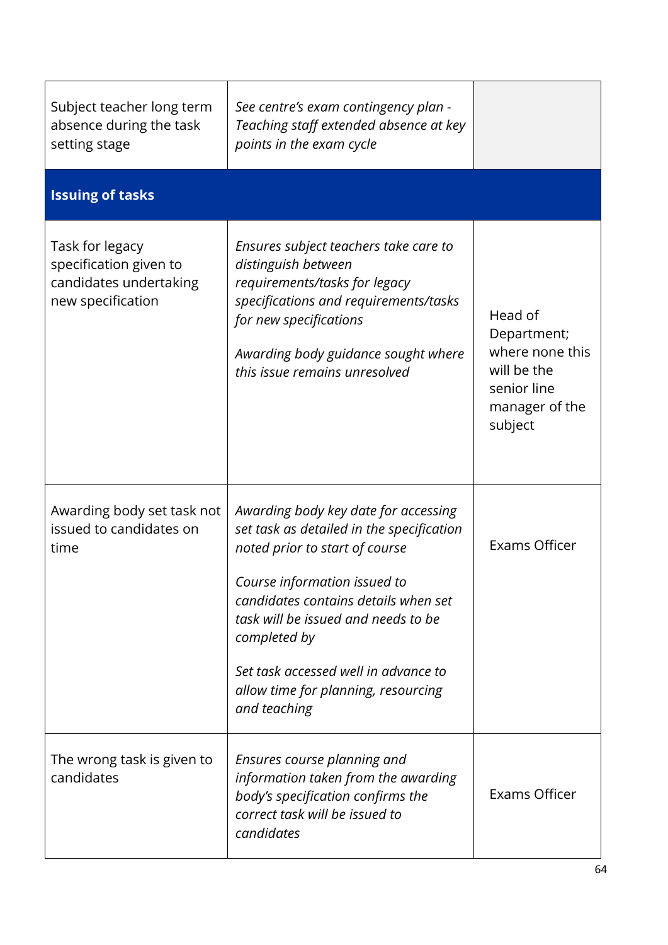| Subject teacher long term<br>absence during the task<br>setting stage                    | See centre's exam contingency plan -<br>Teaching staff extended absence at key<br>points in the exam cycle                                                                                                                                                                                                                                        |                                                                                                      |
|------------------------------------------------------------------------------------------|---------------------------------------------------------------------------------------------------------------------------------------------------------------------------------------------------------------------------------------------------------------------------------------------------------------------------------------------------|------------------------------------------------------------------------------------------------------|
| <b>Issuing of tasks</b>                                                                  |                                                                                                                                                                                                                                                                                                                                                   |                                                                                                      |
| Task for legacy<br>specification given to<br>candidates undertaking<br>new specification | Ensures subject teachers take care to<br>distinguish between<br>requirements/tasks for legacy<br>specifications and requirements/tasks<br>for new specifications<br>Awarding body guidance sought where<br>this issue remains unresolved                                                                                                          | Head of<br>Department;<br>where none this<br>will be the<br>senior line<br>manager of the<br>subject |
| Awarding body set task not<br>issued to candidates on<br>time                            | Awarding body key date for accessing<br>set task as detailed in the specification<br>noted prior to start of course<br>Course information issued to<br>candidates contains details when set<br>task will be issued and needs to be<br>completed by<br>Set task accessed well in advance to<br>allow time for planning, resourcing<br>and teaching | Exams Officer                                                                                        |
| The wrong task is given to<br>candidates                                                 | Ensures course planning and<br>information taken from the awarding<br>body's specification confirms the<br>correct task will be issued to<br>candidates                                                                                                                                                                                           | Exams Officer                                                                                        |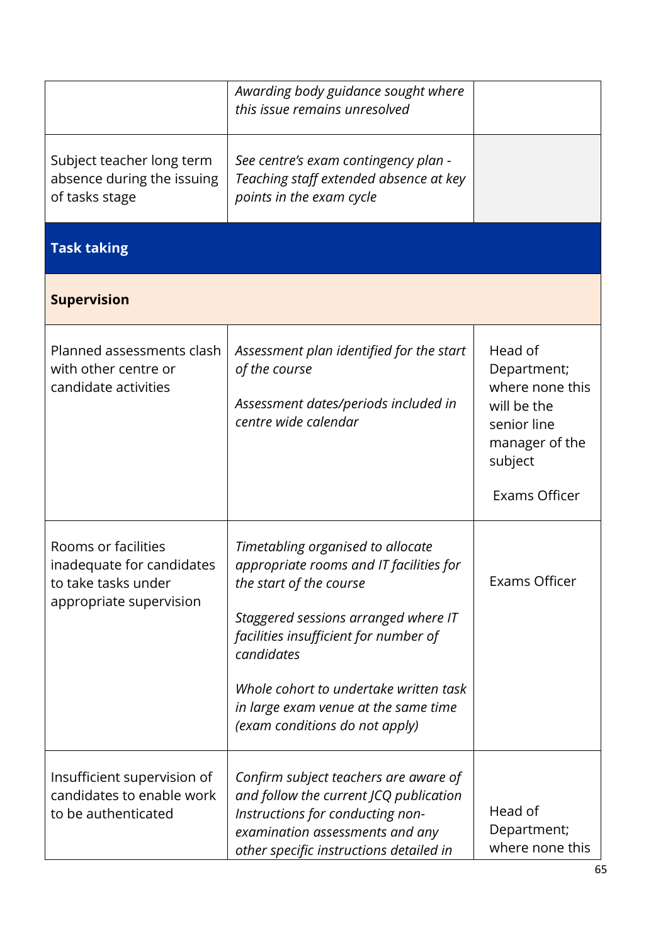|                                                                                                    | Awarding body guidance sought where<br>this issue remains unresolved                                                                                                                                                                                                                                                       |                                                                                                                       |
|----------------------------------------------------------------------------------------------------|----------------------------------------------------------------------------------------------------------------------------------------------------------------------------------------------------------------------------------------------------------------------------------------------------------------------------|-----------------------------------------------------------------------------------------------------------------------|
| Subject teacher long term<br>absence during the issuing<br>of tasks stage                          | See centre's exam contingency plan -<br>Teaching staff extended absence at key<br>points in the exam cycle                                                                                                                                                                                                                 |                                                                                                                       |
| <b>Task taking</b>                                                                                 |                                                                                                                                                                                                                                                                                                                            |                                                                                                                       |
| <b>Supervision</b>                                                                                 |                                                                                                                                                                                                                                                                                                                            |                                                                                                                       |
| Planned assessments clash<br>with other centre or<br>candidate activities                          | Assessment plan identified for the start<br>of the course<br>Assessment dates/periods included in<br>centre wide calendar                                                                                                                                                                                                  | Head of<br>Department;<br>where none this<br>will be the<br>senior line<br>manager of the<br>subject<br>Exams Officer |
| Rooms or facilities<br>inadequate for candidates<br>to take tasks under<br>appropriate supervision | Timetabling organised to allocate<br>appropriate rooms and IT facilities for<br>the start of the course<br>Staggered sessions arranged where IT<br>facilities insufficient for number of<br>candidates<br>Whole cohort to undertake written task<br>in large exam venue at the same time<br>(exam conditions do not apply) | <b>Exams Officer</b>                                                                                                  |
| Insufficient supervision of<br>candidates to enable work<br>to be authenticated                    | Confirm subject teachers are aware of<br>and follow the current JCQ publication<br>Instructions for conducting non-<br>examination assessments and any<br>other specific instructions detailed in                                                                                                                          | Head of<br>Department;<br>where none this                                                                             |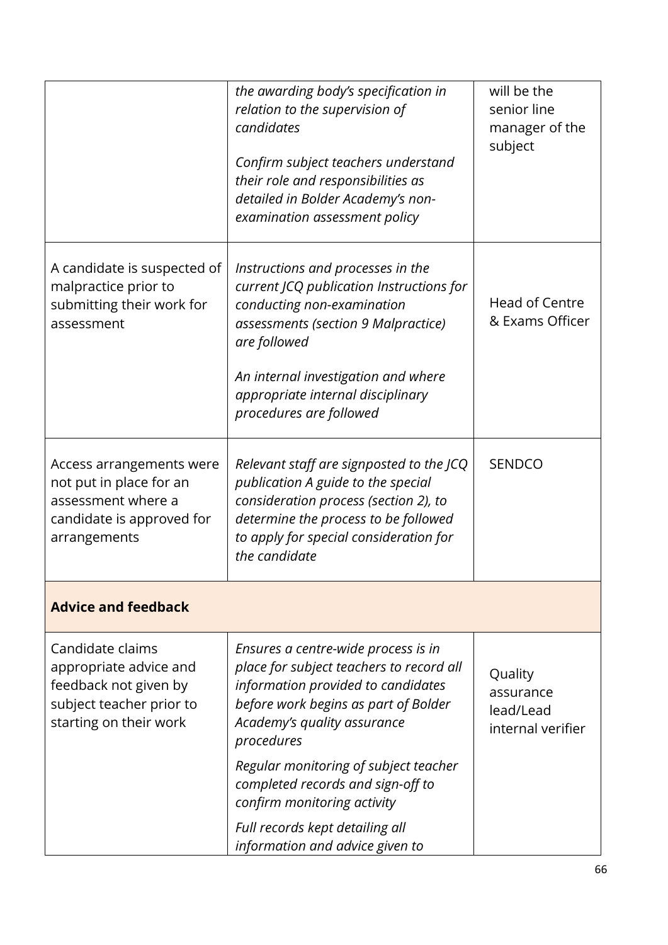|                                                                                                                           | the awarding body's specification in<br>relation to the supervision of<br>candidates<br>Confirm subject teachers understand<br>their role and responsibilities as<br>detailed in Bolder Academy's non-<br>examination assessment policy                                   | will be the<br>senior line<br>manager of the<br>subject |
|---------------------------------------------------------------------------------------------------------------------------|---------------------------------------------------------------------------------------------------------------------------------------------------------------------------------------------------------------------------------------------------------------------------|---------------------------------------------------------|
| A candidate is suspected of<br>malpractice prior to<br>submitting their work for<br>assessment                            | Instructions and processes in the<br>current JCQ publication Instructions for<br>conducting non-examination<br>assessments (section 9 Malpractice)<br>are followed<br>An internal investigation and where<br>appropriate internal disciplinary<br>procedures are followed | <b>Head of Centre</b><br>& Exams Officer                |
| Access arrangements were<br>not put in place for an<br>assessment where a<br>candidate is approved for<br>arrangements    | Relevant staff are signposted to the JCQ<br>publication A guide to the special<br>consideration process (section 2), to<br>determine the process to be followed<br>to apply for special consideration for<br>the candidate                                                | <b>SENDCO</b>                                           |
| <b>Advice and feedback</b>                                                                                                |                                                                                                                                                                                                                                                                           |                                                         |
| Candidate claims<br>appropriate advice and<br>feedback not given by<br>subject teacher prior to<br>starting on their work | Ensures a centre-wide process is in<br>place for subject teachers to record all<br>information provided to candidates<br>before work begins as part of Bolder<br>Academy's quality assurance<br>procedures                                                                | Quality<br>assurance<br>lead/Lead<br>internal verifier  |
|                                                                                                                           | Regular monitoring of subject teacher<br>completed records and sign-off to<br>confirm monitoring activity                                                                                                                                                                 |                                                         |
|                                                                                                                           | Full records kept detailing all<br>information and advice given to                                                                                                                                                                                                        |                                                         |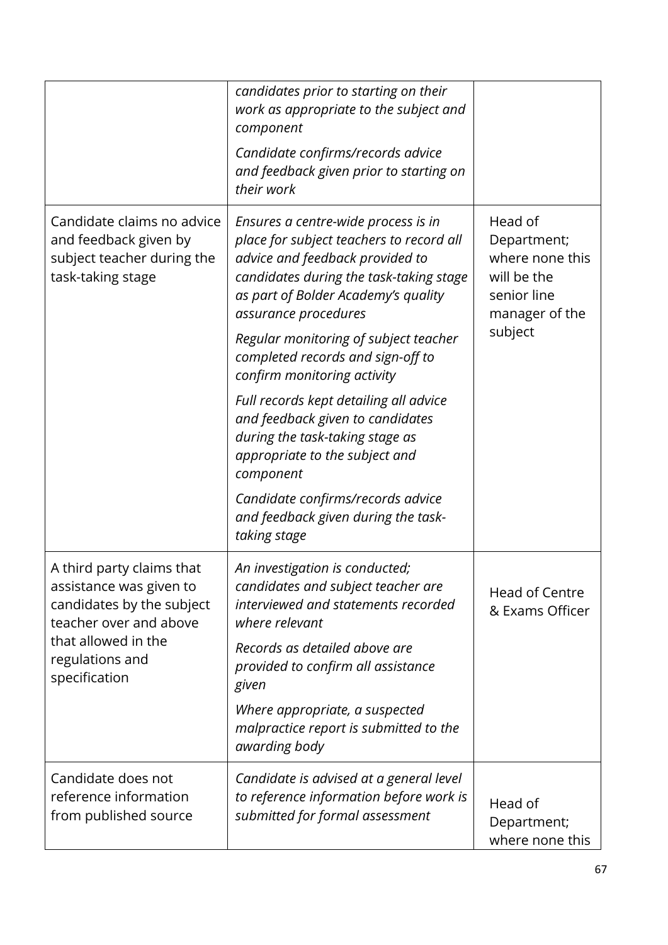|                                                                                                             | candidates prior to starting on their<br>work as appropriate to the subject and<br>component<br>Candidate confirms/records advice<br>and feedback given prior to starting on<br>their work                                                                            |                                                                                                      |
|-------------------------------------------------------------------------------------------------------------|-----------------------------------------------------------------------------------------------------------------------------------------------------------------------------------------------------------------------------------------------------------------------|------------------------------------------------------------------------------------------------------|
| Candidate claims no advice<br>and feedback given by<br>subject teacher during the<br>task-taking stage      | Ensures a centre-wide process is in<br>place for subject teachers to record all<br>advice and feedback provided to<br>candidates during the task-taking stage<br>as part of Bolder Academy's quality<br>assurance procedures<br>Regular monitoring of subject teacher | Head of<br>Department;<br>where none this<br>will be the<br>senior line<br>manager of the<br>subject |
|                                                                                                             | completed records and sign-off to<br>confirm monitoring activity<br>Full records kept detailing all advice<br>and feedback given to candidates<br>during the task-taking stage as<br>appropriate to the subject and                                                   |                                                                                                      |
|                                                                                                             | component<br>Candidate confirms/records advice<br>and feedback given during the task-<br>taking stage                                                                                                                                                                 |                                                                                                      |
| A third party claims that<br>assistance was given to<br>candidates by the subject<br>teacher over and above | An investigation is conducted;<br>candidates and subject teacher are<br>interviewed and statements recorded<br>where relevant                                                                                                                                         | <b>Head of Centre</b><br>& Exams Officer                                                             |
| that allowed in the<br>regulations and<br>specification                                                     | Records as detailed above are<br>provided to confirm all assistance<br>given                                                                                                                                                                                          |                                                                                                      |
|                                                                                                             | Where appropriate, a suspected<br>malpractice report is submitted to the<br>awarding body                                                                                                                                                                             |                                                                                                      |
| Candidate does not<br>reference information<br>from published source                                        | Candidate is advised at a general level<br>to reference information before work is<br>submitted for formal assessment                                                                                                                                                 | Head of<br>Department;<br>where none this                                                            |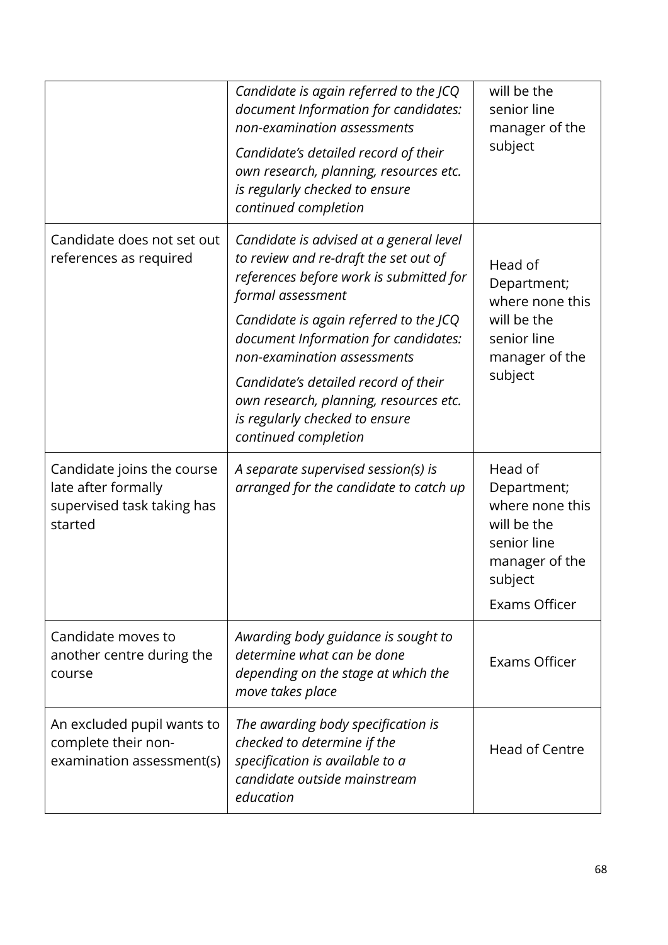|                                                                                            | Candidate is again referred to the JCQ<br>document Information for candidates:<br>non-examination assessments<br>Candidate's detailed record of their<br>own research, planning, resources etc.<br>is regularly checked to ensure<br>continued completion                                                                                                                                                     | will be the<br>senior line<br>manager of the<br>subject                                                               |
|--------------------------------------------------------------------------------------------|---------------------------------------------------------------------------------------------------------------------------------------------------------------------------------------------------------------------------------------------------------------------------------------------------------------------------------------------------------------------------------------------------------------|-----------------------------------------------------------------------------------------------------------------------|
| Candidate does not set out<br>references as required                                       | Candidate is advised at a general level<br>to review and re-draft the set out of<br>references before work is submitted for<br>formal assessment<br>Candidate is again referred to the JCQ<br>document Information for candidates:<br>non-examination assessments<br>Candidate's detailed record of their<br>own research, planning, resources etc.<br>is regularly checked to ensure<br>continued completion | Head of<br>Department;<br>where none this<br>will be the<br>senior line<br>manager of the<br>subject                  |
| Candidate joins the course<br>late after formally<br>supervised task taking has<br>started | A separate supervised session(s) is<br>arranged for the candidate to catch up                                                                                                                                                                                                                                                                                                                                 | Head of<br>Department;<br>where none this<br>will be the<br>senior line<br>manager of the<br>subject<br>Exams Officer |
| Candidate moves to<br>another centre during the<br>course                                  | Awarding body guidance is sought to<br>determine what can be done<br>depending on the stage at which the<br>move takes place                                                                                                                                                                                                                                                                                  | Exams Officer                                                                                                         |
| An excluded pupil wants to<br>complete their non-<br>examination assessment(s)             | The awarding body specification is<br>checked to determine if the<br>specification is available to a<br>candidate outside mainstream<br>education                                                                                                                                                                                                                                                             | Head of Centre                                                                                                        |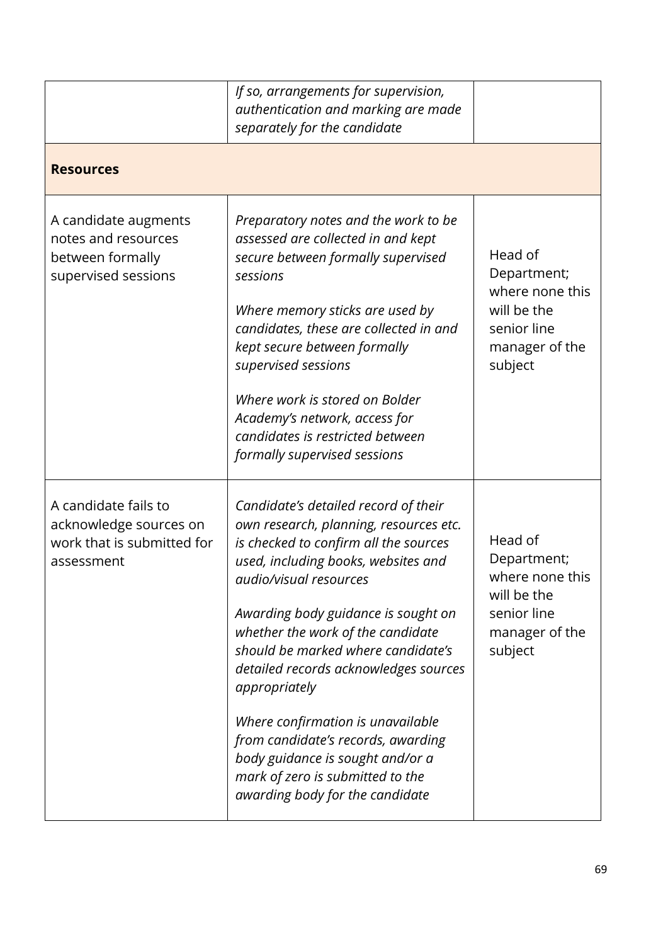|                                                                                            | If so, arrangements for supervision,<br>authentication and marking are made<br>separately for the candidate                                                                                                                                                                                                                                                                                                                                                                                                                                                |                                                                                                      |
|--------------------------------------------------------------------------------------------|------------------------------------------------------------------------------------------------------------------------------------------------------------------------------------------------------------------------------------------------------------------------------------------------------------------------------------------------------------------------------------------------------------------------------------------------------------------------------------------------------------------------------------------------------------|------------------------------------------------------------------------------------------------------|
| <b>Resources</b>                                                                           |                                                                                                                                                                                                                                                                                                                                                                                                                                                                                                                                                            |                                                                                                      |
| A candidate augments<br>notes and resources<br>between formally<br>supervised sessions     | Preparatory notes and the work to be<br>assessed are collected in and kept<br>secure between formally supervised<br>sessions<br>Where memory sticks are used by<br>candidates, these are collected in and<br>kept secure between formally<br>supervised sessions<br>Where work is stored on Bolder<br>Academy's network, access for<br>candidates is restricted between<br>formally supervised sessions                                                                                                                                                    | Head of<br>Department;<br>where none this<br>will be the<br>senior line<br>manager of the<br>subject |
| A candidate fails to<br>acknowledge sources on<br>work that is submitted for<br>assessment | Candidate's detailed record of their<br>own research, planning, resources etc.<br>is checked to confirm all the sources<br>used, including books, websites and<br>audio/visual resources<br>Awarding body guidance is sought on<br>whether the work of the candidate<br>should be marked where candidate's<br>detailed records acknowledges sources<br>appropriately<br>Where confirmation is unavailable<br>from candidate's records, awarding<br>body guidance is sought and/or a<br>mark of zero is submitted to the<br>awarding body for the candidate | Head of<br>Department;<br>where none this<br>will be the<br>senior line<br>manager of the<br>subject |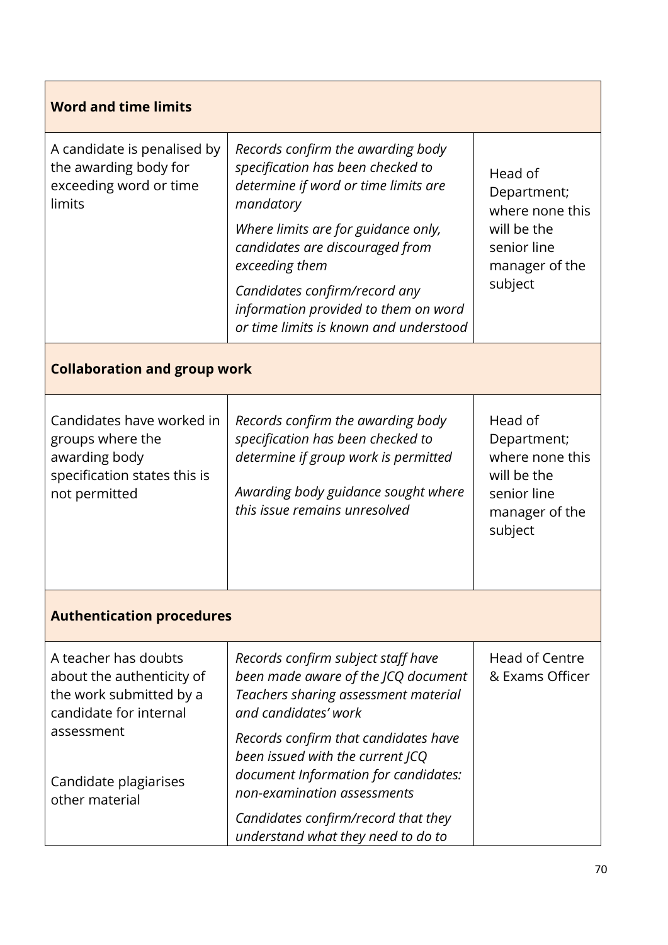| <b>Word and time limits</b>                                                                                                                                     |                                                                                                                                                                                                                                                                                                                                            |                                                                                                      |  |
|-----------------------------------------------------------------------------------------------------------------------------------------------------------------|--------------------------------------------------------------------------------------------------------------------------------------------------------------------------------------------------------------------------------------------------------------------------------------------------------------------------------------------|------------------------------------------------------------------------------------------------------|--|
| A candidate is penalised by<br>the awarding body for<br>exceeding word or time<br>limits                                                                        | Records confirm the awarding body<br>specification has been checked to<br>determine if word or time limits are<br>mandatory<br>Where limits are for guidance only,<br>candidates are discouraged from<br>exceeding them<br>Candidates confirm/record any<br>information provided to them on word<br>or time limits is known and understood | Head of<br>Department;<br>where none this<br>will be the<br>senior line<br>manager of the<br>subject |  |
| <b>Collaboration and group work</b>                                                                                                                             |                                                                                                                                                                                                                                                                                                                                            |                                                                                                      |  |
| Candidates have worked in<br>groups where the<br>awarding body<br>specification states this is<br>not permitted                                                 | Records confirm the awarding body<br>specification has been checked to<br>determine if group work is permitted<br>Awarding body guidance sought where<br>this issue remains unresolved                                                                                                                                                     | Head of<br>Department;<br>where none this<br>will be the<br>senior line<br>manager of the<br>subject |  |
| <b>Authentication procedures</b>                                                                                                                                |                                                                                                                                                                                                                                                                                                                                            |                                                                                                      |  |
| A teacher has doubts<br>about the authenticity of<br>the work submitted by a<br>candidate for internal<br>assessment<br>Candidate plagiarises<br>other material | Records confirm subject staff have<br>been made aware of the JCQ document<br>Teachers sharing assessment material<br>and candidates' work<br>Records confirm that candidates have<br>been issued with the current JCQ<br>document Information for candidates:<br>non-examination assessments                                               | <b>Head of Centre</b><br>& Exams Officer                                                             |  |
|                                                                                                                                                                 | Candidates confirm/record that they<br>understand what they need to do to                                                                                                                                                                                                                                                                  |                                                                                                      |  |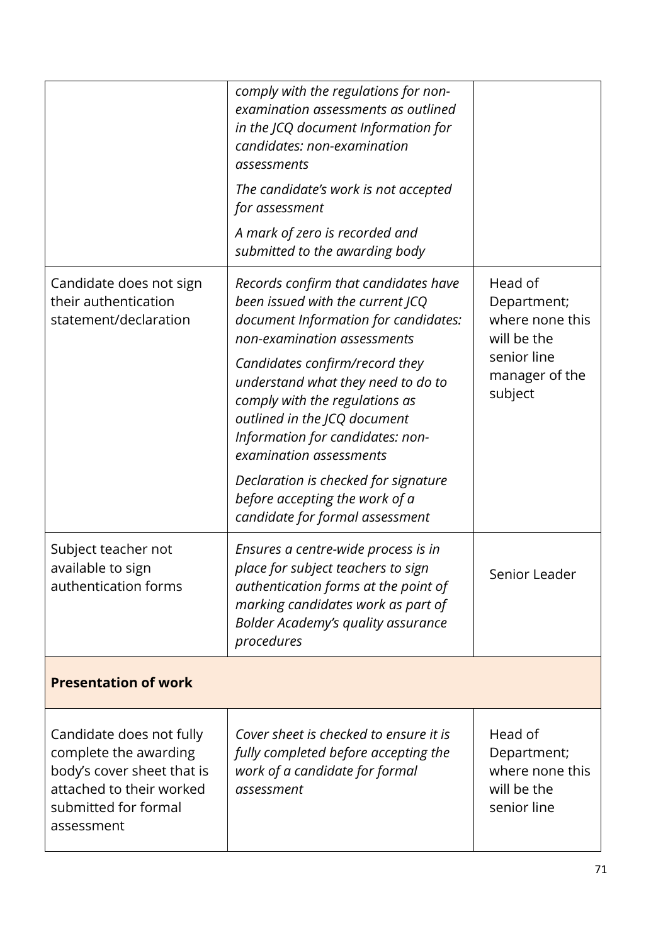|                                                                                                                                                   | comply with the regulations for non-<br>examination assessments as outlined<br>in the JCQ document Information for<br>candidates: non-examination<br>assessments<br>The candidate's work is not accepted<br>for assessment<br>A mark of zero is recorded and<br>submitted to the awarding body                                                                                                                                                                        |                                                                                                      |
|---------------------------------------------------------------------------------------------------------------------------------------------------|-----------------------------------------------------------------------------------------------------------------------------------------------------------------------------------------------------------------------------------------------------------------------------------------------------------------------------------------------------------------------------------------------------------------------------------------------------------------------|------------------------------------------------------------------------------------------------------|
| Candidate does not sign<br>their authentication<br>statement/declaration                                                                          | Records confirm that candidates have<br>been issued with the current JCQ<br>document Information for candidates:<br>non-examination assessments<br>Candidates confirm/record they<br>understand what they need to do to<br>comply with the regulations as<br>outlined in the JCQ document<br>Information for candidates: non-<br>examination assessments<br>Declaration is checked for signature<br>before accepting the work of a<br>candidate for formal assessment | Head of<br>Department;<br>where none this<br>will be the<br>senior line<br>manager of the<br>subject |
| Subject teacher not<br>available to sign<br>authentication forms                                                                                  | Ensures a centre-wide process is in<br>place for subject teachers to sign<br>authentication forms at the point of<br>marking candidates work as part of<br>Bolder Academy's quality assurance<br>procedures                                                                                                                                                                                                                                                           | Senior Leader                                                                                        |
| <b>Presentation of work</b>                                                                                                                       |                                                                                                                                                                                                                                                                                                                                                                                                                                                                       |                                                                                                      |
| Candidate does not fully<br>complete the awarding<br>body's cover sheet that is<br>attached to their worked<br>submitted for formal<br>assessment | Cover sheet is checked to ensure it is<br>fully completed before accepting the<br>work of a candidate for formal<br>assessment                                                                                                                                                                                                                                                                                                                                        | Head of<br>Department;<br>where none this<br>will be the<br>senior line                              |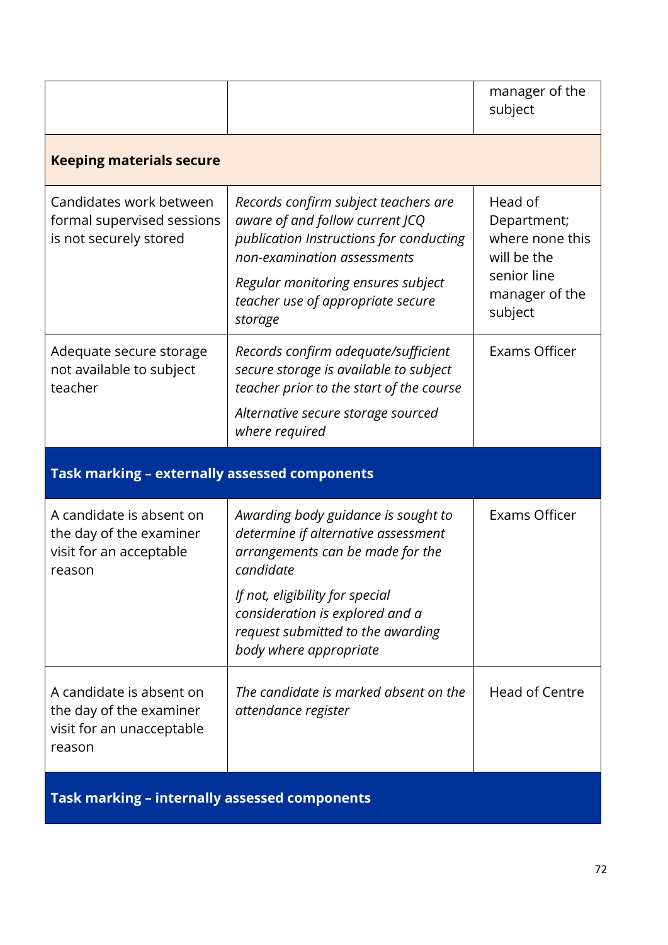|                                                                                            |                                                                                                                                                                                                                                                                  | manager of the<br>subject                                                                            |
|--------------------------------------------------------------------------------------------|------------------------------------------------------------------------------------------------------------------------------------------------------------------------------------------------------------------------------------------------------------------|------------------------------------------------------------------------------------------------------|
| <b>Keeping materials secure</b>                                                            |                                                                                                                                                                                                                                                                  |                                                                                                      |
| Candidates work between<br>formal supervised sessions<br>is not securely stored            | Records confirm subject teachers are<br>aware of and follow current JCQ<br>publication Instructions for conducting<br>non-examination assessments<br>Regular monitoring ensures subject<br>teacher use of appropriate secure<br>storage                          | Head of<br>Department;<br>where none this<br>will be the<br>senior line<br>manager of the<br>subject |
| Adequate secure storage<br>not available to subject<br>teacher                             | Records confirm adequate/sufficient<br>secure storage is available to subject<br>teacher prior to the start of the course<br>Alternative secure storage sourced<br>where required                                                                                | Exams Officer                                                                                        |
| Task marking - externally assessed components                                              |                                                                                                                                                                                                                                                                  |                                                                                                      |
| A candidate is absent on<br>the day of the examiner<br>visit for an acceptable<br>reason   | Awarding body guidance is sought to<br>determine if alternative assessment<br>arrangements can be made for the<br>candidate<br>If not, eligibility for special<br>consideration is explored and a<br>request submitted to the awarding<br>body where appropriate | Exams Officer                                                                                        |
| A candidate is absent on<br>the day of the examiner<br>visit for an unacceptable<br>reason | The candidate is marked absent on the<br>attendance register                                                                                                                                                                                                     | <b>Head of Centre</b>                                                                                |
| Task marking - internally assessed components                                              |                                                                                                                                                                                                                                                                  |                                                                                                      |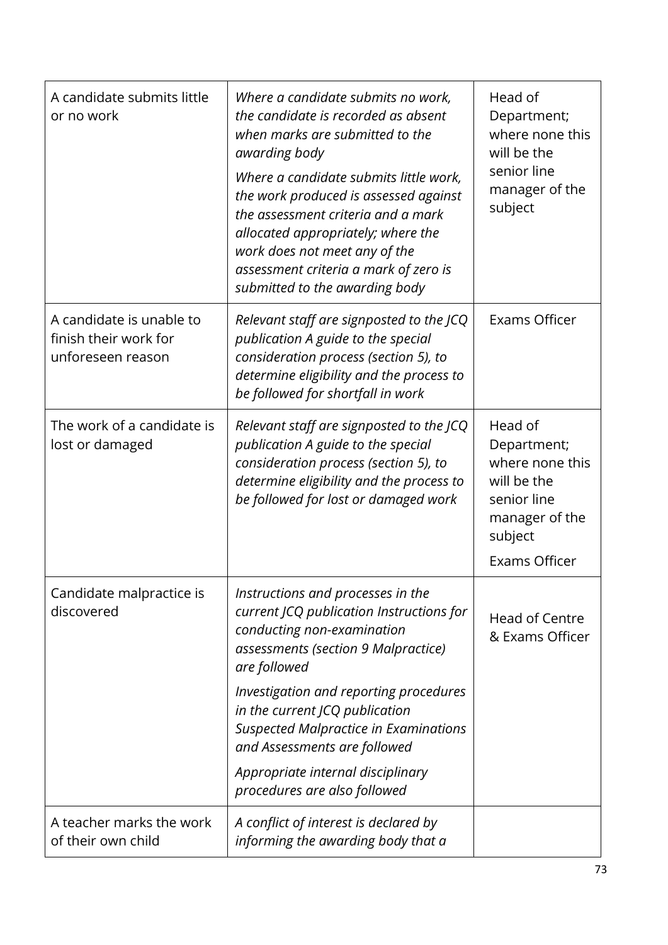| A candidate submits little<br>or no work                               | Where a candidate submits no work,<br>the candidate is recorded as absent<br>when marks are submitted to the<br>awarding body<br>Where a candidate submits little work,<br>the work produced is assessed against<br>the assessment criteria and a mark<br>allocated appropriately; where the<br>work does not meet any of the<br>assessment criteria a mark of zero is<br>submitted to the awarding body | Head of<br>Department;<br>where none this<br>will be the<br>senior line<br>manager of the<br>subject                         |
|------------------------------------------------------------------------|----------------------------------------------------------------------------------------------------------------------------------------------------------------------------------------------------------------------------------------------------------------------------------------------------------------------------------------------------------------------------------------------------------|------------------------------------------------------------------------------------------------------------------------------|
| A candidate is unable to<br>finish their work for<br>unforeseen reason | Relevant staff are signposted to the JCQ<br>publication A guide to the special<br>consideration process (section 5), to<br>determine eligibility and the process to<br>be followed for shortfall in work                                                                                                                                                                                                 | Exams Officer                                                                                                                |
| The work of a candidate is<br>lost or damaged                          | Relevant staff are signposted to the JCQ<br>publication A guide to the special<br>consideration process (section 5), to<br>determine eligibility and the process to<br>be followed for lost or damaged work                                                                                                                                                                                              | Head of<br>Department;<br>where none this<br>will be the<br>senior line<br>manager of the<br>subject<br><b>Exams Officer</b> |
| Candidate malpractice is<br>discovered                                 | Instructions and processes in the<br>current JCQ publication Instructions for<br>conducting non-examination<br>assessments (section 9 Malpractice)<br>are followed<br>Investigation and reporting procedures<br>in the current JCQ publication<br><b>Suspected Malpractice in Examinations</b><br>and Assessments are followed<br>Appropriate internal disciplinary<br>procedures are also followed      | Head of Centre<br>& Exams Officer                                                                                            |
| A teacher marks the work<br>of their own child                         | A conflict of interest is declared by<br>informing the awarding body that a                                                                                                                                                                                                                                                                                                                              |                                                                                                                              |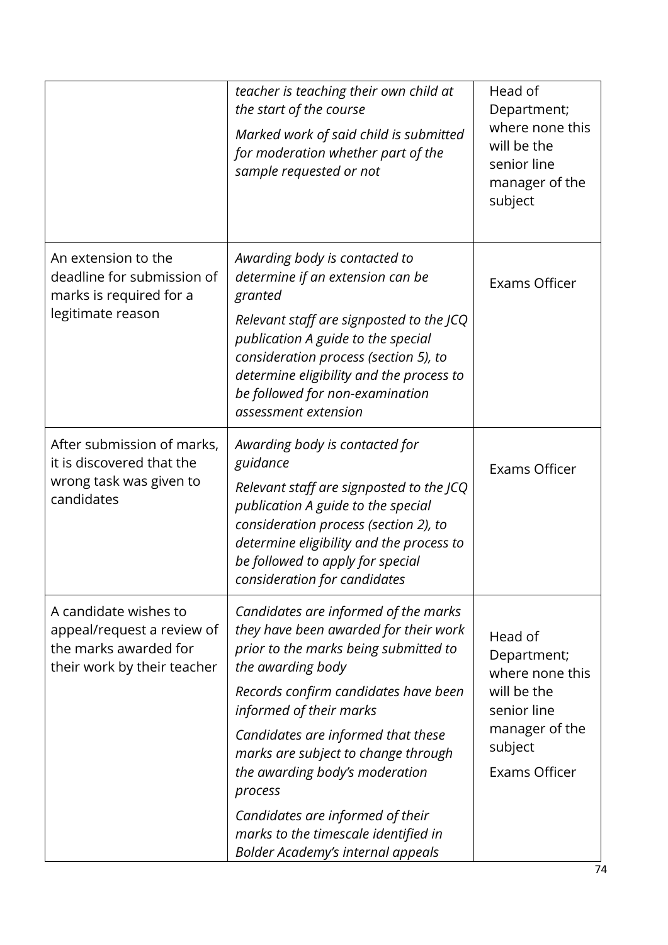|                                                                                                             | teacher is teaching their own child at<br>the start of the course<br>Marked work of said child is submitted<br>for moderation whether part of the<br>sample requested or not                                                                                                                                                                                                                                                                                     | Head of<br>Department;<br>where none this<br>will be the<br>senior line<br>manager of the<br>subject                  |
|-------------------------------------------------------------------------------------------------------------|------------------------------------------------------------------------------------------------------------------------------------------------------------------------------------------------------------------------------------------------------------------------------------------------------------------------------------------------------------------------------------------------------------------------------------------------------------------|-----------------------------------------------------------------------------------------------------------------------|
| An extension to the<br>deadline for submission of<br>marks is required for a<br>legitimate reason           | Awarding body is contacted to<br>determine if an extension can be<br>granted<br>Relevant staff are signposted to the JCQ<br>publication A guide to the special<br>consideration process (section 5), to<br>determine eligibility and the process to<br>be followed for non-examination<br>assessment extension                                                                                                                                                   | <b>Exams Officer</b>                                                                                                  |
| After submission of marks,<br>it is discovered that the<br>wrong task was given to<br>candidates            | Awarding body is contacted for<br>guidance<br>Relevant staff are signposted to the JCQ<br>publication A guide to the special<br>consideration process (section 2), to<br>determine eligibility and the process to<br>be followed to apply for special<br>consideration for candidates                                                                                                                                                                            | <b>Exams Officer</b>                                                                                                  |
| A candidate wishes to<br>appeal/request a review of<br>the marks awarded for<br>their work by their teacher | Candidates are informed of the marks<br>they have been awarded for their work<br>prior to the marks being submitted to<br>the awarding body<br>Records confirm candidates have been<br>informed of their marks<br>Candidates are informed that these<br>marks are subject to change through<br>the awarding body's moderation<br>process<br>Candidates are informed of their<br>marks to the timescale identified in<br><b>Bolder Academy's internal appeals</b> | Head of<br>Department;<br>where none this<br>will be the<br>senior line<br>manager of the<br>subject<br>Exams Officer |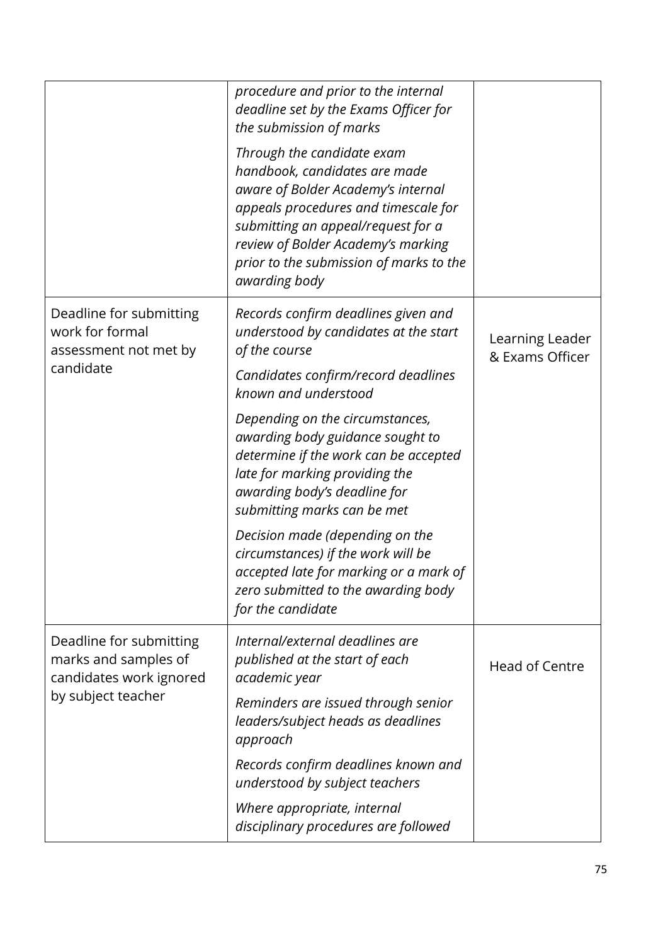|                                                                                                  | procedure and prior to the internal<br>deadline set by the Exams Officer for<br>the submission of marks<br>Through the candidate exam<br>handbook, candidates are made<br>aware of Bolder Academy's internal<br>appeals procedures and timescale for<br>submitting an appeal/request for a<br>review of Bolder Academy's marking<br>prior to the submission of marks to the<br>awarding body |                                    |
|--------------------------------------------------------------------------------------------------|----------------------------------------------------------------------------------------------------------------------------------------------------------------------------------------------------------------------------------------------------------------------------------------------------------------------------------------------------------------------------------------------|------------------------------------|
| Deadline for submitting<br>work for formal<br>assessment not met by<br>candidate                 | Records confirm deadlines given and<br>understood by candidates at the start<br>of the course<br>Candidates confirm/record deadlines<br>known and understood<br>Depending on the circumstances,                                                                                                                                                                                              | Learning Leader<br>& Exams Officer |
|                                                                                                  | awarding body guidance sought to<br>determine if the work can be accepted<br>late for marking providing the<br>awarding body's deadline for<br>submitting marks can be met                                                                                                                                                                                                                   |                                    |
|                                                                                                  | Decision made (depending on the<br>circumstances) if the work will be<br>accepted late for marking or a mark of<br>zero submitted to the awarding body<br>for the candidate                                                                                                                                                                                                                  |                                    |
| Deadline for submitting<br>marks and samples of<br>candidates work ignored<br>by subject teacher | Internal/external deadlines are<br>published at the start of each<br>academic year<br>Reminders are issued through senior                                                                                                                                                                                                                                                                    | <b>Head of Centre</b>              |
|                                                                                                  | leaders/subject heads as deadlines<br>approach<br>Records confirm deadlines known and<br>understood by subject teachers                                                                                                                                                                                                                                                                      |                                    |
|                                                                                                  | Where appropriate, internal<br>disciplinary procedures are followed                                                                                                                                                                                                                                                                                                                          |                                    |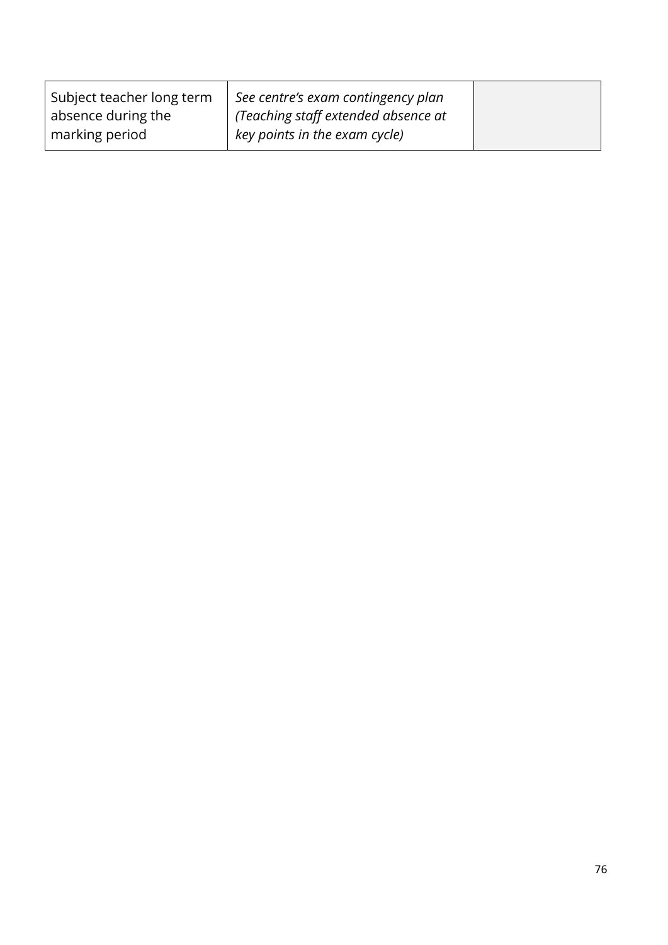| Subject teacher long term | See centre's exam contingency plan  |  |
|---------------------------|-------------------------------------|--|
| absence during the        | (Teaching staff extended absence at |  |
| marking period            | key points in the exam cycle)       |  |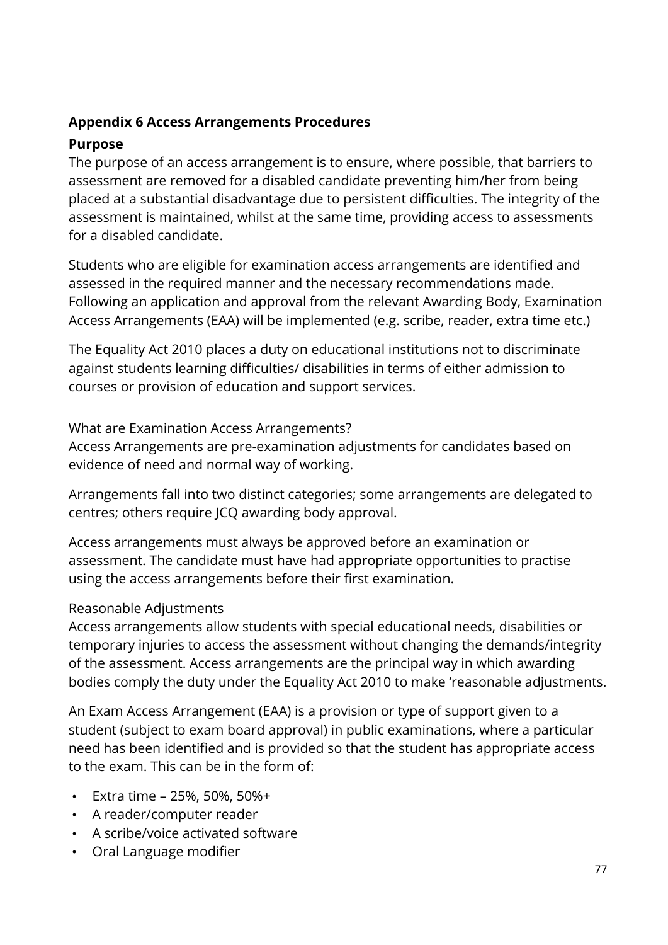### **Appendix 6 Access Arrangements Procedures**

### **Purpose**

The purpose of an access arrangement is to ensure, where possible, that barriers to assessment are removed for a disabled candidate preventing him/her from being placed at a substantial disadvantage due to persistent difficulties. The integrity of the assessment is maintained, whilst at the same time, providing access to assessments for a disabled candidate.

Students who are eligible for examination access arrangements are identified and assessed in the required manner and the necessary recommendations made. Following an application and approval from the relevant Awarding Body, Examination Access Arrangements (EAA) will be implemented (e.g. scribe, reader, extra time etc.)

The Equality Act 2010 places a duty on educational institutions not to discriminate against students learning difficulties/ disabilities in terms of either admission to courses or provision of education and support services.

What are Examination Access Arrangements?

Access Arrangements are pre-examination adjustments for candidates based on evidence of need and normal way of working.

Arrangements fall into two distinct categories; some arrangements are delegated to centres; others require JCQ awarding body approval.

Access arrangements must always be approved before an examination or assessment. The candidate must have had appropriate opportunities to practise using the access arrangements before their first examination.

# Reasonable Adjustments

Access arrangements allow students with special educational needs, disabilities or temporary injuries to access the assessment without changing the demands/integrity of the assessment. Access arrangements are the principal way in which awarding bodies comply the duty under the Equality Act 2010 to make 'reasonable adjustments.

An Exam Access Arrangement (EAA) is a provision or type of support given to a student (subject to exam board approval) in public examinations, where a particular need has been identified and is provided so that the student has appropriate access to the exam. This can be in the form of:

- Extra time 25%, 50%, 50%+
- A reader/computer reader
- A scribe/voice activated software
- Oral Language modifier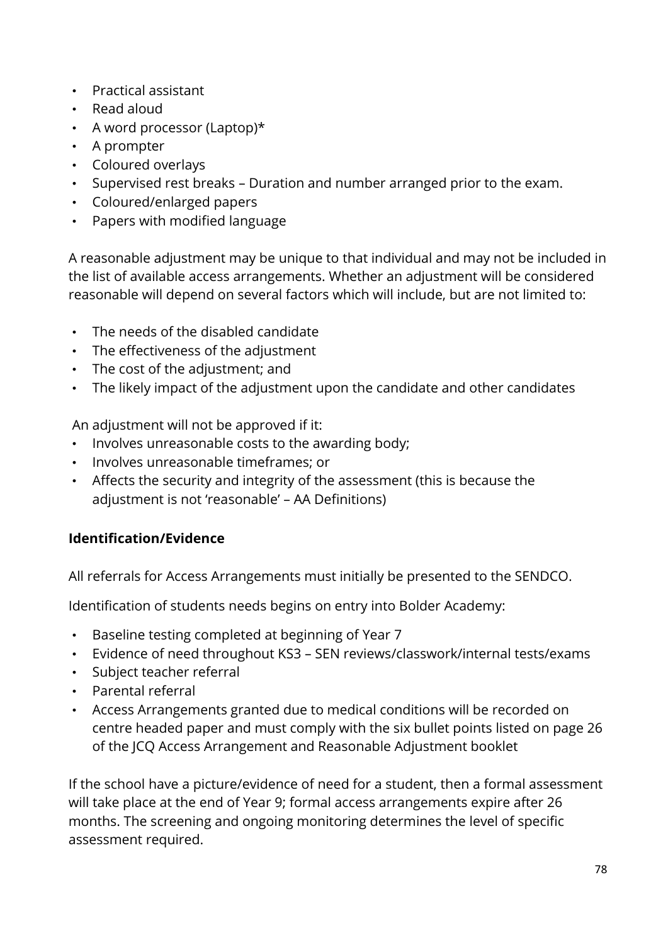- Practical assistant
- Read aloud
- A word processor (Laptop)\*
- A prompter
- Coloured overlays
- Supervised rest breaks Duration and number arranged prior to the exam.
- Coloured/enlarged papers
- Papers with modified language

A reasonable adjustment may be unique to that individual and may not be included in the list of available access arrangements. Whether an adjustment will be considered reasonable will depend on several factors which will include, but are not limited to:

- The needs of the disabled candidate
- The effectiveness of the adjustment
- The cost of the adjustment; and
- The likely impact of the adjustment upon the candidate and other candidates

An adjustment will not be approved if it:

- Involves unreasonable costs to the awarding body;
- Involves unreasonable timeframes; or
- Affects the security and integrity of the assessment (this is because the adjustment is not 'reasonable' – AA Definitions)

# **Identification/Evidence**

All referrals for Access Arrangements must initially be presented to the SENDCO.

Identification of students needs begins on entry into Bolder Academy:

- Baseline testing completed at beginning of Year 7
- Evidence of need throughout KS3 SEN reviews/classwork/internal tests/exams
- Subject teacher referral
- Parental referral
- Access Arrangements granted due to medical conditions will be recorded on centre headed paper and must comply with the six bullet points listed on page 26 of the JCQ Access Arrangement and Reasonable Adjustment booklet

If the school have a picture/evidence of need for a student, then a formal assessment will take place at the end of Year 9; formal access arrangements expire after 26 months. The screening and ongoing monitoring determines the level of specific assessment required.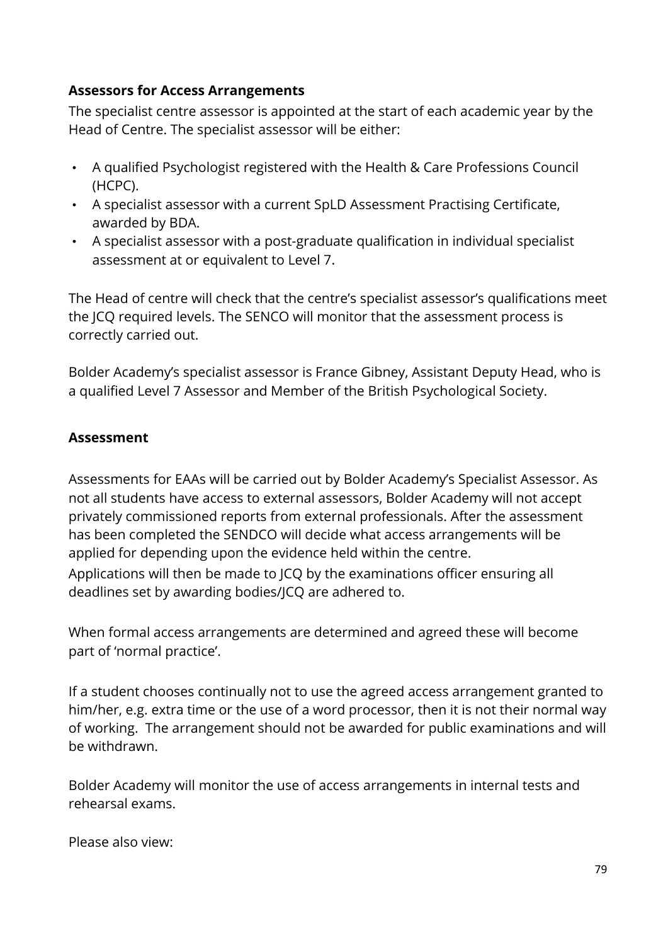### **Assessors for Access Arrangements**

The specialist centre assessor is appointed at the start of each academic year by the Head of Centre. The specialist assessor will be either:

- A qualified Psychologist registered with the Health & Care Professions Council (HCPC).
- A specialist assessor with a current SpLD Assessment Practising Certificate, awarded by BDA.
- A specialist assessor with a post-graduate qualification in individual specialist assessment at or equivalent to Level 7.

The Head of centre will check that the centre's specialist assessor's qualifications meet the JCQ required levels. The SENCO will monitor that the assessment process is correctly carried out.

Bolder Academy's specialist assessor is France Gibney, Assistant Deputy Head, who is a qualified Level 7 Assessor and Member of the British Psychological Society.

### **Assessment**

Assessments for EAAs will be carried out by Bolder Academy's Specialist Assessor. As not all students have access to external assessors, Bolder Academy will not accept privately commissioned reports from external professionals. After the assessment has been completed the SENDCO will decide what access arrangements will be applied for depending upon the evidence held within the centre. Applications will then be made to JCQ by the examinations officer ensuring all deadlines set by awarding bodies/JCQ are adhered to.

When formal access arrangements are determined and agreed these will become part of 'normal practice'.

If a student chooses continually not to use the agreed access arrangement granted to him/her, e.g. extra time or the use of a word processor, then it is not their normal way of working. The arrangement should not be awarded for public examinations and will be withdrawn.

Bolder Academy will monitor the use of access arrangements in internal tests and rehearsal exams.

Please also view: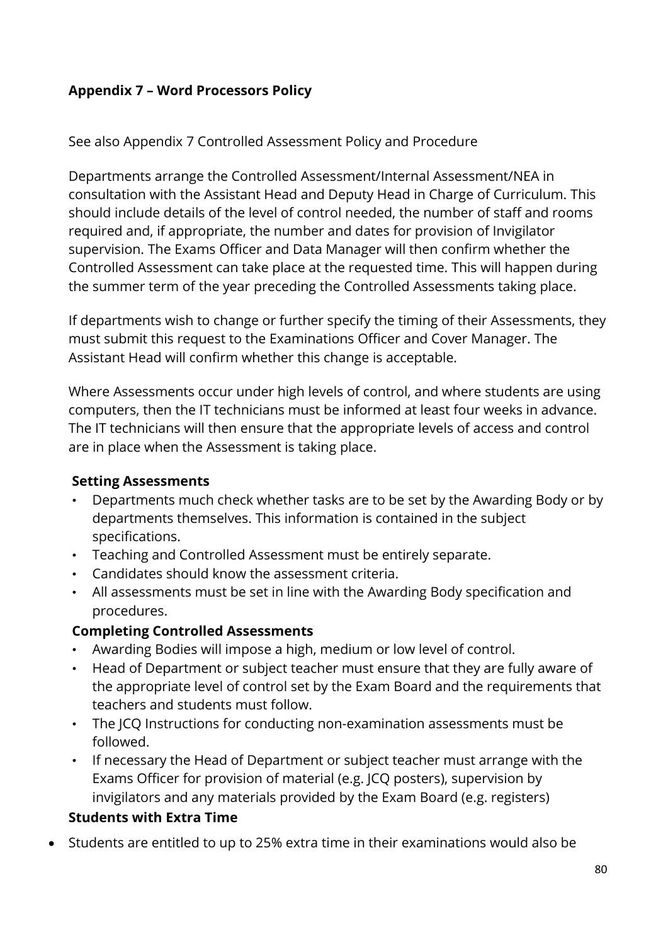# **Appendix 7 – Word Processors Policy**

### See also Appendix 7 Controlled Assessment Policy and Procedure

Departments arrange the Controlled Assessment/Internal Assessment/NEA in consultation with the Assistant Head and Deputy Head in Charge of Curriculum. This should include details of the level of control needed, the number of staff and rooms required and, if appropriate, the number and dates for provision of Invigilator supervision. The Exams Officer and Data Manager will then confirm whether the Controlled Assessment can take place at the requested time. This will happen during the summer term of the year preceding the Controlled Assessments taking place.

If departments wish to change or further specify the timing of their Assessments, they must submit this request to the Examinations Officer and Cover Manager. The Assistant Head will confirm whether this change is acceptable.

Where Assessments occur under high levels of control, and where students are using computers, then the IT technicians must be informed at least four weeks in advance. The IT technicians will then ensure that the appropriate levels of access and control are in place when the Assessment is taking place.

### **Setting Assessments**

- Departments much check whether tasks are to be set by the Awarding Body or by departments themselves. This information is contained in the subject specifications.
- Teaching and Controlled Assessment must be entirely separate.
- Candidates should know the assessment criteria.
- All assessments must be set in line with the Awarding Body specification and procedures.

# **Completing Controlled Assessments**

- Awarding Bodies will impose a high, medium or low level of control.
- Head of Department or subject teacher must ensure that they are fully aware of the appropriate level of control set by the Exam Board and the requirements that teachers and students must follow.
- The JCQ Instructions for conducting non-examination assessments must be followed.
- If necessary the Head of Department or subject teacher must arrange with the Exams Officer for provision of material (e.g. JCQ posters), supervision by invigilators and any materials provided by the Exam Board (e.g. registers)

# **Students with Extra Time**

• Students are entitled to up to 25% extra time in their examinations would also be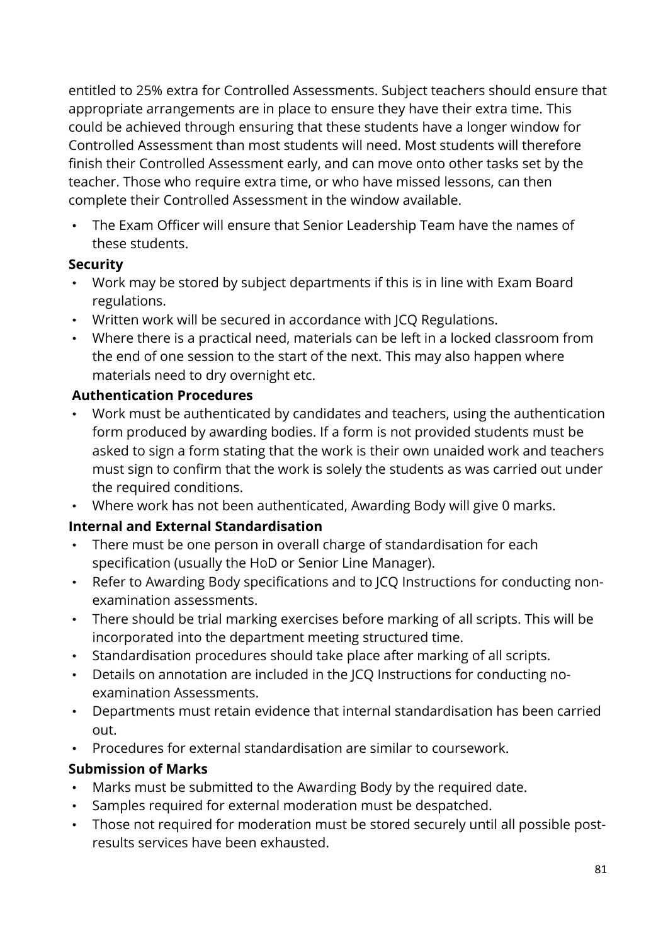entitled to 25% extra for Controlled Assessments. Subject teachers should ensure that appropriate arrangements are in place to ensure they have their extra time. This could be achieved through ensuring that these students have a longer window for Controlled Assessment than most students will need. Most students will therefore finish their Controlled Assessment early, and can move onto other tasks set by the teacher. Those who require extra time, or who have missed lessons, can then complete their Controlled Assessment in the window available.

• The Exam Officer will ensure that Senior Leadership Team have the names of these students.

### **Security**

- Work may be stored by subject departments if this is in line with Exam Board regulations.
- Written work will be secured in accordance with JCQ Regulations.
- Where there is a practical need, materials can be left in a locked classroom from the end of one session to the start of the next. This may also happen where materials need to dry overnight etc.

### **Authentication Procedures**

- Work must be authenticated by candidates and teachers, using the authentication form produced by awarding bodies. If a form is not provided students must be asked to sign a form stating that the work is their own unaided work and teachers must sign to confirm that the work is solely the students as was carried out under the required conditions.
- Where work has not been authenticated, Awarding Body will give 0 marks.

# **Internal and External Standardisation**

- There must be one person in overall charge of standardisation for each specification (usually the HoD or Senior Line Manager).
- Refer to Awarding Body specifications and to JCQ Instructions for conducting nonexamination assessments.
- There should be trial marking exercises before marking of all scripts. This will be incorporated into the department meeting structured time.
- Standardisation procedures should take place after marking of all scripts.
- Details on annotation are included in the JCQ Instructions for conducting noexamination Assessments.
- Departments must retain evidence that internal standardisation has been carried out.
- Procedures for external standardisation are similar to coursework.

### **Submission of Marks**

- Marks must be submitted to the Awarding Body by the required date.
- Samples required for external moderation must be despatched.
- Those not required for moderation must be stored securely until all possible postresults services have been exhausted.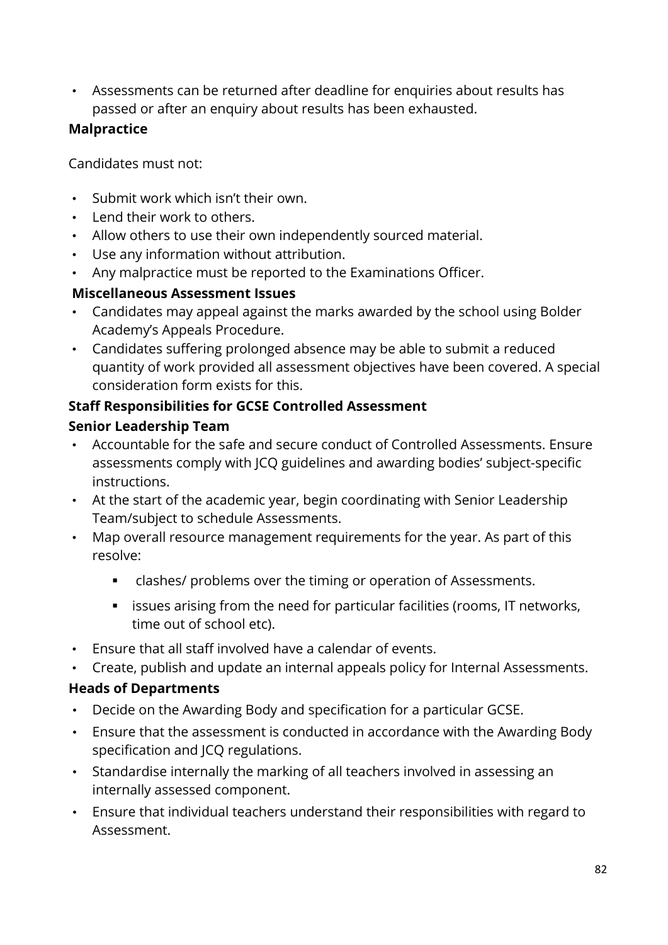• Assessments can be returned after deadline for enquiries about results has passed or after an enquiry about results has been exhausted.

# **Malpractice**

Candidates must not:

- Submit work which isn't their own.
- Lend their work to others.
- Allow others to use their own independently sourced material.
- Use any information without attribution.
- Any malpractice must be reported to the Examinations Officer.

### **Miscellaneous Assessment Issues**

- Candidates may appeal against the marks awarded by the school using Bolder Academy's Appeals Procedure.
- Candidates suffering prolonged absence may be able to submit a reduced quantity of work provided all assessment objectives have been covered. A special consideration form exists for this.

# **Staff Responsibilities for GCSE Controlled Assessment**

# **Senior Leadership Team**

- Accountable for the safe and secure conduct of Controlled Assessments. Ensure assessments comply with JCQ guidelines and awarding bodies' subject-specific instructions.
- At the start of the academic year, begin coordinating with Senior Leadership Team/subject to schedule Assessments.
- Map overall resource management requirements for the year. As part of this resolve:
	- clashes/ problems over the timing or operation of Assessments.
	- **EXEDER** issues arising from the need for particular facilities (rooms, IT networks, time out of school etc).
- Ensure that all staff involved have a calendar of events.
- Create, publish and update an internal appeals policy for Internal Assessments.

### **Heads of Departments**

- Decide on the Awarding Body and specification for a particular GCSE.
- Ensure that the assessment is conducted in accordance with the Awarding Body specification and JCQ regulations.
- Standardise internally the marking of all teachers involved in assessing an internally assessed component.
- Ensure that individual teachers understand their responsibilities with regard to Assessment.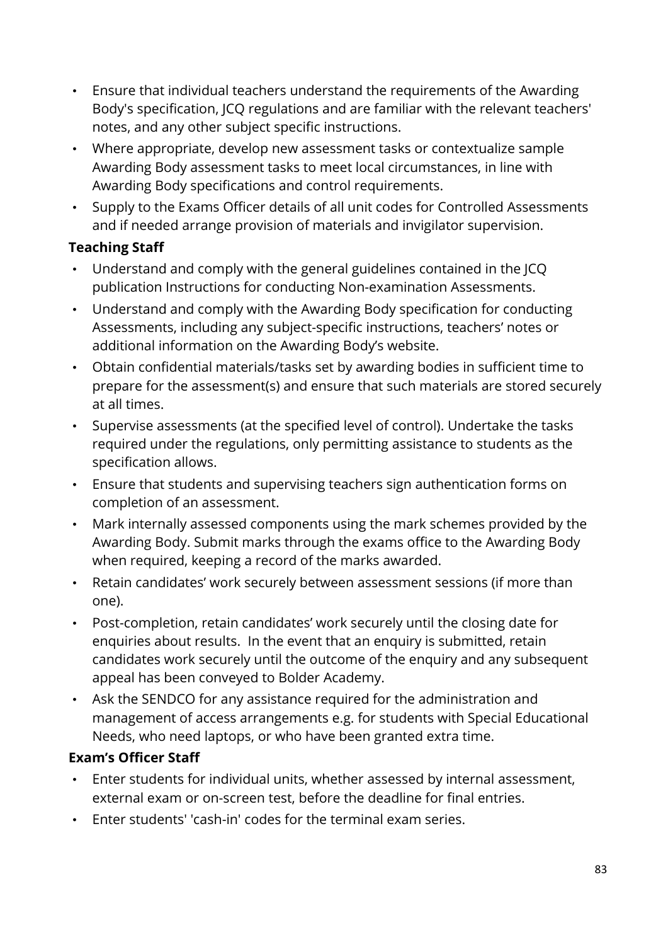- Ensure that individual teachers understand the requirements of the Awarding Body's specification, JCQ regulations and are familiar with the relevant teachers' notes, and any other subject specific instructions.
- Where appropriate, develop new assessment tasks or contextualize sample Awarding Body assessment tasks to meet local circumstances, in line with Awarding Body specifications and control requirements.
- Supply to the Exams Officer details of all unit codes for Controlled Assessments and if needed arrange provision of materials and invigilator supervision.

# **Teaching Staff**

- Understand and comply with the general guidelines contained in the JCQ publication Instructions for conducting Non-examination Assessments.
- Understand and comply with the Awarding Body specification for conducting Assessments, including any subject-specific instructions, teachers' notes or additional information on the Awarding Body's website.
- Obtain confidential materials/tasks set by awarding bodies in sufficient time to prepare for the assessment(s) and ensure that such materials are stored securely at all times.
- Supervise assessments (at the specified level of control). Undertake the tasks required under the regulations, only permitting assistance to students as the specification allows.
- Ensure that students and supervising teachers sign authentication forms on completion of an assessment.
- Mark internally assessed components using the mark schemes provided by the Awarding Body. Submit marks through the exams office to the Awarding Body when required, keeping a record of the marks awarded.
- Retain candidates' work securely between assessment sessions (if more than one).
- Post-completion, retain candidates' work securely until the closing date for enquiries about results. In the event that an enquiry is submitted, retain candidates work securely until the outcome of the enquiry and any subsequent appeal has been conveyed to Bolder Academy.
- Ask the SENDCO for any assistance required for the administration and management of access arrangements e.g. for students with Special Educational Needs, who need laptops, or who have been granted extra time.

# **Exam's Officer Staff**

- Enter students for individual units, whether assessed by internal assessment, external exam or on-screen test, before the deadline for final entries.
- Enter students' 'cash-in' codes for the terminal exam series.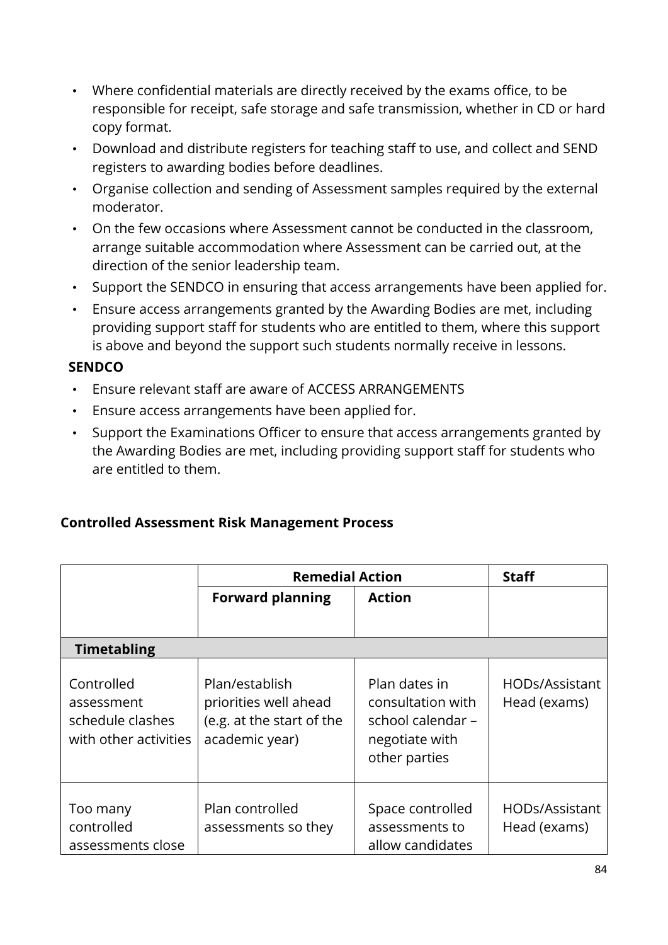- Where confidential materials are directly received by the exams office, to be responsible for receipt, safe storage and safe transmission, whether in CD or hard copy format.
- Download and distribute registers for teaching staff to use, and collect and SEND registers to awarding bodies before deadlines.
- Organise collection and sending of Assessment samples required by the external moderator.
- On the few occasions where Assessment cannot be conducted in the classroom, arrange suitable accommodation where Assessment can be carried out, at the direction of the senior leadership team.
- Support the SENDCO in ensuring that access arrangements have been applied for.
- Ensure access arrangements granted by the Awarding Bodies are met, including providing support staff for students who are entitled to them, where this support is above and beyond the support such students normally receive in lessons.

### **SENDCO**

- Ensure relevant staff are aware of ACCESS ARRANGEMENTS
- Ensure access arrangements have been applied for.
- Support the Examinations Officer to ensure that access arrangements granted by the Awarding Bodies are met, including providing support staff for students who are entitled to them.

### **Controlled Assessment Risk Management Process**

|                                                                       | <b>Remedial Action</b>                                                                 |                                                                                            | <b>Staff</b>                   |
|-----------------------------------------------------------------------|----------------------------------------------------------------------------------------|--------------------------------------------------------------------------------------------|--------------------------------|
|                                                                       | <b>Forward planning</b>                                                                | <b>Action</b>                                                                              |                                |
| <b>Timetabling</b>                                                    |                                                                                        |                                                                                            |                                |
| Controlled<br>assessment<br>schedule clashes<br>with other activities | Plan/establish<br>priorities well ahead<br>(e.g. at the start of the<br>academic year) | Plan dates in<br>consultation with<br>school calendar -<br>negotiate with<br>other parties | HODs/Assistant<br>Head (exams) |
| Too many<br>controlled<br>assessments close                           | Plan controlled<br>assessments so they                                                 | Space controlled<br>assessments to<br>allow candidates                                     | HODs/Assistant<br>Head (exams) |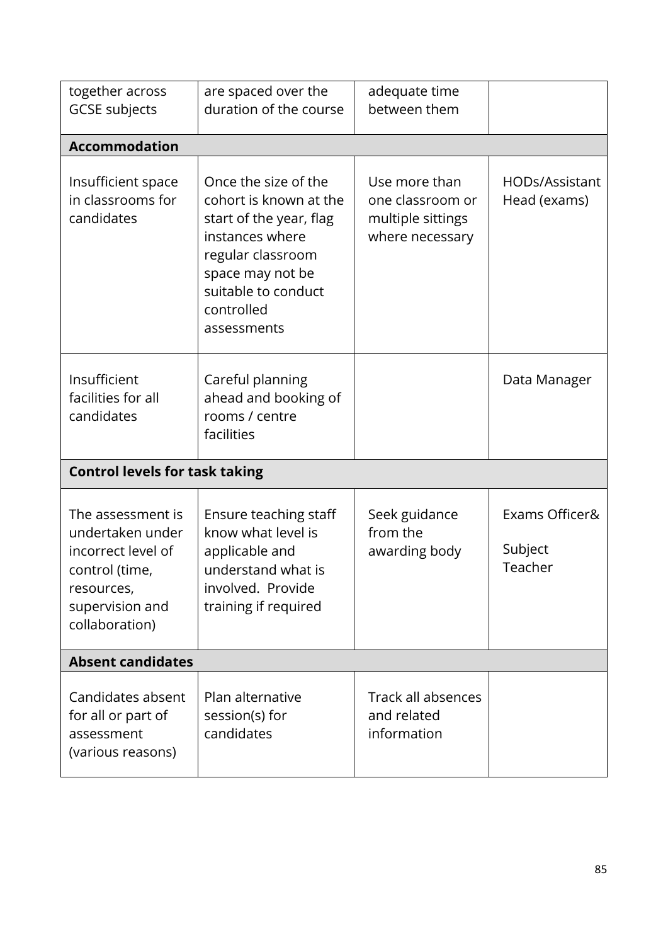| together across<br><b>GCSE subjects</b>                                                                                          | are spaced over the<br>duration of the course                                                                                                                                             | adequate time<br>between them                                             |                                      |
|----------------------------------------------------------------------------------------------------------------------------------|-------------------------------------------------------------------------------------------------------------------------------------------------------------------------------------------|---------------------------------------------------------------------------|--------------------------------------|
| <b>Accommodation</b>                                                                                                             |                                                                                                                                                                                           |                                                                           |                                      |
| Insufficient space<br>in classrooms for<br>candidates                                                                            | Once the size of the<br>cohort is known at the<br>start of the year, flag<br>instances where<br>regular classroom<br>space may not be<br>suitable to conduct<br>controlled<br>assessments | Use more than<br>one classroom or<br>multiple sittings<br>where necessary | HODs/Assistant<br>Head (exams)       |
| Insufficient<br>facilities for all<br>candidates                                                                                 | Careful planning<br>ahead and booking of<br>rooms / centre<br>facilities                                                                                                                  |                                                                           | Data Manager                         |
| <b>Control levels for task taking</b>                                                                                            |                                                                                                                                                                                           |                                                                           |                                      |
| The assessment is<br>undertaken under<br>incorrect level of<br>control (time,<br>resources,<br>supervision and<br>collaboration) | Ensure teaching staff<br>know what level is<br>applicable and<br>understand what is<br>involved. Provide<br>training if required                                                          | Seek guidance<br>from the<br>awarding body                                | Exams Officer&<br>Subject<br>Teacher |
| <b>Absent candidates</b>                                                                                                         |                                                                                                                                                                                           |                                                                           |                                      |
| Candidates absent<br>for all or part of<br>assessment<br>(various reasons)                                                       | Plan alternative<br>session(s) for<br>candidates                                                                                                                                          | Track all absences<br>and related<br>information                          |                                      |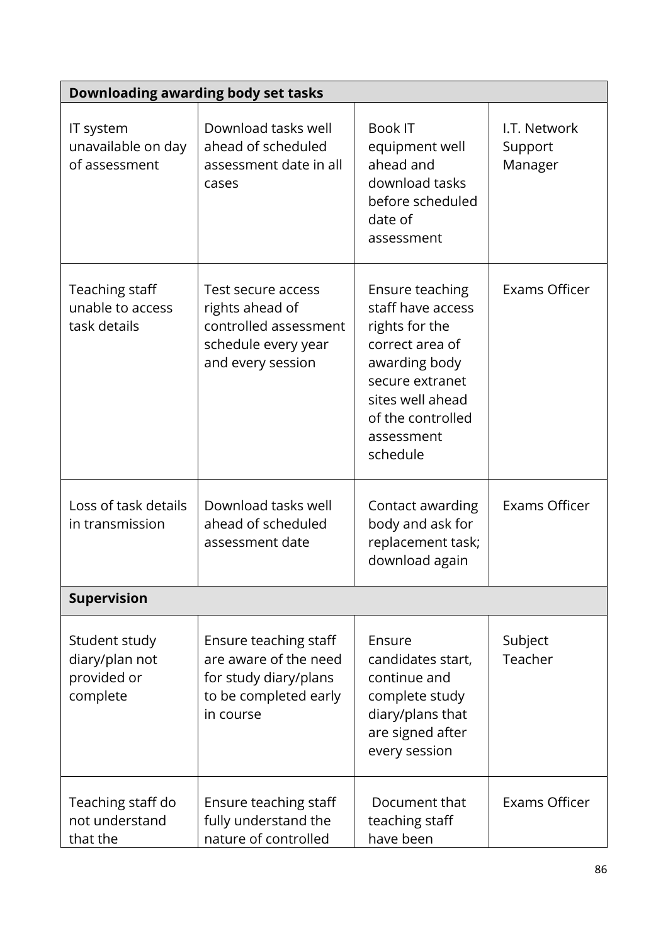|                                                            | Downloading awarding body set tasks                                                                           |                                                                                                                                                                                  |                                    |
|------------------------------------------------------------|---------------------------------------------------------------------------------------------------------------|----------------------------------------------------------------------------------------------------------------------------------------------------------------------------------|------------------------------------|
| IT system<br>unavailable on day<br>of assessment           | Download tasks well<br>ahead of scheduled<br>assessment date in all<br>cases                                  | <b>Book IT</b><br>equipment well<br>ahead and<br>download tasks<br>before scheduled<br>date of<br>assessment                                                                     | I.T. Network<br>Support<br>Manager |
| <b>Teaching staff</b><br>unable to access<br>task details  | Test secure access<br>rights ahead of<br>controlled assessment<br>schedule every year<br>and every session    | Ensure teaching<br>staff have access<br>rights for the<br>correct area of<br>awarding body<br>secure extranet<br>sites well ahead<br>of the controlled<br>assessment<br>schedule | <b>Exams Officer</b>               |
| Loss of task details<br>in transmission                    | Download tasks well<br>ahead of scheduled<br>assessment date                                                  | Contact awarding<br>body and ask for<br>replacement task;<br>download again                                                                                                      | Exams Officer                      |
| <b>Supervision</b>                                         |                                                                                                               |                                                                                                                                                                                  |                                    |
| Student study<br>diary/plan not<br>provided or<br>complete | Ensure teaching staff<br>are aware of the need<br>for study diary/plans<br>to be completed early<br>in course | Ensure<br>candidates start,<br>continue and<br>complete study<br>diary/plans that<br>are signed after<br>every session                                                           | Subject<br>Teacher                 |
| Teaching staff do<br>not understand<br>that the            | Ensure teaching staff<br>fully understand the<br>nature of controlled                                         | Document that<br>teaching staff<br>have been                                                                                                                                     | Exams Officer                      |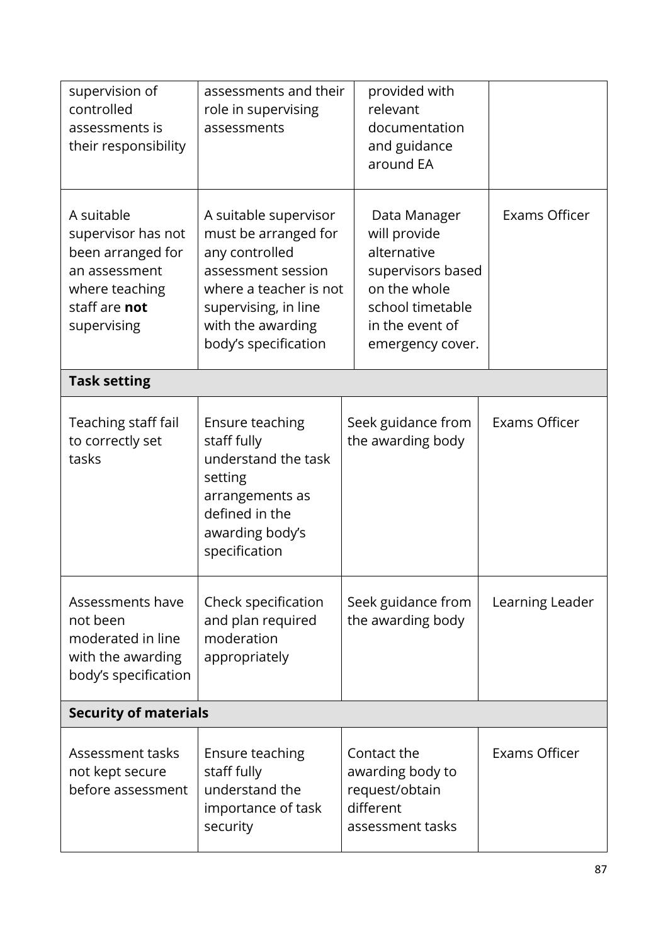| supervision of<br>controlled<br>assessments is<br>their responsibility                                                   | assessments and their<br>role in supervising<br>assessments                                                                                                                          | provided with<br>relevant<br>documentation<br>and guidance<br>around EA                                                                     |                 |
|--------------------------------------------------------------------------------------------------------------------------|--------------------------------------------------------------------------------------------------------------------------------------------------------------------------------------|---------------------------------------------------------------------------------------------------------------------------------------------|-----------------|
| A suitable<br>supervisor has not<br>been arranged for<br>an assessment<br>where teaching<br>staff are not<br>supervising | A suitable supervisor<br>must be arranged for<br>any controlled<br>assessment session<br>where a teacher is not<br>supervising, in line<br>with the awarding<br>body's specification | Data Manager<br>will provide<br>alternative<br>supervisors based<br>on the whole<br>school timetable<br>in the event of<br>emergency cover. | Exams Officer   |
| <b>Task setting</b>                                                                                                      |                                                                                                                                                                                      |                                                                                                                                             |                 |
| Teaching staff fail<br>to correctly set<br>tasks                                                                         | Ensure teaching<br>staff fully<br>understand the task<br>setting<br>arrangements as<br>defined in the<br>awarding body's<br>specification                                            | Seek guidance from<br>the awarding body                                                                                                     | Exams Officer   |
| Assessments have<br>not been<br>moderated in line<br>with the awarding<br>body's specification                           | Check specification<br>and plan required<br>moderation<br>appropriately                                                                                                              | Seek guidance from<br>the awarding body                                                                                                     | Learning Leader |
| <b>Security of materials</b>                                                                                             |                                                                                                                                                                                      |                                                                                                                                             |                 |
| Assessment tasks<br>not kept secure<br>before assessment                                                                 | Ensure teaching<br>staff fully<br>understand the<br>importance of task<br>security                                                                                                   | Contact the<br>awarding body to<br>request/obtain<br>different<br>assessment tasks                                                          | Exams Officer   |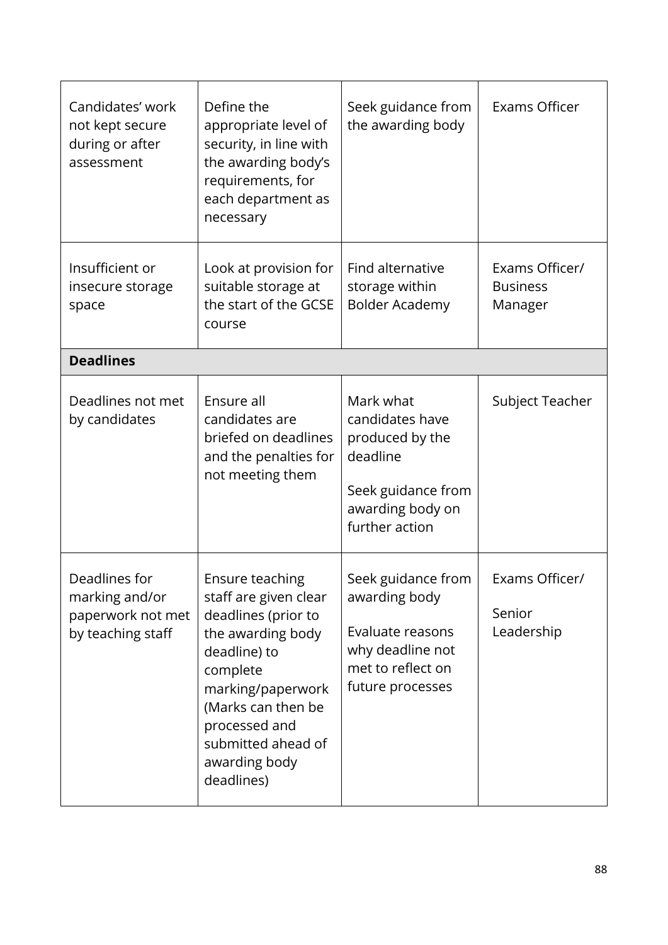| Candidates' work<br>not kept secure<br>during or after<br>assessment      | Define the<br>appropriate level of<br>security, in line with<br>the awarding body's<br>requirements, for<br>each department as<br>necessary                                                                                       | Seek guidance from<br>the awarding body                                                                                 | Exams Officer                                |
|---------------------------------------------------------------------------|-----------------------------------------------------------------------------------------------------------------------------------------------------------------------------------------------------------------------------------|-------------------------------------------------------------------------------------------------------------------------|----------------------------------------------|
| Insufficient or<br>insecure storage<br>space                              | Look at provision for<br>suitable storage at<br>the start of the GCSE<br>course                                                                                                                                                   | Find alternative<br>storage within<br><b>Bolder Academy</b>                                                             | Exams Officer/<br><b>Business</b><br>Manager |
| <b>Deadlines</b>                                                          |                                                                                                                                                                                                                                   |                                                                                                                         |                                              |
| Deadlines not met<br>by candidates                                        | Ensure all<br>candidates are<br>briefed on deadlines<br>and the penalties for<br>not meeting them                                                                                                                                 | Mark what<br>candidates have<br>produced by the<br>deadline<br>Seek guidance from<br>awarding body on<br>further action | Subject Teacher                              |
| Deadlines for<br>marking and/or<br>paperwork not met<br>by teaching staff | Ensure teaching<br>staff are given clear<br>deadlines (prior to<br>the awarding body<br>deadline) to<br>complete<br>marking/paperwork<br>(Marks can then be<br>processed and<br>submitted ahead of<br>awarding body<br>deadlines) | Seek guidance from<br>awarding body<br>Evaluate reasons<br>why deadline not<br>met to reflect on<br>future processes    | Exams Officer/<br>Senior<br>Leadership       |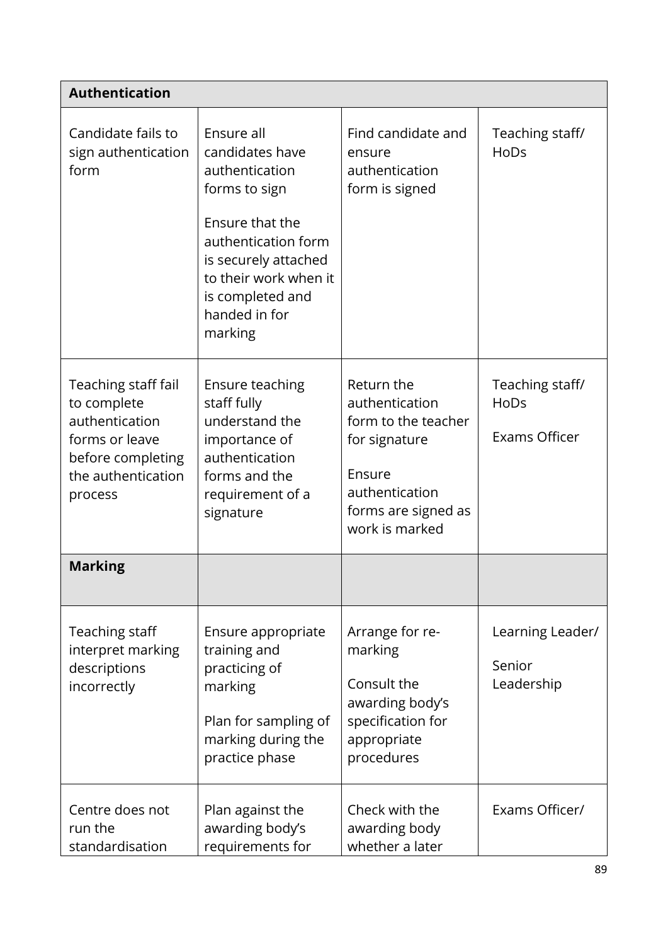| <b>Authentication</b>                                                                                                        |                                                                                                                                                                                                             |                                                                                                                                           |                                          |
|------------------------------------------------------------------------------------------------------------------------------|-------------------------------------------------------------------------------------------------------------------------------------------------------------------------------------------------------------|-------------------------------------------------------------------------------------------------------------------------------------------|------------------------------------------|
| Candidate fails to<br>sign authentication<br>form                                                                            | Ensure all<br>candidates have<br>authentication<br>forms to sign<br>Ensure that the<br>authentication form<br>is securely attached<br>to their work when it<br>is completed and<br>handed in for<br>marking | Find candidate and<br>ensure<br>authentication<br>form is signed                                                                          | Teaching staff/<br>HoDs                  |
| Teaching staff fail<br>to complete<br>authentication<br>forms or leave<br>before completing<br>the authentication<br>process | Ensure teaching<br>staff fully<br>understand the<br>importance of<br>authentication<br>forms and the<br>requirement of a<br>signature                                                                       | Return the<br>authentication<br>form to the teacher<br>for signature<br>Ensure<br>authentication<br>forms are signed as<br>work is marked | Teaching staff/<br>HoDs<br>Exams Officer |
| <b>Marking</b>                                                                                                               |                                                                                                                                                                                                             |                                                                                                                                           |                                          |
| Teaching staff<br>interpret marking<br>descriptions<br>incorrectly                                                           | Ensure appropriate<br>training and<br>practicing of<br>marking<br>Plan for sampling of<br>marking during the<br>practice phase                                                                              | Arrange for re-<br>marking<br>Consult the<br>awarding body's<br>specification for<br>appropriate<br>procedures                            | Learning Leader/<br>Senior<br>Leadership |
| Centre does not<br>run the<br>standardisation                                                                                | Plan against the<br>awarding body's<br>requirements for                                                                                                                                                     | Check with the<br>awarding body<br>whether a later                                                                                        | Exams Officer/                           |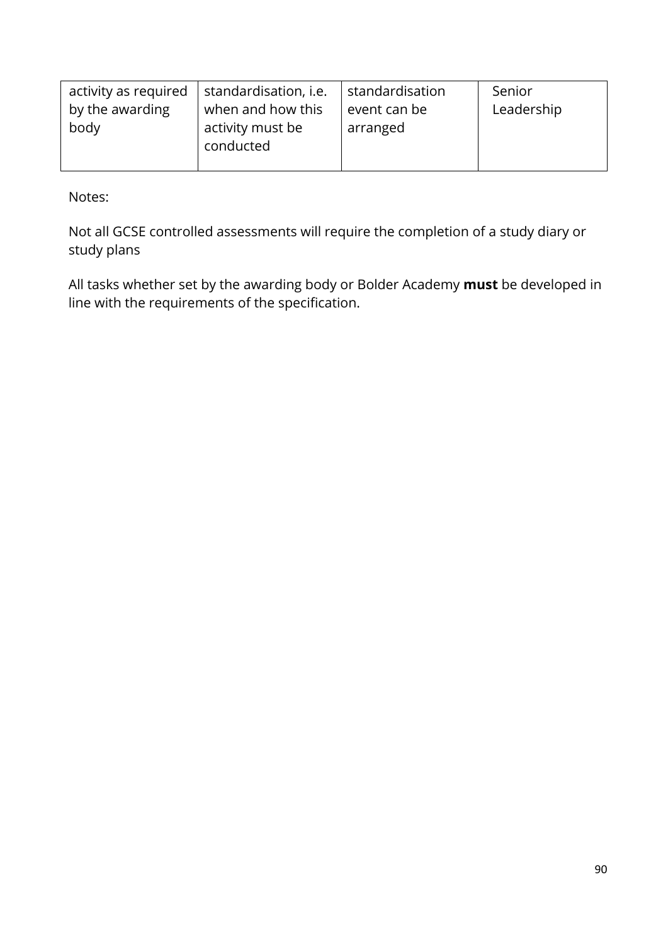| activity as required | standardisation, i.e.         | standardisation | Senior     |
|----------------------|-------------------------------|-----------------|------------|
| by the awarding      | when and how this             | event can be    | Leadership |
| body                 | activity must be<br>conducted | arranged        |            |

Notes:

Not all GCSE controlled assessments will require the completion of a study diary or study plans

All tasks whether set by the awarding body or Bolder Academy **must** be developed in line with the requirements of the specification.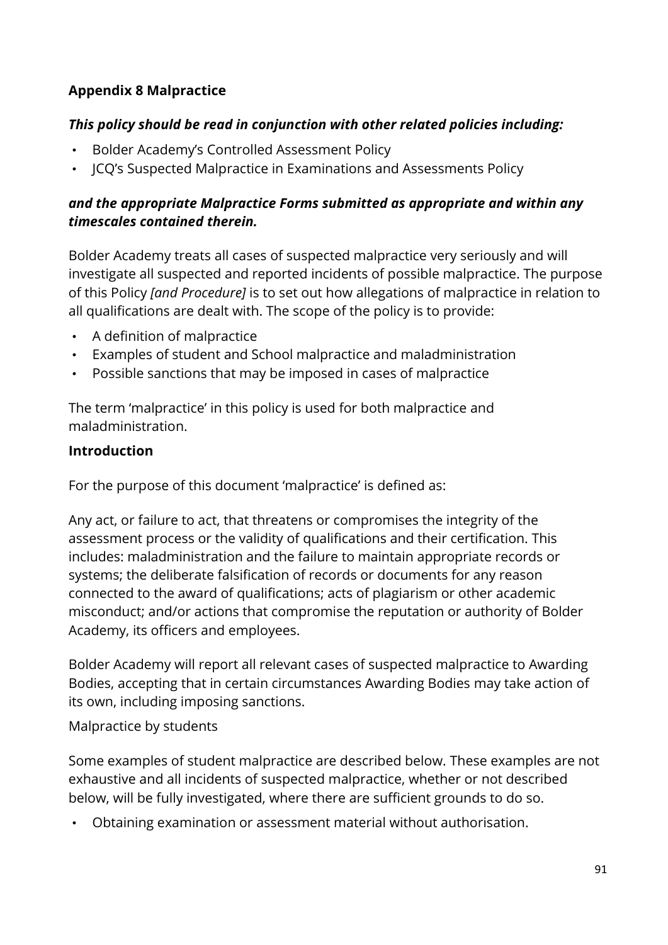# **Appendix 8 Malpractice**

### *This policy should be read in conjunction with other related policies including:*

- Bolder Academy's Controlled Assessment Policy
- JCQ's Suspected Malpractice in Examinations and Assessments Policy

### *and the appropriate Malpractice Forms submitted as appropriate and within any timescales contained therein.*

Bolder Academy treats all cases of suspected malpractice very seriously and will investigate all suspected and reported incidents of possible malpractice. The purpose of this Policy *[and Procedure]* is to set out how allegations of malpractice in relation to all qualifications are dealt with. The scope of the policy is to provide:

- A definition of malpractice
- Examples of student and School malpractice and maladministration
- Possible sanctions that may be imposed in cases of malpractice

The term 'malpractice' in this policy is used for both malpractice and maladministration.

### **Introduction**

For the purpose of this document 'malpractice' is defined as:

Any act, or failure to act, that threatens or compromises the integrity of the assessment process or the validity of qualifications and their certification. This includes: maladministration and the failure to maintain appropriate records or systems; the deliberate falsification of records or documents for any reason connected to the award of qualifications; acts of plagiarism or other academic misconduct; and/or actions that compromise the reputation or authority of Bolder Academy, its officers and employees.

Bolder Academy will report all relevant cases of suspected malpractice to Awarding Bodies, accepting that in certain circumstances Awarding Bodies may take action of its own, including imposing sanctions.

Malpractice by students

Some examples of student malpractice are described below. These examples are not exhaustive and all incidents of suspected malpractice, whether or not described below, will be fully investigated, where there are sufficient grounds to do so.

• Obtaining examination or assessment material without authorisation.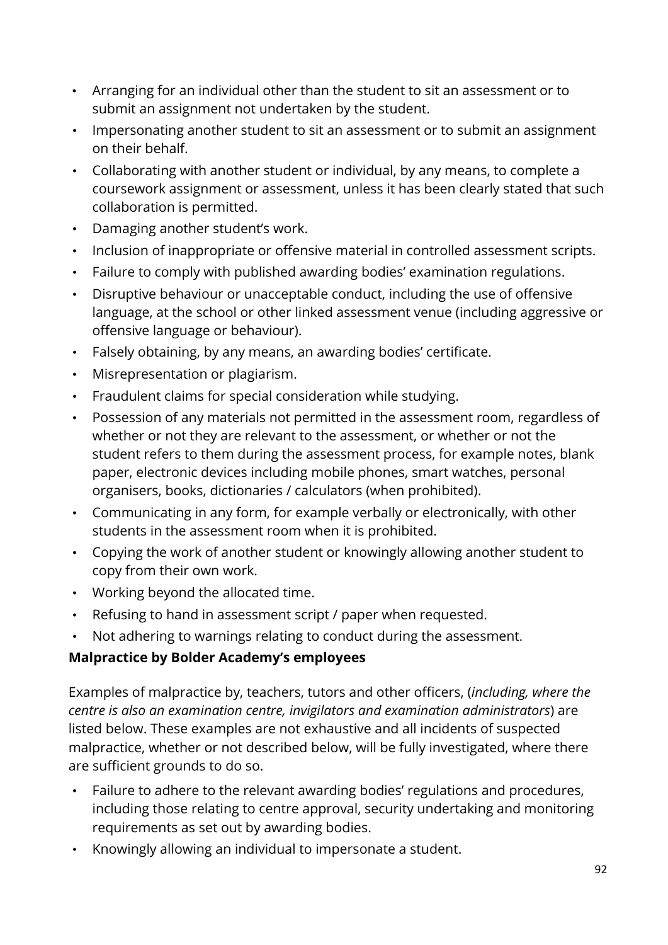- Arranging for an individual other than the student to sit an assessment or to submit an assignment not undertaken by the student.
- Impersonating another student to sit an assessment or to submit an assignment on their behalf.
- Collaborating with another student or individual, by any means, to complete a coursework assignment or assessment, unless it has been clearly stated that such collaboration is permitted.
- Damaging another student's work.
- Inclusion of inappropriate or offensive material in controlled assessment scripts.
- Failure to comply with published awarding bodies' examination regulations.
- Disruptive behaviour or unacceptable conduct, including the use of offensive language, at the school or other linked assessment venue (including aggressive or offensive language or behaviour).
- Falsely obtaining, by any means, an awarding bodies' certificate.
- Misrepresentation or plagiarism.
- Fraudulent claims for special consideration while studying.
- Possession of any materials not permitted in the assessment room, regardless of whether or not they are relevant to the assessment, or whether or not the student refers to them during the assessment process, for example notes, blank paper, electronic devices including mobile phones, smart watches, personal organisers, books, dictionaries / calculators (when prohibited).
- Communicating in any form, for example verbally or electronically, with other students in the assessment room when it is prohibited.
- Copying the work of another student or knowingly allowing another student to copy from their own work.
- Working beyond the allocated time.
- Refusing to hand in assessment script / paper when requested.
- Not adhering to warnings relating to conduct during the assessment.

# **Malpractice by Bolder Academy's employees**

Examples of malpractice by, teachers, tutors and other officers, (*including, where the centre is also an examination centre, invigilators and examination administrators*) are listed below. These examples are not exhaustive and all incidents of suspected malpractice, whether or not described below, will be fully investigated, where there are sufficient grounds to do so.

- Failure to adhere to the relevant awarding bodies' regulations and procedures, including those relating to centre approval, security undertaking and monitoring requirements as set out by awarding bodies.
- Knowingly allowing an individual to impersonate a student.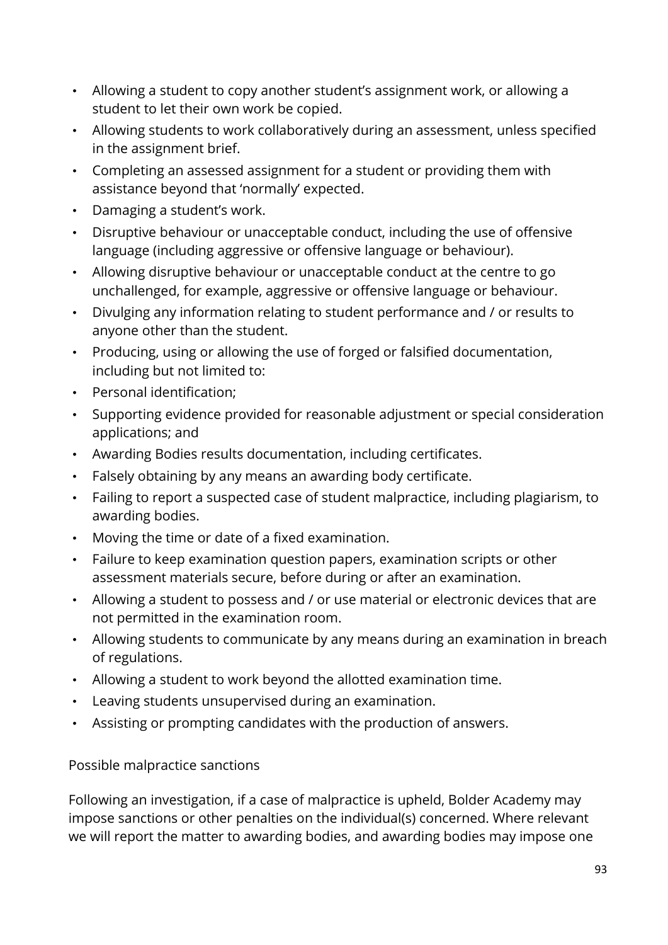- Allowing a student to copy another student's assignment work, or allowing a student to let their own work be copied.
- Allowing students to work collaboratively during an assessment, unless specified in the assignment brief.
- Completing an assessed assignment for a student or providing them with assistance beyond that 'normally' expected.
- Damaging a student's work.
- Disruptive behaviour or unacceptable conduct, including the use of offensive language (including aggressive or offensive language or behaviour).
- Allowing disruptive behaviour or unacceptable conduct at the centre to go unchallenged, for example, aggressive or offensive language or behaviour.
- Divulging any information relating to student performance and / or results to anyone other than the student.
- Producing, using or allowing the use of forged or falsified documentation, including but not limited to:
- Personal identification;
- Supporting evidence provided for reasonable adjustment or special consideration applications; and
- Awarding Bodies results documentation, including certificates.
- Falsely obtaining by any means an awarding body certificate.
- Failing to report a suspected case of student malpractice, including plagiarism, to awarding bodies.
- Moving the time or date of a fixed examination.
- Failure to keep examination question papers, examination scripts or other assessment materials secure, before during or after an examination.
- Allowing a student to possess and / or use material or electronic devices that are not permitted in the examination room.
- Allowing students to communicate by any means during an examination in breach of regulations.
- Allowing a student to work beyond the allotted examination time.
- Leaving students unsupervised during an examination.
- Assisting or prompting candidates with the production of answers.

### Possible malpractice sanctions

Following an investigation, if a case of malpractice is upheld, Bolder Academy may impose sanctions or other penalties on the individual(s) concerned. Where relevant we will report the matter to awarding bodies, and awarding bodies may impose one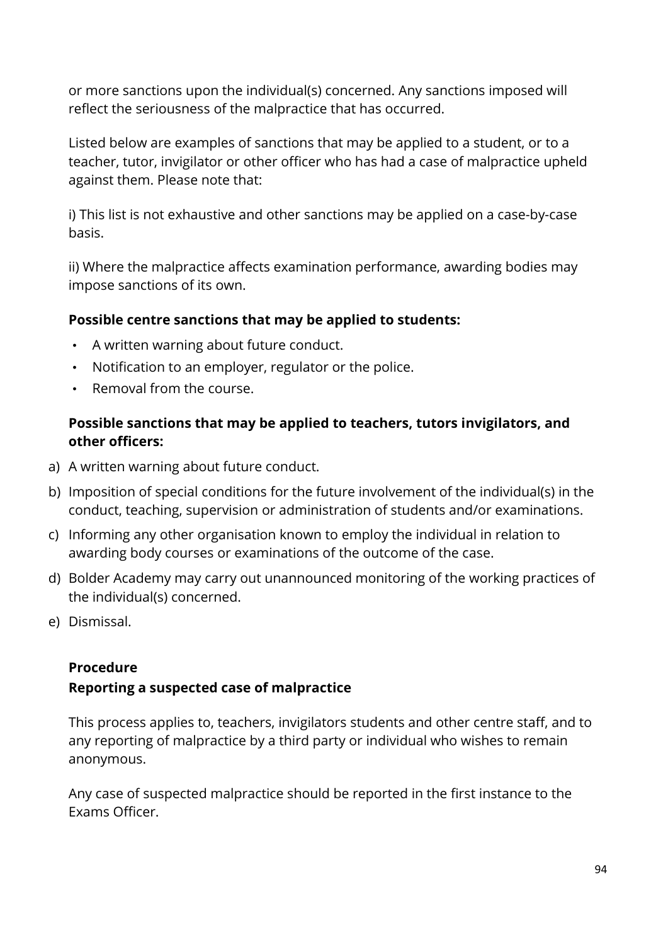or more sanctions upon the individual(s) concerned. Any sanctions imposed will reflect the seriousness of the malpractice that has occurred.

Listed below are examples of sanctions that may be applied to a student, or to a teacher, tutor, invigilator or other officer who has had a case of malpractice upheld against them. Please note that:

i) This list is not exhaustive and other sanctions may be applied on a case-by-case basis.

ii) Where the malpractice affects examination performance, awarding bodies may impose sanctions of its own.

### **Possible centre sanctions that may be applied to students:**

- A written warning about future conduct.
- Notification to an employer, regulator or the police.
- Removal from the course.

### **Possible sanctions that may be applied to teachers, tutors invigilators, and other officers:**

- a) A written warning about future conduct.
- b) Imposition of special conditions for the future involvement of the individual(s) in the conduct, teaching, supervision or administration of students and/or examinations.
- c) Informing any other organisation known to employ the individual in relation to awarding body courses or examinations of the outcome of the case.
- d) Bolder Academy may carry out unannounced monitoring of the working practices of the individual(s) concerned.
- e) Dismissal.

### **Procedure**

### **Reporting a suspected case of malpractice**

This process applies to, teachers, invigilators students and other centre staff, and to any reporting of malpractice by a third party or individual who wishes to remain anonymous.

Any case of suspected malpractice should be reported in the first instance to the Exams Officer.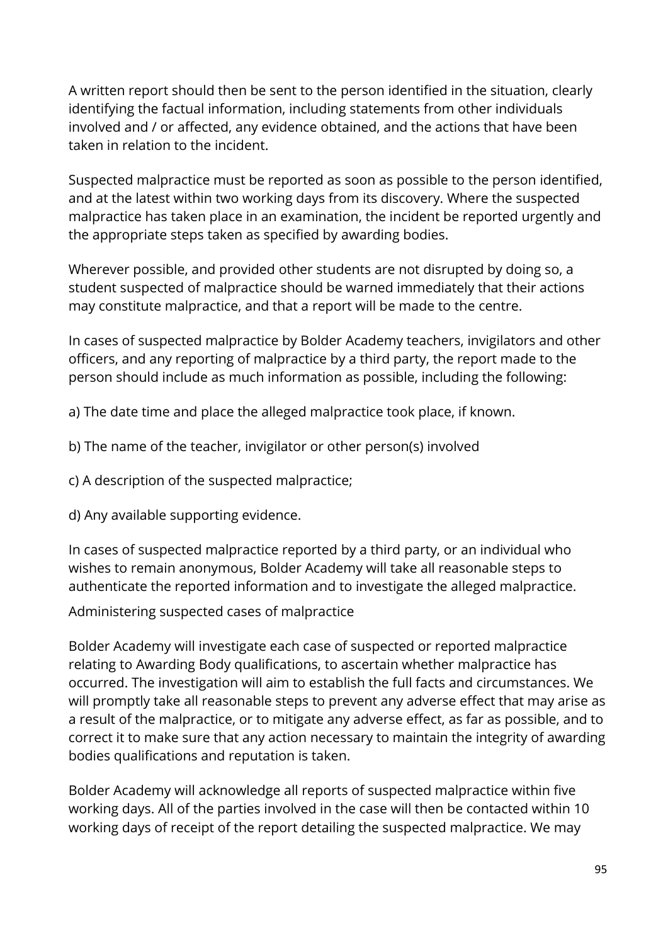A written report should then be sent to the person identified in the situation, clearly identifying the factual information, including statements from other individuals involved and / or affected, any evidence obtained, and the actions that have been taken in relation to the incident.

Suspected malpractice must be reported as soon as possible to the person identified, and at the latest within two working days from its discovery. Where the suspected malpractice has taken place in an examination, the incident be reported urgently and the appropriate steps taken as specified by awarding bodies.

Wherever possible, and provided other students are not disrupted by doing so, a student suspected of malpractice should be warned immediately that their actions may constitute malpractice, and that a report will be made to the centre.

In cases of suspected malpractice by Bolder Academy teachers, invigilators and other officers, and any reporting of malpractice by a third party, the report made to the person should include as much information as possible, including the following:

a) The date time and place the alleged malpractice took place, if known.

b) The name of the teacher, invigilator or other person(s) involved

c) A description of the suspected malpractice;

d) Any available supporting evidence.

In cases of suspected malpractice reported by a third party, or an individual who wishes to remain anonymous, Bolder Academy will take all reasonable steps to authenticate the reported information and to investigate the alleged malpractice.

Administering suspected cases of malpractice

Bolder Academy will investigate each case of suspected or reported malpractice relating to Awarding Body qualifications, to ascertain whether malpractice has occurred. The investigation will aim to establish the full facts and circumstances. We will promptly take all reasonable steps to prevent any adverse effect that may arise as a result of the malpractice, or to mitigate any adverse effect, as far as possible, and to correct it to make sure that any action necessary to maintain the integrity of awarding bodies qualifications and reputation is taken.

Bolder Academy will acknowledge all reports of suspected malpractice within five working days. All of the parties involved in the case will then be contacted within 10 working days of receipt of the report detailing the suspected malpractice. We may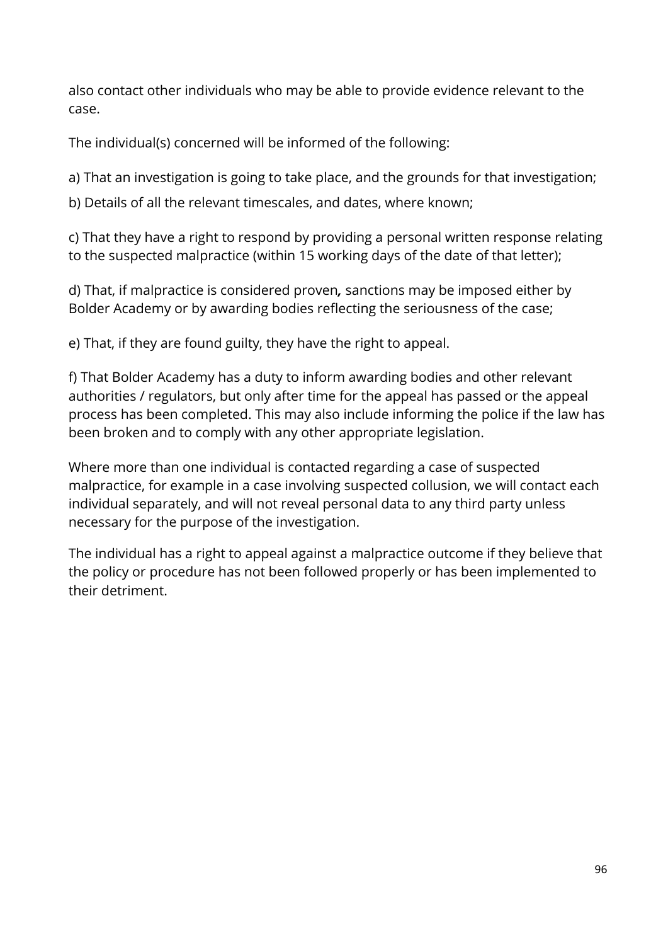also contact other individuals who may be able to provide evidence relevant to the case.

The individual(s) concerned will be informed of the following:

a) That an investigation is going to take place, and the grounds for that investigation;

b) Details of all the relevant timescales, and dates, where known;

c) That they have a right to respond by providing a personal written response relating to the suspected malpractice (within 15 working days of the date of that letter);

d) That, if malpractice is considered proven*,* sanctions may be imposed either by Bolder Academy or by awarding bodies reflecting the seriousness of the case;

e) That, if they are found guilty, they have the right to appeal.

f) That Bolder Academy has a duty to inform awarding bodies and other relevant authorities / regulators, but only after time for the appeal has passed or the appeal process has been completed. This may also include informing the police if the law has been broken and to comply with any other appropriate legislation.

Where more than one individual is contacted regarding a case of suspected malpractice, for example in a case involving suspected collusion, we will contact each individual separately, and will not reveal personal data to any third party unless necessary for the purpose of the investigation.

The individual has a right to appeal against a malpractice outcome if they believe that the policy or procedure has not been followed properly or has been implemented to their detriment.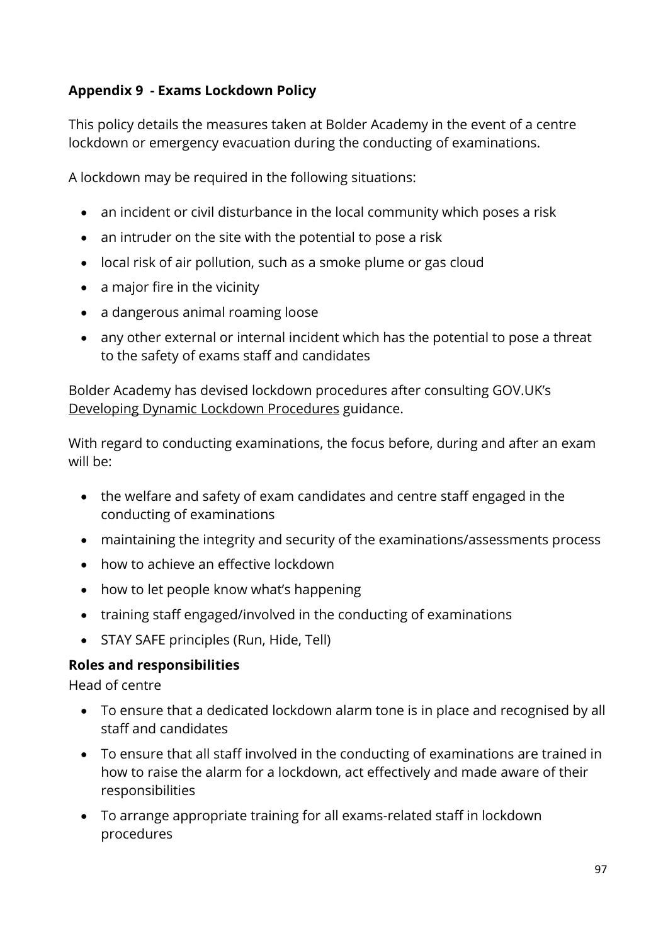# **Appendix 9 - Exams Lockdown Policy**

This policy details the measures taken at Bolder Academy in the event of a centre lockdown or emergency evacuation during the conducting of examinations.

A lockdown may be required in the following situations:

- an incident or civil disturbance in the local community which poses a risk
- an intruder on the site with the potential to pose a risk
- local risk of air pollution, such as a smoke plume or gas cloud
- a major fire in the vicinity
- a dangerous animal roaming loose
- any other external or internal incident which has the potential to pose a threat to the safety of exams staff and candidates

Bolder Academy has devised lockdown procedures after consulting GOV.UK's [Developing Dynamic Lockdown Procedures](https://www.gov.uk/government/publications/developing-dynamic-lockdown-procedures) guidance.

With regard to conducting examinations, the focus before, during and after an exam will be:

- the welfare and safety of exam candidates and centre staff engaged in the conducting of examinations
- maintaining the integrity and security of the examinations/assessments process
- how to achieve an effective lockdown
- how to let people know what's happening
- training staff engaged/involved in the conducting of examinations
- STAY SAFE principles (Run, Hide, Tell)

### **Roles and responsibilities**

Head of centre

- To ensure that a dedicated lockdown alarm tone is in place and recognised by all staff and candidates
- To ensure that all staff involved in the conducting of examinations are trained in how to raise the alarm for a lockdown, act effectively and made aware of their responsibilities
- To arrange appropriate training for all exams-related staff in lockdown procedures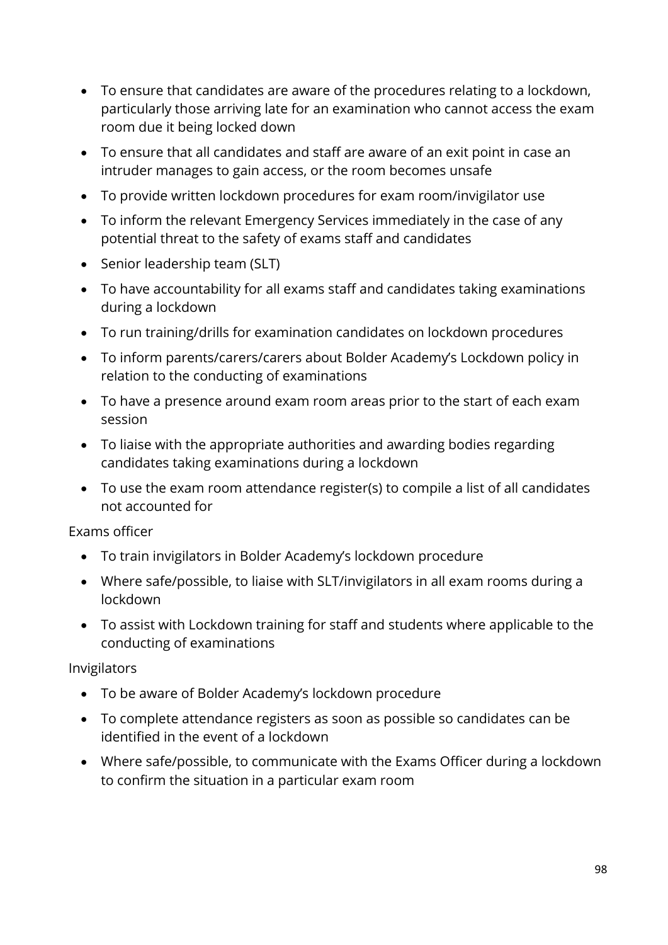- To ensure that candidates are aware of the procedures relating to a lockdown, particularly those arriving late for an examination who cannot access the exam room due it being locked down
- To ensure that all candidates and staff are aware of an exit point in case an intruder manages to gain access, or the room becomes unsafe
- To provide written lockdown procedures for exam room/invigilator use
- To inform the relevant Emergency Services immediately in the case of any potential threat to the safety of exams staff and candidates
- Senior leadership team (SLT)
- To have accountability for all exams staff and candidates taking examinations during a lockdown
- To run training/drills for examination candidates on lockdown procedures
- To inform parents/carers/carers about Bolder Academy's Lockdown policy in relation to the conducting of examinations
- To have a presence around exam room areas prior to the start of each exam session
- To liaise with the appropriate authorities and awarding bodies regarding candidates taking examinations during a lockdown
- To use the exam room attendance register(s) to compile a list of all candidates not accounted for

Exams officer

- To train invigilators in Bolder Academy's lockdown procedure
- Where safe/possible, to liaise with SLT/invigilators in all exam rooms during a lockdown
- To assist with Lockdown training for staff and students where applicable to the conducting of examinations

Invigilators

- To be aware of Bolder Academy's lockdown procedure
- To complete attendance registers as soon as possible so candidates can be identified in the event of a lockdown
- Where safe/possible, to communicate with the Exams Officer during a lockdown to confirm the situation in a particular exam room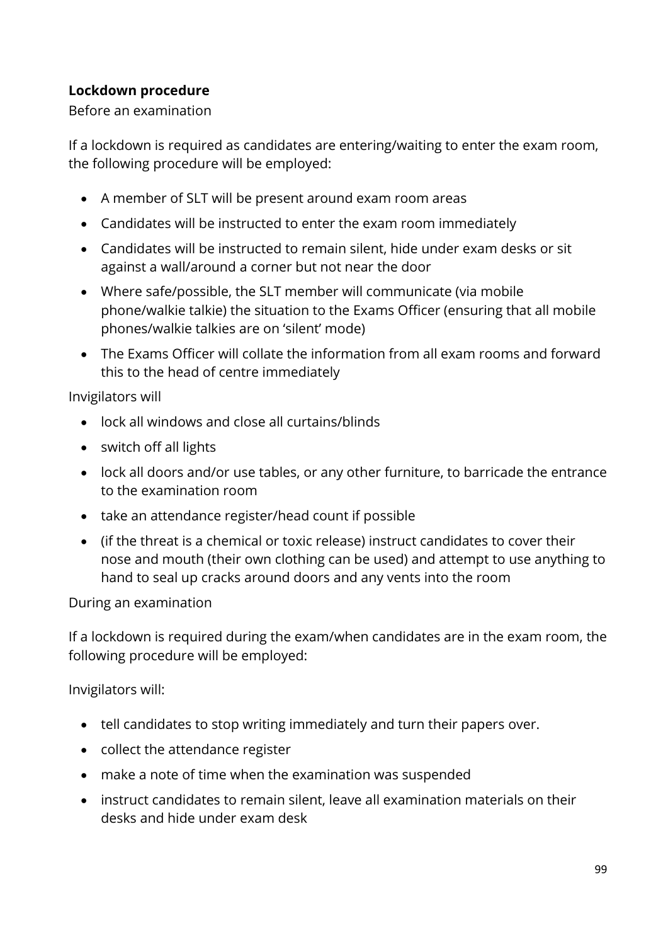### **Lockdown procedure**

#### Before an examination

If a lockdown is required as candidates are entering/waiting to enter the exam room, the following procedure will be employed:

- A member of SLT will be present around exam room areas
- Candidates will be instructed to enter the exam room immediately
- Candidates will be instructed to remain silent, hide under exam desks or sit against a wall/around a corner but not near the door
- Where safe/possible, the SLT member will communicate (via mobile phone/walkie talkie) the situation to the Exams Officer (ensuring that all mobile phones/walkie talkies are on 'silent' mode)
- The Exams Officer will collate the information from all exam rooms and forward this to the head of centre immediately

### Invigilators will

- lock all windows and close all curtains/blinds
- switch off all lights
- lock all doors and/or use tables, or any other furniture, to barricade the entrance to the examination room
- take an attendance register/head count if possible
- (if the threat is a chemical or toxic release) instruct candidates to cover their nose and mouth (their own clothing can be used) and attempt to use anything to hand to seal up cracks around doors and any vents into the room

### During an examination

If a lockdown is required during the exam/when candidates are in the exam room, the following procedure will be employed:

### Invigilators will:

- tell candidates to stop writing immediately and turn their papers over.
- collect the attendance register
- make a note of time when the examination was suspended
- instruct candidates to remain silent, leave all examination materials on their desks and hide under exam desk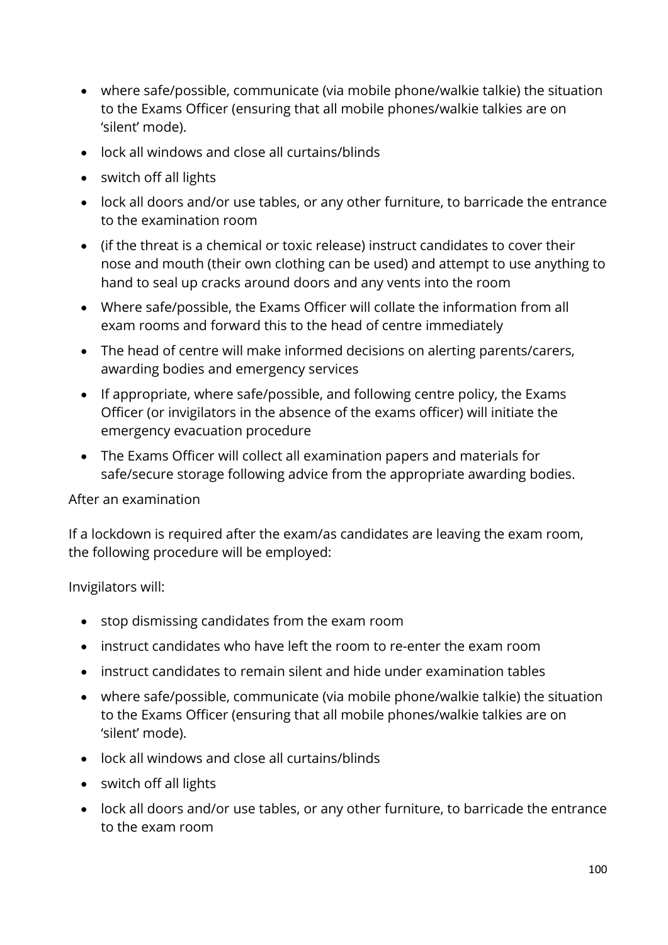- where safe/possible, communicate (via mobile phone/walkie talkie) the situation to the Exams Officer (ensuring that all mobile phones/walkie talkies are on 'silent' mode).
- lock all windows and close all curtains/blinds
- switch off all lights
- lock all doors and/or use tables, or any other furniture, to barricade the entrance to the examination room
- (if the threat is a chemical or toxic release) instruct candidates to cover their nose and mouth (their own clothing can be used) and attempt to use anything to hand to seal up cracks around doors and any vents into the room
- Where safe/possible, the Exams Officer will collate the information from all exam rooms and forward this to the head of centre immediately
- The head of centre will make informed decisions on alerting parents/carers, awarding bodies and emergency services
- If appropriate, where safe/possible, and following centre policy, the Exams Officer (or invigilators in the absence of the exams officer) will initiate the emergency evacuation procedure
- The Exams Officer will collect all examination papers and materials for safe/secure storage following advice from the appropriate awarding bodies.

After an examination

If a lockdown is required after the exam/as candidates are leaving the exam room, the following procedure will be employed:

Invigilators will:

- stop dismissing candidates from the exam room
- instruct candidates who have left the room to re-enter the exam room
- instruct candidates to remain silent and hide under examination tables
- where safe/possible, communicate (via mobile phone/walkie talkie) the situation to the Exams Officer (ensuring that all mobile phones/walkie talkies are on 'silent' mode).
- lock all windows and close all curtains/blinds
- switch off all lights
- lock all doors and/or use tables, or any other furniture, to barricade the entrance to the exam room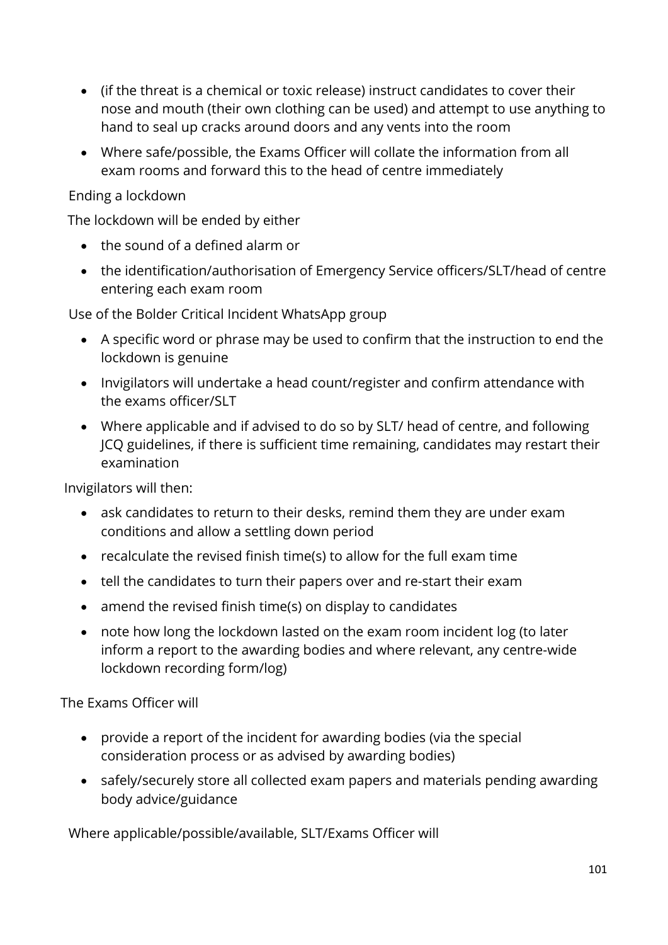- (if the threat is a chemical or toxic release) instruct candidates to cover their nose and mouth (their own clothing can be used) and attempt to use anything to hand to seal up cracks around doors and any vents into the room
- Where safe/possible, the Exams Officer will collate the information from all exam rooms and forward this to the head of centre immediately

### Ending a lockdown

The lockdown will be ended by either

- the sound of a defined alarm or
- the identification/authorisation of Emergency Service officers/SLT/head of centre entering each exam room

Use of the Bolder Critical Incident WhatsApp group

- A specific word or phrase may be used to confirm that the instruction to end the lockdown is genuine
- Invigilators will undertake a head count/register and confirm attendance with the exams officer/SLT
- Where applicable and if advised to do so by SLT/ head of centre, and following JCQ guidelines, if there is sufficient time remaining, candidates may restart their examination

Invigilators will then:

- ask candidates to return to their desks, remind them they are under exam conditions and allow a settling down period
- recalculate the revised finish time(s) to allow for the full exam time
- tell the candidates to turn their papers over and re-start their exam
- amend the revised finish time(s) on display to candidates
- note how long the lockdown lasted on the exam room incident log (to later inform a report to the awarding bodies and where relevant, any centre-wide lockdown recording form/log)

The Exams Officer will

- provide a report of the incident for awarding bodies (via the special consideration process or as advised by awarding bodies)
- safely/securely store all collected exam papers and materials pending awarding body advice/guidance

Where applicable/possible/available, SLT/Exams Officer will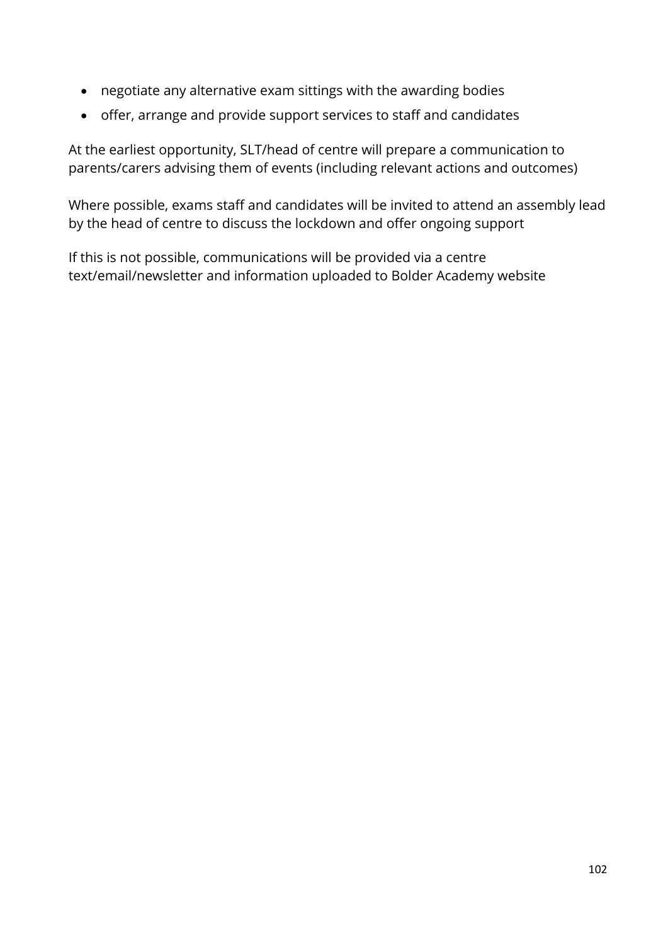- negotiate any alternative exam sittings with the awarding bodies
- offer, arrange and provide support services to staff and candidates

At the earliest opportunity, SLT/head of centre will prepare a communication to parents/carers advising them of events (including relevant actions and outcomes)

Where possible, exams staff and candidates will be invited to attend an assembly lead by the head of centre to discuss the lockdown and offer ongoing support

If this is not possible, communications will be provided via a centre text/email/newsletter and information uploaded to Bolder Academy website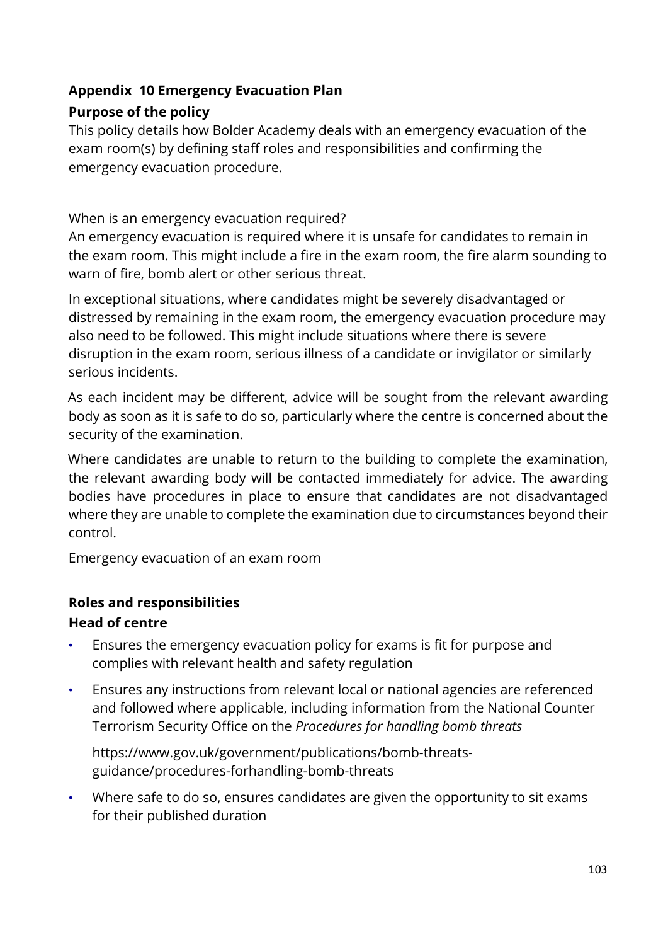### **Appendix 10 Emergency Evacuation Plan**

### **Purpose of the policy**

This policy details how Bolder Academy deals with an emergency evacuation of the exam room(s) by defining staff roles and responsibilities and confirming the emergency evacuation procedure.

When is an emergency evacuation required?

An emergency evacuation is required where it is unsafe for candidates to remain in the exam room. This might include a fire in the exam room, the fire alarm sounding to warn of fire, bomb alert or other serious threat.

In exceptional situations, where candidates might be severely disadvantaged or distressed by remaining in the exam room, the emergency evacuation procedure may also need to be followed. This might include situations where there is severe disruption in the exam room, serious illness of a candidate or invigilator or similarly serious incidents.

As each incident may be different, advice will be sought from the relevant awarding body as soon as it is safe to do so, particularly where the centre is concerned about the security of the examination.

Where candidates are unable to return to the building to complete the examination, the relevant awarding body will be contacted immediately for advice. The awarding bodies have procedures in place to ensure that candidates are not disadvantaged where they are unable to complete the examination due to circumstances beyond their control.

Emergency evacuation of an exam room

# **Roles and responsibilities**

### **Head of centre**

- Ensures the emergency evacuation policy for exams is fit for purpose and complies with relevant health and safety regulation
- Ensures any instructions from relevant local or national agencies are referenced and followed where applicable, including information from the National Counter Terrorism Security Office on the *Procedures for handling bomb threats*

[https://www.gov.uk/government/publications/bomb-threats](https://www.gov.uk/government/publications/bomb-threats-guidance/procedures-for-handling-bomb-threats)[guidance/procedures-forhandling-bomb-threats](https://www.gov.uk/government/publications/bomb-threats-guidance/procedures-for-handling-bomb-threats)

• Where safe to do so, ensures candidates are given the opportunity to sit exams for their published duration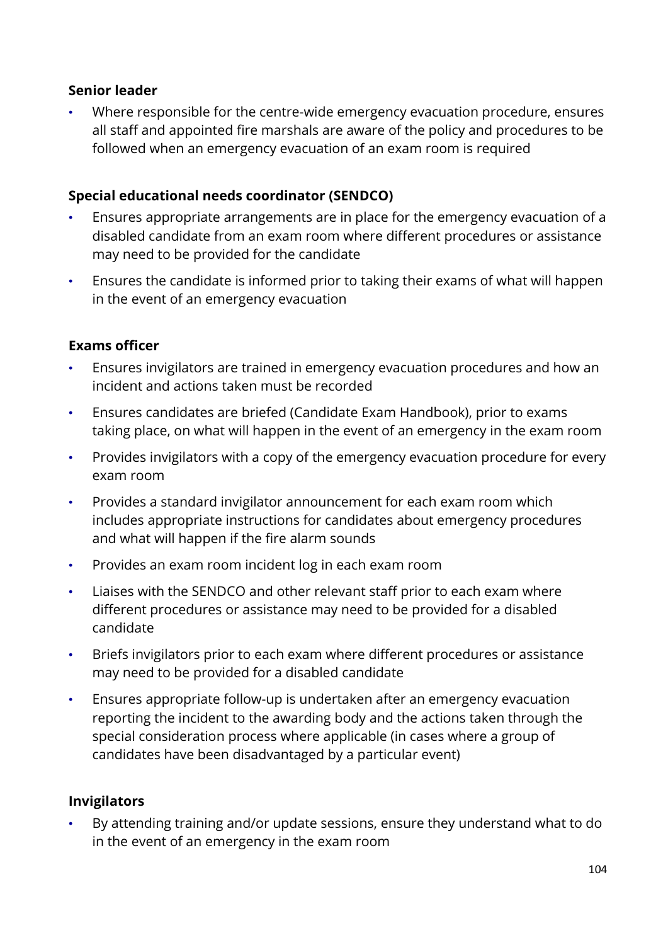#### **Senior leader**

• Where responsible for the centre-wide emergency evacuation procedure, ensures all staff and appointed fire marshals are aware of the policy and procedures to be followed when an emergency evacuation of an exam room is required

#### **Special educational needs coordinator (SENDCO)**

- Ensures appropriate arrangements are in place for the emergency evacuation of a disabled candidate from an exam room where different procedures or assistance may need to be provided for the candidate
- Ensures the candidate is informed prior to taking their exams of what will happen in the event of an emergency evacuation

#### **Exams officer**

- Ensures invigilators are trained in emergency evacuation procedures and how an incident and actions taken must be recorded
- Ensures candidates are briefed (Candidate Exam Handbook), prior to exams taking place, on what will happen in the event of an emergency in the exam room
- Provides invigilators with a copy of the emergency evacuation procedure for every exam room
- Provides a standard invigilator announcement for each exam room which includes appropriate instructions for candidates about emergency procedures and what will happen if the fire alarm sounds
- Provides an exam room incident log in each exam room
- Liaises with the SENDCO and other relevant staff prior to each exam where different procedures or assistance may need to be provided for a disabled candidate
- Briefs invigilators prior to each exam where different procedures or assistance may need to be provided for a disabled candidate
- Ensures appropriate follow-up is undertaken after an emergency evacuation reporting the incident to the awarding body and the actions taken through the special consideration process where applicable (in cases where a group of candidates have been disadvantaged by a particular event)

#### **Invigilators**

• By attending training and/or update sessions, ensure they understand what to do in the event of an emergency in the exam room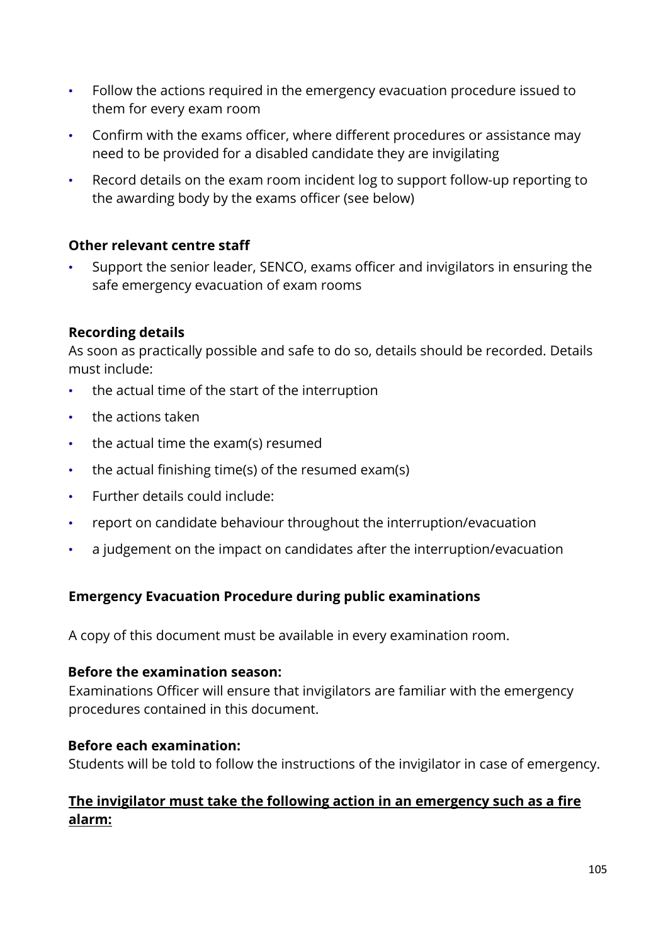- Follow the actions required in the emergency evacuation procedure issued to them for every exam room
- Confirm with the exams officer, where different procedures or assistance may need to be provided for a disabled candidate they are invigilating
- Record details on the exam room incident log to support follow-up reporting to the awarding body by the exams officer (see below)

### **Other relevant centre staff**

• Support the senior leader, SENCO, exams officer and invigilators in ensuring the safe emergency evacuation of exam rooms

#### **Recording details**

As soon as practically possible and safe to do so, details should be recorded. Details must include:

- the actual time of the start of the interruption
- the actions taken
- the actual time the exam(s) resumed
- the actual finishing time(s) of the resumed exam(s)
- Further details could include:
- report on candidate behaviour throughout the interruption/evacuation
- a judgement on the impact on candidates after the interruption/evacuation

### **Emergency Evacuation Procedure during public examinations**

A copy of this document must be available in every examination room.

#### **Before the examination season:**

Examinations Officer will ensure that invigilators are familiar with the emergency procedures contained in this document.

#### **Before each examination:**

Students will be told to follow the instructions of the invigilator in case of emergency.

### **The invigilator must take the following action in an emergency such as a fire alarm:**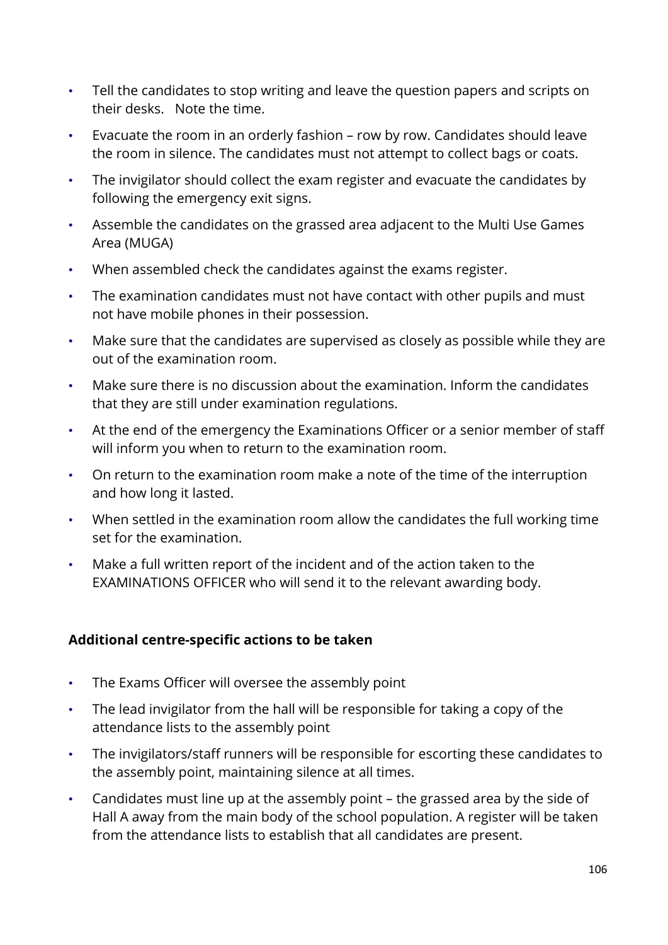- Tell the candidates to stop writing and leave the question papers and scripts on their desks. Note the time.
- Evacuate the room in an orderly fashion row by row. Candidates should leave the room in silence. The candidates must not attempt to collect bags or coats.
- The invigilator should collect the exam register and evacuate the candidates by following the emergency exit signs.
- Assemble the candidates on the grassed area adjacent to the Multi Use Games Area (MUGA)
- When assembled check the candidates against the exams register.
- The examination candidates must not have contact with other pupils and must not have mobile phones in their possession.
- Make sure that the candidates are supervised as closely as possible while they are out of the examination room.
- Make sure there is no discussion about the examination. Inform the candidates that they are still under examination regulations.
- At the end of the emergency the Examinations Officer or a senior member of staff will inform you when to return to the examination room.
- On return to the examination room make a note of the time of the interruption and how long it lasted.
- When settled in the examination room allow the candidates the full working time set for the examination.
- Make a full written report of the incident and of the action taken to the EXAMINATIONS OFFICER who will send it to the relevant awarding body.

### **Additional centre-specific actions to be taken**

- The Exams Officer will oversee the assembly point
- The lead invigilator from the hall will be responsible for taking a copy of the attendance lists to the assembly point
- The invigilators/staff runners will be responsible for escorting these candidates to the assembly point, maintaining silence at all times.
- Candidates must line up at the assembly point the grassed area by the side of Hall A away from the main body of the school population. A register will be taken from the attendance lists to establish that all candidates are present.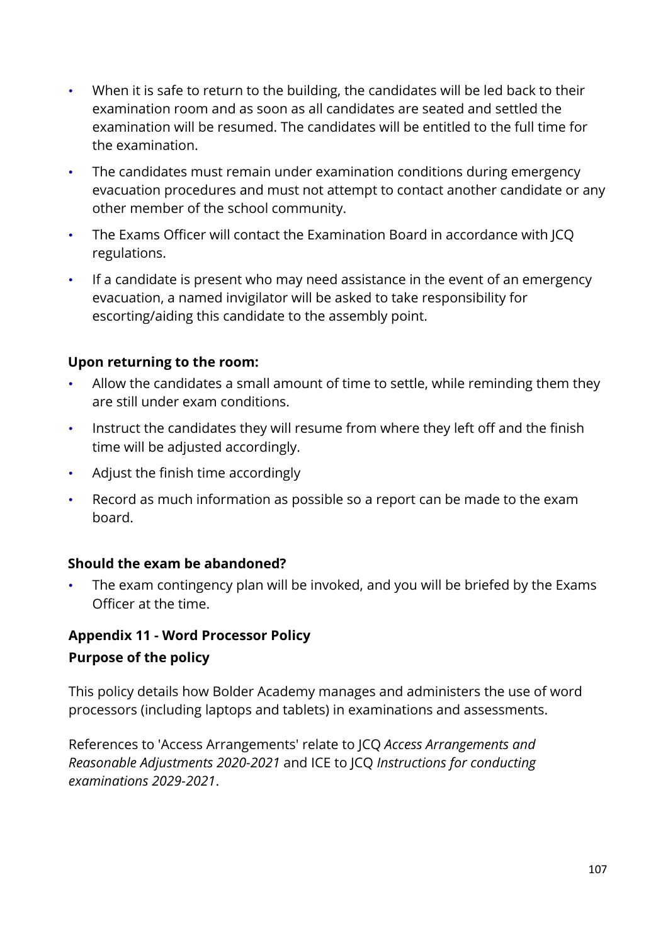- When it is safe to return to the building, the candidates will be led back to their examination room and as soon as all candidates are seated and settled the examination will be resumed. The candidates will be entitled to the full time for the examination.
- The candidates must remain under examination conditions during emergency evacuation procedures and must not attempt to contact another candidate or any other member of the school community.
- The Exams Officer will contact the Examination Board in accordance with JCQ regulations.
- If a candidate is present who may need assistance in the event of an emergency evacuation, a named invigilator will be asked to take responsibility for escorting/aiding this candidate to the assembly point.

### **Upon returning to the room:**

- Allow the candidates a small amount of time to settle, while reminding them they are still under exam conditions.
- Instruct the candidates they will resume from where they left off and the finish time will be adjusted accordingly.
- Adjust the finish time accordingly
- Record as much information as possible so a report can be made to the exam board.

### **Should the exam be abandoned?**

The exam contingency plan will be invoked, and you will be briefed by the Exams Officer at the time.

# **Appendix 11 - Word Processor Policy Purpose of the policy**

This policy details how Bolder Academy manages and administers the use of word processors (including laptops and tablets) in examinations and assessments.

References to 'Access Arrangements' relate to JCQ *Access Arrangements and Reasonable Adjustments 2020-2021* and ICE to JCQ *Instructions for conducting examinations 2029-2021*.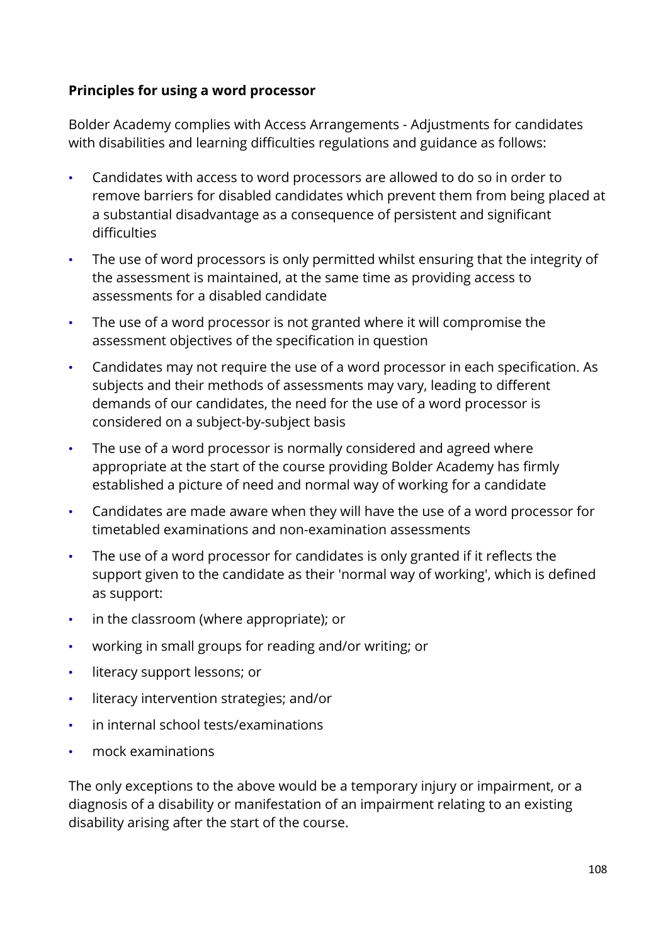#### **Principles for using a word processor**

Bolder Academy complies with Access Arrangements - Adjustments for candidates with disabilities and learning difficulties regulations and guidance as follows:

- Candidates with access to word processors are allowed to do so in order to remove barriers for disabled candidates which prevent them from being placed at a substantial disadvantage as a consequence of persistent and significant difficulties
- The use of word processors is only permitted whilst ensuring that the integrity of the assessment is maintained, at the same time as providing access to assessments for a disabled candidate
- The use of a word processor is not granted where it will compromise the assessment objectives of the specification in question
- Candidates may not require the use of a word processor in each specification. As subjects and their methods of assessments may vary, leading to different demands of our candidates, the need for the use of a word processor is considered on a subject-by-subject basis
- The use of a word processor is normally considered and agreed where appropriate at the start of the course providing Bolder Academy has firmly established a picture of need and normal way of working for a candidate
- Candidates are made aware when they will have the use of a word processor for timetabled examinations and non-examination assessments
- The use of a word processor for candidates is only granted if it reflects the support given to the candidate as their 'normal way of working', which is defined as support:
- in the classroom (where appropriate); or
- working in small groups for reading and/or writing; or
- literacy support lessons; or
- literacy intervention strategies; and/or
- in internal school tests/examinations
- mock examinations

The only exceptions to the above would be a temporary injury or impairment, or a diagnosis of a disability or manifestation of an impairment relating to an existing disability arising after the start of the course.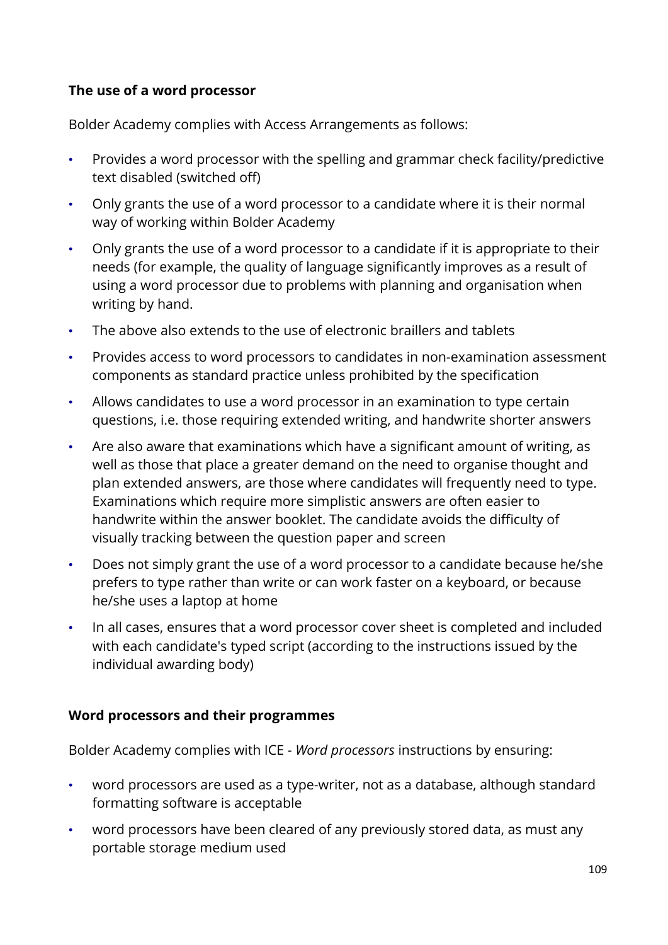#### **The use of a word processor**

Bolder Academy complies with Access Arrangements as follows:

- Provides a word processor with the spelling and grammar check facility/predictive text disabled (switched off)
- Only grants the use of a word processor to a candidate where it is their normal way of working within Bolder Academy
- Only grants the use of a word processor to a candidate if it is appropriate to their needs (for example, the quality of language significantly improves as a result of using a word processor due to problems with planning and organisation when writing by hand.
- The above also extends to the use of electronic braillers and tablets
- Provides access to word processors to candidates in non-examination assessment components as standard practice unless prohibited by the specification
- Allows candidates to use a word processor in an examination to type certain questions, i.e. those requiring extended writing, and handwrite shorter answers
- Are also aware that examinations which have a significant amount of writing, as well as those that place a greater demand on the need to organise thought and plan extended answers, are those where candidates will frequently need to type. Examinations which require more simplistic answers are often easier to handwrite within the answer booklet. The candidate avoids the difficulty of visually tracking between the question paper and screen
- Does not simply grant the use of a word processor to a candidate because he/she prefers to type rather than write or can work faster on a keyboard, or because he/she uses a laptop at home
- In all cases, ensures that a word processor cover sheet is completed and included with each candidate's typed script (according to the instructions issued by the individual awarding body)

#### **Word processors and their programmes**

Bolder Academy complies with ICE - *Word processors* instructions by ensuring:

- word processors are used as a type-writer, not as a database, although standard formatting software is acceptable
- word processors have been cleared of any previously stored data, as must any portable storage medium used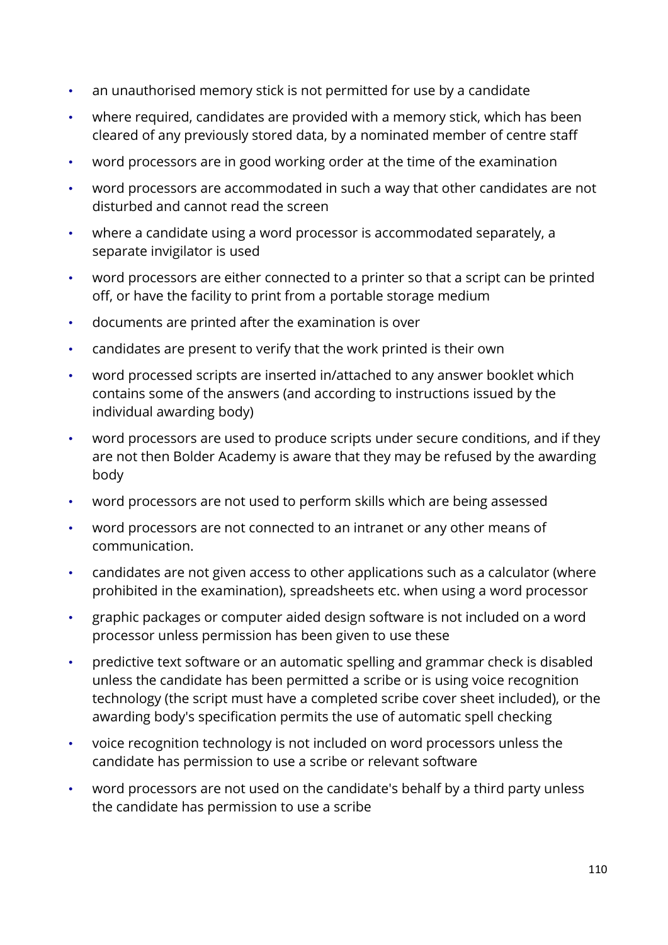- an unauthorised memory stick is not permitted for use by a candidate
- where required, candidates are provided with a memory stick, which has been cleared of any previously stored data, by a nominated member of centre staff
- word processors are in good working order at the time of the examination
- word processors are accommodated in such a way that other candidates are not disturbed and cannot read the screen
- where a candidate using a word processor is accommodated separately, a separate invigilator is used
- word processors are either connected to a printer so that a script can be printed off, or have the facility to print from a portable storage medium
- documents are printed after the examination is over
- candidates are present to verify that the work printed is their own
- word processed scripts are inserted in/attached to any answer booklet which contains some of the answers (and according to instructions issued by the individual awarding body)
- word processors are used to produce scripts under secure conditions, and if they are not then Bolder Academy is aware that they may be refused by the awarding body
- word processors are not used to perform skills which are being assessed
- word processors are not connected to an intranet or any other means of communication.
- candidates are not given access to other applications such as a calculator (where prohibited in the examination), spreadsheets etc. when using a word processor
- graphic packages or computer aided design software is not included on a word processor unless permission has been given to use these
- predictive text software or an automatic spelling and grammar check is disabled unless the candidate has been permitted a scribe or is using voice recognition technology (the script must have a completed scribe cover sheet included), or the awarding body's specification permits the use of automatic spell checking
- voice recognition technology is not included on word processors unless the candidate has permission to use a scribe or relevant software
- word processors are not used on the candidate's behalf by a third party unless the candidate has permission to use a scribe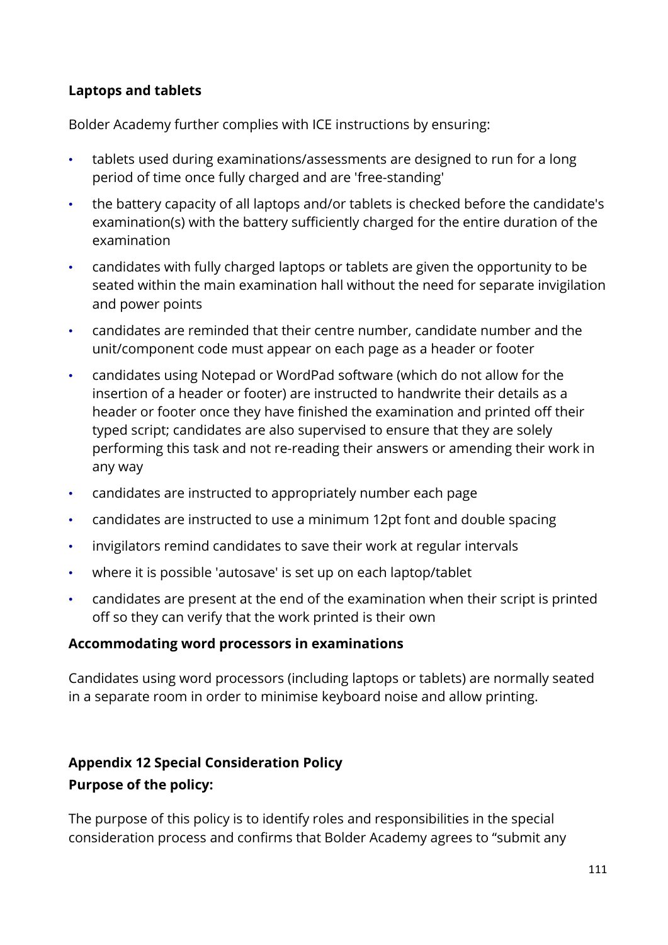#### **Laptops and tablets**

Bolder Academy further complies with ICE instructions by ensuring:

- tablets used during examinations/assessments are designed to run for a long period of time once fully charged and are 'free-standing'
- the battery capacity of all laptops and/or tablets is checked before the candidate's examination(s) with the battery sufficiently charged for the entire duration of the examination
- candidates with fully charged laptops or tablets are given the opportunity to be seated within the main examination hall without the need for separate invigilation and power points
- candidates are reminded that their centre number, candidate number and the unit/component code must appear on each page as a header or footer
- candidates using Notepad or WordPad software (which do not allow for the insertion of a header or footer) are instructed to handwrite their details as a header or footer once they have finished the examination and printed off their typed script; candidates are also supervised to ensure that they are solely performing this task and not re-reading their answers or amending their work in any way
- candidates are instructed to appropriately number each page
- candidates are instructed to use a minimum 12pt font and double spacing
- invigilators remind candidates to save their work at regular intervals
- where it is possible 'autosave' is set up on each laptop/tablet
- candidates are present at the end of the examination when their script is printed off so they can verify that the work printed is their own

#### **Accommodating word processors in examinations**

Candidates using word processors (including laptops or tablets) are normally seated in a separate room in order to minimise keyboard noise and allow printing.

# **Appendix 12 Special Consideration Policy Purpose of the policy:**

The purpose of this policy is to identify roles and responsibilities in the special consideration process and confirms that Bolder Academy agrees to "submit any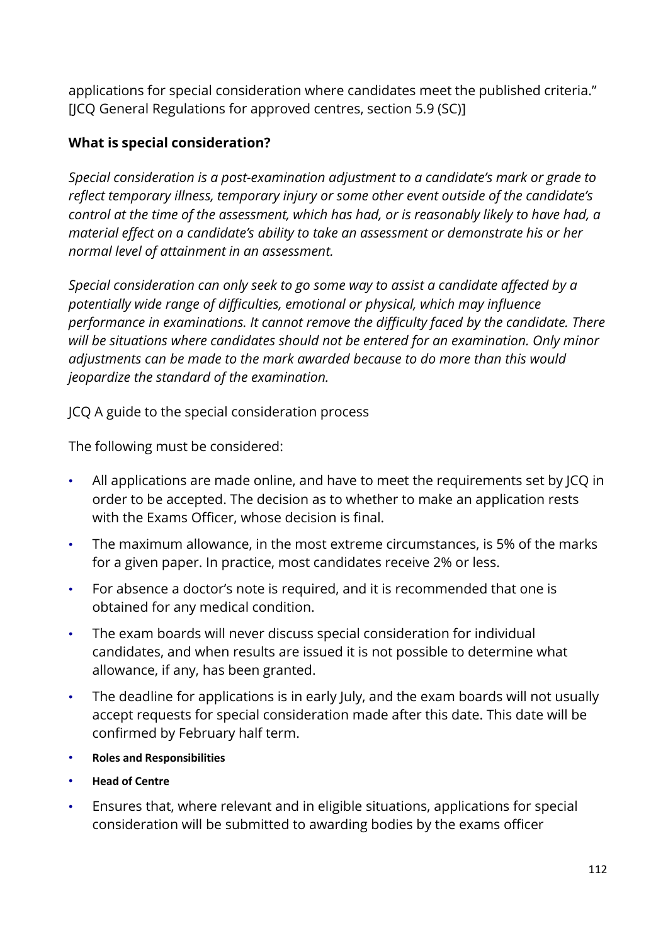applications for special consideration where candidates meet the published criteria." [JCQ General Regulations for approved centres, section 5.9 (SC)]

#### **What is special consideration?**

*Special consideration is a post-examination adjustment to a candidate's mark or grade to reflect temporary illness, temporary injury or some other event outside of the candidate's control at the time of the assessment, which has had, or is reasonably likely to have had, a material effect on a candidate's ability to take an assessment or demonstrate his or her normal level of attainment in an assessment.*

*Special consideration can only seek to go some way to assist a candidate affected by a potentially wide range of difficulties, emotional or physical, which may influence performance in examinations. It cannot remove the difficulty faced by the candidate. There will be situations where candidates should not be entered for an examination. Only minor adjustments can be made to the mark awarded because to do more than this would jeopardize the standard of the examination.*

JCQ A guide to the special consideration process

The following must be considered:

- All applications are made online, and have to meet the requirements set by JCQ in order to be accepted. The decision as to whether to make an application rests with the Exams Officer, whose decision is final.
- The maximum allowance, in the most extreme circumstances, is 5% of the marks for a given paper. In practice, most candidates receive 2% or less.
- For absence a doctor's note is required, and it is recommended that one is obtained for any medical condition.
- The exam boards will never discuss special consideration for individual candidates, and when results are issued it is not possible to determine what allowance, if any, has been granted.
- The deadline for applications is in early July, and the exam boards will not usually accept requests for special consideration made after this date. This date will be confirmed by February half term.
- **Roles and Responsibilities**
- **Head of Centre**
- Ensures that, where relevant and in eligible situations, applications for special consideration will be submitted to awarding bodies by the exams officer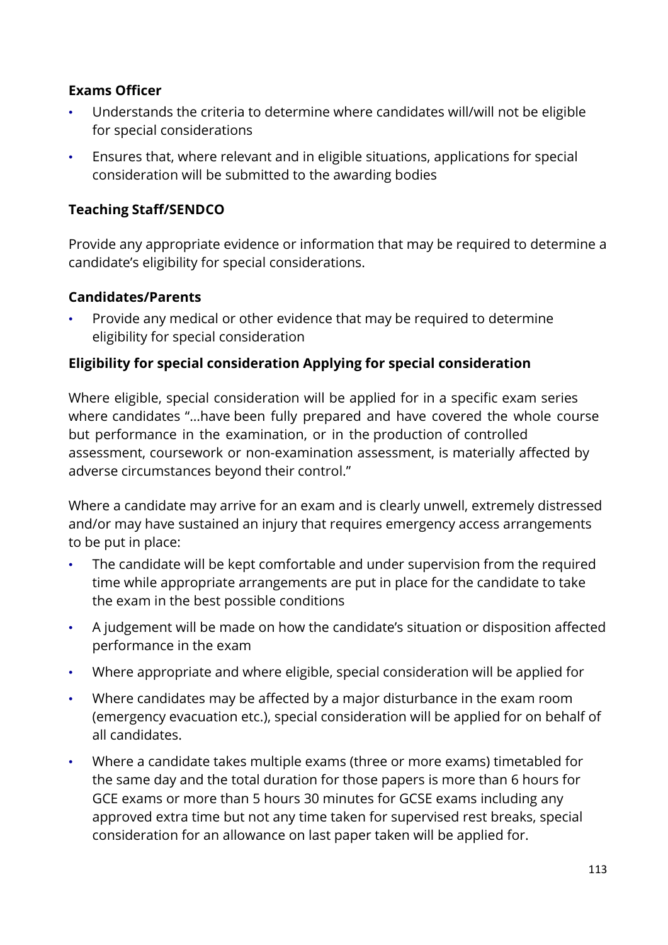#### **Exams Officer**

- Understands the criteria to determine where candidates will/will not be eligible for special considerations
- Ensures that, where relevant and in eligible situations, applications for special consideration will be submitted to the awarding bodies

#### **Teaching Staff/SENDCO**

Provide any appropriate evidence or information that may be required to determine a candidate's eligibility for special considerations.

#### **Candidates/Parents**

• Provide any medical or other evidence that may be required to determine eligibility for special consideration

#### **Eligibility for special consideration Applying for special consideration**

Where eligible, special consideration will be applied for in a specific exam series where candidates "…have been fully prepared and have covered the whole course but performance in the examination, or in the production of controlled assessment, coursework or non-examination assessment, is materially affected by adverse circumstances beyond their control."

Where a candidate may arrive for an exam and is clearly unwell, extremely distressed and/or may have sustained an injury that requires emergency access arrangements to be put in place:

- The candidate will be kept comfortable and under supervision from the required time while appropriate arrangements are put in place for the candidate to take the exam in the best possible conditions
- A judgement will be made on how the candidate's situation or disposition affected performance in the exam
- Where appropriate and where eligible, special consideration will be applied for
- Where candidates may be affected by a major disturbance in the exam room (emergency evacuation etc.), special consideration will be applied for on behalf of all candidates.
- Where a candidate takes multiple exams (three or more exams) timetabled for the same day and the total duration for those papers is more than 6 hours for GCE exams or more than 5 hours 30 minutes for GCSE exams including any approved extra time but not any time taken for supervised rest breaks, special consideration for an allowance on last paper taken will be applied for.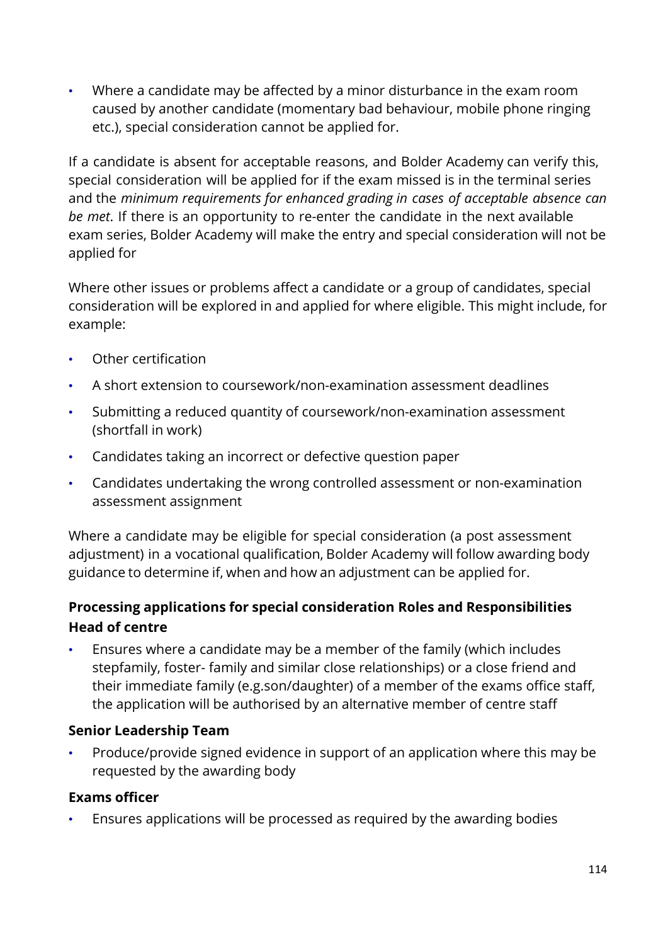• Where a candidate may be affected by a minor disturbance in the exam room caused by another candidate (momentary bad behaviour, mobile phone ringing etc.), special consideration cannot be applied for.

If a candidate is absent for acceptable reasons, and Bolder Academy can verify this, special consideration will be applied for if the exam missed is in the terminal series and the *minimum requirements for enhanced grading in cases of acceptable absence can be met*. If there is an opportunity to re-enter the candidate in the next available exam series, Bolder Academy will make the entry and special consideration will not be applied for

Where other issues or problems affect a candidate or a group of candidates, special consideration will be explored in and applied for where eligible. This might include, for example:

- Other certification
- A short extension to coursework/non-examination assessment deadlines
- Submitting a reduced quantity of coursework/non-examination assessment (shortfall in work)
- Candidates taking an incorrect or defective question paper
- Candidates undertaking the wrong controlled assessment or non-examination assessment assignment

Where a candidate may be eligible for special consideration (a post assessment adjustment) in a vocational qualification, Bolder Academy will follow awarding body guidance to determine if, when and how an adjustment can be applied for.

# **Processing applications for special consideration Roles and Responsibilities Head of centre**

• Ensures where a candidate may be a member of the family (which includes stepfamily, foster- family and similar close relationships) or a close friend and their immediate family (e.g.son/daughter) of a member of the exams office staff, the application will be authorised by an alternative member of centre staff

## **Senior Leadership Team**

• Produce/provide signed evidence in support of an application where this may be requested by the awarding body

## **Exams officer**

• Ensures applications will be processed as required by the awarding bodies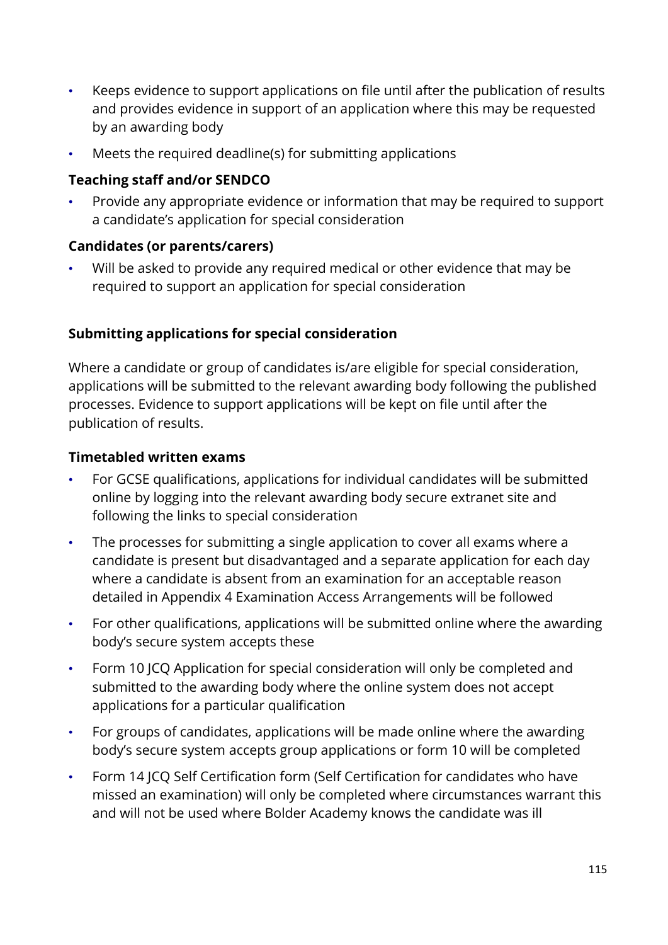- Keeps evidence to support applications on file until after the publication of results and provides evidence in support of an application where this may be requested by an awarding body
- Meets the required deadline(s) for submitting applications

## **Teaching staff and/or SENDCO**

• Provide any appropriate evidence or information that may be required to support a candidate's application for special consideration

#### **Candidates (or parents/carers)**

Will be asked to provide any required medical or other evidence that may be required to support an application for special consideration

## **Submitting applications for special consideration**

Where a candidate or group of candidates is/are eligible for special consideration, applications will be submitted to the relevant awarding body following the published processes. Evidence to support applications will be kept on file until after the publication of results.

#### **Timetabled written exams**

- For GCSE qualifications, applications for individual candidates will be submitted online by logging into the relevant awarding body secure extranet site and following the links to special consideration
- The processes for submitting a single application to cover all exams where a candidate is present but disadvantaged and a separate application for each day where a candidate is absent from an examination for an acceptable reason detailed in Appendix [4](http://www.jcq.org.uk/exams-office/access-arrangements-and-special-consideration) Examination Access Arrangements will be followed
- For other qualifications, applications will be submitted online where the awarding body's secure system accepts these
- [Form 10 J](http://www.jcq.org.uk/exams-office/access-arrangements-and-special-consideration/forms)CQ Application for special consideration will only be completed and submitted to the awarding body where the online system does not accept applications for a particular qualification
- For groups of candidates, applications will be made online where the awarding body's secure system accepts group applications or form 10 will be completed
- Form 14 JCQ Self Certification form (Self Certification for candidates who have missed an examination) will only be completed where circumstances warrant this and will not be used where Bolder Academy knows the candidate was ill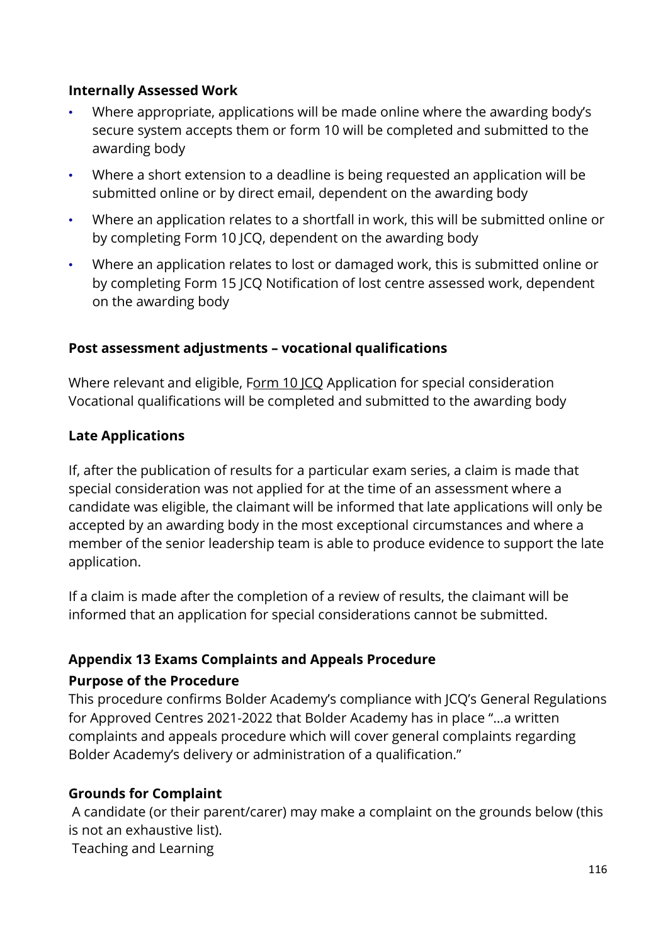#### **Internally Assessed Work**

- Where appropriate, applications will be made online where the awarding body's secure system accepts them or form 10 will be completed and submitted to the awarding body
- Where a short extension to a deadline is being requested an application will be submitted online or by direct email, dependent on the awarding body
- Where an application relates to a shortfall in work, this will be submitted online or by completing Form 10 JCQ, dependent on the awarding body
- Where an application relates to lost or damaged work, this is submitted online or by completing Form 15 JCQ Notification of lost centre assessed work, dependent on the awarding body

#### **Post assessment adjustments – vocational qualifications**

Where relevant and eligible, Form 10 ICQ Application for special consideration Vocational qualifications will be completed and submitted to the awarding body

#### **Late Applications**

If, after the publication of results for a particular exam series, a claim is made that special consideration was not applied for at the time of an assessment where a candidate was eligible, the claimant will be informed that late applications will only be accepted by an awarding body in the most exceptional circumstances and where a member of the senior leadership team is able to produce evidence to support the late application.

If a claim is made after the completion of a review of results, the claimant will be informed that an application for special considerations cannot be submitted.

#### **Appendix 13 Exams Complaints and Appeals Procedure**

#### **Purpose of the Procedure**

This procedure confirms Bolder Academy's compliance with JCQ's General Regulations for Approved Centres 2021-2022 that Bolder Academy has in place "…a written complaints and appeals procedure which will cover general complaints regarding Bolder Academy's delivery or administration of a qualification."

#### **Grounds for Complaint**

A candidate (or their parent/carer) may make a complaint on the grounds below (this is not an exhaustive list).

Teaching and Learning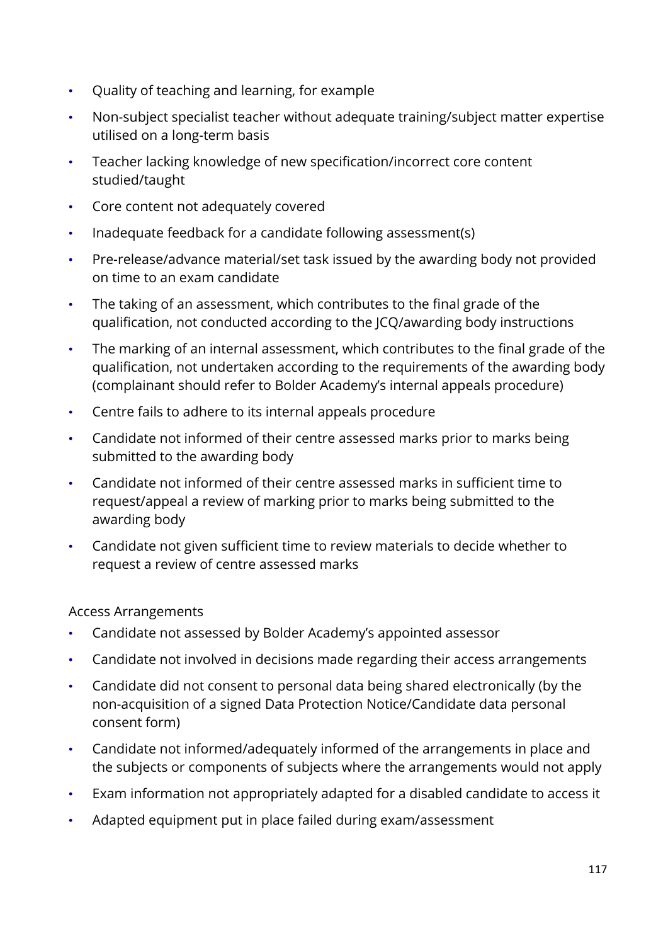- Quality of teaching and learning, for example
- Non-subject specialist teacher without adequate training/subject matter expertise utilised on a long-term basis
- Teacher lacking knowledge of new specification/incorrect core content studied/taught
- Core content not adequately covered
- Inadequate feedback for a candidate following assessment(s)
- Pre-release/advance material/set task issued by the awarding body not provided on time to an exam candidate
- The taking of an assessment, which contributes to the final grade of the qualification, not conducted according to the JCQ/awarding body instructions
- The marking of an internal assessment, which contributes to the final grade of the qualification, not undertaken according to the requirements of the awarding body (complainant should refer to Bolder Academy's internal appeals procedure)
- Centre fails to adhere to its internal appeals procedure
- Candidate not informed of their centre assessed marks prior to marks being submitted to the awarding body
- Candidate not informed of their centre assessed marks in sufficient time to request/appeal a review of marking prior to marks being submitted to the awarding body
- Candidate not given sufficient time to review materials to decide whether to request a review of centre assessed marks

Access Arrangements

- Candidate not assessed by Bolder Academy's appointed assessor
- Candidate not involved in decisions made regarding their access arrangements
- Candidate did not consent to personal data being shared electronically (by the non-acquisition of a signed Data Protection Notice/Candidate data personal consent form)
- Candidate not informed/adequately informed of the arrangements in place and the subjects or components of subjects where the arrangements would not apply
- Exam information not appropriately adapted for a disabled candidate to access it
- Adapted equipment put in place failed during exam/assessment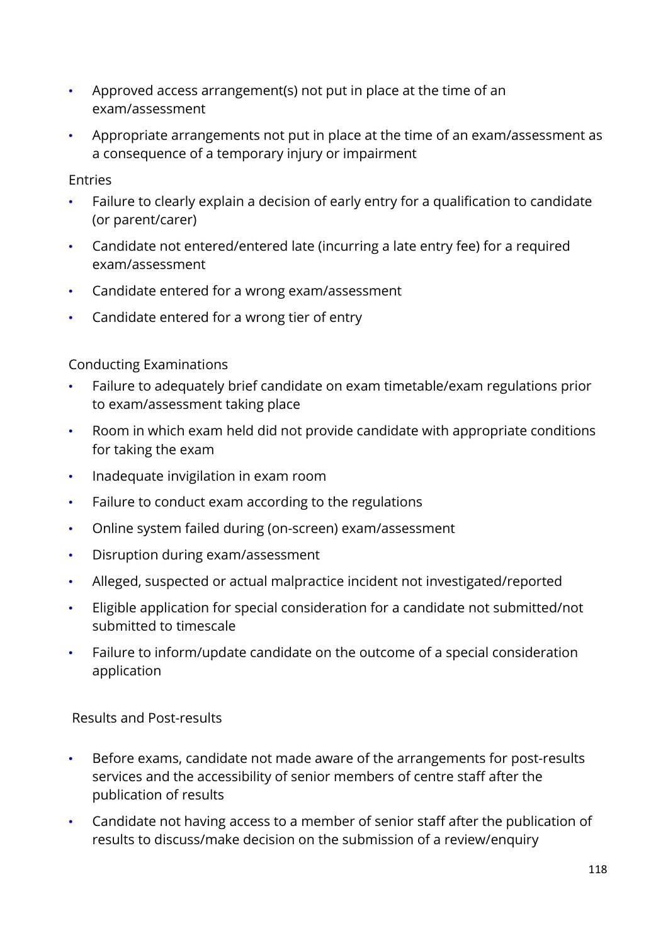- Approved access arrangement(s) not put in place at the time of an exam/assessment
- Appropriate arrangements not put in place at the time of an exam/assessment as a consequence of a temporary injury or impairment

Entries

- Failure to clearly explain a decision of early entry for a qualification to candidate (or parent/carer)
- Candidate not entered/entered late (incurring a late entry fee) for a required exam/assessment
- Candidate entered for a wrong exam/assessment
- Candidate entered for a wrong tier of entry

Conducting Examinations

- Failure to adequately brief candidate on exam timetable/exam regulations prior to exam/assessment taking place
- Room in which exam held did not provide candidate with appropriate conditions for taking the exam
- Inadequate invigilation in exam room
- Failure to conduct exam according to the regulations
- Online system failed during (on-screen) exam/assessment
- Disruption during exam/assessment
- Alleged, suspected or actual malpractice incident not investigated/reported
- Eligible application for special consideration for a candidate not submitted/not submitted to timescale
- Failure to inform/update candidate on the outcome of a special consideration application

Results and Post-results

- Before exams, candidate not made aware of the arrangements for post-results services and the accessibility of senior members of centre staff after the publication of results
- Candidate not having access to a member of senior staff after the publication of results to discuss/make decision on the submission of a review/enquiry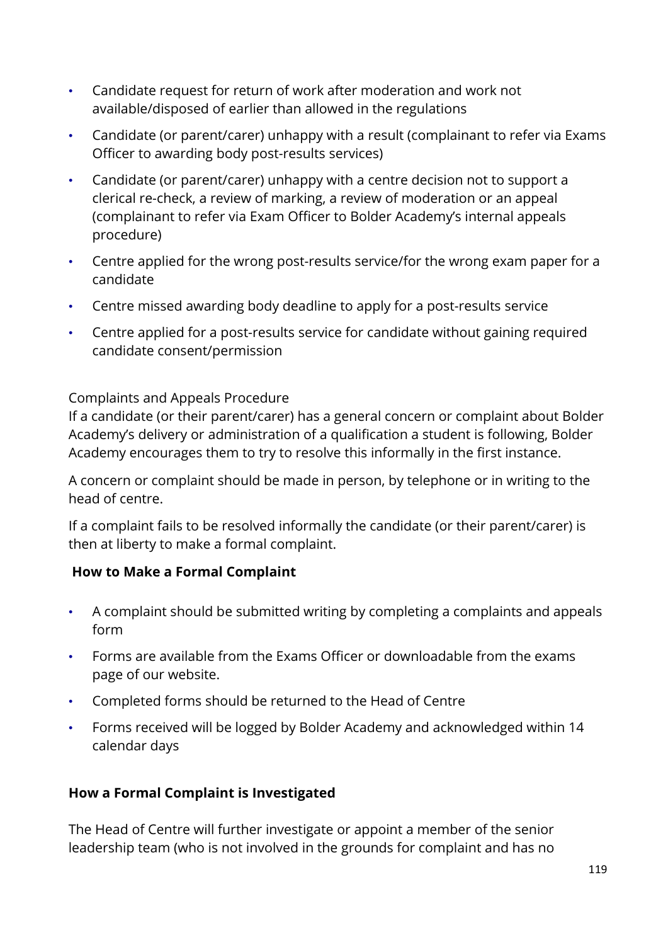- Candidate request for return of work after moderation and work not available/disposed of earlier than allowed in the regulations
- Candidate (or parent/carer) unhappy with a result (complainant to refer via Exams Officer to awarding body post-results services)
- Candidate (or parent/carer) unhappy with a centre decision not to support a clerical re-check, a review of marking, a review of moderation or an appeal (complainant to refer via Exam Officer to Bolder Academy's internal appeals procedure)
- Centre applied for the wrong post-results service/for the wrong exam paper for a candidate
- Centre missed awarding body deadline to apply for a post-results service
- Centre applied for a post-results service for candidate without gaining required candidate consent/permission

#### Complaints and Appeals Procedure

If a candidate (or their parent/carer) has a general concern or complaint about Bolder Academy's delivery or administration of a qualification a student is following, Bolder Academy encourages them to try to resolve this informally in the first instance.

A concern or complaint should be made in person, by telephone or in writing to the head of centre.

If a complaint fails to be resolved informally the candidate (or their parent/carer) is then at liberty to make a formal complaint.

#### **How to Make a Formal Complaint**

- A complaint should be submitted writing by completing a complaints and appeals form
- Forms are available from the Exams Officer or downloadable from the exams page of our website.
- Completed forms should be returned to the Head of Centre
- Forms received will be logged by Bolder Academy and acknowledged within 14 calendar days

## **How a Formal Complaint is Investigated**

The Head of Centre will further investigate or appoint a member of the senior leadership team (who is not involved in the grounds for complaint and has no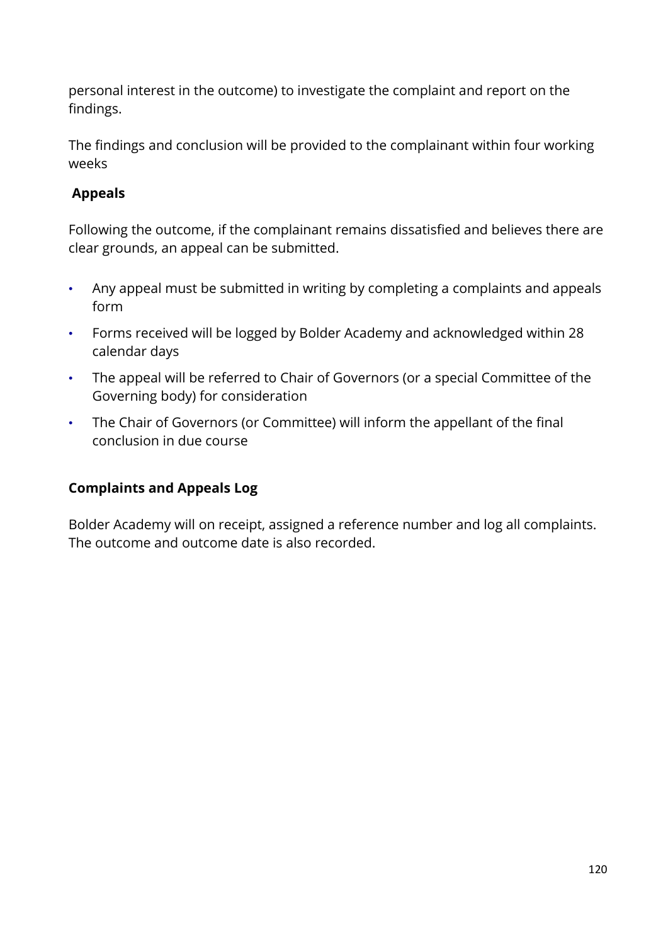personal interest in the outcome) to investigate the complaint and report on the findings.

The findings and conclusion will be provided to the complainant within four working weeks

# **Appeals**

Following the outcome, if the complainant remains dissatisfied and believes there are clear grounds, an appeal can be submitted.

- Any appeal must be submitted in writing by completing a complaints and appeals form
- Forms received will be logged by Bolder Academy and acknowledged within 28 calendar days
- The appeal will be referred to Chair of Governors (or a special Committee of the Governing body) for consideration
- The Chair of Governors (or Committee) will inform the appellant of the final conclusion in due course

## **Complaints and Appeals Log**

Bolder Academy will on receipt, assigned a reference number and log all complaints. The outcome and outcome date is also recorded.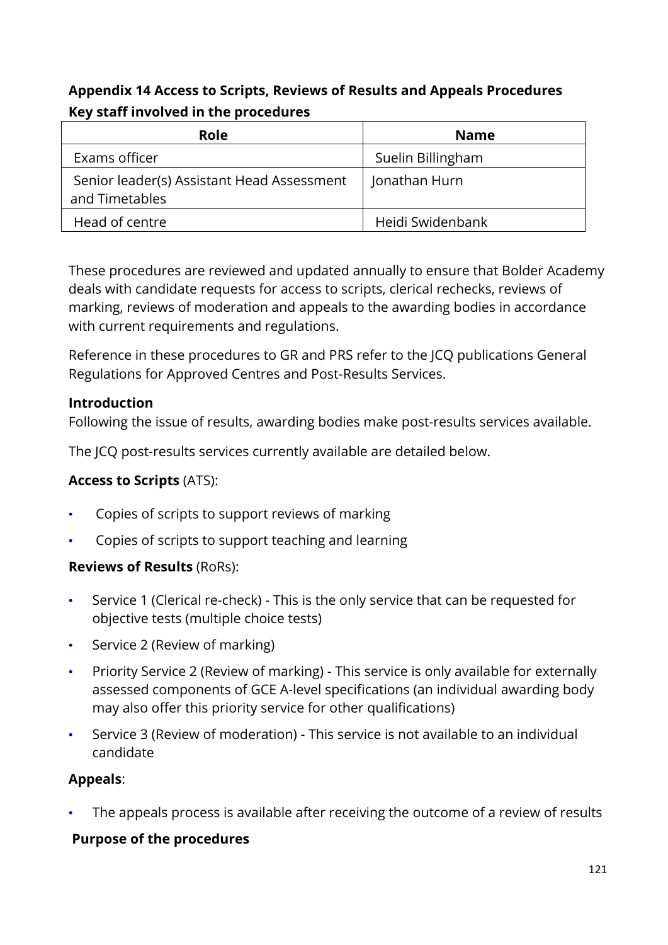# **Appendix 14 Access to Scripts, Reviews of Results and Appeals Procedures Key staff involved in the procedures**

| Role                                                         | <b>Name</b>       |
|--------------------------------------------------------------|-------------------|
| Exams officer                                                | Suelin Billingham |
| Senior leader(s) Assistant Head Assessment<br>and Timetables | Jonathan Hurn     |
| Head of centre                                               | Heidi Swidenbank  |

These procedures are reviewed and updated annually to ensure that Bolder Academy deals with candidate requests for access to scripts, clerical rechecks, reviews of marking, reviews of moderation and appeals to the awarding bodies in accordance with current requirements and regulations.

Reference in these procedures to GR and PRS refer to the JCQ publications General Regulations for Approved Centres and Post-Results Services.

#### **Introduction**

Following the issue of results, awarding bodies make post-results services available.

The JCQ post-results services currently available are detailed below.

#### **Access to Scripts** (ATS):

- Copies of scripts to support reviews of marking
- Copies of scripts to support teaching and learning

#### **Reviews of Results** (RoRs):

- Service 1 (Clerical re-check) This is the only service that can be requested for objective tests (multiple choice tests)
- Service 2 (Review of marking)
- Priority Service 2 (Review of marking) This service is only available for externally assessed components of GCE A-level specifications (an individual awarding body may also offer this priority service for other qualifications)
- Service 3 (Review of moderation) This service is not available to an individual candidate

#### **Appeals**:

The appeals process is available after receiving the outcome of a review of results

## **Purpose of the procedures**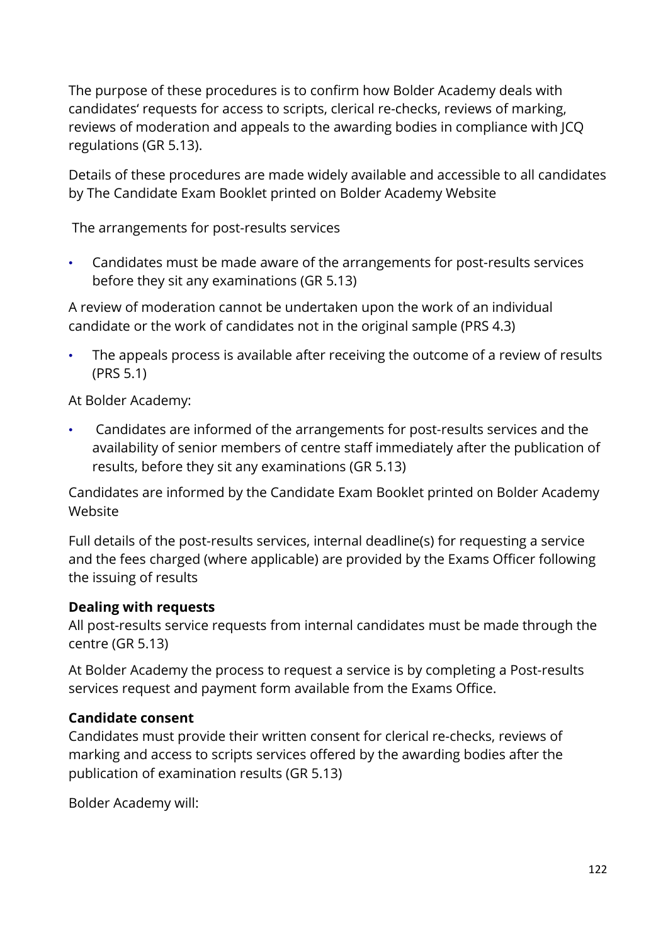The purpose of these procedures is to confirm how Bolder Academy deals with candidates' requests for access to scripts, clerical re-checks, reviews of marking, reviews of moderation and appeals to the awarding bodies in compliance with JCQ regulations (GR 5.13).

Details of these procedures are made widely available and accessible to all candidates by The Candidate Exam Booklet printed on Bolder Academy Website

The arrangements for post-results services

• Candidates must be made aware of the arrangements for post-results services before they sit any examinations (GR 5.13)

A review of moderation cannot be undertaken upon the work of an individual candidate or the work of candidates not in the original sample (PRS 4.3)

• The appeals process is available after receiving the outcome of a review of results (PRS 5.1)

At Bolder Academy:

• Candidates are informed of the arrangements for post-results services and the availability of senior members of centre staff immediately after the publication of results, before they sit any examinations (GR 5.13)

Candidates are informed by the Candidate Exam Booklet printed on Bolder Academy Website

Full details of the post-results services, internal deadline(s) for requesting a service and the fees charged (where applicable) are provided by the Exams Officer following the issuing of results

#### **Dealing with requests**

All post-results service requests from internal candidates must be made through the centre (GR 5.13)

At Bolder Academy the process to request a service is by completing a Post-results services request and payment form available from the Exams Office.

#### **Candidate consent**

Candidates must provide their written consent for clerical re-checks, reviews of marking and access to scripts services offered by the awarding bodies after the publication of examination results (GR 5.13)

Bolder Academy will: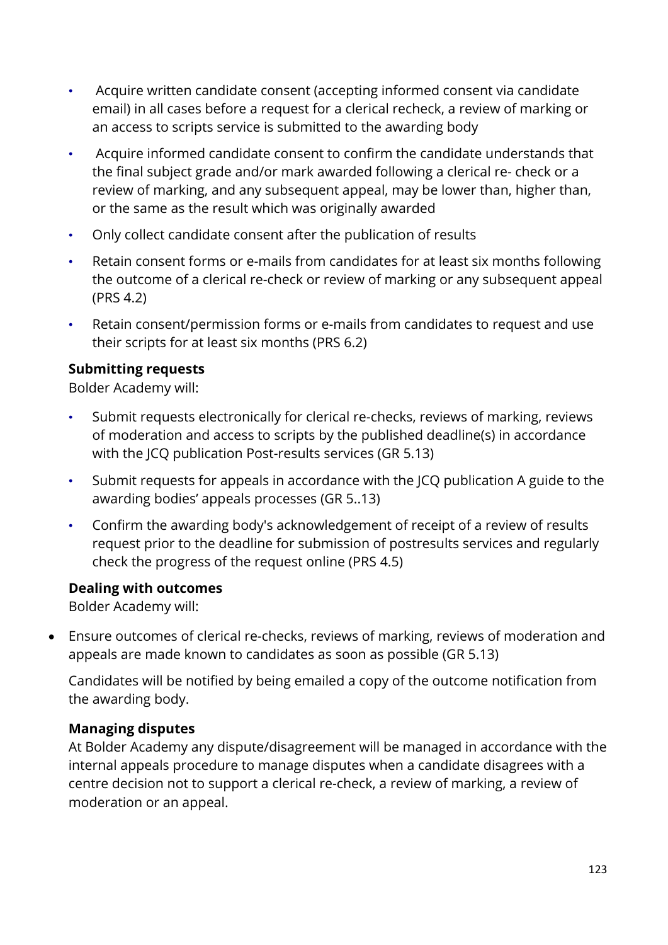- Acquire written candidate consent (accepting informed consent via candidate email) in all cases before a request for a clerical recheck, a review of marking or an access to scripts service is submitted to the awarding body
- Acquire informed candidate consent to confirm the candidate understands that the final subject grade and/or mark awarded following a clerical re- check or a review of marking, and any subsequent appeal, may be lower than, higher than, or the same as the result which was originally awarded
- Only collect candidate consent after the publication of results
- Retain consent forms or e-mails from candidates for at least six months following the outcome of a clerical re-check or review of marking or any subsequent appeal (PRS 4.2)
- Retain consent/permission forms or e-mails from candidates to request and use their scripts for at least six months (PRS 6.2)

#### **Submitting requests**

Bolder Academy will:

- Submit requests electronically for clerical re-checks, reviews of marking, reviews of moderation and access to scripts by the published deadline(s) in accordance with the JCQ publication Post-results services (GR 5.13)
- Submit requests for appeals in accordance with the JCQ publication A guide to the awarding bodies' appeals processes (GR 5..13)
- Confirm the awarding body's acknowledgement of receipt of a review of results request prior to the deadline for submission of postresults services and regularly check the progress of the request online (PRS 4.5)

#### **Dealing with outcomes**

Bolder Academy will:

• Ensure outcomes of clerical re-checks, reviews of marking, reviews of moderation and appeals are made known to candidates as soon as possible (GR 5.13)

Candidates will be notified by being emailed a copy of the outcome notification from the awarding body.

## **Managing disputes**

At Bolder Academy any dispute/disagreement will be managed in accordance with the internal appeals procedure to manage disputes when a candidate disagrees with a centre decision not to support a clerical re-check, a review of marking, a review of moderation or an appeal.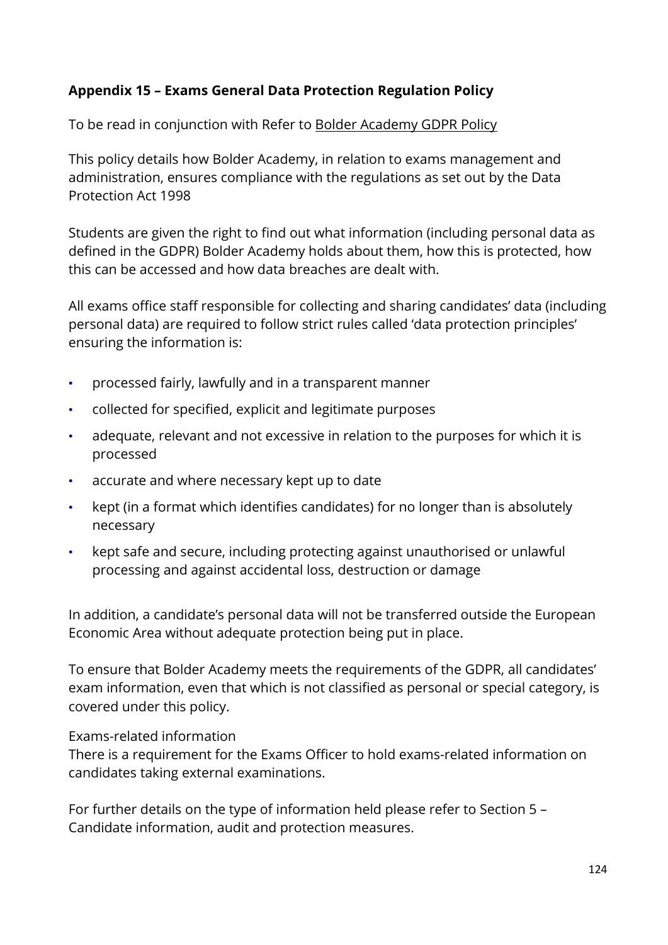#### **Appendix 15 – Exams General Data Protection Regulation Policy**

To be read in conjunction with Refer to [Bolder Academy GDPR Policy](https://www.bolderacademy.co.uk/about-us/policies)

This policy details how Bolder Academy, in relation to exams management and administration, ensures compliance with the regulations as set out by the Data Protection Act 1998

Students are given the right to find out what information (including personal data as defined in the GDPR) Bolder Academy holds about them, how this is protected, how this can be accessed and how data breaches are dealt with.

All exams office staff responsible for collecting and sharing candidates' data (including personal data) are required to follow strict rules called 'data protection principles' ensuring the information is:

- processed fairly, lawfully and in a transparent manner
- collected for specified, explicit and legitimate purposes
- adequate, relevant and not excessive in relation to the purposes for which it is processed
- accurate and where necessary kept up to date
- kept (in a format which identifies candidates) for no longer than is absolutely necessary
- kept safe and secure, including protecting against unauthorised or unlawful processing and against accidental loss, destruction or damage

In addition, a candidate's personal data will not be transferred outside the European Economic Area without adequate protection being put in place.

To ensure that Bolder Academy meets the requirements of the GDPR, all candidates' exam information, even that which is not classified as personal or special category, is covered under this policy.

#### Exams-related information

There is a requirement for the Exams Officer to hold exams-related information on candidates taking external examinations.

For further details on the type of information held please refer to Section 5 – Candidate information, audit and protection measures.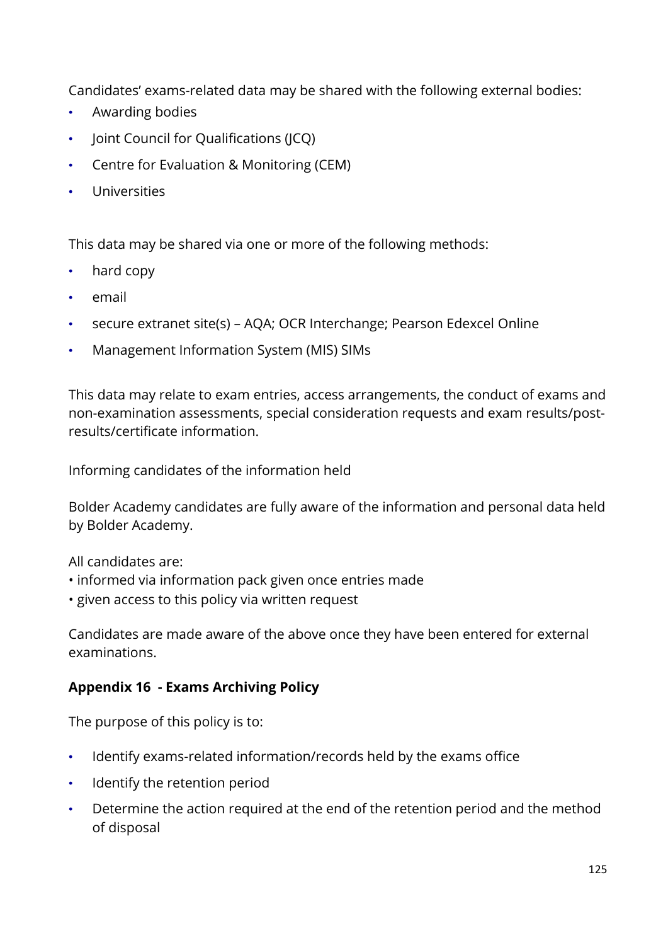Candidates' exams-related data may be shared with the following external bodies:

- Awarding bodies
- Joint Council for Qualifications (JCQ)
- Centre for Evaluation & Monitoring (CEM)
- **Universities**

This data may be shared via one or more of the following methods:

- hard copy
- email
- secure extranet site(s) AQA; OCR Interchange; Pearson Edexcel Online
- Management Information System (MIS) SIMs

This data may relate to exam entries, access arrangements, the conduct of exams and non-examination assessments, special consideration requests and exam results/postresults/certificate information.

Informing candidates of the information held

Bolder Academy candidates are fully aware of the information and personal data held by Bolder Academy.

All candidates are:

- informed via information pack given once entries made
- given access to this policy via written request

Candidates are made aware of the above once they have been entered for external examinations.

#### **Appendix 16 - Exams Archiving Policy**

The purpose of this policy is to:

- Identify exams-related information/records held by the exams office
- Identify the retention period
- Determine the action required at the end of the retention period and the method of disposal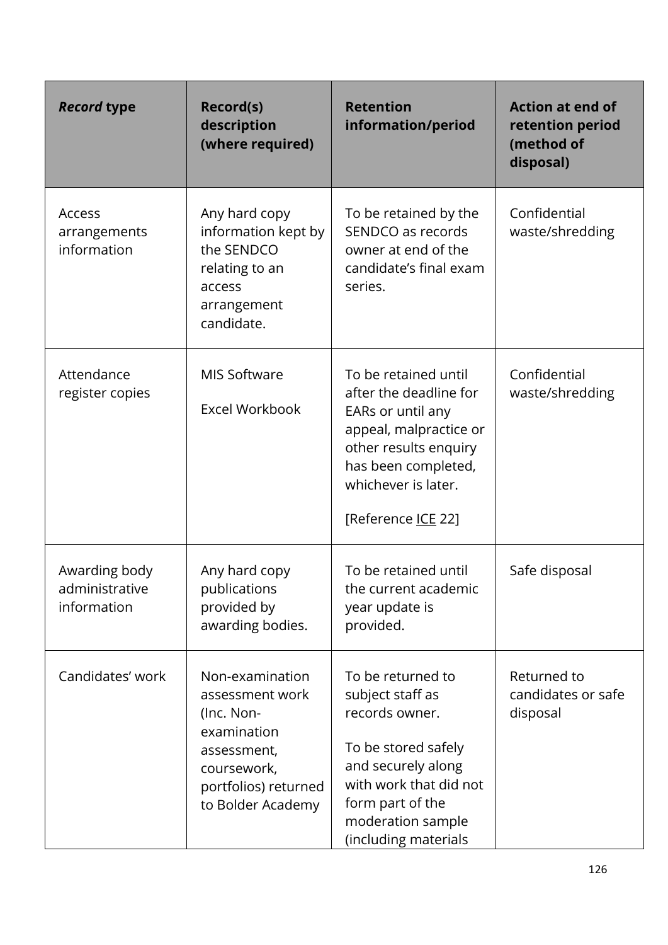| <b>Record type</b>                             | Record(s)<br>description<br>(where required)                                                                                               | <b>Retention</b><br>information/period                                                                                                                                                          | <b>Action at end of</b><br>retention period<br>(method of<br>disposal) |
|------------------------------------------------|--------------------------------------------------------------------------------------------------------------------------------------------|-------------------------------------------------------------------------------------------------------------------------------------------------------------------------------------------------|------------------------------------------------------------------------|
| Access<br>arrangements<br>information          | Any hard copy<br>information kept by<br>the SENDCO<br>relating to an<br>access<br>arrangement<br>candidate.                                | To be retained by the<br>SENDCO as records<br>owner at end of the<br>candidate's final exam<br>series.                                                                                          | Confidential<br>waste/shredding                                        |
| Attendance<br>register copies                  | <b>MIS Software</b><br>Excel Workbook                                                                                                      | To be retained until<br>after the deadline for<br>EARs or until any<br>appeal, malpractice or<br>other results enquiry<br>has been completed,<br>whichever is later.<br>[Reference ICE 22]      | Confidential<br>waste/shredding                                        |
| Awarding body<br>administrative<br>information | Any hard copy<br>publications<br>provided by<br>awarding bodies.                                                                           | To be retained until<br>the current academic<br>year update is<br>provided.                                                                                                                     | Safe disposal                                                          |
| Candidates' work                               | Non-examination<br>assessment work<br>(Inc. Non-<br>examination<br>assessment,<br>coursework,<br>portfolios) returned<br>to Bolder Academy | To be returned to<br>subject staff as<br>records owner.<br>To be stored safely<br>and securely along<br>with work that did not<br>form part of the<br>moderation sample<br>(including materials | Returned to<br>candidates or safe<br>disposal                          |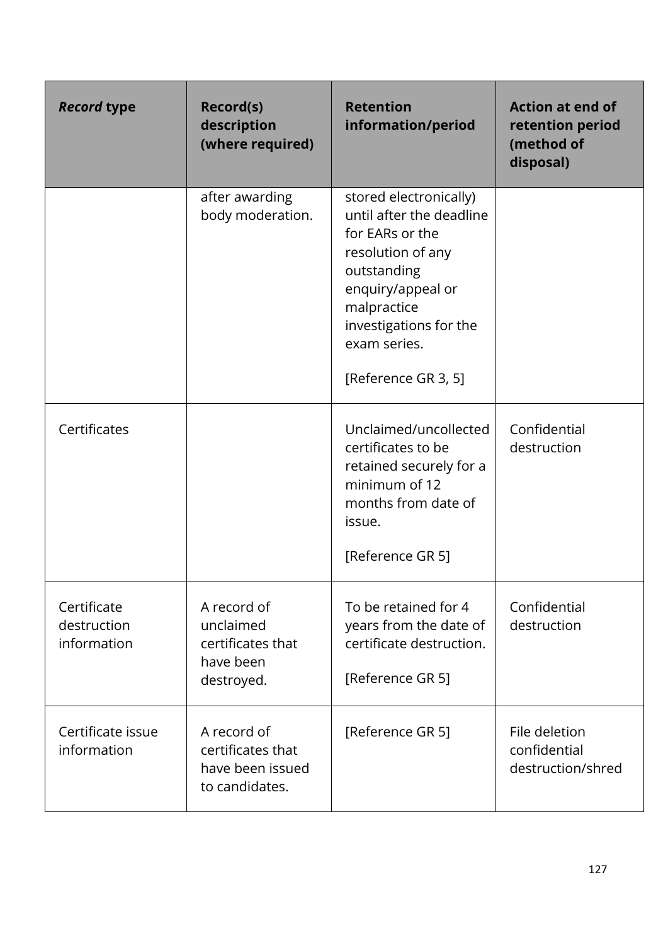| <b>Record type</b>                        | <b>Record(s)</b><br>description<br>(where required)                      | <b>Retention</b><br>information/period                                                                                                                                                                         | <b>Action at end of</b><br>retention period<br>(method of<br>disposal) |
|-------------------------------------------|--------------------------------------------------------------------------|----------------------------------------------------------------------------------------------------------------------------------------------------------------------------------------------------------------|------------------------------------------------------------------------|
|                                           | after awarding<br>body moderation.                                       | stored electronically)<br>until after the deadline<br>for EARs or the<br>resolution of any<br>outstanding<br>enquiry/appeal or<br>malpractice<br>investigations for the<br>exam series.<br>[Reference GR 3, 5] |                                                                        |
| Certificates                              |                                                                          | Unclaimed/uncollected<br>certificates to be<br>retained securely for a<br>minimum of 12<br>months from date of<br>issue.<br>[Reference GR 5]                                                                   | Confidential<br>destruction                                            |
| Certificate<br>destruction<br>information | A record of<br>unclaimed<br>certificates that<br>have been<br>destroyed. | To be retained for 4<br>years from the date of<br>certificate destruction.<br>[Reference GR 5]                                                                                                                 | Confidential<br>destruction                                            |
| Certificate issue<br>information          | A record of<br>certificates that<br>have been issued<br>to candidates.   | [Reference GR 5]                                                                                                                                                                                               | File deletion<br>confidential<br>destruction/shred                     |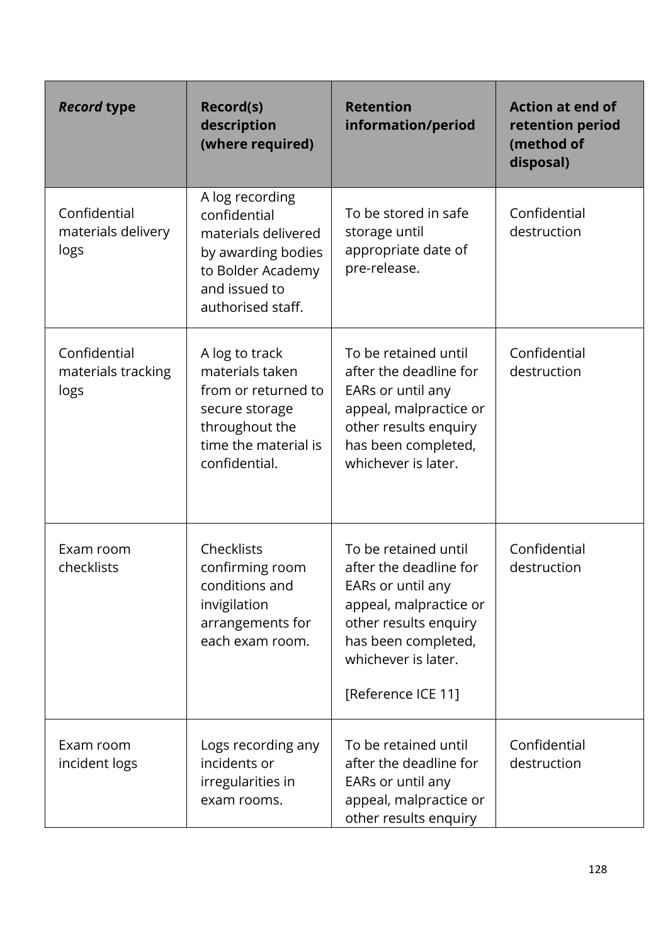| <b>Record type</b>                         | Record(s)<br>description<br>(where required)                                                                                            | <b>Retention</b><br>information/period                                                                                                                                                     | <b>Action at end of</b><br>retention period<br>(method of<br>disposal) |
|--------------------------------------------|-----------------------------------------------------------------------------------------------------------------------------------------|--------------------------------------------------------------------------------------------------------------------------------------------------------------------------------------------|------------------------------------------------------------------------|
| Confidential<br>materials delivery<br>logs | A log recording<br>confidential<br>materials delivered<br>by awarding bodies<br>to Bolder Academy<br>and issued to<br>authorised staff. | To be stored in safe<br>storage until<br>appropriate date of<br>pre-release.                                                                                                               | Confidential<br>destruction                                            |
| Confidential<br>materials tracking<br>logs | A log to track<br>materials taken<br>from or returned to<br>secure storage<br>throughout the<br>time the material is<br>confidential.   | To be retained until<br>after the deadline for<br>EARs or until any<br>appeal, malpractice or<br>other results enquiry<br>has been completed,<br>whichever is later.                       | Confidential<br>destruction                                            |
| Exam room<br>checklists                    | Checklists<br>confirming room<br>conditions and<br>invigilation<br>arrangements for<br>each exam room.                                  | To be retained until<br>after the deadline for<br>EARs or until any<br>appeal, malpractice or<br>other results enquiry<br>has been completed,<br>whichever is later.<br>[Reference ICE 11] | Confidential<br>destruction                                            |
| Exam room<br>incident logs                 | Logs recording any<br>incidents or<br>irregularities in<br>exam rooms.                                                                  | To be retained until<br>after the deadline for<br>EARs or until any<br>appeal, malpractice or<br>other results enquiry                                                                     | Confidential<br>destruction                                            |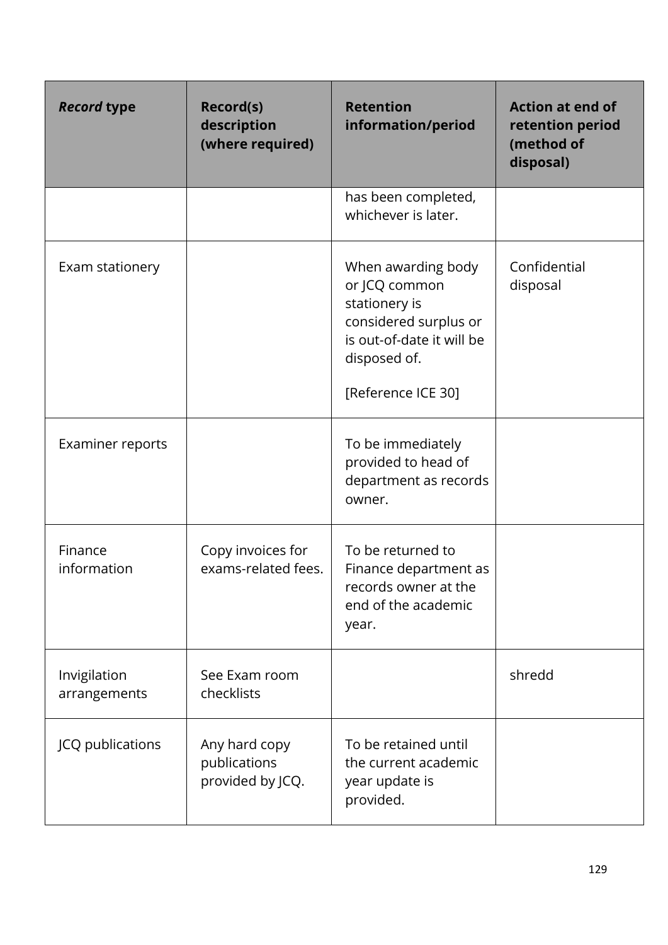| <b>Record type</b>           | Record(s)<br>description<br>(where required)      | <b>Retention</b><br>information/period                                                                                                           | <b>Action at end of</b><br>retention period<br>(method of<br>disposal) |
|------------------------------|---------------------------------------------------|--------------------------------------------------------------------------------------------------------------------------------------------------|------------------------------------------------------------------------|
|                              |                                                   | has been completed,<br>whichever is later.                                                                                                       |                                                                        |
| Exam stationery              |                                                   | When awarding body<br>or JCQ common<br>stationery is<br>considered surplus or<br>is out-of-date it will be<br>disposed of.<br>[Reference ICE 30] | Confidential<br>disposal                                               |
| Examiner reports             |                                                   | To be immediately<br>provided to head of<br>department as records<br>owner.                                                                      |                                                                        |
| Finance<br>information       | Copy invoices for<br>exams-related fees.          | To be returned to<br>Finance department as<br>records owner at the<br>end of the academic<br>year.                                               |                                                                        |
| Invigilation<br>arrangements | See Exam room<br>checklists                       |                                                                                                                                                  | shredd                                                                 |
| JCQ publications             | Any hard copy<br>publications<br>provided by JCQ. | To be retained until<br>the current academic<br>year update is<br>provided.                                                                      |                                                                        |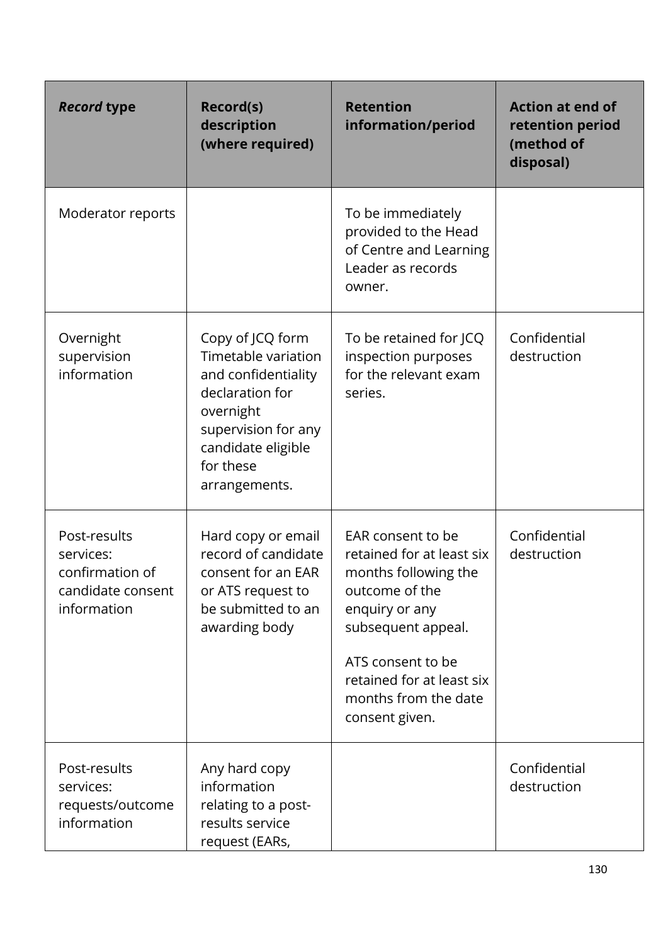| <b>Record type</b>                                                               | <b>Record(s)</b><br>description<br>(where required)                                                                                                                       | <b>Retention</b><br>information/period                                                                                                                                                                                       | <b>Action at end of</b><br>retention period<br>(method of<br>disposal) |
|----------------------------------------------------------------------------------|---------------------------------------------------------------------------------------------------------------------------------------------------------------------------|------------------------------------------------------------------------------------------------------------------------------------------------------------------------------------------------------------------------------|------------------------------------------------------------------------|
| Moderator reports                                                                |                                                                                                                                                                           | To be immediately<br>provided to the Head<br>of Centre and Learning<br>Leader as records<br>owner.                                                                                                                           |                                                                        |
| Overnight<br>supervision<br>information                                          | Copy of JCQ form<br>Timetable variation<br>and confidentiality<br>declaration for<br>overnight<br>supervision for any<br>candidate eligible<br>for these<br>arrangements. | To be retained for JCQ<br>inspection purposes<br>for the relevant exam<br>series.                                                                                                                                            | Confidential<br>destruction                                            |
| Post-results<br>services:<br>confirmation of<br>candidate consent<br>information | Hard copy or email<br>record of candidate<br>consent for an EAR<br>or ATS request to<br>be submitted to an<br>awarding body                                               | EAR consent to be<br>retained for at least six<br>months following the<br>outcome of the<br>enquiry or any<br>subsequent appeal.<br>ATS consent to be<br>retained for at least six<br>months from the date<br>consent given. | Confidential<br>destruction                                            |
| Post-results<br>services:<br>requests/outcome<br>information                     | Any hard copy<br>information<br>relating to a post-<br>results service<br>request (EARs,                                                                                  |                                                                                                                                                                                                                              | Confidential<br>destruction                                            |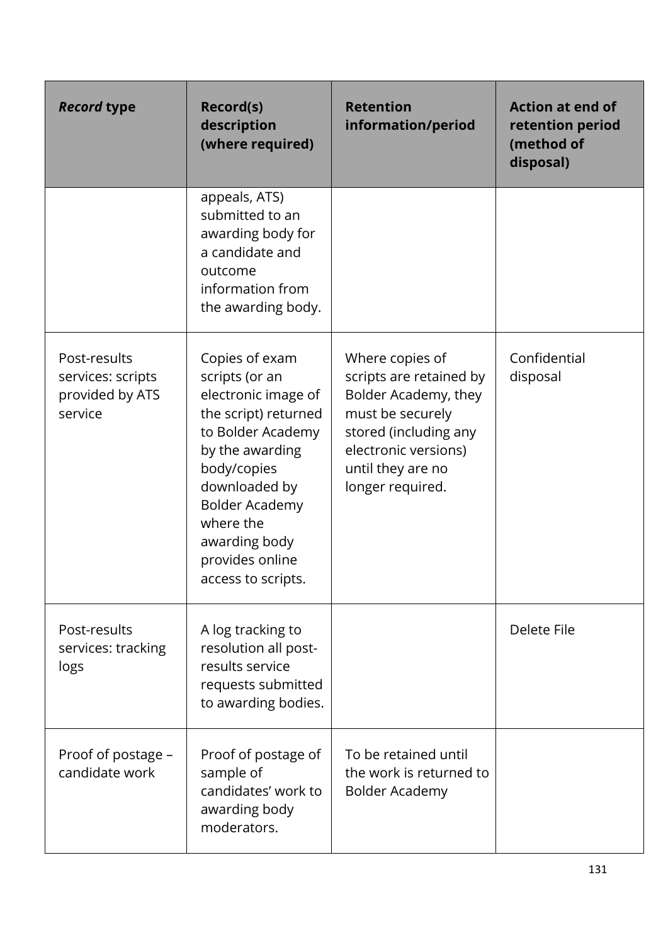| <b>Record type</b>                                              | <b>Record(s)</b><br>description<br>(where required)                                                                                                                                                                                                     | <b>Retention</b><br>information/period                                                                                                                                           | <b>Action at end of</b><br>retention period<br>(method of<br>disposal) |
|-----------------------------------------------------------------|---------------------------------------------------------------------------------------------------------------------------------------------------------------------------------------------------------------------------------------------------------|----------------------------------------------------------------------------------------------------------------------------------------------------------------------------------|------------------------------------------------------------------------|
|                                                                 | appeals, ATS)<br>submitted to an<br>awarding body for<br>a candidate and<br>outcome<br>information from<br>the awarding body.                                                                                                                           |                                                                                                                                                                                  |                                                                        |
| Post-results<br>services: scripts<br>provided by ATS<br>service | Copies of exam<br>scripts (or an<br>electronic image of<br>the script) returned<br>to Bolder Academy<br>by the awarding<br>body/copies<br>downloaded by<br><b>Bolder Academy</b><br>where the<br>awarding body<br>provides online<br>access to scripts. | Where copies of<br>scripts are retained by<br>Bolder Academy, they<br>must be securely<br>stored (including any<br>electronic versions)<br>until they are no<br>longer required. | Confidential<br>disposal                                               |
| Post-results<br>services: tracking<br>logs                      | A log tracking to<br>resolution all post-<br>results service<br>requests submitted<br>to awarding bodies.                                                                                                                                               |                                                                                                                                                                                  | Delete File                                                            |
| Proof of postage -<br>candidate work                            | Proof of postage of<br>sample of<br>candidates' work to<br>awarding body<br>moderators.                                                                                                                                                                 | To be retained until<br>the work is returned to<br>Bolder Academy                                                                                                                |                                                                        |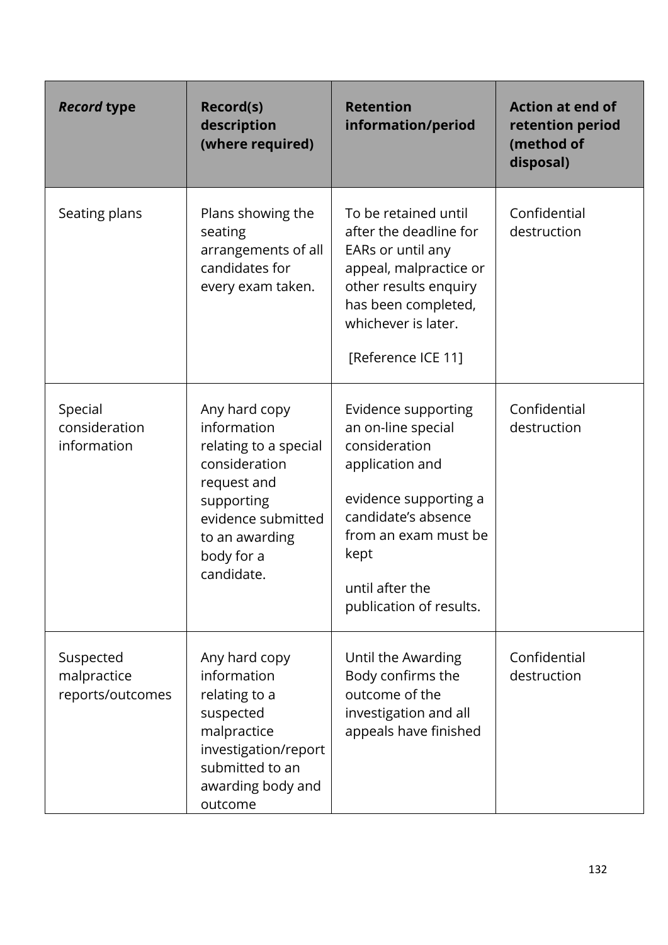| <b>Record type</b>                           | Record(s)<br>description<br>(where required)                                                                                                                            | <b>Retention</b><br>information/period                                                                                                                                                                      | <b>Action at end of</b><br>retention period<br>(method of<br>disposal) |
|----------------------------------------------|-------------------------------------------------------------------------------------------------------------------------------------------------------------------------|-------------------------------------------------------------------------------------------------------------------------------------------------------------------------------------------------------------|------------------------------------------------------------------------|
| Seating plans                                | Plans showing the<br>seating<br>arrangements of all<br>candidates for<br>every exam taken.                                                                              | To be retained until<br>after the deadline for<br>EARs or until any<br>appeal, malpractice or<br>other results enquiry<br>has been completed,<br>whichever is later.<br>[Reference ICE 11]                  | Confidential<br>destruction                                            |
| Special<br>consideration<br>information      | Any hard copy<br>information<br>relating to a special<br>consideration<br>request and<br>supporting<br>evidence submitted<br>to an awarding<br>body for a<br>candidate. | Evidence supporting<br>an on-line special<br>consideration<br>application and<br>evidence supporting a<br>candidate's absence<br>from an exam must be<br>kept<br>until after the<br>publication of results. | Confidential<br>destruction                                            |
| Suspected<br>malpractice<br>reports/outcomes | Any hard copy<br>information<br>relating to a<br>suspected<br>malpractice<br>investigation/report<br>submitted to an<br>awarding body and<br>outcome                    | Until the Awarding<br>Body confirms the<br>outcome of the<br>investigation and all<br>appeals have finished                                                                                                 | Confidential<br>destruction                                            |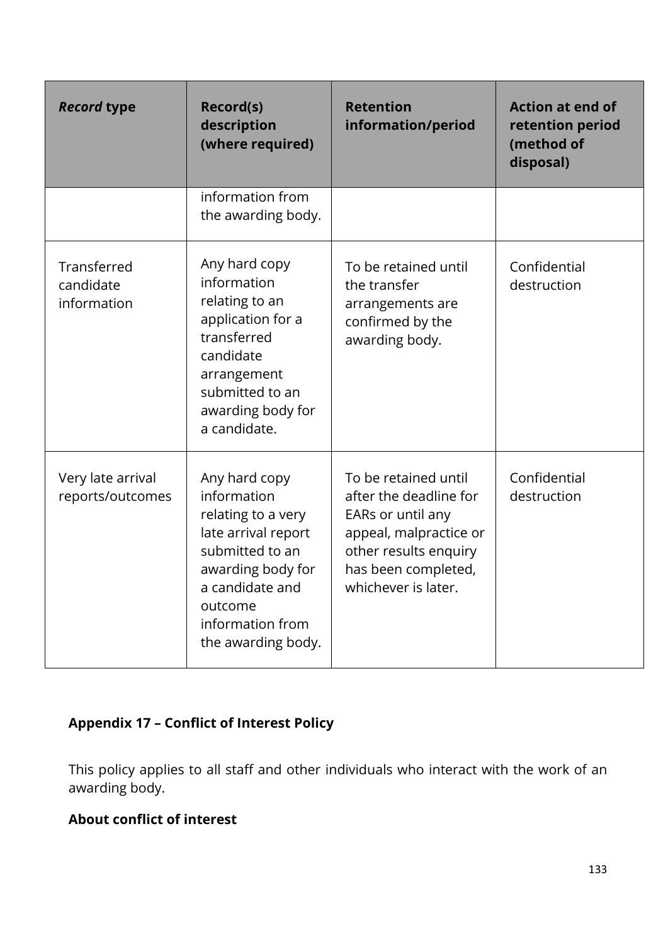| <b>Record type</b>                      | <b>Record(s)</b><br>description<br>(where required)                                                                                                                                       | <b>Retention</b><br>information/period                                                                                                                               | <b>Action at end of</b><br>retention period<br>(method of<br>disposal) |
|-----------------------------------------|-------------------------------------------------------------------------------------------------------------------------------------------------------------------------------------------|----------------------------------------------------------------------------------------------------------------------------------------------------------------------|------------------------------------------------------------------------|
|                                         | information from<br>the awarding body.                                                                                                                                                    |                                                                                                                                                                      |                                                                        |
| Transferred<br>candidate<br>information | Any hard copy<br>information<br>relating to an<br>application for a<br>transferred<br>candidate<br>arrangement<br>submitted to an<br>awarding body for<br>a candidate.                    | To be retained until<br>the transfer<br>arrangements are<br>confirmed by the<br>awarding body.                                                                       | Confidential<br>destruction                                            |
| Very late arrival<br>reports/outcomes   | Any hard copy<br>information<br>relating to a very<br>late arrival report<br>submitted to an<br>awarding body for<br>a candidate and<br>outcome<br>information from<br>the awarding body. | To be retained until<br>after the deadline for<br>EARs or until any<br>appeal, malpractice or<br>other results enquiry<br>has been completed,<br>whichever is later. | Confidential<br>destruction                                            |

# **Appendix 17 – Conflict of Interest Policy**

This policy applies to all staff and other individuals who interact with the work of an awarding body.

# **About conflict of interest**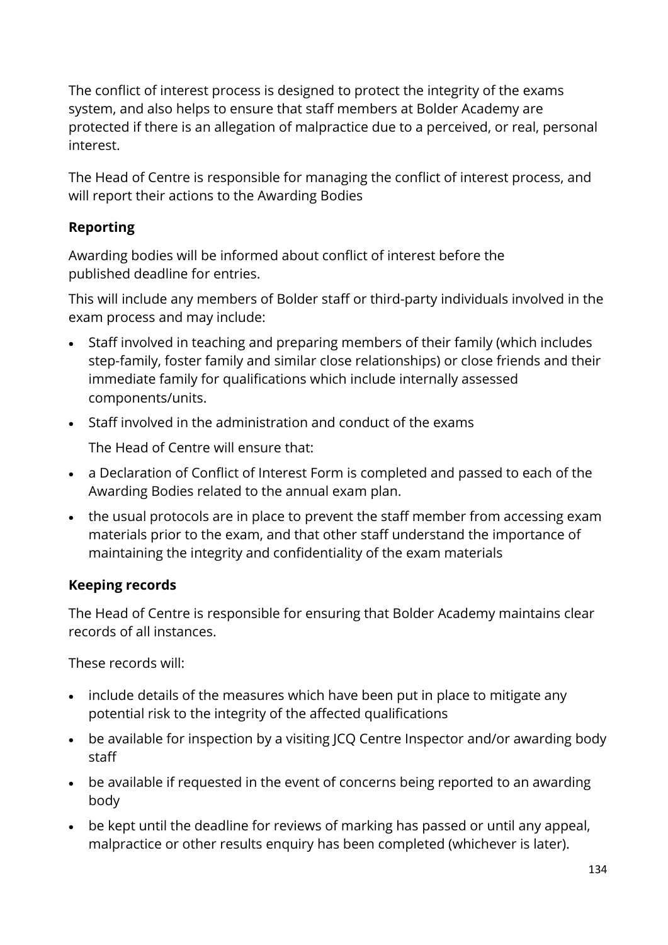The conflict of interest process is designed to protect the integrity of the exams system, and also helps to ensure that staff members at Bolder Academy are protected if there is an allegation of malpractice due to a perceived, or real, personal interest.

The Head of Centre is responsible for managing the conflict of interest process, and will report their actions to the Awarding Bodies

## **Reporting**

Awarding bodies will be informed about conflict of interest before the published deadline for entries.

This will include any members of Bolder staff or third-party individuals involved in the exam process and may include:

- Staff involved in teaching and preparing members of their family (which includes step-family, foster family and similar close relationships) or close friends and their immediate family for qualifications which include internally assessed components/units.
- Staff involved in the administration and conduct of the exams

The Head of Centre will ensure that:

- a Declaration of Conflict of Interest Form is completed and passed to each of the Awarding Bodies related to the annual exam plan.
- the usual protocols are in place to prevent the staff member from accessing exam materials prior to the exam, and that other staff understand the importance of maintaining the integrity and confidentiality of the exam materials

## **Keeping records**

The Head of Centre is responsible for ensuring that Bolder Academy maintains clear records of all instances.

These records will:

- include details of the measures which have been put in place to mitigate any potential risk to the integrity of the affected qualifications
- be available for inspection by a visiting JCQ Centre Inspector and/or awarding body staff
- be available if requested in the event of concerns being reported to an awarding body
- be kept until the deadline for reviews of marking has passed or until any appeal, malpractice or other results enquiry has been completed (whichever is later).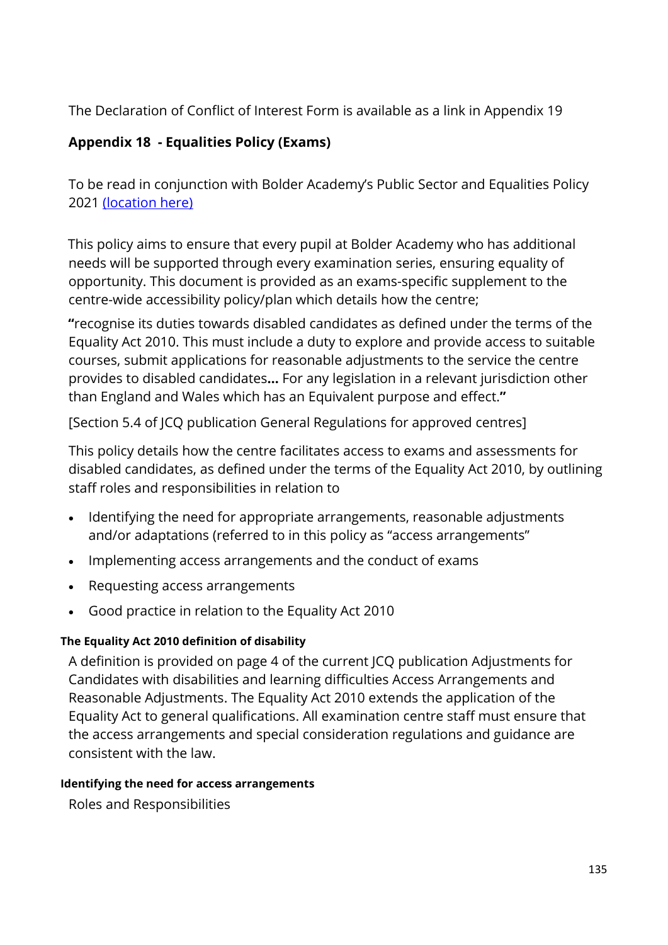The Declaration of Conflict of Interest Form is available as a link in Appendix 19

# **Appendix 18 - Equalities Policy (Exams)**

To be read in conjunction with Bolder Academy's Public Sector and Equalities Policy 2021 [\(location here\)](https://www.bolderacademy.co.uk/about-us/policies)

This policy aims to ensure that every pupil at Bolder Academy who has additional needs will be supported through every examination series, ensuring equality of opportunity. This document is provided as an exams-specific supplement to the centre-wide accessibility policy/plan which details how the centre;

**"**recognise its duties towards disabled candidates as defined under the terms of the Equality Act 2010. This must include a duty to explore and provide access to suitable courses, submit applications for reasonable adjustments to the service the centre provides to disabled candidates**…** For any legislation in a relevant jurisdiction other than England and Wales which has an Equivalent purpose and effect.**"**

[Section 5.4 of JCQ publication General Regulations for approved centres]

This policy details how the centre facilitates access to exams and assessments for disabled candidates, as defined under the terms of the Equality Act 2010, by outlining staff roles and responsibilities in relation to

- Identifying the need for appropriate arrangements, reasonable adjustments and/or adaptations (referred to in this policy as "access arrangements"
- Implementing access arrangements and the conduct of exams
- Requesting access arrangements
- Good practice in relation to the Equality Act 2010

#### **The Equality Act 2010 definition of disability**

A definition is provided on page 4 of the current JCQ publication Adjustments for Candidates with disabilities and learning difficulties Access Arrangements and Reasonable Adjustments. The Equality Act 2010 extends the application of the Equality Act to general qualifications. All examination centre staff must ensure that the access arrangements and special consideration regulations and guidance are consistent with the law.

#### **Identifying the need for access arrangements**

Roles and Responsibilities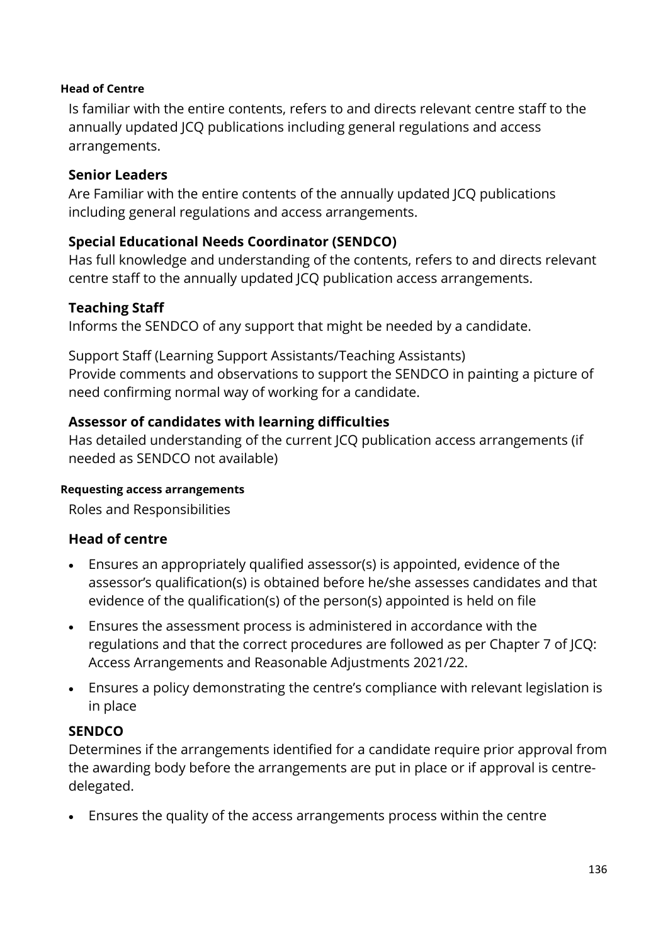#### **Head of Centre**

Is familiar with the entire contents, refers to and directs relevant centre staff to the annually updated JCQ publications including general regulations and access arrangements.

#### **Senior Leaders**

Are Familiar with the entire contents of the annually updated JCQ publications including general regulations and access arrangements.

#### **Special Educational Needs Coordinator (SENDCO)**

Has full knowledge and understanding of the contents, refers to and directs relevant centre staff to the annually updated JCQ publication access arrangements.

#### **Teaching Staff**

Informs the SENDCO of any support that might be needed by a candidate.

Support Staff (Learning Support Assistants/Teaching Assistants) Provide comments and observations to support the SENDCO in painting a picture of need confirming normal way of working for a candidate.

#### **Assessor of candidates with learning difficulties**

Has detailed understanding of the current JCQ publication access arrangements (if needed as SENDCO not available)

#### **Requesting access arrangements**

Roles and Responsibilities

#### **Head of centre**

- Ensures an appropriately qualified assessor(s) is appointed, evidence of the assessor's qualification(s) is obtained before he/she assesses candidates and that evidence of the qualification(s) of the person(s) appointed is held on file
- Ensures the assessment process is administered in accordance with the regulations and that the correct procedures are followed as per Chapter 7 of JCQ: Access Arrangements and Reasonable Adjustments 2021/22.
- Ensures a policy demonstrating the centre's compliance with relevant legislation is in place

#### **SENDCO**

Determines if the arrangements identified for a candidate require prior approval from the awarding body before the arrangements are put in place or if approval is centredelegated.

• Ensures the quality of the access arrangements process within the centre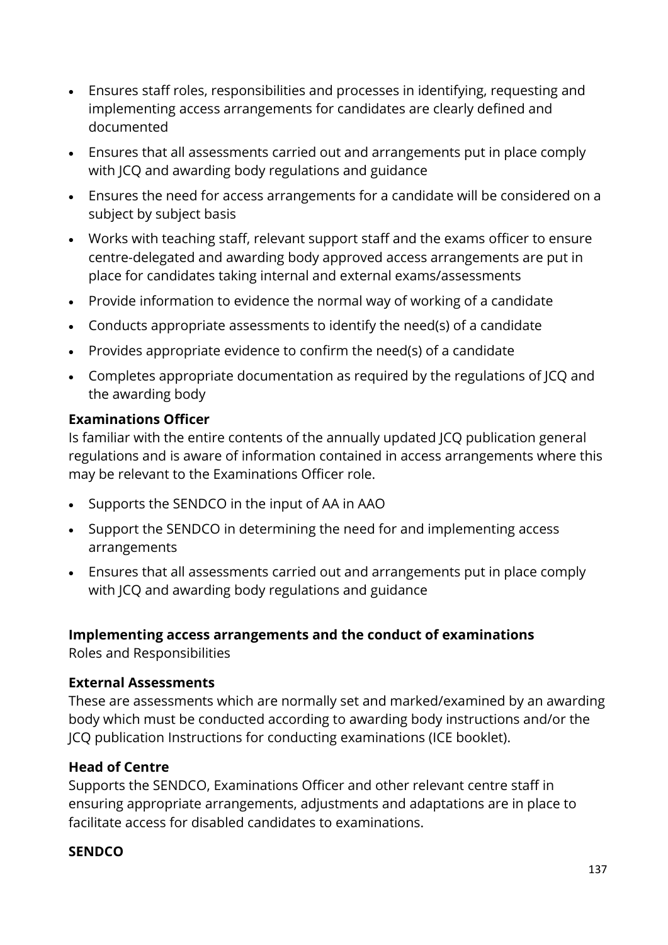- Ensures staff roles, responsibilities and processes in identifying, requesting and implementing access arrangements for candidates are clearly defined and documented
- Ensures that all assessments carried out and arrangements put in place comply with JCQ and awarding body regulations and guidance
- Ensures the need for access arrangements for a candidate will be considered on a subject by subject basis
- Works with teaching staff, relevant support staff and the exams officer to ensure centre-delegated and awarding body approved access arrangements are put in place for candidates taking internal and external exams/assessments
- Provide information to evidence the normal way of working of a candidate
- Conducts appropriate assessments to identify the need(s) of a candidate
- Provides appropriate evidence to confirm the need(s) of a candidate
- Completes appropriate documentation as required by the regulations of JCQ and the awarding body

#### **Examinations Officer**

Is familiar with the entire contents of the annually updated JCQ publication general regulations and is aware of information contained in access arrangements where this may be relevant to the Examinations Officer role.

- Supports the SENDCO in the input of AA in AAO
- Support the SENDCO in determining the need for and implementing access arrangements
- Ensures that all assessments carried out and arrangements put in place comply with JCQ and awarding body regulations and guidance

#### **Implementing access arrangements and the conduct of examinations**

Roles and Responsibilities

#### **External Assessments**

These are assessments which are normally set and marked/examined by an awarding body which must be conducted according to awarding body instructions and/or the JCQ publication Instructions for conducting examinations (ICE booklet).

#### **Head of Centre**

Supports the SENDCO, Examinations Officer and other relevant centre staff in ensuring appropriate arrangements, adjustments and adaptations are in place to facilitate access for disabled candidates to examinations.

#### **SENDCO**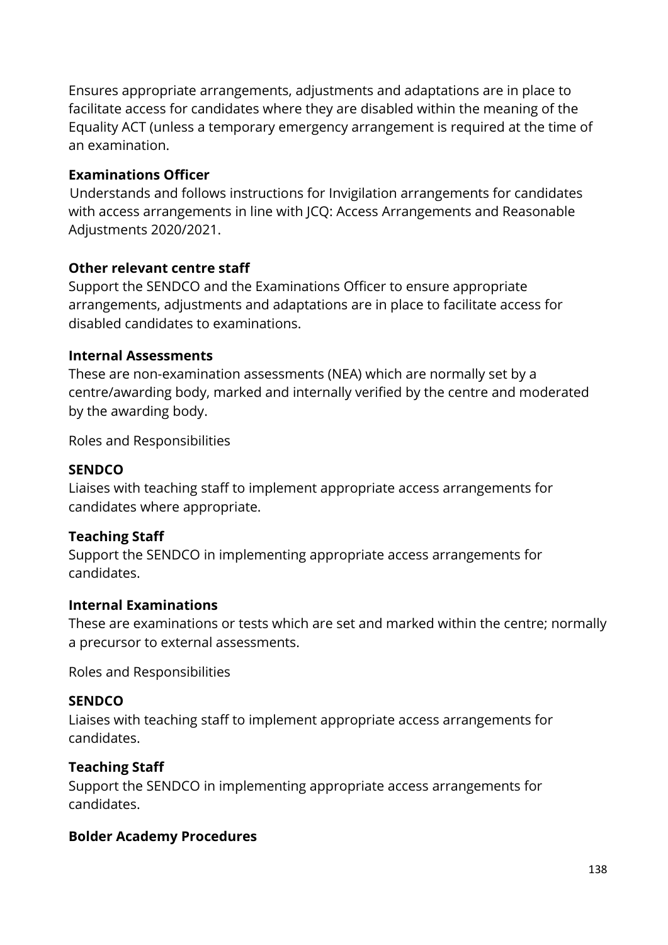Ensures appropriate arrangements, adjustments and adaptations are in place to facilitate access for candidates where they are disabled within the meaning of the Equality ACT (unless a temporary emergency arrangement is required at the time of an examination.

#### **Examinations Officer**

Understands and follows instructions for Invigilation arrangements for candidates with access arrangements in line with JCQ: Access Arrangements and Reasonable Adjustments 2020/2021.

#### **Other relevant centre staff**

Support the SENDCO and the Examinations Officer to ensure appropriate arrangements, adjustments and adaptations are in place to facilitate access for disabled candidates to examinations.

#### **Internal Assessments**

These are non-examination assessments (NEA) which are normally set by a centre/awarding body, marked and internally verified by the centre and moderated by the awarding body.

Roles and Responsibilities

#### **SENDCO**

Liaises with teaching staff to implement appropriate access arrangements for candidates where appropriate.

#### **Teaching Staff**

Support the SENDCO in implementing appropriate access arrangements for candidates.

#### **Internal Examinations**

These are examinations or tests which are set and marked within the centre; normally a precursor to external assessments.

Roles and Responsibilities

#### **SENDCO**

Liaises with teaching staff to implement appropriate access arrangements for candidates.

#### **Teaching Staff**

Support the SENDCO in implementing appropriate access arrangements for candidates.

#### **Bolder Academy Procedures**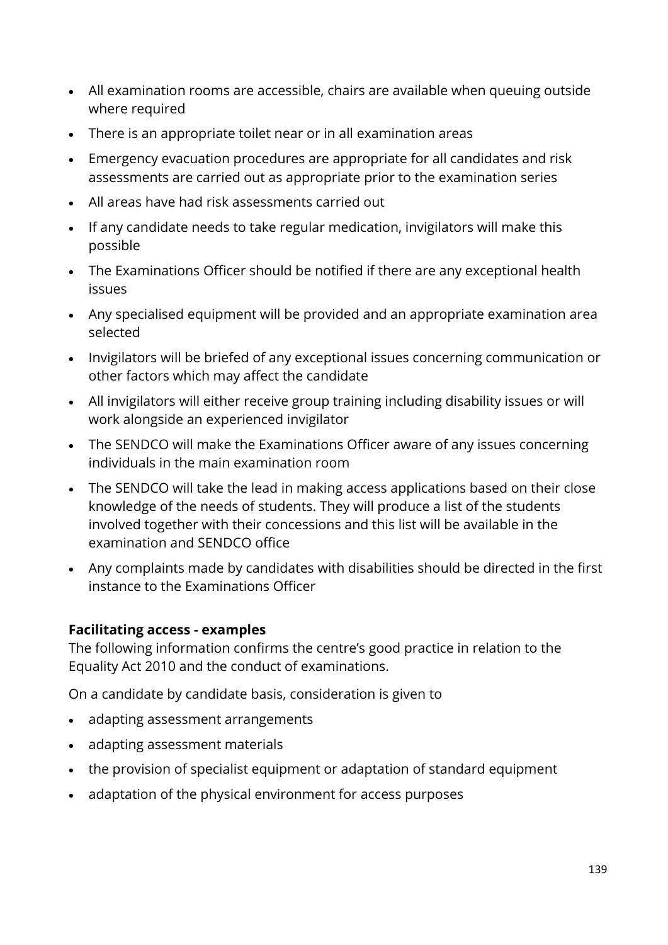- All examination rooms are accessible, chairs are available when queuing outside where required
- There is an appropriate toilet near or in all examination areas
- Emergency evacuation procedures are appropriate for all candidates and risk assessments are carried out as appropriate prior to the examination series
- All areas have had risk assessments carried out
- If any candidate needs to take regular medication, invigilators will make this possible
- The Examinations Officer should be notified if there are any exceptional health issues
- Any specialised equipment will be provided and an appropriate examination area selected
- Invigilators will be briefed of any exceptional issues concerning communication or other factors which may affect the candidate
- All invigilators will either receive group training including disability issues or will work alongside an experienced invigilator
- The SENDCO will make the Examinations Officer aware of any issues concerning individuals in the main examination room
- The SENDCO will take the lead in making access applications based on their close knowledge of the needs of students. They will produce a list of the students involved together with their concessions and this list will be available in the examination and SENDCO office
- Any complaints made by candidates with disabilities should be directed in the first instance to the Examinations Officer

#### **Facilitating access - examples**

The following information confirms the centre's good practice in relation to the Equality Act 2010 and the conduct of examinations.

On a candidate by candidate basis, consideration is given to

- adapting assessment arrangements
- adapting assessment materials
- the provision of specialist equipment or adaptation of standard equipment
- adaptation of the physical environment for access purposes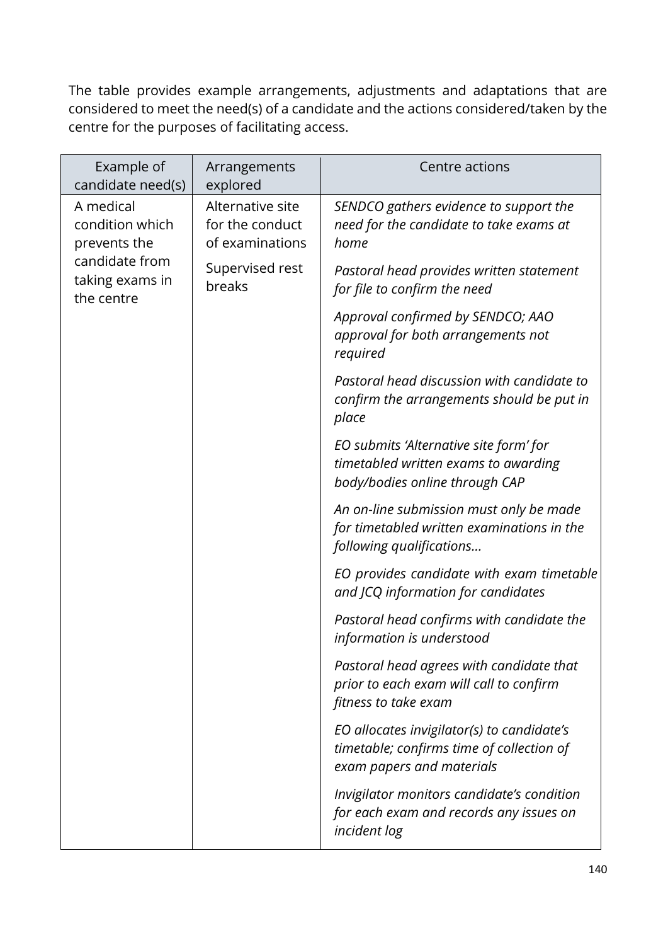The table provides example arrangements, adjustments and adaptations that are considered to meet the need(s) of a candidate and the actions considered/taken by the centre for the purposes of facilitating access.

| Example of<br>candidate need(s)                 | Arrangements<br>explored                               | Centre actions                                                                                                       |
|-------------------------------------------------|--------------------------------------------------------|----------------------------------------------------------------------------------------------------------------------|
| A medical<br>condition which<br>prevents the    | Alternative site<br>for the conduct<br>of examinations | SENDCO gathers evidence to support the<br>need for the candidate to take exams at<br>home                            |
| candidate from<br>taking exams in<br>the centre | Supervised rest<br>breaks                              | Pastoral head provides written statement<br>for file to confirm the need                                             |
|                                                 |                                                        | Approval confirmed by SENDCO; AAO<br>approval for both arrangements not<br>required                                  |
|                                                 |                                                        | Pastoral head discussion with candidate to<br>confirm the arrangements should be put in<br>place                     |
|                                                 |                                                        | EO submits 'Alternative site form' for<br>timetabled written exams to awarding<br>body/bodies online through CAP     |
|                                                 |                                                        | An on-line submission must only be made<br>for timetabled written examinations in the<br>following qualifications    |
|                                                 |                                                        | EO provides candidate with exam timetable<br>and JCQ information for candidates                                      |
|                                                 |                                                        | Pastoral head confirms with candidate the<br>information is understood                                               |
|                                                 |                                                        | Pastoral head agrees with candidate that<br>prior to each exam will call to confirm<br>fitness to take exam          |
|                                                 |                                                        | EO allocates invigilator(s) to candidate's<br>timetable; confirms time of collection of<br>exam papers and materials |
|                                                 |                                                        | Invigilator monitors candidate's condition<br>for each exam and records any issues on<br>incident log                |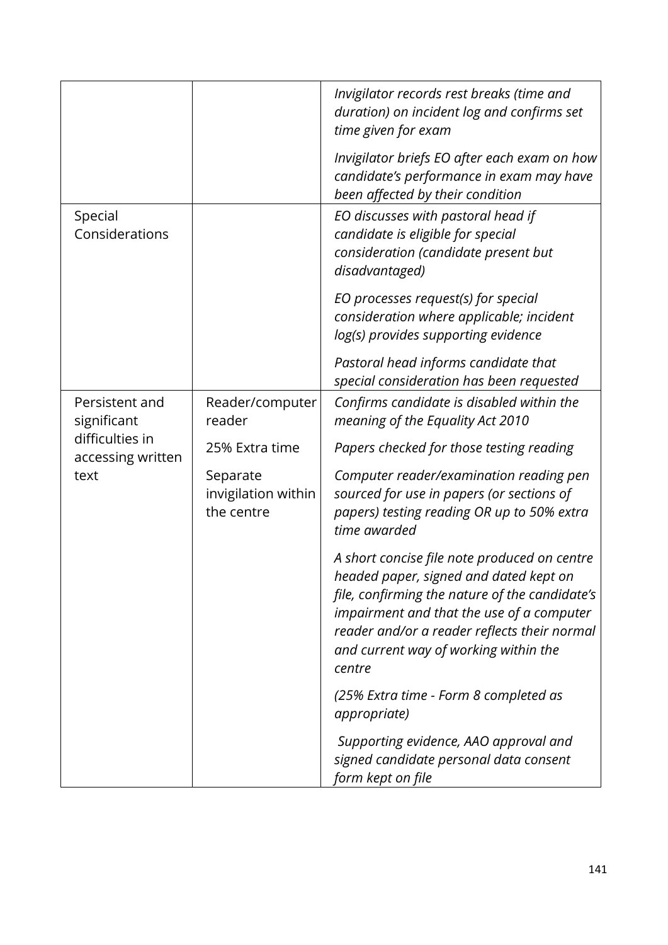|                                      |                                               | Invigilator records rest breaks (time and<br>duration) on incident log and confirms set<br>time given for exam                                                                                                                                                                           |
|--------------------------------------|-----------------------------------------------|------------------------------------------------------------------------------------------------------------------------------------------------------------------------------------------------------------------------------------------------------------------------------------------|
|                                      |                                               | Invigilator briefs EO after each exam on how<br>candidate's performance in exam may have<br>been affected by their condition                                                                                                                                                             |
| Special<br>Considerations            |                                               | EO discusses with pastoral head if<br>candidate is eligible for special<br>consideration (candidate present but<br>disadvantaged)                                                                                                                                                        |
|                                      |                                               | EO processes request(s) for special<br>consideration where applicable; incident<br>log(s) provides supporting evidence                                                                                                                                                                   |
|                                      |                                               | Pastoral head informs candidate that<br>special consideration has been requested                                                                                                                                                                                                         |
| Persistent and<br>significant        | Reader/computer<br>reader                     | Confirms candidate is disabled within the<br>meaning of the Equality Act 2010                                                                                                                                                                                                            |
| difficulties in<br>accessing written | 25% Extra time                                | Papers checked for those testing reading                                                                                                                                                                                                                                                 |
| text                                 | Separate<br>invigilation within<br>the centre | Computer reader/examination reading pen<br>sourced for use in papers (or sections of<br>papers) testing reading OR up to 50% extra<br>time awarded                                                                                                                                       |
|                                      |                                               | A short concise file note produced on centre<br>headed paper, signed and dated kept on<br>file, confirming the nature of the candidate's<br>impairment and that the use of a computer<br>reader and/or a reader reflects their normal<br>and current way of working within the<br>centre |
|                                      |                                               | (25% Extra time - Form 8 completed as<br>appropriate)                                                                                                                                                                                                                                    |
|                                      |                                               | Supporting evidence, AAO approval and<br>signed candidate personal data consent<br>form kept on file                                                                                                                                                                                     |